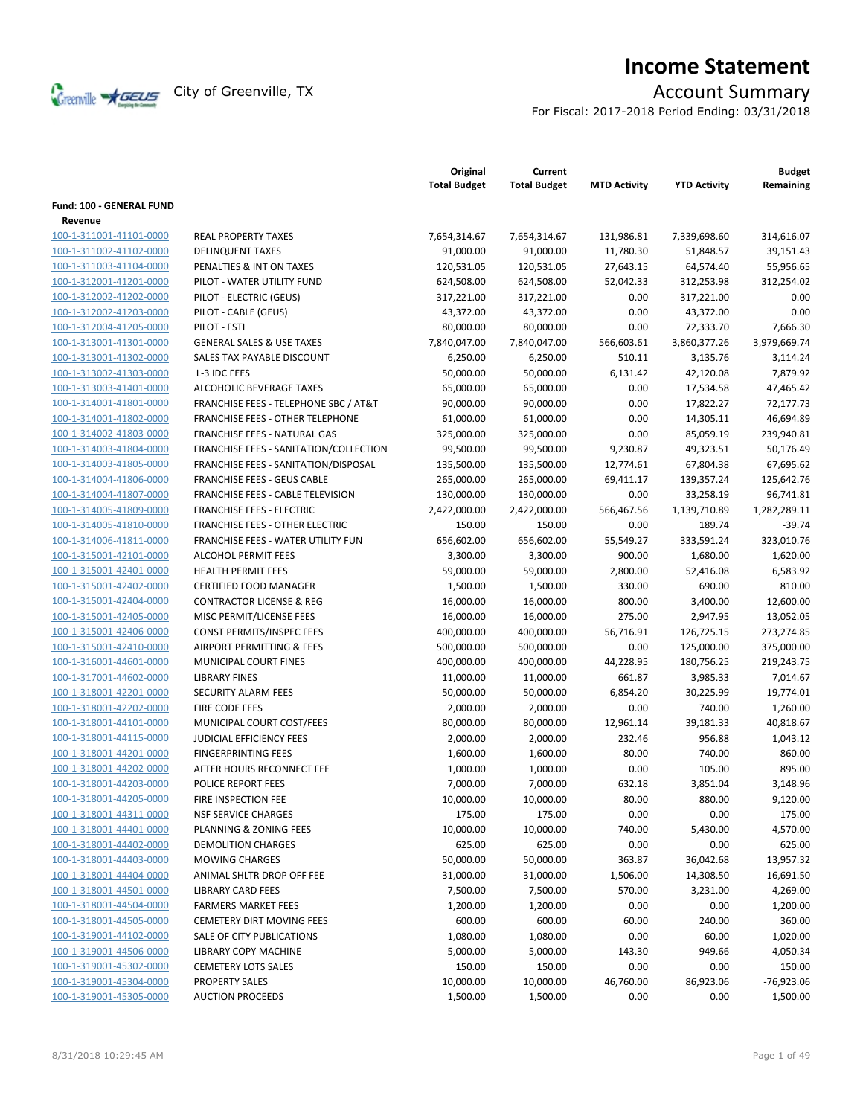

# **Income Statement**

For Fiscal: 2017-2018 Period Ending: 03/31/2018

|                                     |                                          | Original<br><b>Total Budget</b> | Current<br><b>Total Budget</b> | <b>MTD Activity</b> | <b>YTD Activity</b> | <b>Budget</b><br>Remaining |
|-------------------------------------|------------------------------------------|---------------------------------|--------------------------------|---------------------|---------------------|----------------------------|
| Fund: 100 - GENERAL FUND<br>Revenue |                                          |                                 |                                |                     |                     |                            |
| 100-1-311001-41101-0000             | <b>REAL PROPERTY TAXES</b>               | 7,654,314.67                    | 7,654,314.67                   | 131,986.81          | 7,339,698.60        | 314,616.07                 |
| 100-1-311002-41102-0000             | <b>DELINQUENT TAXES</b>                  | 91,000.00                       | 91,000.00                      | 11,780.30           | 51,848.57           | 39,151.43                  |
|                                     | PENALTIES & INT ON TAXES                 |                                 |                                |                     |                     |                            |
| 100-1-311003-41104-0000             |                                          | 120,531.05                      | 120,531.05                     | 27,643.15           | 64,574.40           | 55,956.65                  |
| 100-1-312001-41201-0000             | PILOT - WATER UTILITY FUND               | 624,508.00                      | 624,508.00                     | 52,042.33           | 312,253.98          | 312,254.02                 |
| 100-1-312002-41202-0000             | PILOT - ELECTRIC (GEUS)                  | 317,221.00                      | 317,221.00                     | 0.00                | 317,221.00          | 0.00                       |
| 100-1-312002-41203-0000             | PILOT - CABLE (GEUS)                     | 43,372.00                       | 43,372.00                      | 0.00                | 43,372.00           | 0.00                       |
| 100-1-312004-41205-0000             | PILOT - FSTI                             | 80,000.00                       | 80,000.00                      | 0.00                | 72,333.70           | 7.666.30                   |
| 100-1-313001-41301-0000             | <b>GENERAL SALES &amp; USE TAXES</b>     | 7,840,047.00                    | 7,840,047.00                   | 566,603.61          | 3,860,377.26        | 3,979,669.74               |
| 100-1-313001-41302-0000             | SALES TAX PAYABLE DISCOUNT               | 6,250.00                        | 6,250.00                       | 510.11              | 3,135.76            | 3,114.24                   |
| 100-1-313002-41303-0000             | L-3 IDC FEES                             | 50,000.00                       | 50,000.00                      | 6,131.42            | 42,120.08           | 7,879.92                   |
| 100-1-313003-41401-0000             | ALCOHOLIC BEVERAGE TAXES                 | 65,000.00                       | 65,000.00                      | 0.00                | 17,534.58           | 47,465.42                  |
| 100-1-314001-41801-0000             | FRANCHISE FEES - TELEPHONE SBC / AT&T    | 90,000.00                       | 90,000.00                      | 0.00                | 17,822.27           | 72,177.73                  |
| 100-1-314001-41802-0000             | FRANCHISE FEES - OTHER TELEPHONE         | 61,000.00                       | 61,000.00                      | 0.00                | 14,305.11           | 46,694.89                  |
| 100-1-314002-41803-0000             | FRANCHISE FEES - NATURAL GAS             | 325,000.00                      | 325,000.00                     | 0.00                | 85,059.19           | 239,940.81                 |
| 100-1-314003-41804-0000             | FRANCHISE FEES - SANITATION/COLLECTION   | 99,500.00                       | 99,500.00                      | 9,230.87            | 49,323.51           | 50,176.49                  |
| 100-1-314003-41805-0000             | FRANCHISE FEES - SANITATION/DISPOSAL     | 135,500.00                      | 135,500.00                     | 12,774.61           | 67,804.38           | 67,695.62                  |
| 100-1-314004-41806-0000             | <b>FRANCHISE FEES - GEUS CABLE</b>       | 265,000.00                      | 265,000.00                     | 69,411.17           | 139,357.24          | 125,642.76                 |
| 100-1-314004-41807-0000             | <b>FRANCHISE FEES - CABLE TELEVISION</b> | 130,000.00                      | 130,000.00                     | 0.00                | 33,258.19           | 96,741.81                  |
| 100-1-314005-41809-0000             | <b>FRANCHISE FEES - ELECTRIC</b>         | 2,422,000.00                    | 2,422,000.00                   | 566,467.56          | 1,139,710.89        | 1,282,289.11               |
| 100-1-314005-41810-0000             | <b>FRANCHISE FEES - OTHER ELECTRIC</b>   | 150.00                          | 150.00                         | 0.00                | 189.74              | $-39.74$                   |
| 100-1-314006-41811-0000             | FRANCHISE FEES - WATER UTILITY FUN       | 656,602.00                      | 656,602.00                     | 55,549.27           | 333,591.24          | 323,010.76                 |
| 100-1-315001-42101-0000             | <b>ALCOHOL PERMIT FEES</b>               | 3,300.00                        | 3,300.00                       | 900.00              | 1,680.00            | 1,620.00                   |
| 100-1-315001-42401-0000             | <b>HEALTH PERMIT FEES</b>                | 59,000.00                       | 59,000.00                      | 2,800.00            | 52,416.08           | 6,583.92                   |
| 100-1-315001-42402-0000             | <b>CERTIFIED FOOD MANAGER</b>            | 1,500.00                        | 1,500.00                       | 330.00              | 690.00              | 810.00                     |
| 100-1-315001-42404-0000             | <b>CONTRACTOR LICENSE &amp; REG</b>      | 16,000.00                       | 16,000.00                      | 800.00              | 3,400.00            | 12,600.00                  |
| 100-1-315001-42405-0000             | MISC PERMIT/LICENSE FEES                 | 16,000.00                       | 16,000.00                      | 275.00              | 2,947.95            | 13,052.05                  |
| 100-1-315001-42406-0000             | CONST PERMITS/INSPEC FEES                | 400,000.00                      | 400,000.00                     | 56,716.91           | 126,725.15          | 273,274.85                 |
| 100-1-315001-42410-0000             | <b>AIRPORT PERMITTING &amp; FEES</b>     | 500,000.00                      | 500,000.00                     | 0.00                | 125,000.00          | 375,000.00                 |
| 100-1-316001-44601-0000             | MUNICIPAL COURT FINES                    | 400,000.00                      | 400,000.00                     | 44,228.95           | 180,756.25          | 219,243.75                 |
| 100-1-317001-44602-0000             | <b>LIBRARY FINES</b>                     | 11,000.00                       | 11,000.00                      | 661.87              | 3,985.33            | 7,014.67                   |
| 100-1-318001-42201-0000             | SECURITY ALARM FEES                      | 50,000.00                       | 50,000.00                      | 6,854.20            | 30,225.99           | 19,774.01                  |
| 100-1-318001-42202-0000             | FIRE CODE FEES                           | 2,000.00                        | 2,000.00                       | 0.00                | 740.00              | 1,260.00                   |
| 100-1-318001-44101-0000             | MUNICIPAL COURT COST/FEES                | 80,000.00                       | 80,000.00                      | 12,961.14           | 39,181.33           | 40,818.67                  |
| 100-1-318001-44115-0000             | JUDICIAL EFFICIENCY FEES                 | 2,000.00                        | 2,000.00                       | 232.46              | 956.88              | 1,043.12                   |
| 100-1-318001-44201-0000             | <b>FINGERPRINTING FEES</b>               | 1,600.00                        | 1,600.00                       | 80.00               | 740.00              | 860.00                     |
| 100-1-318001-44202-0000             | AFTER HOURS RECONNECT FEE                | 1,000.00                        | 1,000.00                       | 0.00                | 105.00              | 895.00                     |
| 100-1-318001-44203-0000             | POLICE REPORT FEES                       | 7,000.00                        | 7,000.00                       | 632.18              | 3,851.04            | 3,148.96                   |
| 100-1-318001-44205-0000             | FIRE INSPECTION FEE                      | 10,000.00                       | 10,000.00                      | 80.00               | 880.00              | 9,120.00                   |
| 100-1-318001-44311-0000             | <b>NSF SERVICE CHARGES</b>               | 175.00                          | 175.00                         | 0.00                | 0.00                | 175.00                     |
| 100-1-318001-44401-0000             | PLANNING & ZONING FEES                   | 10,000.00                       | 10,000.00                      | 740.00              | 5,430.00            | 4,570.00                   |
| 100-1-318001-44402-0000             | <b>DEMOLITION CHARGES</b>                | 625.00                          | 625.00                         | 0.00                | 0.00                | 625.00                     |
| 100-1-318001-44403-0000             | <b>MOWING CHARGES</b>                    | 50,000.00                       | 50,000.00                      | 363.87              | 36,042.68           | 13,957.32                  |
| 100-1-318001-44404-0000             | ANIMAL SHLTR DROP OFF FEE                | 31,000.00                       | 31,000.00                      | 1,506.00            | 14,308.50           | 16,691.50                  |
| 100-1-318001-44501-0000             | <b>LIBRARY CARD FEES</b>                 | 7,500.00                        | 7,500.00                       | 570.00              | 3,231.00            | 4,269.00                   |
| 100-1-318001-44504-0000             | <b>FARMERS MARKET FEES</b>               | 1,200.00                        | 1,200.00                       | 0.00                | 0.00                | 1,200.00                   |
| 100-1-318001-44505-0000             | <b>CEMETERY DIRT MOVING FEES</b>         | 600.00                          | 600.00                         | 60.00               | 240.00              | 360.00                     |
| 100-1-319001-44102-0000             | SALE OF CITY PUBLICATIONS                | 1,080.00                        | 1,080.00                       | 0.00                | 60.00               | 1,020.00                   |
| 100-1-319001-44506-0000             | LIBRARY COPY MACHINE                     | 5,000.00                        | 5,000.00                       | 143.30              | 949.66              | 4,050.34                   |
| 100-1-319001-45302-0000             | <b>CEMETERY LOTS SALES</b>               | 150.00                          | 150.00                         | 0.00                | 0.00                | 150.00                     |
| 100-1-319001-45304-0000             | <b>PROPERTY SALES</b>                    | 10,000.00                       | 10,000.00                      | 46,760.00           | 86,923.06           | $-76,923.06$               |
| 100-1-319001-45305-0000             | <b>AUCTION PROCEEDS</b>                  | 1,500.00                        | 1,500.00                       | 0.00                | 0.00                | 1,500.00                   |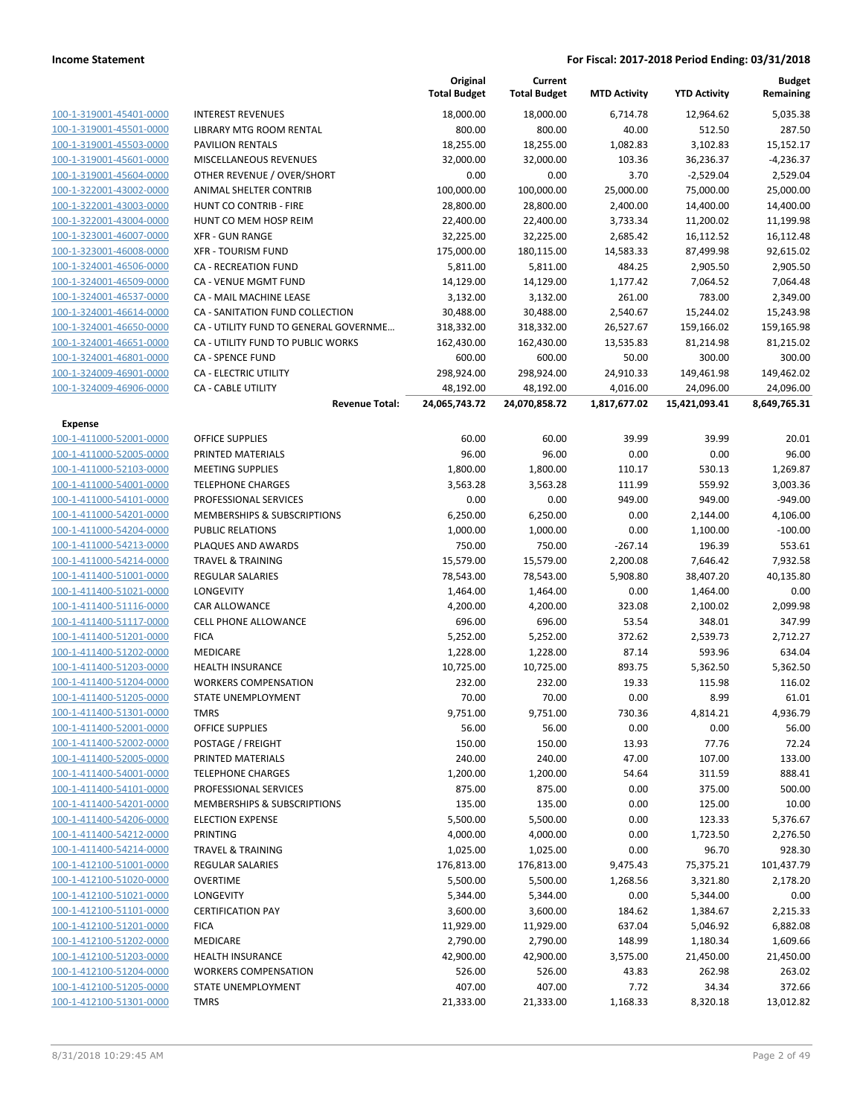|                         |                                        | Original<br><b>Total Budget</b> | Current<br><b>Total Budget</b> | <b>MTD Activity</b> | <b>YTD Activity</b> | <b>Budget</b><br>Remaining |
|-------------------------|----------------------------------------|---------------------------------|--------------------------------|---------------------|---------------------|----------------------------|
| 100-1-319001-45401-0000 | <b>INTEREST REVENUES</b>               | 18,000.00                       | 18,000.00                      | 6,714.78            | 12,964.62           | 5,035.38                   |
| 100-1-319001-45501-0000 | LIBRARY MTG ROOM RENTAL                | 800.00                          | 800.00                         | 40.00               | 512.50              | 287.50                     |
| 100-1-319001-45503-0000 | <b>PAVILION RENTALS</b>                | 18,255.00                       | 18,255.00                      | 1,082.83            | 3,102.83            | 15,152.17                  |
| 100-1-319001-45601-0000 | <b>MISCELLANEOUS REVENUES</b>          | 32,000.00                       | 32,000.00                      | 103.36              | 36,236.37           | $-4,236.37$                |
| 100-1-319001-45604-0000 | OTHER REVENUE / OVER/SHORT             | 0.00                            | 0.00                           | 3.70                | $-2,529.04$         | 2,529.04                   |
| 100-1-322001-43002-0000 | ANIMAL SHELTER CONTRIB                 | 100,000.00                      | 100,000.00                     | 25,000.00           | 75,000.00           | 25,000.00                  |
| 100-1-322001-43003-0000 | HUNT CO CONTRIB - FIRE                 | 28,800.00                       | 28,800.00                      | 2,400.00            | 14,400.00           | 14,400.00                  |
| 100-1-322001-43004-0000 | HUNT CO MEM HOSP REIM                  | 22,400.00                       | 22,400.00                      | 3,733.34            | 11,200.02           | 11,199.98                  |
| 100-1-323001-46007-0000 | <b>XFR - GUN RANGE</b>                 | 32,225.00                       | 32,225.00                      | 2,685.42            | 16,112.52           | 16,112.48                  |
| 100-1-323001-46008-0000 | <b>XFR - TOURISM FUND</b>              |                                 |                                | 14,583.33           |                     |                            |
|                         |                                        | 175,000.00                      | 180,115.00                     |                     | 87,499.98           | 92,615.02                  |
| 100-1-324001-46506-0000 | <b>CA - RECREATION FUND</b>            | 5,811.00                        | 5,811.00                       | 484.25              | 2,905.50            | 2,905.50                   |
| 100-1-324001-46509-0000 | CA - VENUE MGMT FUND                   | 14,129.00                       | 14,129.00                      | 1,177.42            | 7,064.52            | 7,064.48                   |
| 100-1-324001-46537-0000 | CA - MAIL MACHINE LEASE                | 3,132.00                        | 3,132.00                       | 261.00              | 783.00              | 2,349.00                   |
| 100-1-324001-46614-0000 | CA - SANITATION FUND COLLECTION        | 30,488.00                       | 30,488.00                      | 2,540.67            | 15,244.02           | 15,243.98                  |
| 100-1-324001-46650-0000 | CA - UTILITY FUND TO GENERAL GOVERNME  | 318,332.00                      | 318,332.00                     | 26,527.67           | 159,166.02          | 159,165.98                 |
| 100-1-324001-46651-0000 | CA - UTILITY FUND TO PUBLIC WORKS      | 162,430.00                      | 162,430.00                     | 13,535.83           | 81,214.98           | 81,215.02                  |
| 100-1-324001-46801-0000 | <b>CA - SPENCE FUND</b>                | 600.00                          | 600.00                         | 50.00               | 300.00              | 300.00                     |
| 100-1-324009-46901-0000 | CA - ELECTRIC UTILITY                  | 298,924.00                      | 298,924.00                     | 24,910.33           | 149,461.98          | 149,462.02                 |
| 100-1-324009-46906-0000 | <b>CA - CABLE UTILITY</b>              | 48,192.00                       | 48,192.00                      | 4,016.00            | 24,096.00           | 24,096.00                  |
|                         | <b>Revenue Total:</b>                  | 24,065,743.72                   | 24,070,858.72                  | 1,817,677.02        | 15,421,093.41       | 8,649,765.31               |
| Expense                 |                                        |                                 |                                |                     |                     |                            |
| 100-1-411000-52001-0000 | <b>OFFICE SUPPLIES</b>                 | 60.00                           | 60.00                          | 39.99               | 39.99               | 20.01                      |
| 100-1-411000-52005-0000 | PRINTED MATERIALS                      | 96.00                           | 96.00                          | 0.00                | 0.00                | 96.00                      |
| 100-1-411000-52103-0000 | <b>MEETING SUPPLIES</b>                | 1,800.00                        | 1,800.00                       | 110.17              | 530.13              | 1,269.87                   |
| 100-1-411000-54001-0000 | <b>TELEPHONE CHARGES</b>               | 3,563.28                        | 3,563.28                       | 111.99              | 559.92              | 3,003.36                   |
| 100-1-411000-54101-0000 | PROFESSIONAL SERVICES                  | 0.00                            | 0.00                           | 949.00              | 949.00              | $-949.00$                  |
| 100-1-411000-54201-0000 | MEMBERSHIPS & SUBSCRIPTIONS            | 6,250.00                        | 6,250.00                       | 0.00                | 2,144.00            | 4,106.00                   |
| 100-1-411000-54204-0000 | <b>PUBLIC RELATIONS</b>                | 1,000.00                        | 1,000.00                       | 0.00                | 1,100.00            | $-100.00$                  |
| 100-1-411000-54213-0000 | PLAQUES AND AWARDS                     | 750.00                          | 750.00                         | $-267.14$           | 196.39              | 553.61                     |
| 100-1-411000-54214-0000 | <b>TRAVEL &amp; TRAINING</b>           | 15,579.00                       | 15,579.00                      | 2,200.08            | 7,646.42            | 7,932.58                   |
| 100-1-411400-51001-0000 | <b>REGULAR SALARIES</b>                | 78,543.00                       | 78,543.00                      | 5,908.80            | 38,407.20           | 40,135.80                  |
| 100-1-411400-51021-0000 | LONGEVITY                              | 1,464.00                        | 1,464.00                       | 0.00                | 1,464.00            | 0.00                       |
| 100-1-411400-51116-0000 | CAR ALLOWANCE                          | 4,200.00                        | 4,200.00                       | 323.08              | 2,100.02            | 2,099.98                   |
| 100-1-411400-51117-0000 | <b>CELL PHONE ALLOWANCE</b>            | 696.00                          | 696.00                         | 53.54               | 348.01              | 347.99                     |
| 100-1-411400-51201-0000 | <b>FICA</b>                            | 5,252.00                        | 5,252.00                       | 372.62              | 2,539.73            | 2,712.27                   |
| 100-1-411400-51202-0000 | MEDICARE                               | 1,228.00                        | 1,228.00                       | 87.14               | 593.96              | 634.04                     |
| 100-1-411400-51203-0000 | <b>HEALTH INSURANCE</b>                | 10,725.00                       | 10,725.00                      | 893.75              | 5,362.50            | 5,362.50                   |
| 100-1-411400-51204-0000 | <b>WORKERS COMPENSATION</b>            | 232.00                          | 232.00                         | 19.33               | 115.98              | 116.02                     |
| 100-1-411400-51205-0000 | STATE UNEMPLOYMENT                     | 70.00                           | 70.00                          | 0.00                | 8.99                | 61.01                      |
| 100-1-411400-51301-0000 | TMRS                                   | 9,751.00                        | 9,751.00                       | 730.36              | 4,814.21            | 4,936.79                   |
| 100-1-411400-52001-0000 | <b>OFFICE SUPPLIES</b>                 | 56.00                           | 56.00                          | 0.00                | 0.00                | 56.00                      |
| 100-1-411400-52002-0000 |                                        |                                 |                                |                     |                     |                            |
|                         | POSTAGE / FREIGHT<br>PRINTED MATERIALS | 150.00                          | 150.00                         | 13.93               | 77.76               | 72.24                      |
| 100-1-411400-52005-0000 |                                        | 240.00                          | 240.00                         | 47.00               | 107.00              | 133.00                     |
| 100-1-411400-54001-0000 | <b>TELEPHONE CHARGES</b>               | 1,200.00                        | 1,200.00                       | 54.64               | 311.59              | 888.41                     |
| 100-1-411400-54101-0000 | PROFESSIONAL SERVICES                  | 875.00                          | 875.00                         | 0.00                | 375.00              | 500.00                     |
| 100-1-411400-54201-0000 | <b>MEMBERSHIPS &amp; SUBSCRIPTIONS</b> | 135.00                          | 135.00                         | 0.00                | 125.00              | 10.00                      |
| 100-1-411400-54206-0000 | <b>ELECTION EXPENSE</b>                | 5,500.00                        | 5,500.00                       | 0.00                | 123.33              | 5,376.67                   |
| 100-1-411400-54212-0000 | <b>PRINTING</b>                        | 4,000.00                        | 4,000.00                       | 0.00                | 1,723.50            | 2,276.50                   |
| 100-1-411400-54214-0000 | TRAVEL & TRAINING                      | 1,025.00                        | 1,025.00                       | 0.00                | 96.70               | 928.30                     |
| 100-1-412100-51001-0000 | REGULAR SALARIES                       | 176,813.00                      | 176,813.00                     | 9,475.43            | 75,375.21           | 101,437.79                 |
| 100-1-412100-51020-0000 | <b>OVERTIME</b>                        | 5,500.00                        | 5,500.00                       | 1,268.56            | 3,321.80            | 2,178.20                   |
| 100-1-412100-51021-0000 | LONGEVITY                              | 5,344.00                        | 5,344.00                       | 0.00                | 5,344.00            | 0.00                       |
| 100-1-412100-51101-0000 | <b>CERTIFICATION PAY</b>               | 3,600.00                        | 3,600.00                       | 184.62              | 1,384.67            | 2,215.33                   |
| 100-1-412100-51201-0000 | <b>FICA</b>                            | 11,929.00                       | 11,929.00                      | 637.04              | 5,046.92            | 6,882.08                   |
| 100-1-412100-51202-0000 | MEDICARE                               | 2,790.00                        | 2,790.00                       | 148.99              | 1,180.34            | 1,609.66                   |
| 100-1-412100-51203-0000 | <b>HEALTH INSURANCE</b>                | 42,900.00                       | 42,900.00                      | 3,575.00            | 21,450.00           | 21,450.00                  |
| 100-1-412100-51204-0000 | <b>WORKERS COMPENSATION</b>            | 526.00                          | 526.00                         | 43.83               | 262.98              | 263.02                     |
| 100-1-412100-51205-0000 | STATE UNEMPLOYMENT                     | 407.00                          | 407.00                         | 7.72                | 34.34               | 372.66                     |
| 100-1-412100-51301-0000 | <b>TMRS</b>                            | 21,333.00                       | 21,333.00                      | 1,168.33            | 8,320.18            | 13,012.82                  |
|                         |                                        |                                 |                                |                     |                     |                            |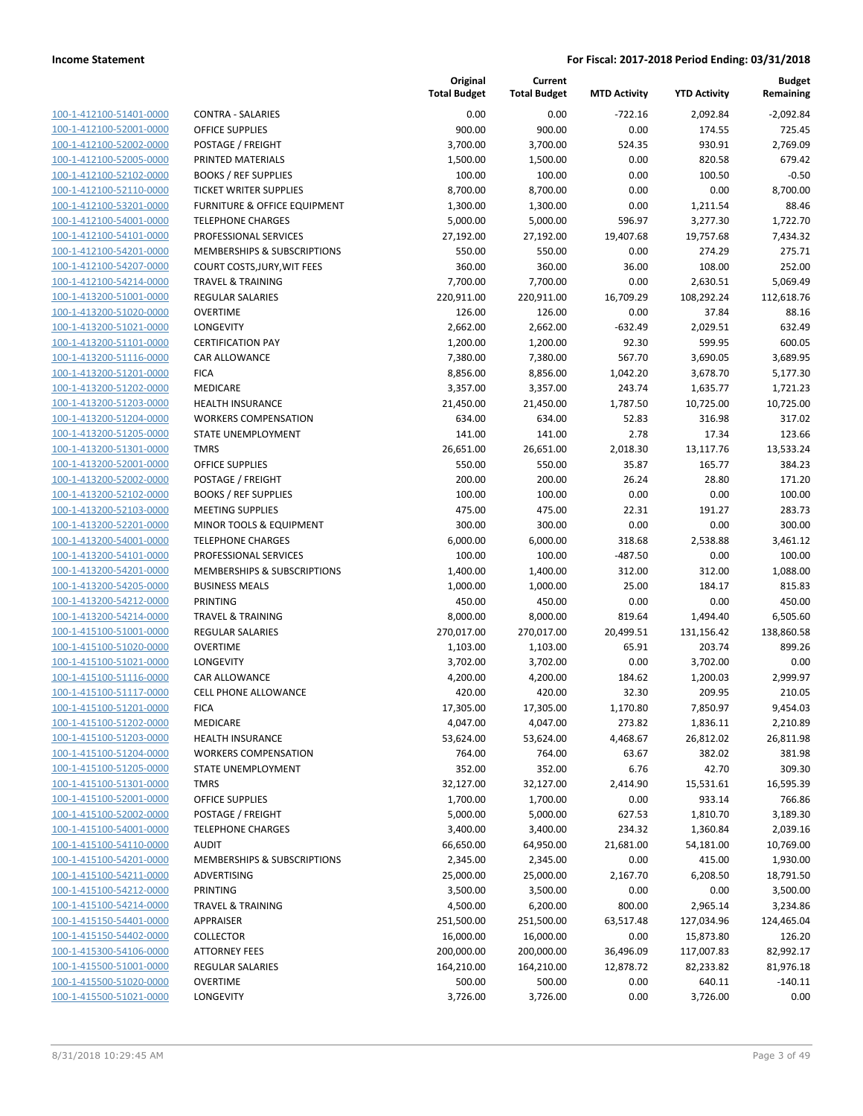| 100-1-412100-51401-0000        |
|--------------------------------|
| 100-1-412100-52001-0000        |
| 100-1-412100-52002-0000        |
| 100-1-412100-52005-0000        |
| 100-1-412100-52102-0000        |
| 100-1-412100-52110-0000        |
| 100-1-412100-53201-0000        |
| 100-1-412100-54001-0000        |
| 100-1-412100-54101-0000        |
| 100-1-412100-54201-0000        |
| 100-1-412100-54207-0000        |
| 100-1-412100-54214-0000        |
| 100-1-413200-51001-0000        |
| 100-1-413200-51020-0000        |
| 100-1-413200-51021-0000        |
| 100-1-413200-51101-0000        |
| 100-1-413200-51116-0000        |
| 100-1-413200-51201-0000        |
| 100-1-413200-51202-0000        |
| 100-1-413200-51203-0000        |
| 100-1-413200-51204-0000        |
| 100-1-413200-51205-0000        |
| 100-1-413200-51301-0000        |
| 100-1-413200-52001-0000        |
| 100-1-413200-52002-0000        |
| 100-1-413200-52102-0000        |
| 100-1-413200-52103-0000        |
| 100-1-413200-52201-0000        |
| 100-1-413200-54001-0000        |
| 100-1-413200-54101-0000        |
| 100-1-413200-54201-0000        |
| 100-1-413200-54205-0000        |
| 100-1-413200-54212-0000        |
| 100-1-413200-54214-0000        |
| 100-1-415100-51001-0000        |
| 100-1-415100-51020-0000        |
| 100-1-415100-51021-0000        |
| 100-1-415100-51116-0000        |
| 100-1-415100-51117-0000        |
| 100-1-415100-51201-0000        |
| 100-1-415100-51202-0000        |
| 100-1-415100-51203-0000        |
|                                |
| <u>100-1-415100-51204-0000</u> |
| <u>100-1-415100-51205-0000</u> |
| 100-1-415100-51301-0000        |
| 100-1-415100-52001-0000        |
| 100-1-415100-52002-0000        |
| <u>100-1-415100-54001-0000</u> |
| <u>100-1-415100-54110-0000</u> |
| <u>100-1-415100-54201-0000</u> |
| 100-1-415100-54211-0000        |
| 100-1-415100-54212-0000        |
| <u>100-1-415100-54214-0000</u> |
| <u>100-1-415150-54401-0000</u> |
| 100-1-415150-54402-0000        |
| <u>100-1-415300-54106-0000</u> |
| 100-1-415500-51001-0000        |
| <u>100-1-415500-51020-0000</u> |
| <u>100-1-415500-51021-0000</u> |
|                                |

|                                                    |                                              | Original<br><b>Total Budget</b> | Current<br><b>Total Budget</b> | <b>MTD Activity</b> | <b>YTD Activity</b>   | <b>Budget</b><br>Remaining |
|----------------------------------------------------|----------------------------------------------|---------------------------------|--------------------------------|---------------------|-----------------------|----------------------------|
| 100-1-412100-51401-0000                            | <b>CONTRA - SALARIES</b>                     | 0.00                            | 0.00                           | $-722.16$           | 2,092.84              | $-2,092.84$                |
| 100-1-412100-52001-0000                            | <b>OFFICE SUPPLIES</b>                       | 900.00                          | 900.00                         | 0.00                | 174.55                | 725.45                     |
| 100-1-412100-52002-0000                            | POSTAGE / FREIGHT                            | 3,700.00                        | 3,700.00                       | 524.35              | 930.91                | 2,769.09                   |
| 100-1-412100-52005-0000                            | PRINTED MATERIALS                            | 1,500.00                        | 1,500.00                       | 0.00                | 820.58                | 679.42                     |
| 100-1-412100-52102-0000                            | <b>BOOKS / REF SUPPLIES</b>                  | 100.00                          | 100.00                         | 0.00                | 100.50                | $-0.50$                    |
| 100-1-412100-52110-0000                            | TICKET WRITER SUPPLIES                       | 8,700.00                        | 8,700.00                       | 0.00                | 0.00                  | 8,700.00                   |
| 100-1-412100-53201-0000                            | FURNITURE & OFFICE EQUIPMENT                 | 1,300.00                        | 1,300.00                       | 0.00                | 1,211.54              | 88.46                      |
| 100-1-412100-54001-0000                            | <b>TELEPHONE CHARGES</b>                     | 5,000.00                        | 5,000.00                       | 596.97              | 3,277.30              | 1,722.70                   |
| 100-1-412100-54101-0000                            | PROFESSIONAL SERVICES                        | 27,192.00                       | 27,192.00                      | 19,407.68           | 19,757.68             | 7,434.32                   |
| 100-1-412100-54201-0000                            | MEMBERSHIPS & SUBSCRIPTIONS                  | 550.00                          | 550.00                         | 0.00                | 274.29                | 275.71                     |
| 100-1-412100-54207-0000                            | COURT COSTS, JURY, WIT FEES                  | 360.00                          | 360.00                         | 36.00               | 108.00                | 252.00                     |
| 100-1-412100-54214-0000                            | <b>TRAVEL &amp; TRAINING</b>                 | 7,700.00                        | 7,700.00                       | 0.00                | 2,630.51              | 5,069.49                   |
| 100-1-413200-51001-0000                            | <b>REGULAR SALARIES</b>                      | 220,911.00                      | 220,911.00                     | 16,709.29           | 108,292.24            | 112,618.76                 |
| 100-1-413200-51020-0000                            | <b>OVERTIME</b>                              | 126.00                          | 126.00                         | 0.00                | 37.84                 | 88.16                      |
| 100-1-413200-51021-0000                            | <b>LONGEVITY</b>                             | 2,662.00                        | 2,662.00                       | $-632.49$           | 2,029.51              | 632.49                     |
| 100-1-413200-51101-0000                            | <b>CERTIFICATION PAY</b>                     | 1,200.00                        | 1,200.00                       | 92.30               | 599.95                | 600.05                     |
| 100-1-413200-51116-0000                            | CAR ALLOWANCE                                | 7,380.00                        | 7,380.00                       | 567.70              | 3,690.05              | 3,689.95                   |
| 100-1-413200-51201-0000                            | <b>FICA</b>                                  | 8,856.00                        | 8,856.00                       | 1,042.20            | 3,678.70              | 5,177.30                   |
| 100-1-413200-51202-0000                            | MEDICARE                                     | 3,357.00                        | 3,357.00                       | 243.74              | 1,635.77              | 1,721.23                   |
| 100-1-413200-51203-0000                            | <b>HEALTH INSURANCE</b>                      | 21,450.00                       | 21,450.00                      | 1,787.50            | 10,725.00             | 10,725.00                  |
| 100-1-413200-51204-0000                            | <b>WORKERS COMPENSATION</b>                  | 634.00                          | 634.00                         | 52.83               | 316.98                | 317.02                     |
| 100-1-413200-51205-0000                            | STATE UNEMPLOYMENT                           | 141.00                          | 141.00                         | 2.78                | 17.34                 | 123.66                     |
| 100-1-413200-51301-0000                            | <b>TMRS</b>                                  | 26,651.00                       | 26,651.00                      | 2,018.30            | 13,117.76             | 13,533.24                  |
| 100-1-413200-52001-0000                            | <b>OFFICE SUPPLIES</b>                       | 550.00                          | 550.00                         | 35.87               | 165.77                | 384.23                     |
| 100-1-413200-52002-0000                            | POSTAGE / FREIGHT                            | 200.00                          | 200.00                         | 26.24               | 28.80                 | 171.20                     |
| 100-1-413200-52102-0000                            | <b>BOOKS / REF SUPPLIES</b>                  | 100.00                          | 100.00                         | 0.00                | 0.00                  | 100.00                     |
| 100-1-413200-52103-0000                            | <b>MEETING SUPPLIES</b>                      | 475.00                          | 475.00                         | 22.31               | 191.27                | 283.73                     |
| 100-1-413200-52201-0000                            | MINOR TOOLS & EQUIPMENT                      | 300.00                          | 300.00                         | 0.00                | 0.00                  | 300.00                     |
| 100-1-413200-54001-0000                            | <b>TELEPHONE CHARGES</b>                     | 6,000.00                        | 6,000.00                       | 318.68              | 2,538.88              | 3,461.12                   |
| 100-1-413200-54101-0000                            | PROFESSIONAL SERVICES                        | 100.00                          | 100.00                         | $-487.50$           | 0.00                  | 100.00                     |
| 100-1-413200-54201-0000                            | MEMBERSHIPS & SUBSCRIPTIONS                  | 1,400.00                        | 1,400.00                       | 312.00              | 312.00                | 1,088.00                   |
| 100-1-413200-54205-0000                            | <b>BUSINESS MEALS</b>                        | 1,000.00                        | 1,000.00                       | 25.00               | 184.17                | 815.83                     |
| 100-1-413200-54212-0000                            | PRINTING                                     | 450.00                          | 450.00                         | 0.00                | 0.00                  | 450.00                     |
| 100-1-413200-54214-0000                            | <b>TRAVEL &amp; TRAINING</b>                 | 8,000.00                        | 8,000.00                       | 819.64              | 1,494.40              | 6,505.60                   |
| 100-1-415100-51001-0000                            | REGULAR SALARIES                             | 270,017.00                      | 270,017.00                     | 20,499.51           | 131,156.42            | 138,860.58                 |
| 100-1-415100-51020-0000                            | <b>OVERTIME</b>                              | 1,103.00                        | 1,103.00                       | 65.91               | 203.74                | 899.26                     |
| 100-1-415100-51021-0000                            | LONGEVITY                                    | 3,702.00<br>4,200.00            | 3,702.00                       | 0.00                | 3,702.00              | 0.00                       |
| 100-1-415100-51116-0000<br>100-1-415100-51117-0000 | CAR ALLOWANCE<br><b>CELL PHONE ALLOWANCE</b> |                                 | 4,200.00                       | 184.62              | 1,200.03              | 2,999.97                   |
| 100-1-415100-51201-0000                            | <b>FICA</b>                                  | 420.00<br>17,305.00             | 420.00<br>17,305.00            | 32.30<br>1,170.80   | 209.95<br>7,850.97    | 210.05<br>9,454.03         |
| 100-1-415100-51202-0000                            | MEDICARE                                     | 4,047.00                        | 4,047.00                       | 273.82              |                       | 2,210.89                   |
| 100-1-415100-51203-0000                            | <b>HEALTH INSURANCE</b>                      | 53,624.00                       | 53,624.00                      | 4,468.67            | 1,836.11<br>26,812.02 | 26,811.98                  |
| 100-1-415100-51204-0000                            | <b>WORKERS COMPENSATION</b>                  | 764.00                          | 764.00                         | 63.67               | 382.02                | 381.98                     |
| 100-1-415100-51205-0000                            | STATE UNEMPLOYMENT                           | 352.00                          | 352.00                         | 6.76                | 42.70                 | 309.30                     |
| 100-1-415100-51301-0000                            | <b>TMRS</b>                                  | 32,127.00                       | 32,127.00                      | 2,414.90            | 15,531.61             | 16,595.39                  |
| 100-1-415100-52001-0000                            | <b>OFFICE SUPPLIES</b>                       | 1,700.00                        | 1,700.00                       | 0.00                | 933.14                | 766.86                     |
| 100-1-415100-52002-0000                            | POSTAGE / FREIGHT                            | 5,000.00                        | 5,000.00                       | 627.53              | 1,810.70              | 3,189.30                   |
| 100-1-415100-54001-0000                            | <b>TELEPHONE CHARGES</b>                     | 3,400.00                        | 3,400.00                       | 234.32              | 1,360.84              | 2,039.16                   |
| 100-1-415100-54110-0000                            | <b>AUDIT</b>                                 | 66,650.00                       | 64,950.00                      | 21,681.00           | 54,181.00             | 10,769.00                  |
| 100-1-415100-54201-0000                            | MEMBERSHIPS & SUBSCRIPTIONS                  | 2,345.00                        | 2,345.00                       | 0.00                | 415.00                | 1,930.00                   |
| 100-1-415100-54211-0000                            | ADVERTISING                                  | 25,000.00                       | 25,000.00                      | 2,167.70            | 6,208.50              | 18,791.50                  |
| 100-1-415100-54212-0000                            | PRINTING                                     | 3,500.00                        | 3,500.00                       | 0.00                | 0.00                  | 3,500.00                   |
| 100-1-415100-54214-0000                            | <b>TRAVEL &amp; TRAINING</b>                 | 4,500.00                        | 6,200.00                       | 800.00              | 2,965.14              | 3,234.86                   |
| 100-1-415150-54401-0000                            | APPRAISER                                    | 251,500.00                      | 251,500.00                     | 63,517.48           | 127,034.96            | 124,465.04                 |
| 100-1-415150-54402-0000                            | <b>COLLECTOR</b>                             | 16,000.00                       | 16,000.00                      | 0.00                | 15,873.80             | 126.20                     |
| 100-1-415300-54106-0000                            | <b>ATTORNEY FEES</b>                         | 200,000.00                      | 200,000.00                     | 36,496.09           | 117,007.83            | 82,992.17                  |
| 100-1-415500-51001-0000                            | <b>REGULAR SALARIES</b>                      | 164,210.00                      | 164,210.00                     | 12,878.72           | 82,233.82             | 81,976.18                  |
| 100-1-415500-51020-0000                            | <b>OVERTIME</b>                              | 500.00                          | 500.00                         | 0.00                | 640.11                | $-140.11$                  |
| 100-1-415500-51021-0000                            | LONGEVITY                                    | 3,726.00                        | 3,726.00                       | 0.00                | 3,726.00              | 0.00                       |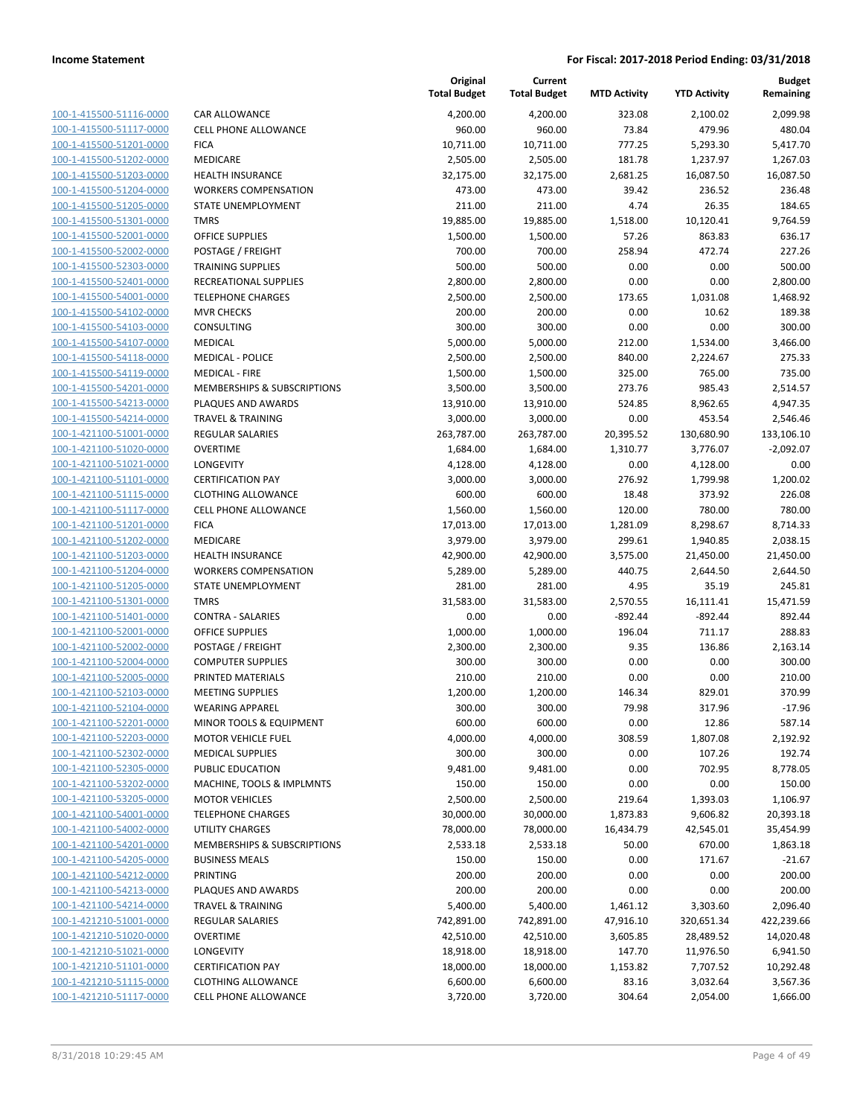| 100-1-415500-51116-0000        |
|--------------------------------|
| 100-1-415500-51117-0000        |
| 100-1-415500-51201-0000        |
| 100-1-415500-51202-0000        |
| 100-1-415500-51203-0000        |
| 100-1-415500-51204-0000        |
| 100-1-415500-51205-0000        |
| 100-1-415500-51301-0000        |
| 100-1-415500-52001-0000        |
| 100-1-415500-52002-0000        |
| 100-1-415500-52303-0000        |
| 100-1-415500-52401-0000        |
| 100-1-415500-54001-0000        |
| 100-1-415500-54102-0000        |
| <u>100-1-415500-54103-0000</u> |
| 100-1-415500-54107-0000        |
| 100-1-415500-54118-0000        |
| 100-1-415500-54119-0000        |
| 100-1-415500-54201-0000        |
|                                |
| 100-1-415500-54213-0000        |
| 100-1-415500-54214-0000        |
| 100-1-421100-51001-0000        |
| 100-1-421100-51020-0000        |
| 100-1-421100-51021-0000        |
| <u>100-1-421100-51101-0000</u> |
| 100-1-421100-51115-0000        |
| 100-1-421100-51117-0000        |
| 100-1-421100-51201-0000        |
| 100-1-421100-51202-0000        |
| 100-1-421100-51203-0000        |
| 100-1-421100-51204-0000        |
| 100-1-421100-51205-0000        |
| 100-1-421100-51301-0000        |
| 100-1-421100-51401-0000        |
| <u>100-1-421100-52001-0000</u> |
| 100-1-421100-52002-0000        |
| 100-1-421100-52004-0000        |
| 100-1-421100-52005-0000        |
| 100-1-421100-52103-0000        |
| 100-1-421100-52104-0000        |
| 100-1-421100-52201-0000        |
| <u>100-1-421100-52203-0000</u> |
| 100-1-421100-52302-0000        |
| 100-1-421100-52305-0000        |
|                                |
| 100-1-421100-53202-0000        |
| <u>100-1-421100-53205-0000</u> |
| 100-1-421100-54001-0000        |
| 100-1-421100-54002-0000        |
| <u>100-1-421100-54201-0000</u> |
| 100-1-421100-54205-0000        |
| <u>100-1-421100-54212-0000</u> |
| 100-1-421100-54213-0000        |
| 100-1-421100-54214-0000        |
| <u>100-1-421210-51001-0000</u> |
| 100-1-421210-51020-0000        |
| <u>100-1-421210-51021-0000</u> |
| 100-1-421210-51101-0000        |
| 100-1-421210-51115-0000        |
| <u>100-1-421210-51117-0000</u> |
|                                |

| AR ALLOWANCE                           |
|----------------------------------------|
| ELL PHONE ALLOWANCE                    |
| <b>CA</b>                              |
| <b>IEDICARE</b>                        |
| <b>EALTH INSURANCE</b>                 |
| /ORKERS COMPENSATION                   |
| <b>TATE UNEMPLOYMENT</b>               |
| MRS                                    |
| <b>FFICE SUPPLIES</b>                  |
| OSTAGE / FREIGHT                       |
| RAINING SUPPLIES                       |
| ECREATIONAL SUPPLIES                   |
| ELEPHONE CHARGES                       |
| <b>IVR CHECKS</b>                      |
| ONSULTING                              |
| <b>IEDICAL</b>                         |
| <b>IEDICAL - POLICE</b>                |
| 1EDICAL - FIRE                         |
| <b>IEMBERSHIPS &amp; SUBSCRIPTIONS</b> |
| LAQUES AND AWARDS                      |
| RAVEL & TRAINING                       |
| <b>EGULAR SALARIES</b>                 |
| VERTIME                                |
| <b>ONGEVITY</b>                        |
| ERTIFICATION PAY                       |
| LOTHING ALLOWANCE                      |
| ELL PHONE ALLOWANCE                    |
| ICA                                    |
| 1EDICARE                               |
| <b>EALTH INSURANCE</b>                 |
| <b>/ORKERS COMPENSATION</b>            |
|                                        |
| TATE UNEMPLOYMENT                      |
| MRS                                    |
| ONTRA - SALARIES                       |
| <b>FFICE SUPPLIES</b>                  |
| OSTAGE / FREIGHT                       |
| OMPUTER SUPPLIES                       |
| RINTED MATERIALS                       |
| <b>IEETING SUPPLIES</b>                |
| /EARING APPAREL                        |
| 1INOR TOOLS & EQUIPMENT                |
| 1OTOR VEHICLE FUEL                     |
| <b>IEDICAL SUPPLIES</b>                |
| <b>UBLIC EDUCATION</b>                 |
| <b>IACHINE, TOOLS &amp; IMPLMNTS</b>   |
| <b>1OTOR VEHICLES</b>                  |
| <b>ELEPHONE CHARGES</b>                |
| <b>TILITY CHARGES</b>                  |
| IEMBERSHIPS & SUBSCRIPTIONS            |
| USINESS MEALS                          |
| RINTING                                |
| <b>LAQUES AND AWARDS</b>               |
| RAVEL & TRAINING                       |
| EGULAR SALARIES                        |
| VERTIME                                |
| <b>ONGEVITY</b>                        |
| ERTIFICATION PAY                       |
|                                        |

|                                                    |                                                    | Original<br><b>Total Budget</b> | Current<br><b>Total Budget</b> | <b>MTD Activity</b> | <b>YTD Activity</b>  | Budget<br>Remaining  |
|----------------------------------------------------|----------------------------------------------------|---------------------------------|--------------------------------|---------------------|----------------------|----------------------|
| 100-1-415500-51116-0000                            | CAR ALLOWANCE                                      | 4,200.00                        | 4,200.00                       | 323.08              | 2,100.02             | 2.099.98             |
| 100-1-415500-51117-0000                            | <b>CELL PHONE ALLOWANCE</b>                        | 960.00                          | 960.00                         | 73.84               | 479.96               | 480.04               |
| 100-1-415500-51201-0000                            | <b>FICA</b>                                        | 10,711.00                       | 10,711.00                      | 777.25              | 5,293.30             | 5,417.70             |
| 100-1-415500-51202-0000                            | MEDICARE                                           | 2,505.00                        | 2,505.00                       | 181.78              | 1,237.97             | 1,267.03             |
| 100-1-415500-51203-0000                            | <b>HEALTH INSURANCE</b>                            | 32,175.00                       | 32,175.00                      | 2,681.25            | 16,087.50            | 16,087.50            |
| 100-1-415500-51204-0000                            | <b>WORKERS COMPENSATION</b>                        | 473.00                          | 473.00                         | 39.42               | 236.52               | 236.48               |
| 100-1-415500-51205-0000                            | STATE UNEMPLOYMENT                                 | 211.00                          | 211.00                         | 4.74                | 26.35                | 184.65               |
| 100-1-415500-51301-0000                            | <b>TMRS</b>                                        | 19,885.00                       | 19,885.00                      | 1,518.00            | 10,120.41            | 9,764.59             |
| 100-1-415500-52001-0000                            | <b>OFFICE SUPPLIES</b>                             | 1,500.00                        | 1,500.00                       | 57.26               | 863.83               | 636.17               |
| 100-1-415500-52002-0000                            | POSTAGE / FREIGHT                                  | 700.00                          | 700.00                         | 258.94              | 472.74               | 227.26               |
| 100-1-415500-52303-0000                            | <b>TRAINING SUPPLIES</b>                           | 500.00                          | 500.00                         | 0.00                | 0.00                 | 500.00               |
| 100-1-415500-52401-0000                            | RECREATIONAL SUPPLIES                              | 2,800.00                        | 2,800.00                       | 0.00                | 0.00                 | 2,800.00             |
| 100-1-415500-54001-0000                            | <b>TELEPHONE CHARGES</b>                           | 2,500.00                        | 2,500.00                       | 173.65              | 1,031.08             | 1,468.92             |
| 100-1-415500-54102-0000                            | <b>MVR CHECKS</b>                                  | 200.00                          | 200.00                         | 0.00                | 10.62                | 189.38               |
| 100-1-415500-54103-0000                            | <b>CONSULTING</b>                                  | 300.00                          | 300.00                         | 0.00                | 0.00                 | 300.00               |
| 100-1-415500-54107-0000                            | <b>MEDICAL</b>                                     | 5,000.00                        | 5,000.00                       | 212.00              | 1,534.00             | 3,466.00             |
| 100-1-415500-54118-0000                            | <b>MEDICAL - POLICE</b>                            | 2,500.00                        | 2,500.00                       | 840.00              | 2,224.67             | 275.33               |
| 100-1-415500-54119-0000                            | <b>MEDICAL - FIRE</b>                              | 1,500.00                        | 1,500.00                       | 325.00              | 765.00               | 735.00               |
| 100-1-415500-54201-0000                            | MEMBERSHIPS & SUBSCRIPTIONS                        | 3,500.00                        | 3,500.00                       | 273.76              | 985.43               | 2,514.57             |
| 100-1-415500-54213-0000                            | PLAQUES AND AWARDS<br><b>TRAVEL &amp; TRAINING</b> | 13,910.00                       | 13,910.00                      | 524.85              | 8,962.65             | 4,947.35<br>2,546.46 |
| 100-1-415500-54214-0000                            |                                                    | 3,000.00                        | 3,000.00                       | 0.00                | 453.54<br>130,680.90 |                      |
| 100-1-421100-51001-0000<br>100-1-421100-51020-0000 | <b>REGULAR SALARIES</b><br><b>OVERTIME</b>         | 263,787.00                      | 263,787.00                     | 20,395.52           |                      | 133,106.10           |
| 100-1-421100-51021-0000                            | LONGEVITY                                          | 1,684.00                        | 1,684.00<br>4,128.00           | 1,310.77<br>0.00    | 3,776.07<br>4,128.00 | $-2,092.07$<br>0.00  |
| 100-1-421100-51101-0000                            | <b>CERTIFICATION PAY</b>                           | 4,128.00<br>3,000.00            | 3,000.00                       | 276.92              | 1,799.98             | 1,200.02             |
| 100-1-421100-51115-0000                            | <b>CLOTHING ALLOWANCE</b>                          | 600.00                          | 600.00                         | 18.48               | 373.92               | 226.08               |
| 100-1-421100-51117-0000                            | <b>CELL PHONE ALLOWANCE</b>                        | 1,560.00                        | 1,560.00                       | 120.00              | 780.00               | 780.00               |
| 100-1-421100-51201-0000                            | <b>FICA</b>                                        | 17,013.00                       | 17,013.00                      | 1,281.09            | 8,298.67             | 8,714.33             |
| 100-1-421100-51202-0000                            | MEDICARE                                           | 3,979.00                        | 3,979.00                       | 299.61              | 1,940.85             | 2,038.15             |
| 100-1-421100-51203-0000                            | <b>HEALTH INSURANCE</b>                            | 42,900.00                       | 42,900.00                      | 3,575.00            | 21,450.00            | 21,450.00            |
| 100-1-421100-51204-0000                            | <b>WORKERS COMPENSATION</b>                        | 5,289.00                        | 5,289.00                       | 440.75              | 2,644.50             | 2,644.50             |
| 100-1-421100-51205-0000                            | STATE UNEMPLOYMENT                                 | 281.00                          | 281.00                         | 4.95                | 35.19                | 245.81               |
| 100-1-421100-51301-0000                            | <b>TMRS</b>                                        | 31,583.00                       | 31,583.00                      | 2,570.55            | 16,111.41            | 15,471.59            |
| 100-1-421100-51401-0000                            | <b>CONTRA - SALARIES</b>                           | 0.00                            | 0.00                           | $-892.44$           | -892.44              | 892.44               |
| 100-1-421100-52001-0000                            | <b>OFFICE SUPPLIES</b>                             | 1,000.00                        | 1,000.00                       | 196.04              | 711.17               | 288.83               |
| 100-1-421100-52002-0000                            | POSTAGE / FREIGHT                                  | 2,300.00                        | 2,300.00                       | 9.35                | 136.86               | 2,163.14             |
| 100-1-421100-52004-0000                            | <b>COMPUTER SUPPLIES</b>                           | 300.00                          | 300.00                         | 0.00                | 0.00                 | 300.00               |
| 100-1-421100-52005-0000                            | PRINTED MATERIALS                                  | 210.00                          | 210.00                         | 0.00                | 0.00                 | 210.00               |
| 100-1-421100-52103-0000                            | <b>MEETING SUPPLIES</b>                            | 1,200.00                        | 1,200.00                       | 146.34              | 829.01               | 370.99               |
| 100-1-421100-52104-0000                            | <b>WEARING APPAREL</b>                             | 300.00                          | 300.00                         | 79.98               | 317.96               | $-17.96$             |
| 100-1-421100-52201-0000                            | MINOR TOOLS & EQUIPMENT                            | 600.00                          | 600.00                         | 0.00                | 12.86                | 587.14               |
| 100-1-421100-52203-0000                            | <b>MOTOR VEHICLE FUEL</b>                          | 4,000.00                        | 4,000.00                       | 308.59              | 1,807.08             | 2,192.92             |
| 100-1-421100-52302-0000                            | <b>MEDICAL SUPPLIES</b>                            | 300.00                          | 300.00                         | 0.00                | 107.26               | 192.74               |
| 100-1-421100-52305-0000                            | PUBLIC EDUCATION                                   | 9,481.00                        | 9,481.00                       | 0.00                | 702.95               | 8,778.05             |
| 100-1-421100-53202-0000                            | MACHINE, TOOLS & IMPLMNTS                          | 150.00                          | 150.00                         | 0.00                | 0.00                 | 150.00               |
| 100-1-421100-53205-0000                            | <b>MOTOR VEHICLES</b>                              | 2,500.00                        | 2,500.00                       | 219.64              | 1,393.03             | 1,106.97             |
| 100-1-421100-54001-0000                            | <b>TELEPHONE CHARGES</b>                           | 30,000.00                       | 30,000.00                      | 1,873.83            | 9,606.82             | 20,393.18            |
| 100-1-421100-54002-0000                            | <b>UTILITY CHARGES</b>                             | 78,000.00                       | 78,000.00                      | 16,434.79           | 42,545.01            | 35,454.99            |
| 100-1-421100-54201-0000                            | MEMBERSHIPS & SUBSCRIPTIONS                        | 2,533.18                        | 2,533.18                       | 50.00               | 670.00               | 1,863.18             |
| 100-1-421100-54205-0000                            | <b>BUSINESS MEALS</b>                              | 150.00                          | 150.00                         | 0.00                | 171.67               | $-21.67$             |
| 100-1-421100-54212-0000                            | PRINTING                                           | 200.00                          | 200.00                         | 0.00                | 0.00                 | 200.00               |
| 100-1-421100-54213-0000                            | PLAQUES AND AWARDS                                 | 200.00                          | 200.00                         | 0.00                | 0.00                 | 200.00               |
| 100-1-421100-54214-0000                            | <b>TRAVEL &amp; TRAINING</b>                       | 5,400.00                        | 5,400.00                       | 1,461.12            | 3,303.60             | 2,096.40             |
| 100-1-421210-51001-0000                            | <b>REGULAR SALARIES</b>                            | 742,891.00                      | 742,891.00                     | 47,916.10           | 320,651.34           | 422,239.66           |
| 100-1-421210-51020-0000                            | <b>OVERTIME</b>                                    | 42,510.00                       | 42,510.00                      | 3,605.85            | 28,489.52            | 14,020.48            |
| 100-1-421210-51021-0000                            | LONGEVITY                                          | 18,918.00                       | 18,918.00                      | 147.70              | 11,976.50            | 6,941.50             |
| 100-1-421210-51101-0000                            | <b>CERTIFICATION PAY</b>                           | 18,000.00                       | 18,000.00                      | 1,153.82            | 7,707.52             | 10,292.48            |
| 100-1-421210-51115-0000                            | <b>CLOTHING ALLOWANCE</b>                          | 6,600.00                        | 6,600.00                       | 83.16               | 3,032.64             | 3,567.36             |
| 100-1-421210-51117-0000                            | CELL PHONE ALLOWANCE                               | 3,720.00                        | 3,720.00                       | 304.64              | 2,054.00             | 1,666.00             |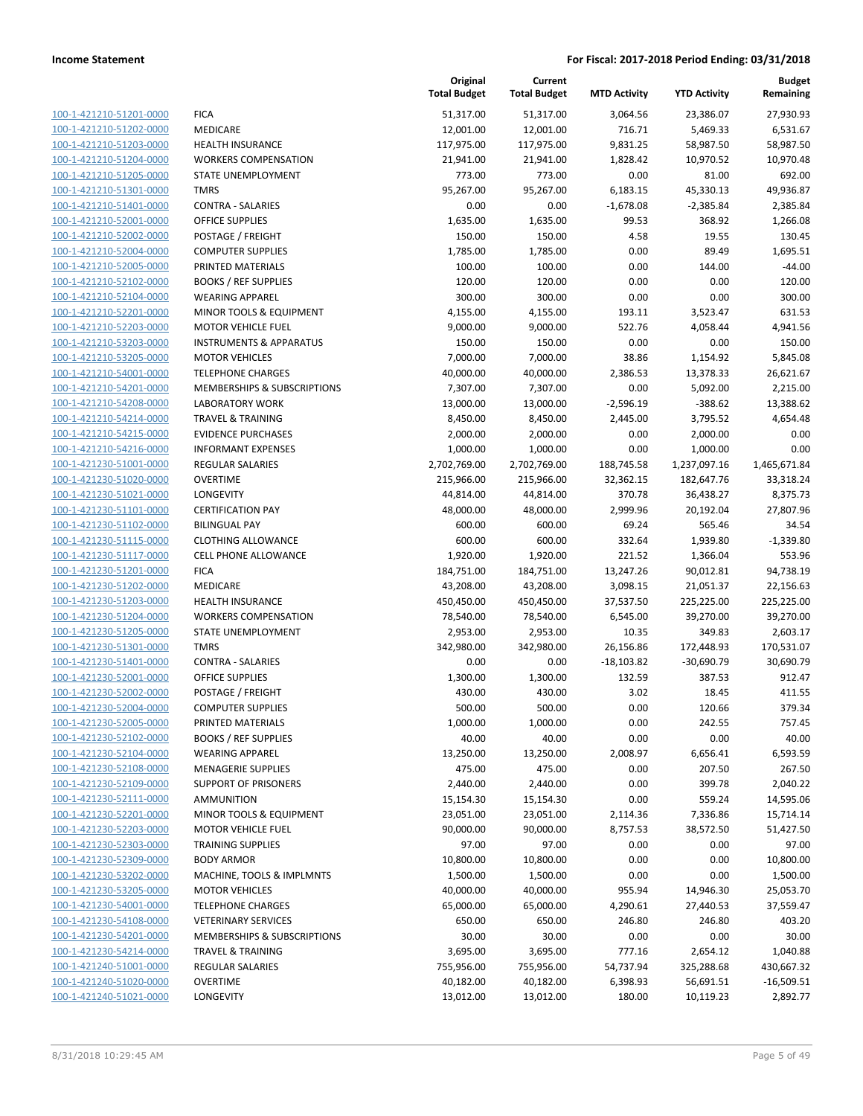| 100-1-421210-51201-0000        | F |
|--------------------------------|---|
| 100-1-421210-51202-0000        | N |
| 100-1-421210-51203-0000        | ŀ |
| 100-1-421210-51204-0000        | ١ |
| 100-1-421210-51205-0000        | S |
| 100-1-421210-51301-0000        | ī |
| 100-1-421210-51401-0000        | C |
| 100-1-421210-52001-0000        | C |
| 100-1-421210-52002-0000        | P |
| 100-1-421210-52004-0000        | C |
| 100-1-421210-52005-0000        | F |
| 100-1-421210-52102-0000        | Ε |
| 100-1-421210-52104-0000        | ١ |
| 100-1-421210-52201-0000        | Ŋ |
| 100-1-421210-52203-0000        | Ņ |
| 100-1-421210-53203-0000        | Ι |
| 100-1-421210-53205-0000        | Ŋ |
| 100-1-421210-54001-0000        | ī |
| 100-1-421210-54201-0000        | Ŋ |
| 100-1-421210-54208-0000        | L |
| 100-1-421210-54214-0000        | T |
| 100-1-421210-54215-0000        | Ε |
| 100-1-421210-54216-0000        | Ι |
| 100-1-421230-51001-0000        | F |
| 100-1-421230-51020-0000        | C |
| 100-1-421230-51021-0000        | L |
| 100-1-421230-51101-0000        | C |
| 100-1-421230-51102-0000        | E |
| 100-1-421230-51115-0000        | C |
| 100-1-421230-51117-0000        | C |
| 100-1-421230-51201-0000        | F |
| 100-1-421230-51202-0000        | Ŋ |
| 100-1-421230-51203-0000        | ۲ |
| 100-1-421230-51204-0000        | ١ |
| 100-1-421230-51205-0000        | S |
| 100-1-421230-51301-0000        | T |
| 100-1-421230-51401-0000        | C |
| 100-1-421230-52001-0000        | C |
| 100-1-421230-52002-0000        | P |
| 100-1-421230-52004-0000        | C |
| 100-1-421230-52005-0000        | F |
| <u>100-1-421230-52102-0000</u> | E |
| 100-1-421230-52104-0000        | Λ |
| 100-1-421230-52108-0000        | Ņ |
| 100-1-421230-52109-0000        | S |
| 100-1-421230-52111-0000        | F |
| 100-1-421230-52201-0000        | Ŋ |
| <u>100-1-421230-52203-0000</u> | Ņ |
| <u>100-1-421230-52303-0000</u> | T |
| <u>100-1-421230-52309-0000</u> | E |
| 100-1-421230-53202-0000        | Ņ |
| 100-1-421230-53205-0000        | Ņ |
| <u>100-1-421230-54001-0000</u> | T |
| <u>100-1-421230-54108-0000</u> | Λ |
| 100-1-421230-54201-0000        | Ņ |
| 100-1-421230-54214-0000        | T |
| 100-1-421240-51001-0000        | F |
| <u>100-1-421240-51020-0000</u> | c |
| <u>100-1-421240-51021-0000</u> | L |

|                                                    |                                                   | Original<br><b>Total Budget</b> | Current<br><b>Total Budget</b> | <b>MTD Activity</b> | <b>YTD Activity</b>   | <b>Budget</b><br>Remaining |
|----------------------------------------------------|---------------------------------------------------|---------------------------------|--------------------------------|---------------------|-----------------------|----------------------------|
| 100-1-421210-51201-0000                            | <b>FICA</b>                                       | 51,317.00                       | 51,317.00                      | 3,064.56            | 23,386.07             | 27,930.93                  |
| 100-1-421210-51202-0000                            | <b>MEDICARE</b>                                   | 12,001.00                       | 12,001.00                      | 716.71              | 5,469.33              | 6,531.67                   |
| 100-1-421210-51203-0000                            | <b>HEALTH INSURANCE</b>                           | 117,975.00                      | 117,975.00                     | 9,831.25            | 58,987.50             | 58,987.50                  |
| 100-1-421210-51204-0000                            | <b>WORKERS COMPENSATION</b>                       | 21,941.00                       | 21,941.00                      | 1,828.42            | 10,970.52             | 10,970.48                  |
| 100-1-421210-51205-0000                            | STATE UNEMPLOYMENT                                | 773.00                          | 773.00                         | 0.00                | 81.00                 | 692.00                     |
| 100-1-421210-51301-0000                            | <b>TMRS</b>                                       | 95,267.00                       | 95,267.00                      | 6,183.15            | 45,330.13             | 49,936.87                  |
| 100-1-421210-51401-0000                            | <b>CONTRA - SALARIES</b>                          | 0.00                            | 0.00                           | $-1,678.08$         | $-2,385.84$           | 2,385.84                   |
| 100-1-421210-52001-0000                            | <b>OFFICE SUPPLIES</b>                            | 1,635.00                        | 1,635.00                       | 99.53               | 368.92                | 1,266.08                   |
| 100-1-421210-52002-0000                            | POSTAGE / FREIGHT                                 | 150.00                          | 150.00                         | 4.58                | 19.55                 | 130.45                     |
| 100-1-421210-52004-0000                            | <b>COMPUTER SUPPLIES</b>                          | 1,785.00                        | 1,785.00                       | 0.00                | 89.49                 | 1,695.51                   |
| 100-1-421210-52005-0000                            | PRINTED MATERIALS                                 | 100.00                          | 100.00                         | 0.00                | 144.00                | $-44.00$                   |
| 100-1-421210-52102-0000                            | <b>BOOKS / REF SUPPLIES</b>                       | 120.00                          | 120.00                         | 0.00                | 0.00                  | 120.00                     |
| 100-1-421210-52104-0000                            | <b>WEARING APPAREL</b>                            | 300.00                          | 300.00                         | 0.00                | 0.00                  | 300.00                     |
| 100-1-421210-52201-0000                            | MINOR TOOLS & EQUIPMENT                           | 4,155.00                        | 4,155.00                       | 193.11              | 3,523.47              | 631.53                     |
| 100-1-421210-52203-0000                            | <b>MOTOR VEHICLE FUEL</b>                         | 9,000.00                        | 9,000.00                       | 522.76              | 4,058.44              | 4,941.56                   |
| 100-1-421210-53203-0000                            | <b>INSTRUMENTS &amp; APPARATUS</b>                | 150.00                          | 150.00                         | 0.00                | 0.00                  | 150.00                     |
| 100-1-421210-53205-0000                            | <b>MOTOR VEHICLES</b>                             | 7,000.00                        | 7,000.00                       | 38.86               | 1,154.92              | 5,845.08                   |
| 100-1-421210-54001-0000                            | <b>TELEPHONE CHARGES</b>                          | 40,000.00                       | 40,000.00                      | 2,386.53            | 13,378.33             | 26,621.67                  |
| 100-1-421210-54201-0000                            | MEMBERSHIPS & SUBSCRIPTIONS                       | 7,307.00                        | 7,307.00                       | 0.00                | 5,092.00              | 2,215.00                   |
| 100-1-421210-54208-0000                            | <b>LABORATORY WORK</b>                            | 13,000.00                       | 13,000.00                      | $-2,596.19$         | $-388.62$             | 13,388.62                  |
| 100-1-421210-54214-0000                            | <b>TRAVEL &amp; TRAINING</b>                      | 8,450.00                        | 8,450.00                       | 2,445.00            | 3,795.52              | 4,654.48                   |
| 100-1-421210-54215-0000                            | <b>EVIDENCE PURCHASES</b>                         | 2,000.00                        | 2,000.00                       | 0.00                | 2,000.00              | 0.00                       |
| 100-1-421210-54216-0000                            | <b>INFORMANT EXPENSES</b>                         | 1,000.00                        | 1,000.00                       | 0.00                | 1,000.00              | 0.00                       |
| 100-1-421230-51001-0000                            | <b>REGULAR SALARIES</b>                           | 2,702,769.00                    | 2,702,769.00                   | 188,745.58          | 1,237,097.16          | 1,465,671.84               |
| 100-1-421230-51020-0000                            | <b>OVERTIME</b>                                   | 215,966.00                      | 215,966.00                     | 32,362.15           | 182,647.76            | 33,318.24                  |
| 100-1-421230-51021-0000                            | LONGEVITY                                         | 44,814.00                       | 44,814.00                      | 370.78              | 36,438.27             | 8,375.73                   |
| 100-1-421230-51101-0000                            | <b>CERTIFICATION PAY</b>                          | 48,000.00                       | 48,000.00                      | 2,999.96            | 20,192.04             | 27,807.96                  |
| 100-1-421230-51102-0000                            | <b>BILINGUAL PAY</b>                              | 600.00                          | 600.00                         | 69.24               | 565.46                | 34.54                      |
| 100-1-421230-51115-0000<br>100-1-421230-51117-0000 | <b>CLOTHING ALLOWANCE</b><br>CELL PHONE ALLOWANCE | 600.00<br>1,920.00              | 600.00<br>1,920.00             | 332.64<br>221.52    | 1,939.80              | $-1,339.80$<br>553.96      |
| 100-1-421230-51201-0000                            | <b>FICA</b>                                       | 184,751.00                      | 184,751.00                     | 13,247.26           | 1,366.04<br>90,012.81 | 94,738.19                  |
| 100-1-421230-51202-0000                            | MEDICARE                                          | 43,208.00                       | 43,208.00                      | 3,098.15            | 21,051.37             | 22,156.63                  |
| 100-1-421230-51203-0000                            | <b>HEALTH INSURANCE</b>                           | 450,450.00                      | 450,450.00                     | 37,537.50           | 225,225.00            | 225,225.00                 |
| 100-1-421230-51204-0000                            | <b>WORKERS COMPENSATION</b>                       | 78,540.00                       | 78,540.00                      | 6,545.00            | 39,270.00             | 39,270.00                  |
| 100-1-421230-51205-0000                            | STATE UNEMPLOYMENT                                | 2,953.00                        | 2,953.00                       | 10.35               | 349.83                | 2,603.17                   |
| 100-1-421230-51301-0000                            | <b>TMRS</b>                                       | 342,980.00                      | 342,980.00                     | 26,156.86           | 172,448.93            | 170,531.07                 |
| 100-1-421230-51401-0000                            | <b>CONTRA - SALARIES</b>                          | 0.00                            | 0.00                           | $-18,103.82$        | $-30,690.79$          | 30,690.79                  |
| 100-1-421230-52001-0000                            | <b>OFFICE SUPPLIES</b>                            | 1,300.00                        | 1,300.00                       | 132.59              | 387.53                | 912.47                     |
| 100-1-421230-52002-0000                            | POSTAGE / FREIGHT                                 | 430.00                          | 430.00                         | 3.02                | 18.45                 | 411.55                     |
| 100-1-421230-52004-0000                            | <b>COMPUTER SUPPLIES</b>                          | 500.00                          | 500.00                         | 0.00                | 120.66                | 379.34                     |
| 100-1-421230-52005-0000                            | PRINTED MATERIALS                                 | 1,000.00                        | 1,000.00                       | 0.00                | 242.55                | 757.45                     |
| 100-1-421230-52102-0000                            | <b>BOOKS / REF SUPPLIES</b>                       | 40.00                           | 40.00                          | 0.00                | 0.00                  | 40.00                      |
| 100-1-421230-52104-0000                            | <b>WEARING APPAREL</b>                            | 13,250.00                       | 13,250.00                      | 2,008.97            | 6,656.41              | 6,593.59                   |
| 100-1-421230-52108-0000                            | <b>MENAGERIE SUPPLIES</b>                         | 475.00                          | 475.00                         | 0.00                | 207.50                | 267.50                     |
| 100-1-421230-52109-0000                            | <b>SUPPORT OF PRISONERS</b>                       | 2,440.00                        | 2,440.00                       | 0.00                | 399.78                | 2,040.22                   |
| 100-1-421230-52111-0000                            | <b>AMMUNITION</b>                                 | 15,154.30                       | 15,154.30                      | 0.00                | 559.24                | 14,595.06                  |
| 100-1-421230-52201-0000                            | MINOR TOOLS & EQUIPMENT                           | 23,051.00                       | 23,051.00                      | 2,114.36            | 7,336.86              | 15,714.14                  |
| 100-1-421230-52203-0000                            | <b>MOTOR VEHICLE FUEL</b>                         | 90,000.00                       | 90,000.00                      | 8,757.53            | 38,572.50             | 51,427.50                  |
| 100-1-421230-52303-0000                            | <b>TRAINING SUPPLIES</b>                          | 97.00                           | 97.00                          | 0.00                | 0.00                  | 97.00                      |
| 100-1-421230-52309-0000                            | <b>BODY ARMOR</b>                                 | 10,800.00                       | 10,800.00                      | 0.00                | 0.00                  | 10,800.00                  |
| 100-1-421230-53202-0000                            | MACHINE, TOOLS & IMPLMNTS                         | 1,500.00                        | 1,500.00                       | 0.00                | 0.00                  | 1,500.00                   |
| 100-1-421230-53205-0000                            | <b>MOTOR VEHICLES</b>                             | 40,000.00                       | 40,000.00                      | 955.94              | 14,946.30             | 25,053.70                  |
| 100-1-421230-54001-0000                            | <b>TELEPHONE CHARGES</b>                          | 65,000.00                       | 65,000.00                      | 4,290.61            | 27,440.53             | 37,559.47                  |
| 100-1-421230-54108-0000                            | <b>VETERINARY SERVICES</b>                        | 650.00                          | 650.00                         | 246.80              | 246.80                | 403.20                     |
| 100-1-421230-54201-0000                            | MEMBERSHIPS & SUBSCRIPTIONS                       | 30.00                           | 30.00                          | 0.00                | 0.00                  | 30.00                      |
| 100-1-421230-54214-0000                            | <b>TRAVEL &amp; TRAINING</b>                      | 3,695.00                        | 3,695.00                       | 777.16              | 2,654.12              | 1,040.88                   |
| 100-1-421240-51001-0000                            | <b>REGULAR SALARIES</b>                           | 755,956.00                      | 755,956.00                     | 54,737.94           | 325,288.68            | 430,667.32                 |
| 100-1-421240-51020-0000                            | <b>OVERTIME</b>                                   | 40,182.00                       | 40,182.00                      | 6,398.93            | 56,691.51             | $-16,509.51$               |
| 100-1-421240-51021-0000                            | LONGEVITY                                         | 13,012.00                       | 13,012.00                      | 180.00              | 10,119.23             | 2,892.77                   |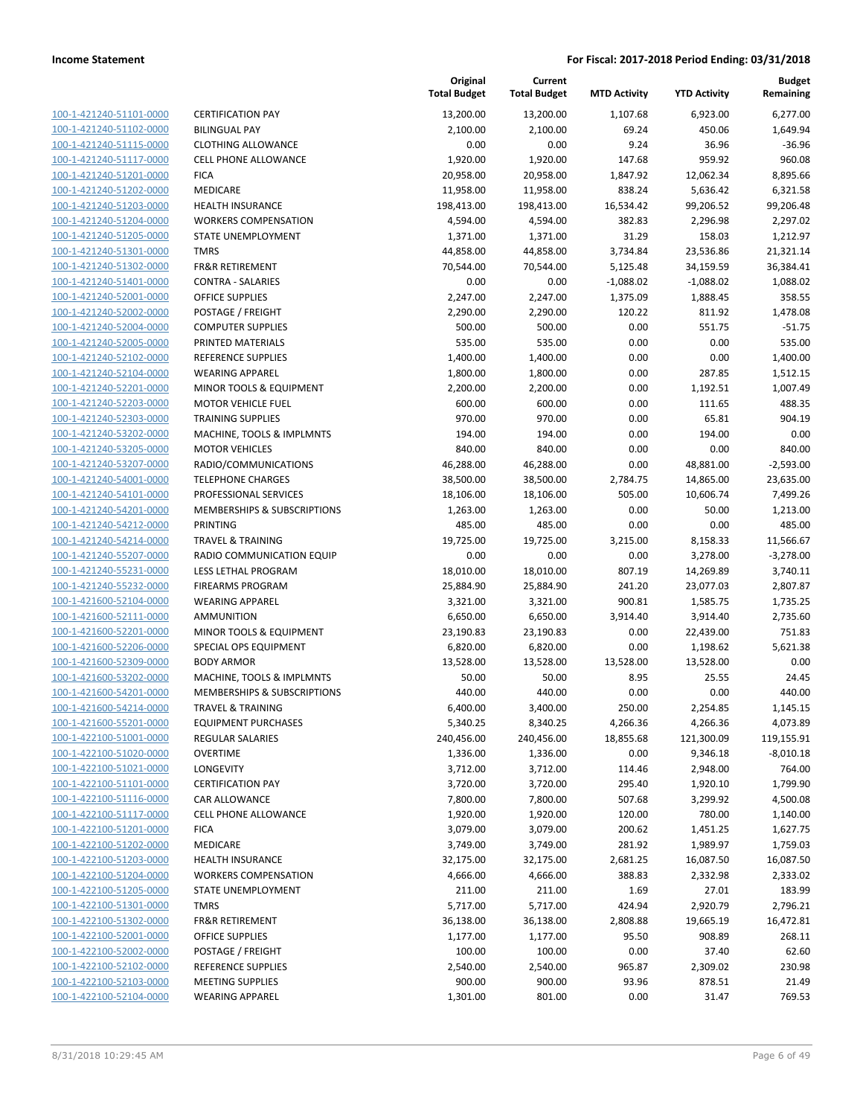**Current**

**Original**

**Budget Remaining**

|                                                    |                                                   | <b>Total Budget</b>   | <b>Total Budget</b>   | <b>MTD Activity</b> | <b>YTD Activity</b>   | Remaining            |
|----------------------------------------------------|---------------------------------------------------|-----------------------|-----------------------|---------------------|-----------------------|----------------------|
| 100-1-421240-51101-0000                            | <b>CERTIFICATION PAY</b>                          | 13,200.00             | 13,200.00             | 1,107.68            | 6,923.00              | 6,277.00             |
| 100-1-421240-51102-0000                            | <b>BILINGUAL PAY</b>                              | 2,100.00              | 2,100.00              | 69.24               | 450.06                | 1,649.94             |
| 100-1-421240-51115-0000                            | <b>CLOTHING ALLOWANCE</b>                         | 0.00                  | 0.00                  | 9.24                | 36.96                 | $-36.96$             |
| 100-1-421240-51117-0000                            | <b>CELL PHONE ALLOWANCE</b>                       | 1,920.00              | 1,920.00              | 147.68              | 959.92                | 960.08               |
| 100-1-421240-51201-0000                            | <b>FICA</b>                                       | 20,958.00             | 20,958.00             | 1,847.92            | 12,062.34             | 8,895.66             |
| 100-1-421240-51202-0000                            | MEDICARE                                          | 11,958.00             | 11,958.00             | 838.24              | 5,636.42              | 6,321.58             |
| 100-1-421240-51203-0000                            | HEALTH INSURANCE                                  | 198,413.00            | 198,413.00            | 16,534.42           | 99,206.52             | 99,206.48            |
| 100-1-421240-51204-0000                            | <b>WORKERS COMPENSATION</b>                       | 4,594.00              | 4,594.00              | 382.83              | 2,296.98              | 2,297.02             |
| 100-1-421240-51205-0000                            | STATE UNEMPLOYMENT                                | 1,371.00              | 1,371.00              | 31.29               | 158.03                | 1,212.97             |
| 100-1-421240-51301-0000                            | <b>TMRS</b>                                       | 44,858.00             | 44,858.00             | 3,734.84            | 23,536.86             | 21,321.14            |
| 100-1-421240-51302-0000                            | FR&R RETIREMENT                                   | 70,544.00             | 70,544.00             | 5,125.48            | 34,159.59             | 36,384.41            |
| 100-1-421240-51401-0000                            | <b>CONTRA - SALARIES</b>                          | 0.00                  | 0.00                  | $-1,088.02$         | $-1,088.02$           | 1,088.02             |
| 100-1-421240-52001-0000                            | <b>OFFICE SUPPLIES</b>                            | 2,247.00              | 2,247.00              | 1,375.09            | 1,888.45              | 358.55               |
| 100-1-421240-52002-0000                            | POSTAGE / FREIGHT                                 | 2,290.00              | 2,290.00              | 120.22              | 811.92                | 1,478.08             |
| 100-1-421240-52004-0000                            | <b>COMPUTER SUPPLIES</b>                          | 500.00                | 500.00                | 0.00                | 551.75                | $-51.75$             |
| 100-1-421240-52005-0000                            | PRINTED MATERIALS                                 | 535.00                | 535.00                | 0.00                | 0.00                  | 535.00               |
| 100-1-421240-52102-0000                            | REFERENCE SUPPLIES                                | 1,400.00              | 1,400.00              | 0.00                | 0.00                  | 1,400.00             |
| 100-1-421240-52104-0000                            | <b>WEARING APPAREL</b>                            | 1,800.00              | 1,800.00              | 0.00                | 287.85                | 1,512.15             |
| 100-1-421240-52201-0000                            | MINOR TOOLS & EQUIPMENT                           | 2,200.00              | 2,200.00              | 0.00                | 1,192.51              | 1,007.49             |
| 100-1-421240-52203-0000                            | <b>MOTOR VEHICLE FUEL</b>                         | 600.00                | 600.00                | 0.00                | 111.65                | 488.35               |
| 100-1-421240-52303-0000                            | <b>TRAINING SUPPLIES</b>                          | 970.00                | 970.00                | 0.00                | 65.81                 | 904.19               |
| 100-1-421240-53202-0000                            | MACHINE, TOOLS & IMPLMNTS                         | 194.00                | 194.00                | 0.00                | 194.00                | 0.00                 |
| 100-1-421240-53205-0000                            | <b>MOTOR VEHICLES</b>                             | 840.00                | 840.00                | 0.00                | 0.00                  | 840.00               |
| 100-1-421240-53207-0000                            | RADIO/COMMUNICATIONS                              | 46,288.00             | 46,288.00             | 0.00                | 48,881.00             | $-2,593.00$          |
| 100-1-421240-54001-0000                            | <b>TELEPHONE CHARGES</b>                          | 38,500.00             | 38,500.00             | 2,784.75            | 14,865.00             | 23,635.00            |
| 100-1-421240-54101-0000                            | PROFESSIONAL SERVICES                             | 18,106.00             | 18,106.00             | 505.00              | 10,606.74             | 7,499.26             |
| 100-1-421240-54201-0000                            | MEMBERSHIPS & SUBSCRIPTIONS                       | 1,263.00              | 1,263.00              | 0.00                | 50.00                 | 1,213.00             |
| 100-1-421240-54212-0000                            | PRINTING                                          | 485.00                | 485.00                | 0.00                | 0.00                  | 485.00               |
| 100-1-421240-54214-0000                            | <b>TRAVEL &amp; TRAINING</b>                      | 19,725.00             | 19,725.00             | 3,215.00            | 8,158.33              | 11,566.67            |
| 100-1-421240-55207-0000                            | RADIO COMMUNICATION EQUIP                         | 0.00                  | 0.00                  | 0.00                | 3,278.00              | $-3,278.00$          |
| 100-1-421240-55231-0000<br>100-1-421240-55232-0000 | LESS LETHAL PROGRAM                               | 18,010.00             | 18,010.00             | 807.19              | 14,269.89             | 3,740.11             |
| 100-1-421600-52104-0000                            | <b>FIREARMS PROGRAM</b><br><b>WEARING APPAREL</b> | 25,884.90<br>3,321.00 | 25,884.90<br>3,321.00 | 241.20<br>900.81    | 23,077.03<br>1,585.75 | 2,807.87<br>1,735.25 |
| 100-1-421600-52111-0000                            | <b>AMMUNITION</b>                                 | 6,650.00              | 6,650.00              | 3,914.40            | 3,914.40              | 2,735.60             |
| 100-1-421600-52201-0000                            | MINOR TOOLS & EQUIPMENT                           | 23,190.83             | 23,190.83             | 0.00                | 22,439.00             | 751.83               |
| 100-1-421600-52206-0000                            | SPECIAL OPS EQUIPMENT                             | 6,820.00              | 6,820.00              | 0.00                | 1,198.62              | 5,621.38             |
| 100-1-421600-52309-0000                            | <b>BODY ARMOR</b>                                 | 13,528.00             | 13,528.00             | 13,528.00           | 13,528.00             | 0.00                 |
| 100-1-421600-53202-0000                            | MACHINE, TOOLS & IMPLMNTS                         | 50.00                 | 50.00                 | 8.95                | 25.55                 | 24.45                |
| 100-1-421600-54201-0000                            | MEMBERSHIPS & SUBSCRIPTIONS                       | 440.00                | 440.00                | 0.00                | 0.00                  | 440.00               |
| 100-1-421600-54214-0000                            | <b>TRAVEL &amp; TRAINING</b>                      | 6,400.00              | 3,400.00              | 250.00              | 2,254.85              | 1,145.15             |
| <u>100-1-421600-55201-0000</u>                     | <b>EQUIPMENT PURCHASES</b>                        | 5,340.25              | 8,340.25              | 4,266.36            | 4,266.36              | 4,073.89             |
| 100-1-422100-51001-0000                            | <b>REGULAR SALARIES</b>                           | 240,456.00            | 240,456.00            | 18,855.68           | 121,300.09            | 119,155.91           |
| 100-1-422100-51020-0000                            | <b>OVERTIME</b>                                   | 1,336.00              | 1,336.00              | 0.00                | 9,346.18              | $-8,010.18$          |
| 100-1-422100-51021-0000                            | LONGEVITY                                         | 3,712.00              | 3,712.00              | 114.46              | 2,948.00              | 764.00               |
| 100-1-422100-51101-0000                            | <b>CERTIFICATION PAY</b>                          | 3,720.00              | 3,720.00              | 295.40              | 1,920.10              | 1,799.90             |
| 100-1-422100-51116-0000                            | CAR ALLOWANCE                                     | 7,800.00              | 7,800.00              | 507.68              | 3,299.92              | 4,500.08             |
| 100-1-422100-51117-0000                            | CELL PHONE ALLOWANCE                              | 1,920.00              | 1,920.00              | 120.00              | 780.00                | 1,140.00             |
| 100-1-422100-51201-0000                            | <b>FICA</b>                                       | 3,079.00              | 3,079.00              | 200.62              | 1,451.25              | 1,627.75             |
| 100-1-422100-51202-0000                            | MEDICARE                                          | 3,749.00              | 3,749.00              | 281.92              | 1,989.97              | 1,759.03             |
| 100-1-422100-51203-0000                            | HEALTH INSURANCE                                  | 32,175.00             | 32,175.00             | 2,681.25            | 16,087.50             | 16,087.50            |
| 100-1-422100-51204-0000                            | <b>WORKERS COMPENSATION</b>                       | 4,666.00              | 4,666.00              | 388.83              | 2,332.98              | 2,333.02             |
| 100-1-422100-51205-0000                            | STATE UNEMPLOYMENT                                | 211.00                | 211.00                | 1.69                | 27.01                 | 183.99               |
| 100-1-422100-51301-0000                            | <b>TMRS</b>                                       | 5,717.00              | 5,717.00              | 424.94              | 2,920.79              | 2,796.21             |
| 100-1-422100-51302-0000                            | <b>FR&amp;R RETIREMENT</b>                        | 36,138.00             | 36,138.00             | 2,808.88            | 19,665.19             | 16,472.81            |
| 100-1-422100-52001-0000                            | <b>OFFICE SUPPLIES</b>                            | 1,177.00              | 1,177.00              | 95.50               | 908.89                | 268.11               |
| 100-1-422100-52002-0000                            | POSTAGE / FREIGHT                                 | 100.00                | 100.00                | 0.00                | 37.40                 | 62.60                |
| 100-1-422100-52102-0000                            | REFERENCE SUPPLIES                                | 2,540.00              | 2,540.00              | 965.87              | 2,309.02              | 230.98               |
| 100-1-422100-52103-0000                            | <b>MEETING SUPPLIES</b>                           | 900.00                | 900.00                | 93.96               | 878.51                | 21.49                |
| 100-1-422100-52104-0000                            | <b>WEARING APPAREL</b>                            | 1,301.00              | 801.00                | 0.00                | 31.47                 | 769.53               |
|                                                    |                                                   |                       |                       |                     |                       |                      |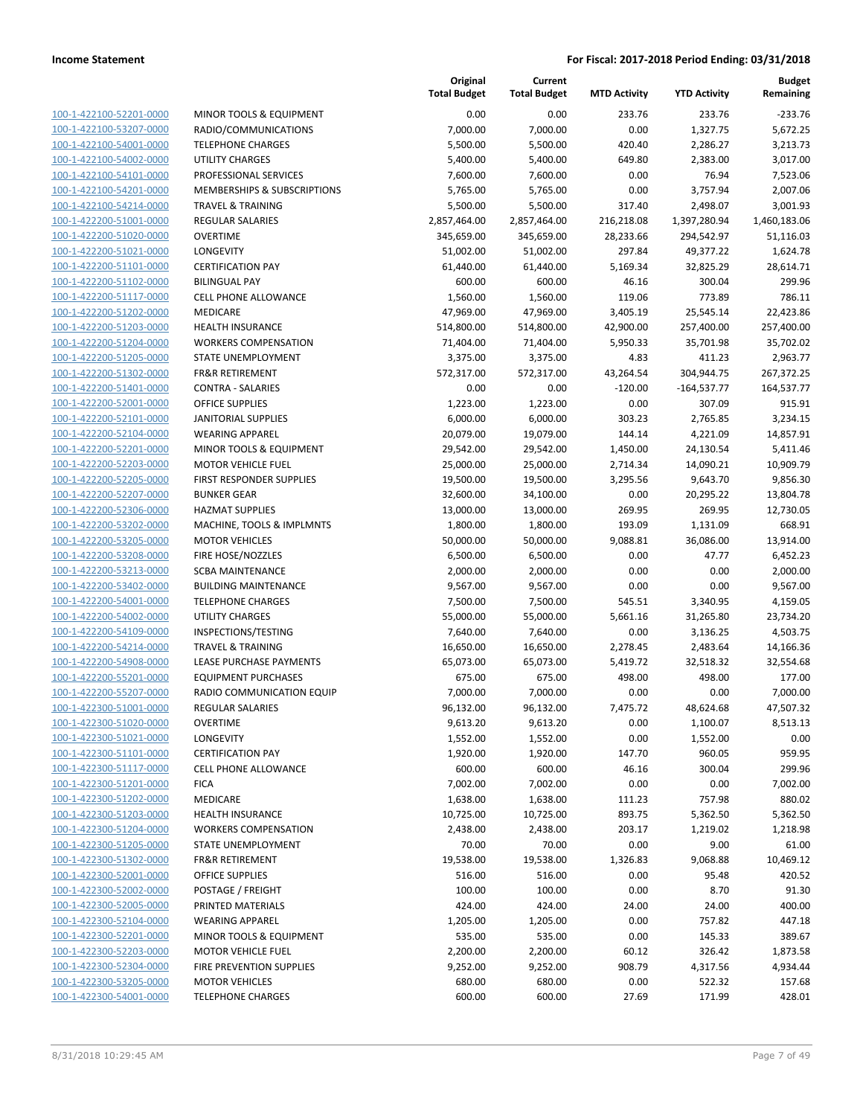| 100-1-422100-52201-0000        |
|--------------------------------|
| 100-1-422100-53207-0000        |
| 100-1-422100-54001-0000        |
| 100-1-422100-54002-0000        |
| 100-1-422100-54101-0000        |
| 100-1-422100-54201-0000        |
| 100-1-422100-54214-0000        |
| 100-1-422200-51001-0000        |
| 100-1-422200-51020-0000        |
| 100-1-422200-51021-0000        |
| 100-1-422200-51101-0000        |
| 100-1-422200-51102-0000        |
| 100-1-422200-51117-0000        |
| 100-1-422200-51202-0000        |
| 100-1-422200-51203-0000        |
|                                |
| 100-1-422200-51204-0000        |
| 100-1-422200-51205-0000        |
| 100-1-422200-51302-0000        |
| 100-1-422200-51401-0000        |
| 100-1-422200-52001-0000        |
| 100-1-422200-52101-0000        |
| 100-1-422200-52104-0000        |
| 100-1-422200-52201-0000        |
| 100-1-422200-52203-0000        |
| 100-1-422200-52205-0000        |
| 100-1-422200-52207-0000        |
| 100-1-422200-52306-0000        |
| 100-1-422200-53202-0000        |
| 100-1-422200-53205-0000        |
| 100-1-422200-53208-0000        |
| 100-1-422200-53213-0000        |
| 100-1-422200-53402-0000        |
| 100-1-422200-54001-0000        |
| 100-1-422200-54002-0000        |
|                                |
| 100-1-422200-54109-0000        |
| 100-1-422200-54214-0000        |
| 100-1-422200-54908-0000        |
| 100-1-422200-55201-0000        |
| 100-1-422200-55207-0000        |
| 100-1-422300-51001-0000        |
| 100-1-422300-51020-0000        |
| <u>100-1-422300-51021-0000</u> |
| <u>100-1-422300-51101-0000</u> |
| 100-1-422300-51117-0000        |
| 100-1-422300-51201-0000        |
| <u>100-1-422300-51202-0000</u> |
| 100-1-422300-51203-0000        |
| <u>100-1-422300-51204-0000</u> |
| <u>100-1-422300-51205-0000</u> |
| <u>100-1-422300-51302-0000</u> |
| 100-1-422300-52001-0000        |
| 100-1-422300-52002-0000        |
|                                |
| 100-1-422300-52005-0000        |
| <u>100-1-422300-52104-0000</u> |
| 100-1-422300-52201-0000        |
| <u>100-1-422300-52203-0000</u> |
| 100-1-422300-52304-0000        |
| <u>100-1-422300-53205-0000</u> |
| <u>100-1-422300-54001-0000</u> |

| MINOR TOOLS & EQUIPMENT               |
|---------------------------------------|
| RADIO/COMMUNICATIONS                  |
| <b>ELEPHONE CHARGES</b>               |
| JTILITY CHARGES                       |
| <b>PROFESSIONAL SERVICES</b>          |
| MEMBERSHIPS & SUBSCRIPTIONS           |
| <b>RAVEL &amp; TRAINING</b>           |
| REGULAR SALARIES                      |
| <b>DVERTIME</b>                       |
| <b>ONGEVITY</b>                       |
| CERTIFICATION PAY                     |
| BILINGUAL PAY                         |
| <b>ELL PHONE ALLOWANCE</b>            |
| MEDICARE                              |
| <b>IEALTH INSURANCE</b>               |
| WORKERS COMPENSATION                  |
| TATE UNEMPLOYMENT                     |
| <b>R&amp;R RETIREMENT</b>             |
| CONTRA - SALARIES                     |
| <b>DEFICE SUPPLIES</b>                |
| ANITORIAL SUPPLIES                    |
| <b><i>NEARING APPAREL</i></b>         |
| MINOR TOOLS & EQUIPMENT               |
| MOTOR VEHICLE FUEL                    |
| <b>IRST RESPONDER SUPPLIES</b>        |
| <b>BUNKER GEAR</b>                    |
| <b>HAZMAT SUPPLIES</b>                |
| MACHINE, TOOLS & IMPLMNTS             |
| <b>MOTOR VEHICLES</b>                 |
| <b>IRE HOSE/NOZZLES</b>               |
| <b>CBA MAINTENANCE</b>                |
| <b>BUILDING MAINTENANCE</b>           |
| <b>ELEPHONE CHARGES</b>               |
| JTILITY CHARGES                       |
| NSPECTIONS/TESTING                    |
| <b>RAVEL &amp; TRAINING</b>           |
| <b>EASE PURCHASE PAYMENTS</b>         |
| <b>QUIPMENT PURCHASES</b>             |
| RADIO COMMUNICATION EQUIP             |
| REGULAR SALARIES                      |
| <b>OVERTIME</b>                       |
| ONGEVITY.<br><b>CERTIFICATION PAY</b> |
| <b>CELL PHONE ALLOWANCE</b>           |
| <b>ICA</b>                            |
| <b>MEDICARE</b>                       |
| <b>IEALTH INSURANCE</b>               |
| <b>NORKERS COMPENSATION</b>           |
| <b>TATE UNEMPLOYMENT</b>              |
| <b>R&amp;R RETIREMENT</b>             |
| <b>DFFICE SUPPLIES</b>                |
| OSTAGE / FREIGHT                      |
| PRINTED MATERIALS                     |
| <b>NEARING APPAREL</b>                |
| MINOR TOOLS & EQUIPMENT               |
| <b>MOTOR VEHICLE FUEL</b>             |
| <b>IRE PREVENTION SUPPLIES</b>        |
| <b>MOTOR VEHICLES</b>                 |
| <b>CULCOUONIE CUARCES</b>             |

|                         |                              | Original<br><b>Total Budget</b> | Current<br><b>Total Budget</b> | <b>MTD Activity</b> | <b>YTD Activity</b> | <b>Budget</b><br>Remaining |
|-------------------------|------------------------------|---------------------------------|--------------------------------|---------------------|---------------------|----------------------------|
| 100-1-422100-52201-0000 | MINOR TOOLS & EQUIPMENT      | 0.00                            | 0.00                           | 233.76              | 233.76              | $-233.76$                  |
| 100-1-422100-53207-0000 | RADIO/COMMUNICATIONS         | 7,000.00                        | 7,000.00                       | 0.00                | 1,327.75            | 5,672.25                   |
| 100-1-422100-54001-0000 | <b>TELEPHONE CHARGES</b>     | 5,500.00                        | 5,500.00                       | 420.40              | 2,286.27            | 3,213.73                   |
| 100-1-422100-54002-0000 | <b>UTILITY CHARGES</b>       | 5,400.00                        | 5,400.00                       | 649.80              | 2,383.00            | 3,017.00                   |
| 100-1-422100-54101-0000 | PROFESSIONAL SERVICES        | 7,600.00                        | 7,600.00                       | 0.00                | 76.94               | 7,523.06                   |
| 100-1-422100-54201-0000 | MEMBERSHIPS & SUBSCRIPTIONS  | 5,765.00                        | 5,765.00                       | 0.00                | 3,757.94            | 2,007.06                   |
| 100-1-422100-54214-0000 | <b>TRAVEL &amp; TRAINING</b> | 5,500.00                        | 5,500.00                       | 317.40              | 2,498.07            | 3,001.93                   |
| 100-1-422200-51001-0000 | REGULAR SALARIES             | 2,857,464.00                    | 2,857,464.00                   | 216,218.08          | 1,397,280.94        | 1,460,183.06               |
| 100-1-422200-51020-0000 | <b>OVERTIME</b>              | 345,659.00                      | 345,659.00                     | 28,233.66           | 294,542.97          | 51,116.03                  |
| 100-1-422200-51021-0000 | LONGEVITY                    | 51,002.00                       | 51,002.00                      | 297.84              | 49,377.22           | 1,624.78                   |
| 100-1-422200-51101-0000 | <b>CERTIFICATION PAY</b>     | 61,440.00                       | 61,440.00                      | 5,169.34            | 32,825.29           | 28,614.71                  |
| 100-1-422200-51102-0000 | <b>BILINGUAL PAY</b>         | 600.00                          | 600.00                         | 46.16               | 300.04              | 299.96                     |
| 100-1-422200-51117-0000 | CELL PHONE ALLOWANCE         | 1,560.00                        | 1,560.00                       | 119.06              | 773.89              | 786.11                     |
| 100-1-422200-51202-0000 | MEDICARE                     | 47,969.00                       | 47,969.00                      | 3,405.19            | 25,545.14           | 22,423.86                  |
| 100-1-422200-51203-0000 | <b>HEALTH INSURANCE</b>      | 514,800.00                      | 514,800.00                     | 42,900.00           | 257,400.00          | 257,400.00                 |
| 100-1-422200-51204-0000 | <b>WORKERS COMPENSATION</b>  | 71,404.00                       | 71,404.00                      | 5,950.33            | 35,701.98           | 35,702.02                  |
| 100-1-422200-51205-0000 | STATE UNEMPLOYMENT           | 3,375.00                        | 3,375.00                       | 4.83                | 411.23              | 2,963.77                   |
| 100-1-422200-51302-0000 | <b>FR&amp;R RETIREMENT</b>   | 572,317.00                      | 572,317.00                     | 43,264.54           | 304,944.75          | 267,372.25                 |
| 100-1-422200-51401-0000 | <b>CONTRA - SALARIES</b>     | 0.00                            | 0.00                           | $-120.00$           | $-164,537.77$       | 164,537.77                 |
| 100-1-422200-52001-0000 | <b>OFFICE SUPPLIES</b>       | 1,223.00                        | 1,223.00                       | 0.00                | 307.09              | 915.91                     |
| 100-1-422200-52101-0000 | <b>JANITORIAL SUPPLIES</b>   | 6,000.00                        | 6,000.00                       | 303.23              | 2,765.85            | 3,234.15                   |
| 100-1-422200-52104-0000 | <b>WEARING APPAREL</b>       | 20,079.00                       | 19,079.00                      | 144.14              | 4,221.09            | 14,857.91                  |
| 100-1-422200-52201-0000 | MINOR TOOLS & EQUIPMENT      | 29,542.00                       | 29,542.00                      | 1,450.00            | 24,130.54           | 5,411.46                   |
| 100-1-422200-52203-0000 | <b>MOTOR VEHICLE FUEL</b>    | 25,000.00                       | 25,000.00                      | 2,714.34            | 14,090.21           | 10,909.79                  |
| 100-1-422200-52205-0000 | FIRST RESPONDER SUPPLIES     | 19,500.00                       | 19,500.00                      | 3,295.56            | 9,643.70            | 9,856.30                   |
| 100-1-422200-52207-0000 | <b>BUNKER GEAR</b>           | 32,600.00                       | 34,100.00                      | 0.00                | 20,295.22           | 13,804.78                  |
| 100-1-422200-52306-0000 | <b>HAZMAT SUPPLIES</b>       | 13,000.00                       | 13,000.00                      | 269.95              | 269.95              | 12,730.05                  |
| 100-1-422200-53202-0000 | MACHINE, TOOLS & IMPLMNTS    | 1,800.00                        | 1,800.00                       | 193.09              | 1,131.09            | 668.91                     |
| 100-1-422200-53205-0000 | <b>MOTOR VEHICLES</b>        | 50,000.00                       | 50,000.00                      | 9,088.81            | 36,086.00           | 13,914.00                  |
| 100-1-422200-53208-0000 | FIRE HOSE/NOZZLES            | 6,500.00                        | 6,500.00                       | 0.00                | 47.77               | 6,452.23                   |
| 100-1-422200-53213-0000 | <b>SCBA MAINTENANCE</b>      | 2,000.00                        | 2,000.00                       | 0.00                | 0.00                | 2,000.00                   |
| 100-1-422200-53402-0000 | <b>BUILDING MAINTENANCE</b>  | 9,567.00                        | 9,567.00                       | 0.00                | 0.00                | 9,567.00                   |
| 100-1-422200-54001-0000 | <b>TELEPHONE CHARGES</b>     | 7,500.00                        | 7,500.00                       | 545.51              | 3,340.95            | 4,159.05                   |
| 100-1-422200-54002-0000 | <b>UTILITY CHARGES</b>       | 55,000.00                       | 55,000.00                      | 5,661.16            | 31,265.80           | 23,734.20                  |
| 100-1-422200-54109-0000 | INSPECTIONS/TESTING          | 7,640.00                        | 7,640.00                       | 0.00                | 3,136.25            | 4,503.75                   |
| 100-1-422200-54214-0000 | <b>TRAVEL &amp; TRAINING</b> | 16,650.00                       | 16,650.00                      | 2,278.45            | 2,483.64            | 14,166.36                  |
| 100-1-422200-54908-0000 | LEASE PURCHASE PAYMENTS      | 65,073.00                       | 65,073.00                      | 5,419.72            | 32,518.32           | 32,554.68                  |
| 100-1-422200-55201-0000 | <b>EQUIPMENT PURCHASES</b>   | 675.00                          | 675.00                         | 498.00              | 498.00              | 177.00                     |
| 100-1-422200-55207-0000 | RADIO COMMUNICATION EQUIP    | 7,000.00                        | 7,000.00                       | 0.00                | 0.00                | 7,000.00                   |
| 100-1-422300-51001-0000 | <b>REGULAR SALARIES</b>      | 96,132.00                       | 96,132.00                      | 7,475.72            | 48,624.68           | 47,507.32                  |
| 100-1-422300-51020-0000 | <b>OVERTIME</b>              | 9,613.20                        | 9,613.20                       | 0.00                | 1,100.07            | 8,513.13                   |
| 100-1-422300-51021-0000 | <b>LONGEVITY</b>             | 1,552.00                        | 1,552.00                       | 0.00                | 1,552.00            | 0.00                       |
| 100-1-422300-51101-0000 | <b>CERTIFICATION PAY</b>     | 1,920.00                        | 1,920.00                       | 147.70              | 960.05              | 959.95                     |
| 100-1-422300-51117-0000 | <b>CELL PHONE ALLOWANCE</b>  | 600.00                          | 600.00                         | 46.16               | 300.04              | 299.96                     |
| 100-1-422300-51201-0000 | <b>FICA</b>                  | 7,002.00                        | 7,002.00                       | 0.00                | 0.00                | 7,002.00                   |
| 100-1-422300-51202-0000 | MEDICARE                     | 1,638.00                        | 1,638.00                       | 111.23              | 757.98              | 880.02                     |
| 100-1-422300-51203-0000 | <b>HEALTH INSURANCE</b>      | 10,725.00                       | 10,725.00                      | 893.75              | 5,362.50            | 5,362.50                   |
| 100-1-422300-51204-0000 | <b>WORKERS COMPENSATION</b>  | 2,438.00                        | 2,438.00                       | 203.17              | 1,219.02            | 1,218.98                   |
| 100-1-422300-51205-0000 | STATE UNEMPLOYMENT           | 70.00                           | 70.00                          | 0.00                | 9.00                | 61.00                      |
| 100-1-422300-51302-0000 | FR&R RETIREMENT              | 19,538.00                       | 19,538.00                      | 1,326.83            | 9,068.88            | 10,469.12                  |
| 100-1-422300-52001-0000 | OFFICE SUPPLIES              | 516.00                          | 516.00                         | 0.00                | 95.48               | 420.52                     |
| 100-1-422300-52002-0000 | POSTAGE / FREIGHT            | 100.00                          | 100.00                         | 0.00                | 8.70                | 91.30                      |
| 100-1-422300-52005-0000 | PRINTED MATERIALS            | 424.00                          | 424.00                         | 24.00               | 24.00               | 400.00                     |
| 100-1-422300-52104-0000 | <b>WEARING APPAREL</b>       | 1,205.00                        | 1,205.00                       | 0.00                | 757.82              | 447.18                     |
| 100-1-422300-52201-0000 | MINOR TOOLS & EQUIPMENT      | 535.00                          | 535.00                         | 0.00                | 145.33              | 389.67                     |
| 100-1-422300-52203-0000 | <b>MOTOR VEHICLE FUEL</b>    | 2,200.00                        | 2,200.00                       | 60.12               | 326.42              | 1,873.58                   |
| 100-1-422300-52304-0000 | FIRE PREVENTION SUPPLIES     | 9,252.00                        | 9,252.00                       | 908.79              | 4,317.56            | 4,934.44                   |
| 100-1-422300-53205-0000 | <b>MOTOR VEHICLES</b>        | 680.00                          | 680.00                         | 0.00                | 522.32              | 157.68                     |
| 100-1-422300-54001-0000 | <b>TELEPHONE CHARGES</b>     | 600.00                          | 600.00                         | 27.69               | 171.99              | 428.01                     |
|                         |                              |                                 |                                |                     |                     |                            |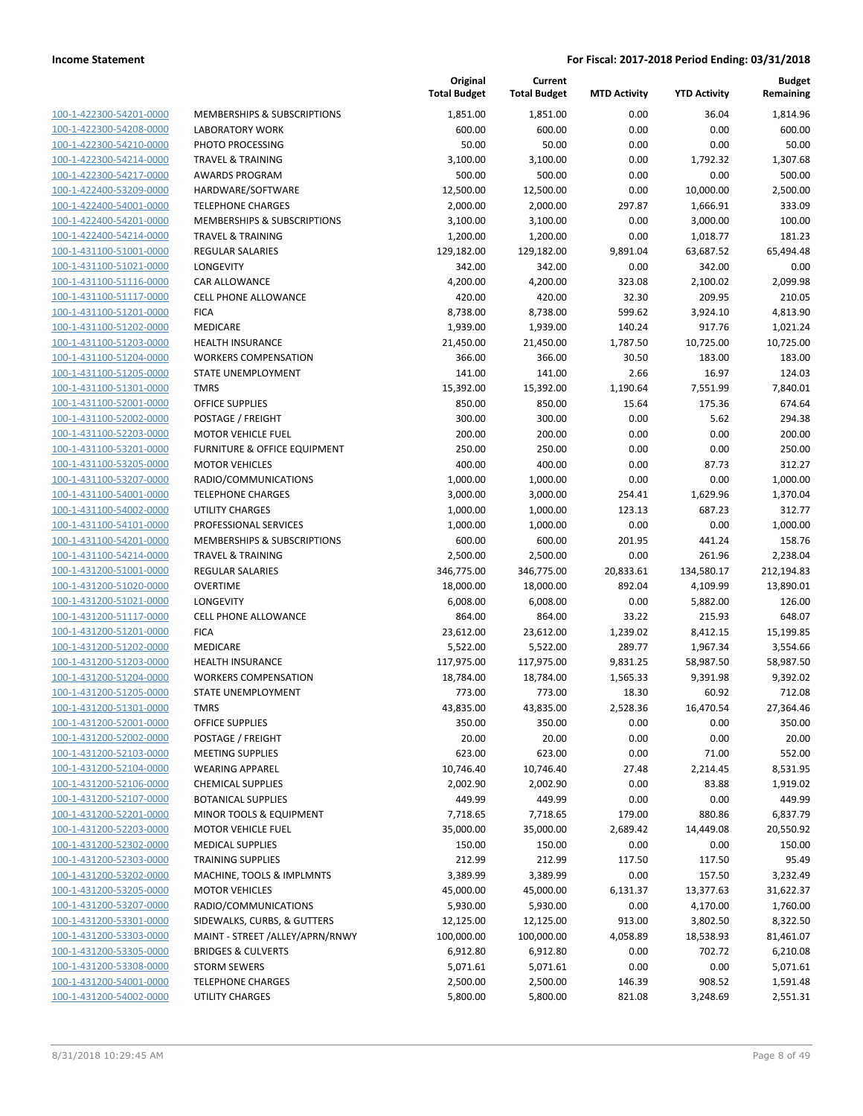| 100-1-422300-54201-0000        |
|--------------------------------|
| 100-1-422300-54208-0000        |
| 100-1-422300-54210-0000        |
| 100-1-422300-54214-0000        |
|                                |
| 100-1-422300-54217-0000        |
| 100-1-422400-53209-0000        |
| 100-1-422400-54001-0000        |
| 100-1-422400-54201-0000        |
| 100-1-422400-54214-0000        |
| 100-1-431100-51001-0000        |
| 100-1-431100-51021-0000        |
| 100-1-431100-51116-0000        |
|                                |
| 100-1-431100-51117-0000        |
| 100-1-431100-51201-0000        |
| 100-1-431100-51202-0000        |
| 100-1-431100-51203-0000        |
| 100-1-431100-51204-0000        |
| 100-1-431100-51205-0000        |
| 100-1-431100-51301-0000        |
| 100-1-431100-52001-0000        |
| 100-1-431100-52002-0000        |
| 100-1-431100-52203-0000        |
| 100-1-431100-53201-0000        |
| 100-1-431100-53205-0000        |
|                                |
| 100-1-431100-53207-0000        |
| 100-1-431100-54001-0000        |
| 100-1-431100-54002-0000        |
| 100-1-431100-54101-0000        |
| 100-1-431100-54201-0000        |
| 100-1-431100-54214-0000        |
| 100-1-431200-51001-0000        |
| 100-1-431200-51020-0000        |
| 100-1-431200-51021-0000        |
| 100-1-431200-51117-0000        |
|                                |
| 100-1-431200-51201-0000        |
| 100-1-431200-51202-0000        |
| 100-1-431200-51203-0000        |
| 100-1-431200-51204-0000        |
| 100-1-431200-51205-0000        |
| 100-1-431200-51301-0000        |
| 100-1-431200-52001-0000        |
| 100-1-431200-52002-0000        |
| <u>100-1-431200-52103-0000</u> |
| 100-1-431200-52104-0000        |
| 100-1-431200-52106-0000        |
|                                |
| 100-1-431200-52107-0000        |
| <u>100-1-431200-52201-0000</u> |
| 100-1-431200-52203-0000        |
| <u>100-1-431200-52302-0000</u> |
| 100-1-431200-52303-0000        |
| 100-1-431200-53202-0000        |
| 100-1-431200-53205-0000        |
| 100-1-431200-53207-0000        |
| <u>100-1-431200-53301-0000</u> |
| 100-1-431200-53303-0000        |
| 100-1-431200-53305-0000        |
|                                |
| <u>100-1-431200-53308-0000</u> |
| <u>100-1-431200-54001-0000</u> |
| <u>100-1-431200-54002-0000</u> |
|                                |

| <b>Budget</b><br>Current<br><b>YTD Activity</b><br>Remaining<br><b>MTD Activity</b> | <b>Total Budget</b> | Original<br><b>Total Budget</b> |                                        |                                                                               |
|-------------------------------------------------------------------------------------|---------------------|---------------------------------|----------------------------------------|-------------------------------------------------------------------------------|
| 0.00<br>36.04<br>1,814.96                                                           | 1,851.00            | 1,851.00                        | MEMBERSHIPS & SUBSCRIPTIONS            | 100-1-422300-54201-0000                                                       |
| 600.00<br>0.00<br>0.00<br>600.00                                                    |                     | 600.00                          | <b>LABORATORY WORK</b>                 | 100-1-422300-54208-0000                                                       |
| 50.00<br>0.00<br>0.00<br>50.00                                                      |                     | 50.00                           | PHOTO PROCESSING                       | 100-1-422300-54210-0000                                                       |
| 1,307.68<br>0.00<br>1,792.32                                                        | 3,100.00            | 3,100.00                        | <b>TRAVEL &amp; TRAINING</b>           | 100-1-422300-54214-0000                                                       |
| 500.00<br>0.00<br>0.00<br>500.00                                                    |                     | 500.00                          | <b>AWARDS PROGRAM</b>                  | 100-1-422300-54217-0000                                                       |
| 0.00<br>10,000.00<br>2,500.00                                                       | 12,500.00           | 12,500.00                       | HARDWARE/SOFTWARE                      | 100-1-422400-53209-0000                                                       |
| 297.87<br>1,666.91<br>333.09                                                        | 2,000.00            | 2,000.00                        | <b>TELEPHONE CHARGES</b>               | 100-1-422400-54001-0000                                                       |
| 0.00<br>3,000.00<br>100.00                                                          | 3,100.00            | 3,100.00                        | <b>MEMBERSHIPS &amp; SUBSCRIPTIONS</b> | 100-1-422400-54201-0000                                                       |
| 0.00<br>181.23<br>1,018.77                                                          | 1,200.00            | 1,200.00                        | <b>TRAVEL &amp; TRAINING</b>           | 100-1-422400-54214-0000                                                       |
| 9,891.04<br>63,687.52<br>65,494.48                                                  | 129,182.00          | 129,182.00                      | <b>REGULAR SALARIES</b>                | 100-1-431100-51001-0000                                                       |
| 342.00<br>0.00<br>342.00<br>0.00                                                    |                     | 342.00                          | <b>LONGEVITY</b>                       | 100-1-431100-51021-0000                                                       |
| 323.08<br>2,100.02<br>2,099.98                                                      | 4,200.00            | 4,200.00                        | <b>CAR ALLOWANCE</b>                   | 100-1-431100-51116-0000                                                       |
| 420.00<br>32.30<br>209.95<br>210.05                                                 |                     | 420.00                          | <b>CELL PHONE ALLOWANCE</b>            | 100-1-431100-51117-0000                                                       |
| 599.62<br>3,924.10<br>4,813.90                                                      | 8,738.00            | 8,738.00                        | <b>FICA</b>                            | 100-1-431100-51201-0000                                                       |
| 140.24<br>917.76<br>1,021.24                                                        | 1,939.00            | 1,939.00                        | MEDICARE                               | 100-1-431100-51202-0000                                                       |
| 1,787.50<br>10,725.00<br>10,725.00                                                  | 21,450.00           | 21,450.00                       | <b>HEALTH INSURANCE</b>                | 100-1-431100-51203-0000                                                       |
| 366.00<br>30.50<br>183.00<br>183.00                                                 |                     | 366.00                          | <b>WORKERS COMPENSATION</b>            | 100-1-431100-51204-0000                                                       |
| 16.97<br>141.00<br>2.66<br>124.03                                                   |                     | 141.00                          | STATE UNEMPLOYMENT                     | 100-1-431100-51205-0000                                                       |
| 1,190.64<br>7,551.99<br>7,840.01                                                    | 15,392.00           | 15,392.00                       | <b>TMRS</b>                            | 100-1-431100-51301-0000                                                       |
| 175.36<br>674.64<br>850.00<br>15.64                                                 |                     | 850.00                          | <b>OFFICE SUPPLIES</b>                 | 100-1-431100-52001-0000                                                       |
| 0.00<br>300.00<br>5.62<br>294.38                                                    |                     | 300.00                          | POSTAGE / FREIGHT                      | 100-1-431100-52002-0000                                                       |
| 200.00<br>0.00<br>0.00<br>200.00                                                    |                     | 200.00                          | <b>MOTOR VEHICLE FUEL</b>              | 100-1-431100-52203-0000                                                       |
| 250.00<br>0.00<br>0.00<br>250.00                                                    |                     | 250.00                          | FURNITURE & OFFICE EQUIPMENT           | 100-1-431100-53201-0000                                                       |
| 400.00<br>0.00<br>87.73<br>312.27                                                   |                     | 400.00                          | <b>MOTOR VEHICLES</b>                  | 100-1-431100-53205-0000                                                       |
| 0.00<br>0.00<br>1,000.00                                                            | 1,000.00            | 1,000.00                        | RADIO/COMMUNICATIONS                   | 100-1-431100-53207-0000                                                       |
| 254.41<br>1,629.96<br>1,370.04                                                      | 3,000.00            | 3,000.00                        | <b>TELEPHONE CHARGES</b>               | 100-1-431100-54001-0000                                                       |
| 123.13<br>687.23<br>312.77                                                          | 1,000.00            | 1,000.00                        | UTILITY CHARGES                        | 100-1-431100-54002-0000                                                       |
| 0.00<br>0.00<br>1,000.00                                                            | 1,000.00            | 1,000.00                        | PROFESSIONAL SERVICES                  | 100-1-431100-54101-0000                                                       |
| 600.00<br>441.24<br>158.76<br>201.95                                                |                     | 600.00                          | MEMBERSHIPS & SUBSCRIPTIONS            | 100-1-431100-54201-0000                                                       |
| 0.00<br>261.96<br>2,238.04                                                          | 2,500.00            | 2,500.00                        | <b>TRAVEL &amp; TRAINING</b>           | 100-1-431100-54214-0000                                                       |
| 20,833.61<br>134,580.17<br>212,194.83                                               | 346,775.00          | 346,775.00                      | REGULAR SALARIES                       | 100-1-431200-51001-0000                                                       |
| 892.04<br>13,890.01<br>4,109.99                                                     | 18,000.00           | 18,000.00                       | <b>OVERTIME</b>                        | 100-1-431200-51020-0000                                                       |
| 0.00<br>5,882.00<br>126.00                                                          | 6,008.00            | 6,008.00                        | LONGEVITY                              | 100-1-431200-51021-0000                                                       |
| 33.22<br>648.07<br>864.00<br>215.93                                                 |                     | 864.00                          | <b>CELL PHONE ALLOWANCE</b>            | 100-1-431200-51117-0000                                                       |
| 1,239.02<br>8,412.15<br>15,199.85                                                   | 23,612.00           | 23,612.00                       | <b>FICA</b>                            | 100-1-431200-51201-0000                                                       |
| 289.77<br>1,967.34<br>3,554.66                                                      | 5,522.00            | 5,522.00                        | <b>MEDICARE</b>                        | 100-1-431200-51202-0000                                                       |
| 9,831.25<br>58,987.50<br>58,987.50                                                  | 117,975.00          | 117,975.00                      | HEALTH INSURANCE                       | 100-1-431200-51203-0000                                                       |
| 1,565.33<br>9,391.98<br>9,392.02                                                    | 18,784.00           | 18,784.00                       | <b>WORKERS COMPENSATION</b>            | 100-1-431200-51204-0000                                                       |
| 60.92<br>773.00<br>18.30<br>712.08                                                  |                     | 773.00                          | STATE UNEMPLOYMENT                     | 100-1-431200-51205-0000                                                       |
| 2,528.36<br>16,470.54<br>27,364.46                                                  | 43,835.00           | 43,835.00                       | TMRS                                   | 100-1-431200-51301-0000                                                       |
| 0.00<br>0.00<br>350.00<br>350.00                                                    |                     | 350.00                          | <b>OFFICE SUPPLIES</b>                 | 100-1-431200-52001-0000                                                       |
| 20.00<br>0.00<br>20.00<br>0.00                                                      |                     | 20.00                           | POSTAGE / FREIGHT                      | 100-1-431200-52002-0000                                                       |
| 623.00<br>0.00<br>71.00<br>552.00                                                   |                     | 623.00                          | <b>MEETING SUPPLIES</b>                | 100-1-431200-52103-0000                                                       |
| 27.48<br>2,214.45<br>8,531.95                                                       | 10,746.40           | 10,746.40                       | <b>WEARING APPAREL</b>                 | 100-1-431200-52104-0000                                                       |
| 0.00<br>83.88<br>1,919.02                                                           | 2,002.90            | 2,002.90                        | <b>CHEMICAL SUPPLIES</b>               | 100-1-431200-52106-0000                                                       |
| 449.99<br>449.99<br>0.00<br>0.00                                                    |                     | 449.99                          | <b>BOTANICAL SUPPLIES</b>              | 100-1-431200-52107-0000                                                       |
| 179.00<br>880.86<br>6,837.79                                                        | 7,718.65            | 7,718.65                        | MINOR TOOLS & EQUIPMENT                | 100-1-431200-52201-0000                                                       |
| 2,689.42<br>14,449.08<br>20,550.92                                                  | 35,000.00           | 35,000.00                       | <b>MOTOR VEHICLE FUEL</b>              | 100-1-431200-52203-0000                                                       |
| 150.00<br>0.00<br>0.00<br>150.00                                                    |                     | 150.00                          | <b>MEDICAL SUPPLIES</b>                | 100-1-431200-52302-0000                                                       |
| 212.99<br>117.50<br>117.50<br>95.49                                                 |                     | 212.99                          | <b>TRAINING SUPPLIES</b>               | 100-1-431200-52303-0000                                                       |
| 0.00<br>157.50<br>3,232.49                                                          | 3,389.99            | 3,389.99                        | MACHINE, TOOLS & IMPLMNTS              | 100-1-431200-53202-0000                                                       |
| 6,131.37<br>13,377.63<br>31,622.37                                                  | 45,000.00           | 45,000.00                       | <b>MOTOR VEHICLES</b>                  | 100-1-431200-53205-0000                                                       |
| 0.00<br>4,170.00<br>1,760.00                                                        | 5,930.00            | 5,930.00                        | RADIO/COMMUNICATIONS                   | 100-1-431200-53207-0000                                                       |
| 913.00<br>3,802.50<br>8,322.50                                                      | 12,125.00           | 12,125.00                       | SIDEWALKS, CURBS, & GUTTERS            | 100-1-431200-53301-0000                                                       |
| 4,058.89<br>18,538.93<br>81,461.07                                                  | 100,000.00          | 100,000.00                      | MAINT - STREET /ALLEY/APRN/RNWY        | 100-1-431200-53303-0000                                                       |
| 0.00<br>702.72<br>6,210.08                                                          | 6,912.80            | 6,912.80                        | <b>BRIDGES &amp; CULVERTS</b>          |                                                                               |
| 0.00<br>0.00<br>5,071.61                                                            | 5,071.61            | 5,071.61                        | <b>STORM SEWERS</b>                    |                                                                               |
| 146.39<br>908.52<br>1,591.48                                                        | 2,500.00            | 2,500.00                        | <b>TELEPHONE CHARGES</b>               |                                                                               |
| 821.08<br>3,248.69<br>2,551.31                                                      | 5,800.00            | 5,800.00                        | UTILITY CHARGES                        | 100-1-431200-54002-0000                                                       |
|                                                                                     |                     |                                 |                                        | 100-1-431200-53305-0000<br>100-1-431200-53308-0000<br>100-1-431200-54001-0000 |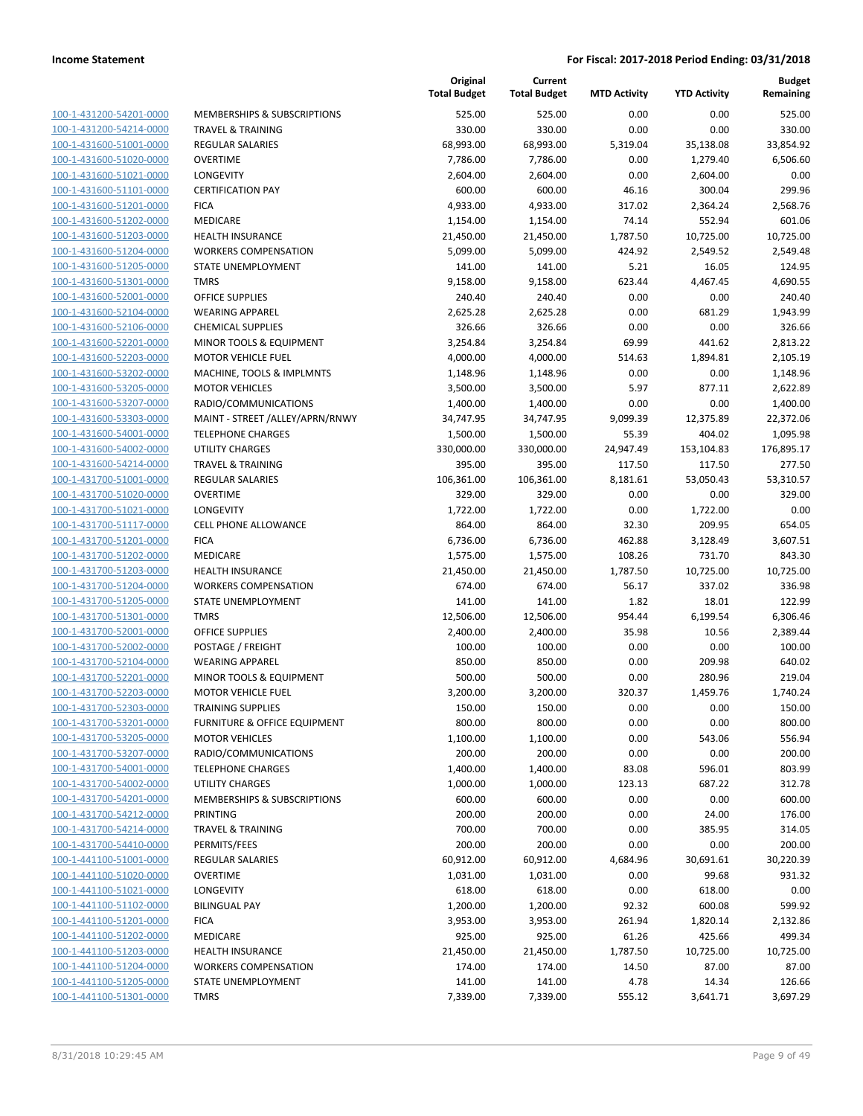| 100-1-431200-54201-0000        |
|--------------------------------|
| 100-1-431200-54214-0000        |
| 100-1-431600-51001-0000        |
| 100-1-431600-51020-0000        |
| 100-1-431600-51021-0000        |
| 100-1-431600-51101-0000        |
| 100-1-431600-51201-0000        |
| 100-1-431600-51202-0000        |
| <u>100-1-431600-51203-0000</u> |
| 100-1-431600-51204-0000        |
| 100-1-431600-51205-0000        |
| 100-1-431600-51301-0000        |
| 100-1-431600-52001-0000        |
| 100-1-431600-52104-0000        |
| 100-1-431600-52106-0000        |
|                                |
| 100-1-431600-52201-0000        |
| 100-1-431600-52203-0000        |
| 100-1-431600-53202-0000        |
| 100-1-431600-53205-0000        |
| 100-1-431600-53207-0000        |
| 100-1-431600-53303-0000        |
| 100-1-431600-54001-0000        |
| 100-1-431600-54002-0000        |
| <u>100-1-431600-54214-0000</u> |
| 100-1-431700-51001-0000        |
| 100-1-431700-51020-0000        |
| 100-1-431700-51021-0000        |
| 100-1-431700-51117-0000        |
| <u>100-1-431700-51201-0000</u> |
| 100-1-431700-51202-0000        |
|                                |
| 100-1-431700-51203-0000        |
| 100-1-431700-51204-0000        |
| 100-1-431700-51205-0000        |
| <u>100-1-431700-51301-0000</u> |
| 100-1-431700-52001-0000        |
| 100-1-431700-52002-0000        |
| 100-1-431700-52104-0000        |
| 100-1-431700-52201-0000        |
| 100-1-431700-52203-0000        |
| 100-1-431700-52303-0000        |
| 100-1-431700-53201-0000        |
| <u>100-1-431700-53205-0000</u> |
| 100-1-431700-53207-0000        |
| 100-1-431700-54001-0000        |
| <u>100-1-431700-54002-0000</u> |
|                                |
| 100-1-431700-54201-0000        |
| <u>100-1-431700-54212-0000</u> |
| 100-1-431700-54214-0000        |
| 100-1-431700-54410-0000        |
| <u>100-1-441100-51001-0000</u> |
| <u>100-1-441100-51020-0000</u> |
| 100-1-441100-51021-0000        |
| 100-1-441100-51102-0000        |
| <u>100-1-441100-51201-0000</u> |
| <u>100-1-441100-51202-0000</u> |
| <u>100-1-441100-51203-0000</u> |
| <u>100-1-441100-51204-0000</u> |
| 100-1-441100-51205-0000        |
| <u>100-1-441100-51301-0000</u> |
|                                |

|                         |                                 | Original<br><b>Total Budget</b> | Current<br><b>Total Budget</b> | <b>MTD Activity</b> | <b>YTD Activity</b> | <b>Budget</b><br>Remaining |
|-------------------------|---------------------------------|---------------------------------|--------------------------------|---------------------|---------------------|----------------------------|
| 100-1-431200-54201-0000 | MEMBERSHIPS & SUBSCRIPTIONS     | 525.00                          | 525.00                         | 0.00                | 0.00                | 525.00                     |
| 100-1-431200-54214-0000 | <b>TRAVEL &amp; TRAINING</b>    | 330.00                          | 330.00                         | 0.00                | 0.00                | 330.00                     |
| 100-1-431600-51001-0000 | REGULAR SALARIES                | 68,993.00                       | 68,993.00                      | 5,319.04            | 35,138.08           | 33,854.92                  |
| 100-1-431600-51020-0000 | <b>OVERTIME</b>                 | 7,786.00                        | 7,786.00                       | 0.00                | 1,279.40            | 6,506.60                   |
| 100-1-431600-51021-0000 | LONGEVITY                       | 2,604.00                        | 2,604.00                       | 0.00                | 2,604.00            | 0.00                       |
| 100-1-431600-51101-0000 | <b>CERTIFICATION PAY</b>        | 600.00                          | 600.00                         | 46.16               | 300.04              | 299.96                     |
| 100-1-431600-51201-0000 | <b>FICA</b>                     | 4,933.00                        | 4,933.00                       | 317.02              | 2,364.24            | 2,568.76                   |
| 100-1-431600-51202-0000 | MEDICARE                        | 1,154.00                        | 1,154.00                       | 74.14               | 552.94              | 601.06                     |
| 100-1-431600-51203-0000 | <b>HEALTH INSURANCE</b>         | 21,450.00                       | 21,450.00                      | 1,787.50            | 10,725.00           | 10,725.00                  |
| 100-1-431600-51204-0000 | <b>WORKERS COMPENSATION</b>     | 5,099.00                        | 5,099.00                       | 424.92              | 2,549.52            | 2,549.48                   |
| 100-1-431600-51205-0000 | STATE UNEMPLOYMENT              | 141.00                          | 141.00                         | 5.21                | 16.05               | 124.95                     |
| 100-1-431600-51301-0000 | <b>TMRS</b>                     | 9,158.00                        | 9,158.00                       | 623.44              | 4,467.45            | 4,690.55                   |
| 100-1-431600-52001-0000 | <b>OFFICE SUPPLIES</b>          | 240.40                          | 240.40                         | 0.00                | 0.00                | 240.40                     |
| 100-1-431600-52104-0000 | <b>WEARING APPAREL</b>          | 2,625.28                        | 2,625.28                       | 0.00                | 681.29              | 1,943.99                   |
| 100-1-431600-52106-0000 | <b>CHEMICAL SUPPLIES</b>        | 326.66                          | 326.66                         | 0.00                | 0.00                | 326.66                     |
| 100-1-431600-52201-0000 | MINOR TOOLS & EQUIPMENT         | 3,254.84                        | 3,254.84                       | 69.99               | 441.62              | 2,813.22                   |
| 100-1-431600-52203-0000 | <b>MOTOR VEHICLE FUEL</b>       | 4,000.00                        | 4,000.00                       | 514.63              | 1,894.81            | 2,105.19                   |
| 100-1-431600-53202-0000 | MACHINE, TOOLS & IMPLMNTS       | 1,148.96                        | 1,148.96                       | 0.00                | 0.00                | 1,148.96                   |
| 100-1-431600-53205-0000 | <b>MOTOR VEHICLES</b>           | 3,500.00                        | 3,500.00                       | 5.97                | 877.11              | 2,622.89                   |
| 100-1-431600-53207-0000 | RADIO/COMMUNICATIONS            | 1,400.00                        | 1,400.00                       | 0.00                | 0.00                | 1,400.00                   |
| 100-1-431600-53303-0000 | MAINT - STREET /ALLEY/APRN/RNWY | 34,747.95                       | 34,747.95                      | 9,099.39            | 12,375.89           | 22,372.06                  |
| 100-1-431600-54001-0000 | <b>TELEPHONE CHARGES</b>        | 1,500.00                        | 1,500.00                       | 55.39               | 404.02              | 1,095.98                   |
| 100-1-431600-54002-0000 | UTILITY CHARGES                 | 330,000.00                      | 330,000.00                     | 24,947.49           | 153,104.83          | 176,895.17                 |
| 100-1-431600-54214-0000 | <b>TRAVEL &amp; TRAINING</b>    | 395.00                          | 395.00                         | 117.50              | 117.50              | 277.50                     |
| 100-1-431700-51001-0000 | REGULAR SALARIES                | 106,361.00                      | 106,361.00                     | 8,181.61            | 53,050.43           | 53,310.57                  |
| 100-1-431700-51020-0000 | <b>OVERTIME</b>                 | 329.00                          | 329.00                         | 0.00                | 0.00                | 329.00                     |
| 100-1-431700-51021-0000 | LONGEVITY                       | 1,722.00                        | 1,722.00                       | 0.00                | 1,722.00            | 0.00                       |
| 100-1-431700-51117-0000 | CELL PHONE ALLOWANCE            | 864.00                          | 864.00                         | 32.30               | 209.95              | 654.05                     |
| 100-1-431700-51201-0000 | <b>FICA</b>                     | 6,736.00                        | 6,736.00                       | 462.88              | 3,128.49            | 3,607.51                   |
| 100-1-431700-51202-0000 | MEDICARE                        | 1,575.00                        | 1,575.00                       | 108.26              | 731.70              | 843.30                     |
| 100-1-431700-51203-0000 | <b>HEALTH INSURANCE</b>         | 21,450.00                       | 21,450.00                      | 1,787.50            | 10,725.00           | 10,725.00                  |
| 100-1-431700-51204-0000 | <b>WORKERS COMPENSATION</b>     | 674.00                          | 674.00                         | 56.17               | 337.02              | 336.98                     |
| 100-1-431700-51205-0000 | STATE UNEMPLOYMENT              | 141.00                          | 141.00                         | 1.82                | 18.01               | 122.99                     |
| 100-1-431700-51301-0000 | <b>TMRS</b>                     | 12,506.00                       | 12,506.00                      | 954.44              | 6,199.54            | 6,306.46                   |
| 100-1-431700-52001-0000 | <b>OFFICE SUPPLIES</b>          | 2,400.00                        | 2,400.00                       | 35.98               | 10.56               | 2,389.44                   |
| 100-1-431700-52002-0000 | POSTAGE / FREIGHT               | 100.00                          | 100.00                         | 0.00                | 0.00                | 100.00                     |
| 100-1-431700-52104-0000 | <b>WEARING APPAREL</b>          | 850.00                          | 850.00                         | 0.00                | 209.98              | 640.02                     |
| 100-1-431700-52201-0000 | MINOR TOOLS & EQUIPMENT         | 500.00                          | 500.00                         | 0.00                | 280.96              | 219.04                     |
| 100-1-431700-52203-0000 | <b>MOTOR VEHICLE FUEL</b>       | 3,200.00                        | 3,200.00                       | 320.37              | 1,459.76            | 1,740.24                   |
| 100-1-431700-52303-0000 | <b>TRAINING SUPPLIES</b>        | 150.00                          | 150.00                         | 0.00                | 0.00                | 150.00                     |
| 100-1-431700-53201-0000 | FURNITURE & OFFICE EQUIPMENT    | 800.00                          | 800.00                         | 0.00                | 0.00                | 800.00                     |
| 100-1-431700-53205-0000 | <b>MOTOR VEHICLES</b>           | 1,100.00                        | 1,100.00                       | 0.00                | 543.06              | 556.94                     |
| 100-1-431700-53207-0000 | RADIO/COMMUNICATIONS            | 200.00                          | 200.00                         | 0.00                | 0.00                | 200.00                     |
| 100-1-431700-54001-0000 | <b>TELEPHONE CHARGES</b>        | 1,400.00                        | 1,400.00                       | 83.08               | 596.01              | 803.99                     |
| 100-1-431700-54002-0000 | UTILITY CHARGES                 | 1,000.00                        | 1,000.00                       | 123.13              | 687.22              | 312.78                     |
| 100-1-431700-54201-0000 | MEMBERSHIPS & SUBSCRIPTIONS     | 600.00                          | 600.00                         | 0.00                | 0.00                | 600.00                     |
| 100-1-431700-54212-0000 | PRINTING                        | 200.00                          | 200.00                         | 0.00                | 24.00               | 176.00                     |
| 100-1-431700-54214-0000 | <b>TRAVEL &amp; TRAINING</b>    | 700.00                          | 700.00                         | 0.00                | 385.95              | 314.05                     |
| 100-1-431700-54410-0000 | PERMITS/FEES                    | 200.00                          | 200.00                         | 0.00                | 0.00                | 200.00                     |
| 100-1-441100-51001-0000 | REGULAR SALARIES                | 60,912.00                       | 60,912.00                      | 4,684.96            | 30,691.61           | 30,220.39                  |
| 100-1-441100-51020-0000 | <b>OVERTIME</b>                 | 1,031.00                        | 1,031.00                       | 0.00                | 99.68               | 931.32                     |
| 100-1-441100-51021-0000 | <b>LONGEVITY</b>                | 618.00                          | 618.00                         | 0.00                | 618.00              | 0.00                       |
| 100-1-441100-51102-0000 | <b>BILINGUAL PAY</b>            | 1,200.00                        | 1,200.00                       | 92.32               | 600.08              | 599.92                     |
| 100-1-441100-51201-0000 | <b>FICA</b>                     | 3,953.00                        | 3,953.00                       | 261.94              | 1,820.14            | 2,132.86                   |
| 100-1-441100-51202-0000 | MEDICARE                        | 925.00                          | 925.00                         | 61.26               | 425.66              | 499.34                     |
| 100-1-441100-51203-0000 | <b>HEALTH INSURANCE</b>         | 21,450.00                       | 21,450.00                      | 1,787.50            | 10,725.00           | 10,725.00                  |
| 100-1-441100-51204-0000 | <b>WORKERS COMPENSATION</b>     | 174.00                          | 174.00                         | 14.50               | 87.00               | 87.00                      |
| 100-1-441100-51205-0000 | STATE UNEMPLOYMENT              | 141.00                          | 141.00                         | 4.78                | 14.34               | 126.66                     |
| 100-1-441100-51301-0000 | <b>TMRS</b>                     | 7,339.00                        | 7,339.00                       | 555.12              | 3,641.71            | 3,697.29                   |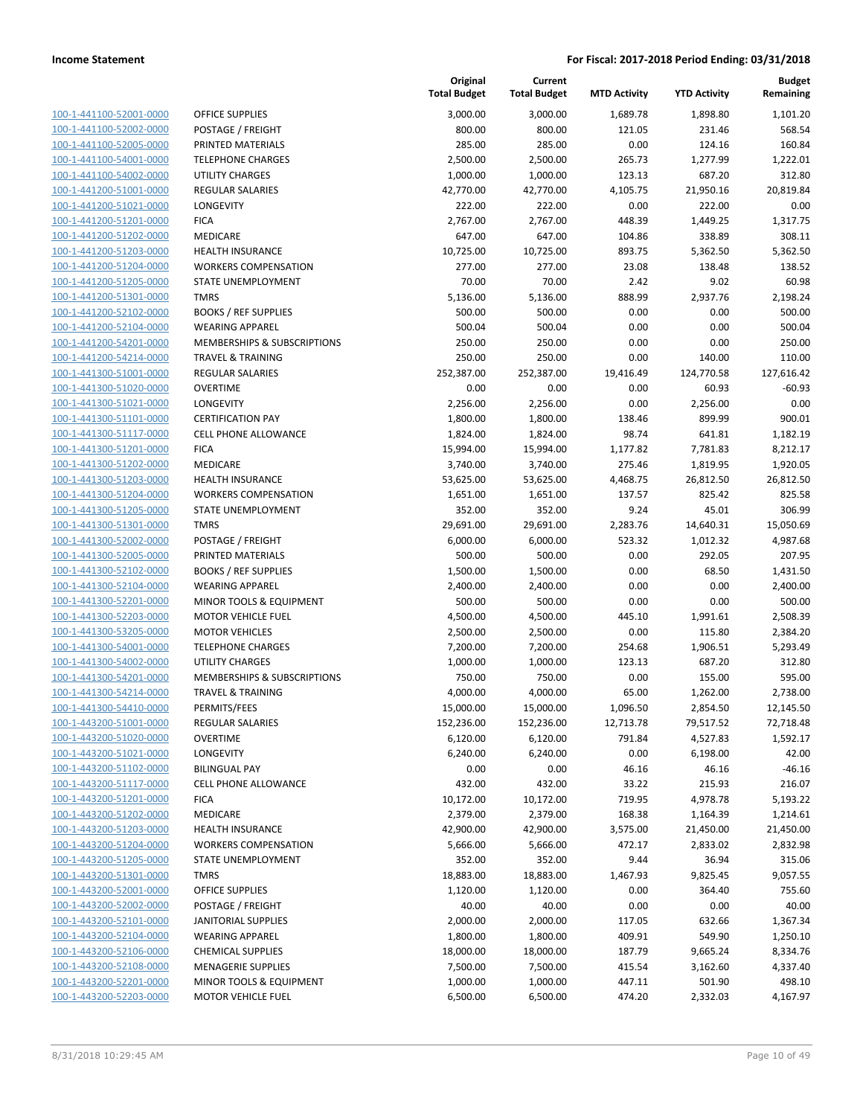| 100-1-441100-52001-0000             |
|-------------------------------------|
| 100-1-441100-52002-0000             |
| 100-1-441100-52005-0000             |
| <u>100-1-441100-54001-0000</u>      |
| 100-1-441100-54002-0000             |
| 100-1-441200-51001-0000             |
| 100-1-441200-51021-0000             |
| 100-1-441200-51201-0000             |
| 100-1-441200-51202-0000             |
| 100-1-441200-51203-0000             |
| 100-1-441200-51204-0000             |
| 100-1-441200-51205-0000             |
| 100-1-441200-51301-0000             |
| 100-1-441200-52102-0000             |
| 100-1-441200-52104-0000             |
| 100-1-441200-54201-0000             |
|                                     |
| 100-1-441200-54214-0000             |
| 100-1-441300-51001-0000             |
| 100-1-441300-51020-0000             |
| 100-1-441300-51021-0000             |
| 100-1-441300-51101-<br>$-0000$      |
| 100-1-441300-51117-0000             |
| 100-1-441300-51201-0000             |
| 100-1-441300-51202-0000             |
| 100-1-441300-51203-0000             |
| 100-1-441300-51204-0000             |
| 100-1-441300-51205-0000             |
| 100-1-441300-51301-0000             |
| 100-1-441300-52002-0000             |
| 100-1-441300-52005-0000             |
| 100-1-441300-52102-0000             |
| 100-1-441300-52104-0000             |
| 100-1-441300-52201-0000             |
| 100-1-441300-52203-0000             |
| 100-1-441300-53205-0000             |
| 100-1-441300-54001-0000             |
| 100-1-441300-54002-0000             |
|                                     |
| 100-1-441300-54201-0000             |
| 100-1-441300-54214-0000             |
| 100-1-441300-54410-0000             |
| 100-1-443200-51001-0000             |
| <u>100-1-443200-51020-0000</u>      |
| <u>100-1-443200-51021-0000</u>      |
| <u>100-1-443200-51102-0000</u>      |
| <u>100-1-443200-51117-0000</u>      |
| 100-1-443200-51201-0000             |
| 100-1-443200-51202-0000             |
| 100-1-443200-51203-0000             |
| <u>100-1-443200-51204-0000</u>      |
| <u>100-1-443200-51205-0000</u>      |
| 100-1-443200-51301-0000             |
| 100-1-443200-52001-0000             |
| <u>100-1-443200-52002-0000</u>      |
| <u>100-1-443200-52101-0000</u>      |
| <u>100-1-443200-52104-0000</u>      |
| 1-443200-52106-0000<br><u> 100-</u> |
| 100-1-443200-52108-0000             |
| 100-1-443200-52201-0000             |
|                                     |
| <u>100-1-443200-52203-0000</u>      |

|                         |                                        | Original<br><b>Total Budget</b> | Current<br><b>Total Budget</b> | <b>MTD Activity</b> | <b>YTD Activity</b> | <b>Budget</b><br>Remaining |
|-------------------------|----------------------------------------|---------------------------------|--------------------------------|---------------------|---------------------|----------------------------|
| 100-1-441100-52001-0000 | <b>OFFICE SUPPLIES</b>                 | 3,000.00                        | 3,000.00                       | 1,689.78            | 1,898.80            | 1,101.20                   |
| 100-1-441100-52002-0000 | POSTAGE / FREIGHT                      | 800.00                          | 800.00                         | 121.05              | 231.46              | 568.54                     |
| 100-1-441100-52005-0000 | PRINTED MATERIALS                      | 285.00                          | 285.00                         | 0.00                | 124.16              | 160.84                     |
| 100-1-441100-54001-0000 | <b>TELEPHONE CHARGES</b>               | 2,500.00                        | 2,500.00                       | 265.73              | 1,277.99            | 1,222.01                   |
| 100-1-441100-54002-0000 | <b>UTILITY CHARGES</b>                 | 1,000.00                        | 1,000.00                       | 123.13              | 687.20              | 312.80                     |
| 100-1-441200-51001-0000 | <b>REGULAR SALARIES</b>                | 42,770.00                       | 42,770.00                      | 4,105.75            | 21,950.16           | 20,819.84                  |
| 100-1-441200-51021-0000 | LONGEVITY                              | 222.00                          | 222.00                         | 0.00                | 222.00              | 0.00                       |
| 100-1-441200-51201-0000 | <b>FICA</b>                            | 2,767.00                        | 2,767.00                       | 448.39              | 1,449.25            | 1,317.75                   |
| 100-1-441200-51202-0000 | MEDICARE                               | 647.00                          | 647.00                         | 104.86              | 338.89              | 308.11                     |
| 100-1-441200-51203-0000 | <b>HEALTH INSURANCE</b>                | 10,725.00                       | 10,725.00                      | 893.75              | 5,362.50            | 5,362.50                   |
| 100-1-441200-51204-0000 | <b>WORKERS COMPENSATION</b>            | 277.00                          | 277.00                         | 23.08               | 138.48              | 138.52                     |
| 100-1-441200-51205-0000 | STATE UNEMPLOYMENT                     | 70.00                           | 70.00                          | 2.42                | 9.02                | 60.98                      |
| 100-1-441200-51301-0000 | <b>TMRS</b>                            | 5,136.00                        | 5,136.00                       | 888.99              | 2,937.76            | 2,198.24                   |
| 100-1-441200-52102-0000 | <b>BOOKS / REF SUPPLIES</b>            | 500.00                          | 500.00                         | 0.00                | 0.00                | 500.00                     |
| 100-1-441200-52104-0000 | <b>WEARING APPAREL</b>                 | 500.04                          | 500.04                         | 0.00                | 0.00                | 500.04                     |
| 100-1-441200-54201-0000 | MEMBERSHIPS & SUBSCRIPTIONS            | 250.00                          | 250.00                         | 0.00                | 0.00                | 250.00                     |
| 100-1-441200-54214-0000 | <b>TRAVEL &amp; TRAINING</b>           | 250.00                          | 250.00                         | 0.00                | 140.00              | 110.00                     |
| 100-1-441300-51001-0000 | <b>REGULAR SALARIES</b>                | 252,387.00                      | 252,387.00                     | 19,416.49           | 124,770.58          | 127,616.42                 |
| 100-1-441300-51020-0000 | <b>OVERTIME</b>                        | 0.00                            | 0.00                           | 0.00                | 60.93               | -60.93                     |
| 100-1-441300-51021-0000 | LONGEVITY                              | 2,256.00                        | 2,256.00                       | 0.00                | 2,256.00            | 0.00                       |
| 100-1-441300-51101-0000 | <b>CERTIFICATION PAY</b>               | 1,800.00                        | 1,800.00                       | 138.46              | 899.99              | 900.01                     |
| 100-1-441300-51117-0000 | CELL PHONE ALLOWANCE                   | 1,824.00                        | 1,824.00                       | 98.74               | 641.81              | 1,182.19                   |
| 100-1-441300-51201-0000 | <b>FICA</b>                            | 15,994.00                       | 15,994.00                      | 1,177.82            | 7,781.83            | 8,212.17                   |
| 100-1-441300-51202-0000 | <b>MEDICARE</b>                        | 3,740.00                        | 3,740.00                       | 275.46              | 1,819.95            | 1,920.05                   |
| 100-1-441300-51203-0000 | <b>HEALTH INSURANCE</b>                | 53,625.00                       | 53,625.00                      | 4,468.75            | 26,812.50           | 26,812.50                  |
| 100-1-441300-51204-0000 | <b>WORKERS COMPENSATION</b>            | 1,651.00                        | 1,651.00                       | 137.57              | 825.42              | 825.58                     |
| 100-1-441300-51205-0000 | STATE UNEMPLOYMENT                     | 352.00                          | 352.00                         | 9.24                | 45.01               | 306.99                     |
| 100-1-441300-51301-0000 | <b>TMRS</b>                            | 29,691.00                       | 29,691.00                      | 2,283.76            | 14,640.31           | 15,050.69                  |
| 100-1-441300-52002-0000 | POSTAGE / FREIGHT                      | 6,000.00                        | 6,000.00                       | 523.32              | 1,012.32            | 4,987.68                   |
| 100-1-441300-52005-0000 | PRINTED MATERIALS                      | 500.00                          | 500.00                         | 0.00                | 292.05              | 207.95                     |
| 100-1-441300-52102-0000 | <b>BOOKS / REF SUPPLIES</b>            | 1,500.00                        | 1,500.00                       | 0.00                | 68.50               | 1,431.50                   |
| 100-1-441300-52104-0000 | <b>WEARING APPAREL</b>                 | 2,400.00                        | 2,400.00                       | 0.00                | 0.00                | 2,400.00                   |
| 100-1-441300-52201-0000 | MINOR TOOLS & EQUIPMENT                | 500.00                          | 500.00                         | 0.00                | 0.00                | 500.00                     |
| 100-1-441300-52203-0000 | <b>MOTOR VEHICLE FUEL</b>              | 4,500.00                        | 4,500.00                       | 445.10              | 1,991.61            | 2,508.39                   |
| 100-1-441300-53205-0000 | <b>MOTOR VEHICLES</b>                  | 2,500.00                        | 2,500.00                       | 0.00                | 115.80              | 2,384.20                   |
| 100-1-441300-54001-0000 | <b>TELEPHONE CHARGES</b>               | 7,200.00                        | 7,200.00                       | 254.68              | 1,906.51            | 5,293.49                   |
| 100-1-441300-54002-0000 | UTILITY CHARGES                        | 1,000.00                        | 1,000.00                       | 123.13              | 687.20              | 312.80                     |
| 100-1-441300-54201-0000 | <b>MEMBERSHIPS &amp; SUBSCRIPTIONS</b> | 750.00                          | 750.00                         | 0.00                | 155.00              | 595.00                     |
| 100-1-441300-54214-0000 | <b>TRAVEL &amp; TRAINING</b>           | 4,000.00                        | 4,000.00                       | 65.00               | 1,262.00            | 2,738.00                   |
| 100-1-441300-54410-0000 | PERMITS/FEES                           | 15,000.00                       | 15,000.00                      | 1,096.50            | 2,854.50            | 12,145.50                  |
| 100-1-443200-51001-0000 | <b>REGULAR SALARIES</b>                | 152,236.00                      | 152,236.00                     | 12,713.78           | 79,517.52           | 72,718.48                  |
| 100-1-443200-51020-0000 | <b>OVERTIME</b>                        | 6,120.00                        | 6,120.00                       | 791.84              | 4,527.83            | 1,592.17                   |
| 100-1-443200-51021-0000 | LONGEVITY                              | 6,240.00                        | 6,240.00                       | 0.00                | 6,198.00            | 42.00                      |
| 100-1-443200-51102-0000 | <b>BILINGUAL PAY</b>                   | 0.00                            | 0.00                           | 46.16               | 46.16               | $-46.16$                   |
| 100-1-443200-51117-0000 | <b>CELL PHONE ALLOWANCE</b>            | 432.00                          | 432.00                         | 33.22               | 215.93              | 216.07                     |
| 100-1-443200-51201-0000 | <b>FICA</b>                            | 10,172.00                       | 10,172.00                      | 719.95              | 4,978.78            | 5,193.22                   |
| 100-1-443200-51202-0000 | MEDICARE                               | 2,379.00                        | 2,379.00                       | 168.38              | 1,164.39            | 1,214.61                   |
| 100-1-443200-51203-0000 | <b>HEALTH INSURANCE</b>                | 42,900.00                       | 42,900.00                      | 3,575.00            | 21,450.00           | 21,450.00                  |
| 100-1-443200-51204-0000 | <b>WORKERS COMPENSATION</b>            | 5,666.00                        | 5,666.00                       | 472.17              | 2,833.02            | 2,832.98                   |
| 100-1-443200-51205-0000 | STATE UNEMPLOYMENT                     | 352.00                          | 352.00                         | 9.44                | 36.94               | 315.06                     |
| 100-1-443200-51301-0000 | <b>TMRS</b>                            | 18,883.00                       | 18,883.00                      | 1,467.93            | 9,825.45            | 9,057.55                   |
| 100-1-443200-52001-0000 | <b>OFFICE SUPPLIES</b>                 | 1,120.00                        | 1,120.00                       | 0.00                | 364.40              | 755.60                     |
| 100-1-443200-52002-0000 | POSTAGE / FREIGHT                      | 40.00                           | 40.00                          | 0.00                | 0.00                | 40.00                      |
| 100-1-443200-52101-0000 | <b>JANITORIAL SUPPLIES</b>             | 2,000.00                        | 2,000.00                       | 117.05              | 632.66              | 1,367.34                   |
| 100-1-443200-52104-0000 | <b>WEARING APPAREL</b>                 | 1,800.00                        | 1,800.00                       | 409.91              | 549.90              | 1,250.10                   |
| 100-1-443200-52106-0000 | <b>CHEMICAL SUPPLIES</b>               | 18,000.00                       | 18,000.00                      | 187.79              | 9,665.24            | 8,334.76                   |
| 100-1-443200-52108-0000 | <b>MENAGERIE SUPPLIES</b>              | 7,500.00                        | 7,500.00                       | 415.54              | 3,162.60            | 4,337.40                   |
| 100-1-443200-52201-0000 | MINOR TOOLS & EQUIPMENT                | 1,000.00                        | 1,000.00                       | 447.11              | 501.90              | 498.10                     |
| 100-1-443200-52203-0000 | MOTOR VEHICLE FUEL                     | 6,500.00                        | 6,500.00                       | 474.20              | 2,332.03            | 4,167.97                   |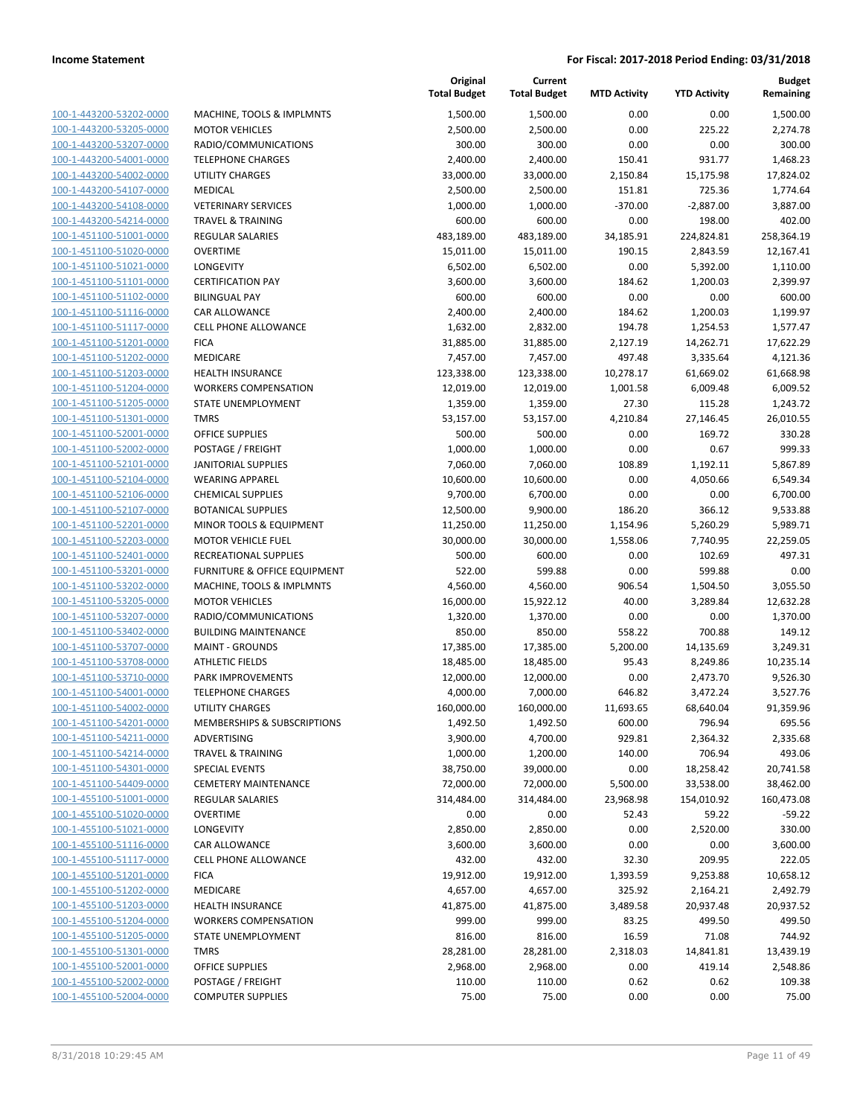| 100-1-443200-53202-0000        |
|--------------------------------|
| 100-1-443200-53205-0000        |
| 100-1-443200-53207-0000        |
| 100-1-443200-54001-0000        |
| 100-1-443200-54002-0000        |
| 100-1-443200-54107-0000        |
| 100-1-443200-54108-0000        |
| 100-1-443200-54214-0000        |
| 100-1-451100-51001-0000        |
| 100-1-451100-51020-0000        |
| 100-1-451100-51021-0000        |
| 100-1-451100-51101-0000        |
| 100-1-451100-51102-0000        |
| 100-1-451100-51116-0000        |
| 100-1-451100-51117-0000        |
| 100-1-451100-51201-0000        |
| 100-1-451100-51202-0000        |
| 100-1-451100-51203-0000        |
| 100-1-451100-51204-0000        |
| 100-1-451100-51205-0000        |
| 100-1-451100-51301-0000        |
| 100-1-451100-52001-0000        |
| 100-1-451100-52002-0000        |
| 100-1-451100-52101-0000        |
| 100-1-451100-52104-0000        |
| 100-1-451100-52106-0000        |
| 100-1-451100-52107-0000        |
| 100-1-451100-52201-0000        |
| 100-1-451100-52203-0000        |
| 100-1-451100-52401-0000        |
| 100-1-451100-53201-0000        |
| 100-1-451100-53202-0000        |
| 100-1-451100-53205-0000        |
| 100-1-451100-53207-0000        |
| 100-1-451100-53402-0000        |
| 100-1-451100-53707-0000        |
| 100-1-451100-53708-0000        |
| 100-1-451100-53710-0000        |
| 100-1-451100-54001-0000        |
| 100-1-451100-54002-0000        |
| 100-1-451100-54201-0000        |
| <u>100-1-451100-54211-0000</u> |
| <u>100-1-451100-54214-0000</u> |
| <u>100-1-451100-54301-0000</u> |
| <u>100-1-451100-54409-0000</u> |
| 100-1-455100-51001-0000        |
| 100-1-455100-51020-0000        |
| <u>100-1-455100-51021-0000</u> |
| <u>100-1-455100-51116-0000</u> |
| <u>100-1-455100-51117-0000</u> |
| 100-1-455100-51201-0000        |
| 100-1-455100-51202-0000        |
| 100-1-455100-51203-0000        |
| <u>100-1-455100-51204-0000</u> |
| <u>100-1-455100-51205-0000</u> |
| 100-1-455100-51301-0000        |
| 100-1-455100-52001-0000        |
|                                |
| <u>100-1-455100-52002-0000</u> |
| <u>100-1-455100-52004-0000</u> |

|                                                    |                                              | Original<br><b>Total Budget</b> | Current<br><b>Total Budget</b> | <b>MTD Activity</b> | <b>YTD Activity</b>   | <b>Budget</b><br>Remaining |
|----------------------------------------------------|----------------------------------------------|---------------------------------|--------------------------------|---------------------|-----------------------|----------------------------|
| 100-1-443200-53202-0000                            | MACHINE, TOOLS & IMPLMNTS                    | 1,500.00                        | 1,500.00                       | 0.00                | 0.00                  | 1,500.00                   |
| 100-1-443200-53205-0000                            | <b>MOTOR VEHICLES</b>                        | 2,500.00                        | 2,500.00                       | 0.00                | 225.22                | 2,274.78                   |
| 100-1-443200-53207-0000                            | RADIO/COMMUNICATIONS                         | 300.00                          | 300.00                         | 0.00                | 0.00                  | 300.00                     |
| 100-1-443200-54001-0000                            | <b>TELEPHONE CHARGES</b>                     | 2,400.00                        | 2,400.00                       | 150.41              | 931.77                | 1,468.23                   |
| 100-1-443200-54002-0000                            | <b>UTILITY CHARGES</b>                       | 33,000.00                       | 33,000.00                      | 2,150.84            | 15,175.98             | 17,824.02                  |
| 100-1-443200-54107-0000                            | MEDICAL                                      | 2,500.00                        | 2,500.00                       | 151.81              | 725.36                | 1,774.64                   |
| 100-1-443200-54108-0000                            | <b>VETERINARY SERVICES</b>                   | 1,000.00                        | 1,000.00                       | $-370.00$           | $-2,887.00$           | 3,887.00                   |
| 100-1-443200-54214-0000                            | <b>TRAVEL &amp; TRAINING</b>                 | 600.00                          | 600.00                         | 0.00                | 198.00                | 402.00                     |
| 100-1-451100-51001-0000                            | <b>REGULAR SALARIES</b>                      | 483,189.00                      | 483,189.00                     | 34,185.91           | 224,824.81            | 258,364.19                 |
| 100-1-451100-51020-0000                            | <b>OVERTIME</b>                              | 15,011.00                       | 15,011.00                      | 190.15              | 2,843.59              | 12,167.41                  |
| 100-1-451100-51021-0000                            | LONGEVITY                                    | 6,502.00                        | 6,502.00                       | 0.00                | 5,392.00              | 1,110.00                   |
| 100-1-451100-51101-0000                            | <b>CERTIFICATION PAY</b>                     | 3,600.00                        | 3,600.00                       | 184.62              | 1,200.03              | 2,399.97                   |
| 100-1-451100-51102-0000                            | <b>BILINGUAL PAY</b>                         | 600.00                          | 600.00                         | 0.00                | 0.00                  | 600.00                     |
| 100-1-451100-51116-0000                            | CAR ALLOWANCE<br><b>CELL PHONE ALLOWANCE</b> | 2,400.00                        | 2,400.00                       | 184.62              | 1,200.03              | 1,199.97                   |
| 100-1-451100-51117-0000<br>100-1-451100-51201-0000 | <b>FICA</b>                                  | 1,632.00<br>31,885.00           | 2,832.00<br>31,885.00          | 194.78<br>2,127.19  | 1,254.53<br>14,262.71 | 1,577.47<br>17,622.29      |
| 100-1-451100-51202-0000                            | <b>MEDICARE</b>                              | 7,457.00                        | 7,457.00                       | 497.48              | 3,335.64              | 4,121.36                   |
| 100-1-451100-51203-0000                            | <b>HEALTH INSURANCE</b>                      | 123,338.00                      | 123,338.00                     | 10,278.17           | 61,669.02             | 61,668.98                  |
| 100-1-451100-51204-0000                            | <b>WORKERS COMPENSATION</b>                  | 12,019.00                       | 12,019.00                      | 1,001.58            | 6,009.48              | 6,009.52                   |
| 100-1-451100-51205-0000                            | STATE UNEMPLOYMENT                           | 1,359.00                        | 1,359.00                       | 27.30               | 115.28                | 1,243.72                   |
| 100-1-451100-51301-0000                            | <b>TMRS</b>                                  | 53,157.00                       | 53,157.00                      | 4,210.84            | 27,146.45             | 26,010.55                  |
| 100-1-451100-52001-0000                            | <b>OFFICE SUPPLIES</b>                       | 500.00                          | 500.00                         | 0.00                | 169.72                | 330.28                     |
| 100-1-451100-52002-0000                            | POSTAGE / FREIGHT                            | 1,000.00                        | 1,000.00                       | 0.00                | 0.67                  | 999.33                     |
| 100-1-451100-52101-0000                            | <b>JANITORIAL SUPPLIES</b>                   | 7,060.00                        | 7,060.00                       | 108.89              | 1,192.11              | 5,867.89                   |
| 100-1-451100-52104-0000                            | <b>WEARING APPAREL</b>                       | 10,600.00                       | 10,600.00                      | 0.00                | 4,050.66              | 6,549.34                   |
| 100-1-451100-52106-0000                            | <b>CHEMICAL SUPPLIES</b>                     | 9,700.00                        | 6,700.00                       | 0.00                | 0.00                  | 6,700.00                   |
| 100-1-451100-52107-0000                            | <b>BOTANICAL SUPPLIES</b>                    | 12,500.00                       | 9,900.00                       | 186.20              | 366.12                | 9,533.88                   |
| 100-1-451100-52201-0000                            | MINOR TOOLS & EQUIPMENT                      | 11,250.00                       | 11,250.00                      | 1,154.96            | 5,260.29              | 5,989.71                   |
| 100-1-451100-52203-0000                            | <b>MOTOR VEHICLE FUEL</b>                    | 30,000.00                       | 30,000.00                      | 1,558.06            | 7,740.95              | 22,259.05                  |
| 100-1-451100-52401-0000                            | RECREATIONAL SUPPLIES                        | 500.00                          | 600.00                         | 0.00                | 102.69                | 497.31                     |
| 100-1-451100-53201-0000                            | FURNITURE & OFFICE EQUIPMENT                 | 522.00                          | 599.88                         | 0.00                | 599.88                | 0.00                       |
| 100-1-451100-53202-0000                            | MACHINE, TOOLS & IMPLMNTS                    | 4,560.00                        | 4,560.00                       | 906.54              | 1,504.50              | 3,055.50                   |
| 100-1-451100-53205-0000                            | <b>MOTOR VEHICLES</b>                        | 16,000.00                       | 15,922.12                      | 40.00               | 3,289.84              | 12,632.28                  |
| 100-1-451100-53207-0000                            | RADIO/COMMUNICATIONS                         | 1,320.00                        | 1,370.00                       | 0.00                | 0.00                  | 1,370.00                   |
| 100-1-451100-53402-0000                            | <b>BUILDING MAINTENANCE</b>                  | 850.00                          | 850.00                         | 558.22              | 700.88                | 149.12                     |
| 100-1-451100-53707-0000                            | <b>MAINT - GROUNDS</b>                       | 17,385.00                       | 17,385.00                      | 5,200.00            | 14,135.69             | 3,249.31                   |
| 100-1-451100-53708-0000                            | <b>ATHLETIC FIELDS</b>                       | 18,485.00                       | 18,485.00                      | 95.43               | 8,249.86              | 10,235.14                  |
| 100-1-451100-53710-0000                            | PARK IMPROVEMENTS                            | 12,000.00                       | 12,000.00                      | 0.00                | 2,473.70              | 9,526.30                   |
| 100-1-451100-54001-0000                            | <b>TELEPHONE CHARGES</b>                     | 4,000.00                        | 7,000.00                       | 646.82              | 3,472.24              | 3,527.76                   |
| 100-1-451100-54002-0000                            | UTILITY CHARGES                              | 160,000.00                      | 160,000.00                     | 11,693.65           | 68,640.04             | 91,359.96                  |
| 100-1-451100-54201-0000                            | MEMBERSHIPS & SUBSCRIPTIONS                  | 1,492.50                        | 1,492.50                       | 600.00              | 796.94                | 695.56                     |
| 100-1-451100-54211-0000                            | ADVERTISING                                  | 3,900.00                        | 4,700.00                       | 929.81              | 2,364.32              | 2,335.68                   |
| 100-1-451100-54214-0000                            | <b>TRAVEL &amp; TRAINING</b>                 | 1,000.00                        | 1,200.00                       | 140.00              | 706.94                | 493.06                     |
| 100-1-451100-54301-0000                            | <b>SPECIAL EVENTS</b>                        | 38,750.00                       | 39,000.00                      | 0.00                | 18,258.42             | 20,741.58                  |
| 100-1-451100-54409-0000                            | <b>CEMETERY MAINTENANCE</b>                  | 72,000.00                       | 72,000.00                      | 5,500.00            | 33,538.00             | 38,462.00                  |
| 100-1-455100-51001-0000                            | <b>REGULAR SALARIES</b>                      | 314,484.00                      | 314,484.00                     | 23,968.98           | 154,010.92            | 160,473.08                 |
| 100-1-455100-51020-0000                            | <b>OVERTIME</b>                              | 0.00                            | 0.00                           | 52.43               | 59.22                 | $-59.22$                   |
| 100-1-455100-51021-0000                            | LONGEVITY                                    | 2,850.00                        | 2,850.00                       | 0.00                | 2,520.00              | 330.00                     |
| 100-1-455100-51116-0000<br>100-1-455100-51117-0000 | <b>CAR ALLOWANCE</b>                         | 3,600.00                        | 3,600.00                       | 0.00                | 0.00                  | 3,600.00                   |
|                                                    | CELL PHONE ALLOWANCE                         | 432.00                          | 432.00                         | 32.30               | 209.95                | 222.05                     |
| 100-1-455100-51201-0000<br>100-1-455100-51202-0000 | <b>FICA</b><br>MEDICARE                      | 19,912.00                       | 19,912.00                      | 1,393.59<br>325.92  | 9,253.88              | 10,658.12<br>2,492.79      |
| 100-1-455100-51203-0000                            | <b>HEALTH INSURANCE</b>                      | 4,657.00<br>41,875.00           | 4,657.00<br>41,875.00          | 3,489.58            | 2,164.21<br>20,937.48 | 20,937.52                  |
| 100-1-455100-51204-0000                            | <b>WORKERS COMPENSATION</b>                  | 999.00                          | 999.00                         | 83.25               | 499.50                | 499.50                     |
| 100-1-455100-51205-0000                            | STATE UNEMPLOYMENT                           | 816.00                          | 816.00                         | 16.59               | 71.08                 | 744.92                     |
| 100-1-455100-51301-0000                            | <b>TMRS</b>                                  | 28,281.00                       | 28,281.00                      | 2,318.03            | 14,841.81             | 13,439.19                  |
| 100-1-455100-52001-0000                            | <b>OFFICE SUPPLIES</b>                       | 2,968.00                        | 2,968.00                       | 0.00                | 419.14                | 2,548.86                   |
| 100-1-455100-52002-0000                            | POSTAGE / FREIGHT                            | 110.00                          | 110.00                         | 0.62                | 0.62                  | 109.38                     |
| 100-1-455100-52004-0000                            | <b>COMPUTER SUPPLIES</b>                     | 75.00                           | 75.00                          | 0.00                | 0.00                  | 75.00                      |
|                                                    |                                              |                                 |                                |                     |                       |                            |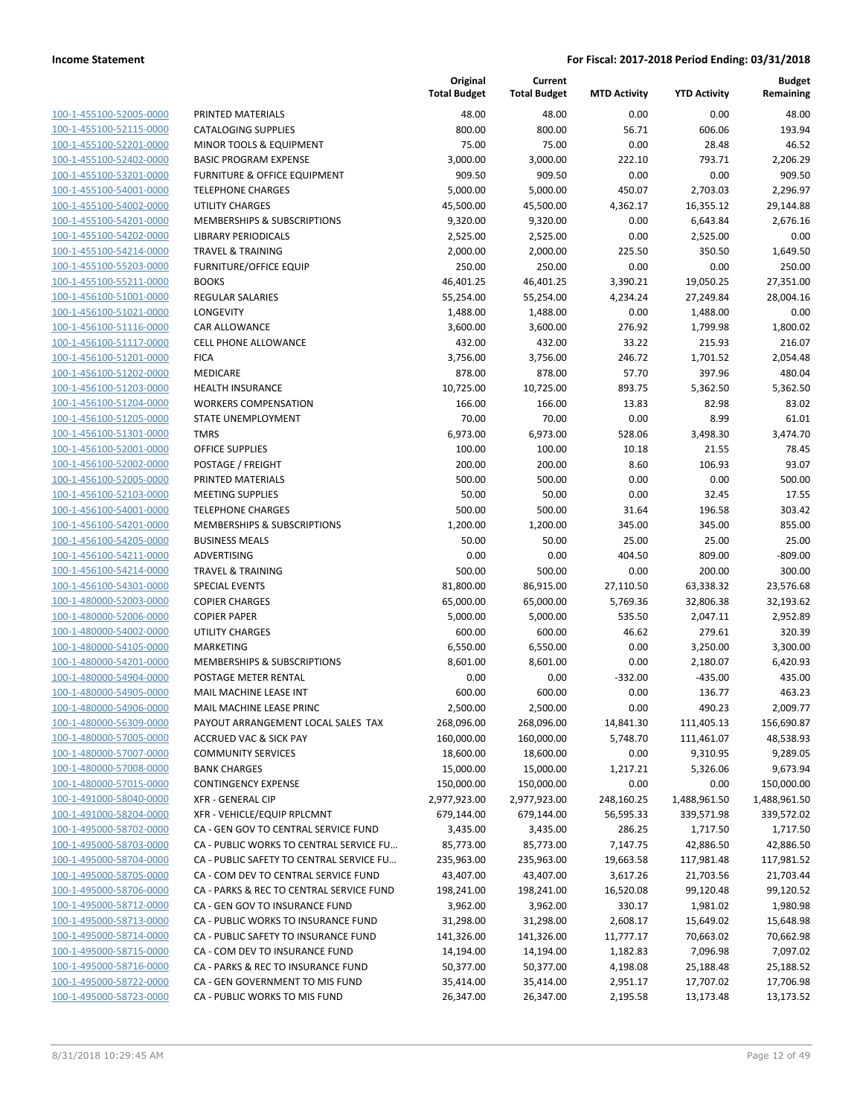**Budget Remaining**

|                         |                                          | Original<br><b>Total Budget</b> | Current<br><b>Total Budget</b> | <b>MTD Activity</b> | <b>YTD Activity</b> | <b>Budget</b><br>Remaining |
|-------------------------|------------------------------------------|---------------------------------|--------------------------------|---------------------|---------------------|----------------------------|
| 100-1-455100-52005-0000 | PRINTED MATERIALS                        | 48.00                           | 48.00                          | 0.00                | 0.00                | 48.00                      |
| 100-1-455100-52115-0000 | <b>CATALOGING SUPPLIES</b>               | 800.00                          | 800.00                         | 56.71               | 606.06              | 193.94                     |
| 100-1-455100-52201-0000 | MINOR TOOLS & EQUIPMENT                  | 75.00                           | 75.00                          | 0.00                | 28.48               | 46.52                      |
| 100-1-455100-52402-0000 | <b>BASIC PROGRAM EXPENSE</b>             | 3,000.00                        | 3,000.00                       | 222.10              | 793.71              | 2,206.29                   |
| 100-1-455100-53201-0000 | <b>FURNITURE &amp; OFFICE EQUIPMENT</b>  | 909.50                          | 909.50                         | 0.00                | 0.00                | 909.50                     |
| 100-1-455100-54001-0000 | <b>TELEPHONE CHARGES</b>                 | 5,000.00                        | 5,000.00                       | 450.07              | 2,703.03            | 2,296.97                   |
| 100-1-455100-54002-0000 | <b>UTILITY CHARGES</b>                   | 45,500.00                       | 45,500.00                      | 4,362.17            | 16,355.12           | 29,144.88                  |
| 100-1-455100-54201-0000 | MEMBERSHIPS & SUBSCRIPTIONS              | 9,320.00                        | 9,320.00                       | 0.00                | 6,643.84            | 2,676.16                   |
| 100-1-455100-54202-0000 | <b>LIBRARY PERIODICALS</b>               | 2,525.00                        | 2,525.00                       | 0.00                | 2,525.00            | 0.00                       |
| 100-1-455100-54214-0000 | <b>TRAVEL &amp; TRAINING</b>             | 2,000.00                        | 2,000.00                       | 225.50              | 350.50              | 1,649.50                   |
| 100-1-455100-55203-0000 | <b>FURNITURE/OFFICE EQUIP</b>            | 250.00                          | 250.00                         | 0.00                | 0.00                | 250.00                     |
| 100-1-455100-55211-0000 | <b>BOOKS</b>                             | 46,401.25                       | 46,401.25                      | 3,390.21            | 19,050.25           | 27,351.00                  |
| 100-1-456100-51001-0000 | <b>REGULAR SALARIES</b>                  | 55,254.00                       | 55,254.00                      | 4,234.24            | 27,249.84           | 28,004.16                  |
| 100-1-456100-51021-0000 | LONGEVITY                                | 1,488.00                        | 1,488.00                       | 0.00                | 1,488.00            | 0.00                       |
| 100-1-456100-51116-0000 | CAR ALLOWANCE                            | 3,600.00                        | 3,600.00                       | 276.92              | 1,799.98            | 1,800.02                   |
| 100-1-456100-51117-0000 | <b>CELL PHONE ALLOWANCE</b>              | 432.00                          | 432.00                         | 33.22               | 215.93              | 216.07                     |
| 100-1-456100-51201-0000 | <b>FICA</b>                              | 3,756.00                        | 3,756.00                       | 246.72              | 1,701.52            | 2,054.48                   |
| 100-1-456100-51202-0000 | MEDICARE                                 | 878.00                          | 878.00                         | 57.70               | 397.96              | 480.04                     |
| 100-1-456100-51203-0000 | <b>HEALTH INSURANCE</b>                  | 10,725.00                       | 10,725.00                      | 893.75              | 5,362.50            | 5,362.50                   |
| 100-1-456100-51204-0000 | <b>WORKERS COMPENSATION</b>              | 166.00                          | 166.00                         | 13.83               | 82.98               | 83.02                      |
| 100-1-456100-51205-0000 | STATE UNEMPLOYMENT                       | 70.00                           | 70.00                          | 0.00                | 8.99                | 61.01                      |
| 100-1-456100-51301-0000 | <b>TMRS</b>                              | 6,973.00                        | 6,973.00                       | 528.06              | 3,498.30            | 3,474.70                   |
| 100-1-456100-52001-0000 | <b>OFFICE SUPPLIES</b>                   | 100.00                          | 100.00                         | 10.18               | 21.55               | 78.45                      |
| 100-1-456100-52002-0000 | POSTAGE / FREIGHT                        | 200.00                          | 200.00                         | 8.60                | 106.93              | 93.07                      |
| 100-1-456100-52005-0000 | PRINTED MATERIALS                        | 500.00                          | 500.00                         | 0.00                | 0.00                | 500.00                     |
| 100-1-456100-52103-0000 | <b>MEETING SUPPLIES</b>                  | 50.00                           | 50.00                          | 0.00                | 32.45               | 17.55                      |
| 100-1-456100-54001-0000 | <b>TELEPHONE CHARGES</b>                 | 500.00                          | 500.00                         | 31.64               | 196.58              | 303.42                     |
| 100-1-456100-54201-0000 | MEMBERSHIPS & SUBSCRIPTIONS              | 1,200.00                        | 1,200.00                       | 345.00              | 345.00              | 855.00                     |
| 100-1-456100-54205-0000 | <b>BUSINESS MEALS</b>                    | 50.00                           | 50.00                          | 25.00               | 25.00               | 25.00                      |
| 100-1-456100-54211-0000 | ADVERTISING                              | 0.00                            | 0.00                           | 404.50              | 809.00              | $-809.00$                  |
| 100-1-456100-54214-0000 | <b>TRAVEL &amp; TRAINING</b>             | 500.00                          | 500.00                         | 0.00                | 200.00              | 300.00                     |
| 100-1-456100-54301-0000 | <b>SPECIAL EVENTS</b>                    | 81,800.00                       | 86,915.00                      | 27,110.50           | 63,338.32           | 23,576.68                  |
| 100-1-480000-52003-0000 | <b>COPIER CHARGES</b>                    | 65,000.00                       | 65,000.00                      | 5,769.36            | 32,806.38           | 32,193.62                  |
| 100-1-480000-52006-0000 | <b>COPIER PAPER</b>                      | 5,000.00                        | 5,000.00                       | 535.50              | 2,047.11            | 2,952.89                   |
| 100-1-480000-54002-0000 | <b>UTILITY CHARGES</b>                   | 600.00                          | 600.00                         | 46.62               | 279.61              | 320.39                     |
| 100-1-480000-54105-0000 | <b>MARKETING</b>                         | 6,550.00                        | 6,550.00                       | 0.00                | 3,250.00            | 3,300.00                   |
| 100-1-480000-54201-0000 | MEMBERSHIPS & SUBSCRIPTIONS              | 8,601.00                        | 8,601.00                       | 0.00                | 2,180.07            | 6,420.93                   |
| 100-1-480000-54904-0000 | POSTAGE METER RENTAL                     | 0.00                            | 0.00                           | $-332.00$           | $-435.00$           | 435.00                     |
| 100-1-480000-54905-0000 | MAIL MACHINE LEASE INT                   | 600.00                          | 600.00                         | 0.00                | 136.77              | 463.23                     |
| 100-1-480000-54906-0000 | MAIL MACHINE LEASE PRINC                 | 2,500.00                        | 2,500.00                       | 0.00                | 490.23              | 2,009.77                   |
| 100-1-480000-56309-0000 | PAYOUT ARRANGEMENT LOCAL SALES TAX       | 268,096.00                      | 268,096.00                     | 14,841.30           | 111,405.13          | 156,690.87                 |
| 100-1-480000-57005-0000 | ACCRUED VAC & SICK PAY                   | 160,000.00                      | 160,000.00                     | 5,748.70            | 111,461.07          | 48,538.93                  |
| 100-1-480000-57007-0000 | <b>COMMUNITY SERVICES</b>                | 18,600.00                       | 18,600.00                      | 0.00                | 9,310.95            | 9,289.05                   |
| 100-1-480000-57008-0000 | <b>BANK CHARGES</b>                      | 15,000.00                       | 15,000.00                      | 1,217.21            | 5,326.06            | 9,673.94                   |
| 100-1-480000-57015-0000 | <b>CONTINGENCY EXPENSE</b>               | 150,000.00                      | 150,000.00                     | 0.00                | 0.00                | 150,000.00                 |
| 100-1-491000-58040-0000 | XFR - GENERAL CIP                        | 2,977,923.00                    | 2,977,923.00                   | 248,160.25          | 1,488,961.50        | 1,488,961.50               |
| 100-1-491000-58204-0000 | XFR - VEHICLE/EQUIP RPLCMNT              | 679,144.00                      | 679,144.00                     | 56,595.33           | 339,571.98          | 339,572.02                 |
| 100-1-495000-58702-0000 | CA - GEN GOV TO CENTRAL SERVICE FUND     | 3,435.00                        | 3,435.00                       | 286.25              | 1,717.50            | 1,717.50                   |
| 100-1-495000-58703-0000 | CA - PUBLIC WORKS TO CENTRAL SERVICE FU  | 85,773.00                       | 85,773.00                      | 7,147.75            | 42,886.50           | 42,886.50                  |
| 100-1-495000-58704-0000 | CA - PUBLIC SAFETY TO CENTRAL SERVICE FU | 235,963.00                      | 235,963.00                     | 19,663.58           | 117,981.48          | 117,981.52                 |
| 100-1-495000-58705-0000 | CA - COM DEV TO CENTRAL SERVICE FUND     | 43,407.00                       | 43,407.00                      | 3,617.26            | 21,703.56           | 21,703.44                  |
| 100-1-495000-58706-0000 | CA - PARKS & REC TO CENTRAL SERVICE FUND | 198,241.00                      | 198,241.00                     | 16,520.08           | 99,120.48           | 99,120.52                  |
| 100-1-495000-58712-0000 | CA - GEN GOV TO INSURANCE FUND           | 3,962.00                        | 3,962.00                       | 330.17              | 1,981.02            | 1,980.98                   |
| 100-1-495000-58713-0000 | CA - PUBLIC WORKS TO INSURANCE FUND      | 31,298.00                       | 31,298.00                      | 2,608.17            | 15,649.02           | 15,648.98                  |
| 100-1-495000-58714-0000 | CA - PUBLIC SAFETY TO INSURANCE FUND     | 141,326.00                      | 141,326.00                     | 11,777.17           | 70,663.02           | 70,662.98                  |
| 100-1-495000-58715-0000 | CA - COM DEV TO INSURANCE FUND           | 14,194.00                       | 14,194.00                      | 1,182.83            | 7,096.98            | 7,097.02                   |
| 100-1-495000-58716-0000 | CA - PARKS & REC TO INSURANCE FUND       | 50,377.00                       | 50,377.00                      | 4,198.08            | 25,188.48           | 25,188.52                  |
| 100-1-495000-58722-0000 | CA - GEN GOVERNMENT TO MIS FUND          | 35,414.00                       | 35,414.00                      | 2,951.17            | 17,707.02           | 17,706.98                  |
| 100-1-495000-58723-0000 | CA - PUBLIC WORKS TO MIS FUND            | 26,347.00                       | 26,347.00                      | 2,195.58            | 13,173.48           | 13,173.52                  |
|                         |                                          |                                 |                                |                     |                     |                            |

| 8/31/2018 10:29:45 AM                              |                                                                       |                        |                        |                      |                        | Page 12 of 49          |
|----------------------------------------------------|-----------------------------------------------------------------------|------------------------|------------------------|----------------------|------------------------|------------------------|
|                                                    |                                                                       |                        |                        |                      |                        |                        |
|                                                    |                                                                       |                        |                        |                      |                        |                        |
| 100-1-495000-58723-0000                            | CA - PUBLIC WORKS TO MIS FUND                                         | 26,347.00              | 26,347.00              | 2,195.58             | 13,173.48              | 13,173.52              |
| 100-1-495000-58716-0000<br>100-1-495000-58722-0000 | CA - PARKS & REC TO INSURANCE FUND<br>CA - GEN GOVERNMENT TO MIS FUND | 50,377.00<br>35,414.00 | 50,377.00<br>35,414.00 | 4,198.08<br>2,951.17 | 25,188.48<br>17,707.02 | 25,188.52<br>17,706.98 |
| 100-1-495000-58715-0000                            | CA - COM DEV TO INSURANCE FUND                                        | 14,194.00              | 14,194.00              | 1,182.83             | 7,096.98               | 7,097.02               |
| 100-1-495000-58714-0000                            | CA - PUBLIC SAFETY TO INSURANCE FUND                                  | 141,326.00             | 141,326.00             | 11,777.17            | 70,663.02              | 70,662.98              |
| 100-1-495000-58713-0000                            | CA - PUBLIC WORKS TO INSURANCE FUND                                   | 31,298.00              | 31,298.00              | 2,608.17             | 15,649.02              | 15,648.98              |
| 100-1-495000-58712-0000                            | CA - GEN GOV TO INSURANCE FUND                                        | 3,962.00               | 3,962.00               | 330.17               | 1,981.02               | 1,980.98               |
| 100-1-495000-58706-0000                            | CA - PARKS & REC TO CENTRAL SERVICE FUND                              | 198,241.00             | 198,241.00             | 16,520.08            | 99,120.48              | 99,120.52              |
| 100-1-495000-58705-0000                            | CA - COM DEV TO CENTRAL SERVICE FUND                                  | 43,407.00              | 43,407.00              | 3,617.26             | 21,703.56              | 21,703.44              |
| 100-1-495000-58704-0000                            | CA - PUBLIC SAFETY TO CENTRAL SERVICE FU                              | 235,963.00             | 235,963.00             | 19,663.58            | 117,981.48             | 117,981.52             |
| 100-1-495000-58703-0000                            | CA - PUBLIC WORKS TO CENTRAL SERVICE FU                               | 85,773.00              | 85,773.00              | 7,147.75             | 42,886.50              | 42,886.50              |
| 100-1-495000-58702-0000                            |                                                                       | 3,435.00               | 3,435.00               |                      | 1,717.50               | 1,717.50               |
|                                                    | CA - GEN GOV TO CENTRAL SERVICE FUND                                  |                        |                        | 286.25               |                        |                        |
| 100-1-491000-58204-0000                            | XFR - VEHICLE/EQUIP RPLCMNT                                           | 679,144.00             | 679,144.00             | 56,595.33            | 339,571.98             | 339,572.02             |
| 100-1-491000-58040-0000                            | <b>XFR - GENERAL CIP</b>                                              | 2,977,923.00           | 2,977,923.00           | 248,160.25           | 1,488,961.50           | 1,488,961.50           |
| 100-1-480000-57015-0000                            | <b>CONTINGENCY EXPENSE</b>                                            | 150,000.00             | 150,000.00             | 0.00                 | 0.00                   | 150,000.00             |
| 100-1-480000-57008-0000                            | <b>BANK CHARGES</b>                                                   | 18,600.00<br>15,000.00 | 18,600.00<br>15,000.00 | 1,217.21             | 9,310.95<br>5,326.06   | 9,673.94               |
| 100-1-480000-57007-0000                            | <b>COMMUNITY SERVICES</b>                                             | 160,000.00             | 160,000.00             | 5,748.70<br>0.00     | 111,461.07             | 48,538.93<br>9,289.05  |
| 100-1-480000-57005-0000                            | <b>ACCRUED VAC &amp; SICK PAY</b>                                     |                        | 268,096.00             |                      |                        |                        |
| 100-1-480000-54906-0000<br>100-1-480000-56309-0000 | PAYOUT ARRANGEMENT LOCAL SALES TAX                                    | 2,500.00<br>268,096.00 |                        | 14,841.30            | 490.23<br>111,405.13   | 2,009.77<br>156,690.87 |
|                                                    | MAIL MACHINE LEASE INT<br>MAIL MACHINE LEASE PRINC                    | 600.00                 | 600.00<br>2,500.00     | 0.00<br>0.00         | 136.77                 | 463.23                 |
| 100-1-480000-54904-0000<br>100-1-480000-54905-0000 | POSTAGE METER RENTAL                                                  | 0.00                   | 0.00                   | $-332.00$            | $-435.00$              | 435.00                 |
|                                                    | MEMBERSHIPS & SUBSCRIPTIONS                                           | 8,601.00               | 8,601.00               | 0.00                 | 2,180.07               | 6,420.93               |
| 100-1-480000-54105-0000<br>100-1-480000-54201-0000 | <b>MARKETING</b>                                                      | 6,550.00               | 6,550.00               | 0.00                 | 3,250.00               | 3,300.00               |
| 100-1-480000-54002-0000                            | <b>UTILITY CHARGES</b>                                                | 600.00                 | 600.00                 | 46.62                | 279.61                 | 320.39                 |
| 100-1-480000-52006-0000                            | <b>COPIER PAPER</b>                                                   | 5,000.00               | 5,000.00               | 535.50               | 2,047.11               | 2,952.89               |
| 100-1-480000-52003-0000                            | <b>COPIER CHARGES</b>                                                 | 65,000.00              | 65,000.00              | 5,769.36             | 32,806.38              | 32,193.62              |
| 100-1-456100-54301-0000                            | <b>SPECIAL EVENTS</b>                                                 | 81,800.00              | 86,915.00              | 27,110.50            | 63,338.32              | 23,576.68              |
| 100-1-456100-54214-0000                            | <b>TRAVEL &amp; TRAINING</b>                                          | 500.00                 | 500.00                 | 0.00                 | 200.00                 | 300.00                 |
| 100-1-456100-54211-0000                            | ADVERTISING                                                           | 0.00                   | 0.00                   | 404.50               | 809.00                 | $-809.00$              |
| 100-1-456100-54205-0000                            | <b>BUSINESS MEALS</b>                                                 | 50.00                  | 50.00                  | 25.00                | 25.00                  | 25.00                  |
| 100-1-456100-54201-0000                            | MEMBERSHIPS & SUBSCRIPTIONS                                           | 1,200.00               | 1,200.00               | 345.00               | 345.00                 | 855.00                 |
| 100-1-456100-54001-0000                            | <b>TELEPHONE CHARGES</b>                                              | 500.00                 | 500.00                 | 31.64                | 196.58                 | 303.42                 |
| 100-1-456100-52103-0000                            | <b>MEETING SUPPLIES</b>                                               | 50.00                  | 50.00                  | 0.00                 | 32.45                  | 17.55                  |
| 100-1-456100-52005-0000                            | PRINTED MATERIALS                                                     | 500.00                 | 500.00                 | 0.00                 | 0.00                   | 500.00                 |
| 100-1-456100-52002-0000                            | POSTAGE / FREIGHT                                                     | 200.00                 | 200.00                 | 8.60                 | 106.93                 | 93.07                  |
| 100-1-456100-52001-0000                            | <b>OFFICE SUPPLIES</b>                                                | 100.00                 | 100.00                 | 10.18                | 21.55                  | 78.45                  |
| 100-1-456100-51301-0000                            | <b>TMRS</b>                                                           | 6,973.00               | 6,973.00               | 528.06               | 3,498.30               | 3,474.70               |
| 100-1-456100-51205-0000                            | STATE UNEMPLOYMENT                                                    | 70.00                  | 70.00                  | 0.00                 | 8.99                   | 61.01                  |
| 100-1-456100-51204-0000                            | <b>WORKERS COMPENSATION</b>                                           | 166.00                 | 166.00                 | 13.83                | 82.98                  | 83.02                  |
| 100-1-456100-51203-0000                            | <b>HEALTH INSURANCE</b>                                               | 10,725.00              | 10,725.00              | 893.75               | 5,362.50               | 5,362.50               |
| 100-1-456100-51202-0000                            | <b>MEDICARE</b>                                                       | 878.00                 | 878.00                 | 57.70                | 397.96                 | 480.04                 |
| 100-1-456100-51201-0000                            | <b>FICA</b>                                                           | 3,756.00               | 3,756.00               | 246.72               | 1,701.52               | 2,054.48               |
| 100-1-456100-51117-0000                            | <b>CELL PHONE ALLOWANCE</b>                                           | 432.00                 | 432.00                 | 33.22                | 215.93                 | 216.07                 |
| 100-1-456100-51116-0000                            | <b>CAR ALLOWANCE</b>                                                  | 3,600.00               | 3,600.00               | 276.92               | 1,799.98               | 1,800.02               |
| 100-1-456100-51021-0000                            | <b>LONGEVITY</b>                                                      | 1,488.00               | 1,488.00               | 0.00                 | 1,488.00               | 0.00                   |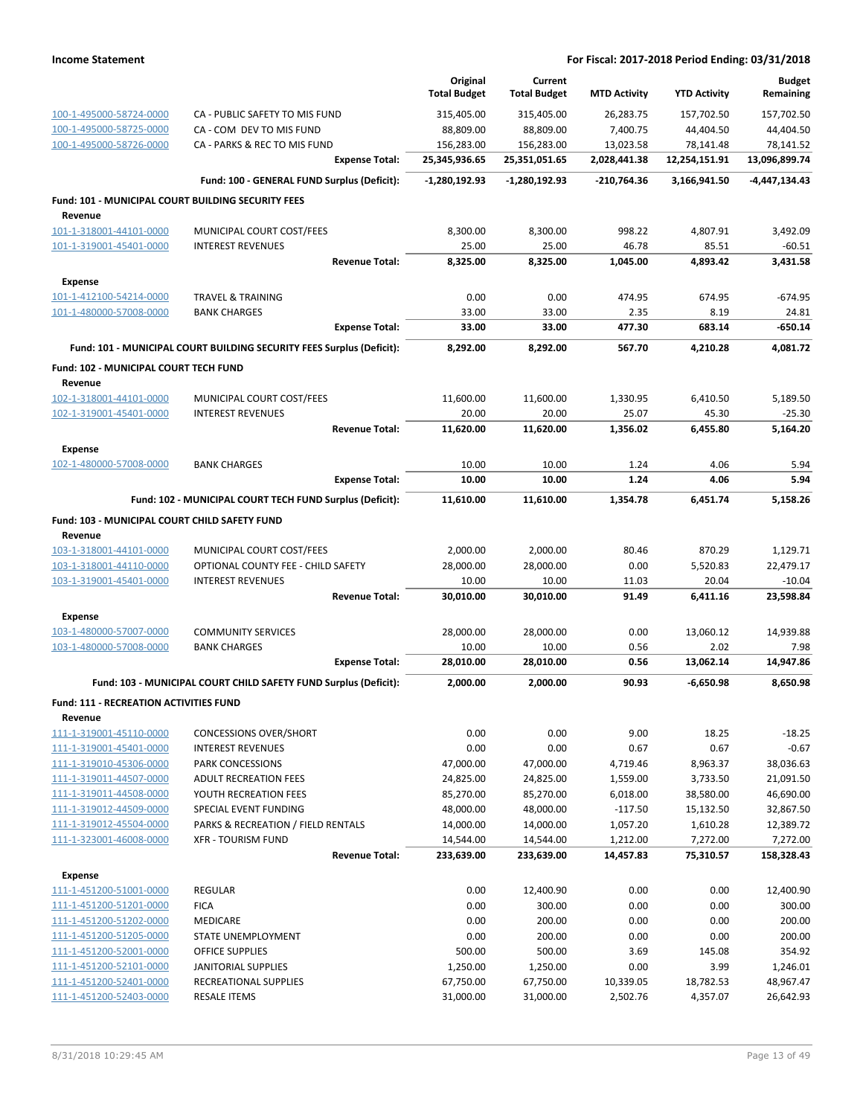|                                                    |                                                                       | Original<br><b>Total Budget</b> | Current<br><b>Total Budget</b> | <b>MTD Activity</b>   | <b>YTD Activity</b>   | <b>Budget</b><br>Remaining |
|----------------------------------------------------|-----------------------------------------------------------------------|---------------------------------|--------------------------------|-----------------------|-----------------------|----------------------------|
| 100-1-495000-58724-0000                            | CA - PUBLIC SAFETY TO MIS FUND                                        | 315,405.00                      | 315,405.00                     | 26,283.75             | 157,702.50            | 157,702.50                 |
| 100-1-495000-58725-0000                            | CA - COM DEV TO MIS FUND                                              | 88,809.00                       | 88,809.00                      | 7,400.75              | 44,404.50             | 44,404.50                  |
| 100-1-495000-58726-0000                            | CA - PARKS & REC TO MIS FUND                                          | 156,283.00                      | 156,283.00                     | 13,023.58             | 78,141.48             | 78,141.52                  |
|                                                    | <b>Expense Total:</b>                                                 | 25,345,936.65                   | 25,351,051.65                  | 2,028,441.38          | 12,254,151.91         | 13,096,899.74              |
|                                                    | Fund: 100 - GENERAL FUND Surplus (Deficit):                           | $-1,280,192.93$                 | $-1,280,192.93$                | -210,764.36           | 3,166,941.50          | -4,447,134.43              |
| Fund: 101 - MUNICIPAL COURT BUILDING SECURITY FEES |                                                                       |                                 |                                |                       |                       |                            |
| Revenue                                            |                                                                       |                                 |                                |                       |                       |                            |
| 101-1-318001-44101-0000                            | MUNICIPAL COURT COST/FEES                                             | 8,300.00                        | 8,300.00                       | 998.22                | 4,807.91              | 3,492.09                   |
| 101-1-319001-45401-0000                            | <b>INTEREST REVENUES</b>                                              | 25.00                           | 25.00                          | 46.78                 | 85.51                 | $-60.51$                   |
|                                                    | <b>Revenue Total:</b>                                                 | 8,325.00                        | 8,325.00                       | 1,045.00              | 4,893.42              | 3,431.58                   |
| Expense                                            |                                                                       |                                 |                                |                       |                       |                            |
| 101-1-412100-54214-0000                            | <b>TRAVEL &amp; TRAINING</b>                                          | 0.00                            | 0.00                           | 474.95                | 674.95                | $-674.95$                  |
| 101-1-480000-57008-0000                            | <b>BANK CHARGES</b>                                                   | 33.00                           | 33.00                          | 2.35                  | 8.19                  | 24.81                      |
|                                                    | <b>Expense Total:</b>                                                 | 33.00                           | 33.00                          | 477.30                | 683.14                | $-650.14$                  |
|                                                    | Fund: 101 - MUNICIPAL COURT BUILDING SECURITY FEES Surplus (Deficit): | 8,292.00                        | 8,292.00                       | 567.70                | 4,210.28              | 4,081.72                   |
| Fund: 102 - MUNICIPAL COURT TECH FUND              |                                                                       |                                 |                                |                       |                       |                            |
| Revenue                                            |                                                                       |                                 |                                |                       |                       |                            |
| 102-1-318001-44101-0000                            | MUNICIPAL COURT COST/FEES                                             | 11,600.00                       | 11,600.00                      | 1,330.95              | 6,410.50              | 5,189.50                   |
| 102-1-319001-45401-0000                            | <b>INTEREST REVENUES</b>                                              | 20.00                           | 20.00                          | 25.07                 | 45.30                 | $-25.30$                   |
|                                                    | <b>Revenue Total:</b>                                                 | 11,620.00                       | 11,620.00                      | 1,356.02              | 6,455.80              | 5,164.20                   |
| <b>Expense</b>                                     |                                                                       |                                 |                                |                       |                       |                            |
| 102-1-480000-57008-0000                            | <b>BANK CHARGES</b>                                                   | 10.00                           | 10.00                          | 1.24                  | 4.06                  | 5.94                       |
|                                                    | <b>Expense Total:</b>                                                 | 10.00                           | 10.00                          | 1.24                  | 4.06                  | 5.94                       |
|                                                    | Fund: 102 - MUNICIPAL COURT TECH FUND Surplus (Deficit):              | 11,610.00                       | 11,610.00                      | 1,354.78              | 6,451.74              | 5,158.26                   |
| Fund: 103 - MUNICIPAL COURT CHILD SAFETY FUND      |                                                                       |                                 |                                |                       |                       |                            |
| Revenue                                            |                                                                       |                                 |                                |                       |                       |                            |
| 103-1-318001-44101-0000                            | MUNICIPAL COURT COST/FEES                                             | 2,000.00                        | 2,000.00                       | 80.46                 | 870.29                | 1,129.71                   |
| 103-1-318001-44110-0000                            | OPTIONAL COUNTY FEE - CHILD SAFETY                                    | 28,000.00                       | 28,000.00                      | 0.00                  | 5,520.83              | 22,479.17                  |
| 103-1-319001-45401-0000                            | <b>INTEREST REVENUES</b>                                              | 10.00                           | 10.00                          | 11.03                 | 20.04                 | $-10.04$                   |
|                                                    | <b>Revenue Total:</b>                                                 | 30,010.00                       | 30,010.00                      | 91.49                 | 6,411.16              | 23,598.84                  |
| <b>Expense</b>                                     |                                                                       |                                 |                                |                       |                       |                            |
| 103-1-480000-57007-0000                            | <b>COMMUNITY SERVICES</b>                                             | 28,000.00                       | 28,000.00                      | 0.00                  | 13,060.12             | 14,939.88                  |
| 103-1-480000-57008-0000                            | <b>BANK CHARGES</b>                                                   | 10.00                           | 10.00                          | 0.56                  | 2.02                  | 7.98                       |
|                                                    | <b>Expense Total:</b>                                                 | 28,010.00                       | 28,010.00                      | 0.56                  | 13,062.14             | 14,947.86                  |
|                                                    | Fund: 103 - MUNICIPAL COURT CHILD SAFETY FUND Surplus (Deficit):      | 2,000.00                        | 2,000.00                       | 90.93                 | -6,650.98             | 8,650.98                   |
| Fund: 111 - RECREATION ACTIVITIES FUND             |                                                                       |                                 |                                |                       |                       |                            |
| Revenue                                            |                                                                       |                                 |                                |                       |                       |                            |
| 111-1-319001-45110-0000                            | <b>CONCESSIONS OVER/SHORT</b>                                         | 0.00                            | 0.00                           | 9.00                  | 18.25                 | $-18.25$                   |
| 111-1-319001-45401-0000                            | <b>INTEREST REVENUES</b>                                              | 0.00                            | 0.00                           | 0.67                  | 0.67                  | $-0.67$                    |
| 111-1-319010-45306-0000                            | PARK CONCESSIONS                                                      | 47,000.00                       | 47,000.00                      | 4,719.46              | 8,963.37              | 38,036.63                  |
| 111-1-319011-44507-0000                            | <b>ADULT RECREATION FEES</b>                                          | 24,825.00                       | 24,825.00                      | 1,559.00              | 3,733.50              | 21,091.50                  |
| 111-1-319011-44508-0000                            | YOUTH RECREATION FEES                                                 | 85,270.00                       | 85,270.00                      | 6,018.00              | 38,580.00             | 46,690.00                  |
| 111-1-319012-44509-0000                            | SPECIAL EVENT FUNDING                                                 | 48,000.00                       | 48,000.00                      | $-117.50$             | 15,132.50             | 32,867.50                  |
| 111-1-319012-45504-0000                            | PARKS & RECREATION / FIELD RENTALS<br><b>XFR - TOURISM FUND</b>       | 14,000.00                       | 14,000.00                      | 1,057.20              | 1,610.28              | 12,389.72                  |
| 111-1-323001-46008-0000                            | <b>Revenue Total:</b>                                                 | 14,544.00<br>233,639.00         | 14,544.00<br>233,639.00        | 1,212.00<br>14,457.83 | 7,272.00<br>75,310.57 | 7,272.00<br>158,328.43     |
|                                                    |                                                                       |                                 |                                |                       |                       |                            |
| <b>Expense</b>                                     |                                                                       |                                 |                                |                       |                       |                            |
| 111-1-451200-51001-0000<br>111-1-451200-51201-0000 | <b>REGULAR</b><br><b>FICA</b>                                         | 0.00<br>0.00                    | 12,400.90<br>300.00            | 0.00<br>0.00          | 0.00<br>0.00          | 12,400.90<br>300.00        |
| 111-1-451200-51202-0000                            | <b>MEDICARE</b>                                                       | 0.00                            | 200.00                         | 0.00                  | 0.00                  | 200.00                     |
| 111-1-451200-51205-0000                            | STATE UNEMPLOYMENT                                                    | 0.00                            | 200.00                         | 0.00                  | 0.00                  | 200.00                     |
| 111-1-451200-52001-0000                            | OFFICE SUPPLIES                                                       | 500.00                          | 500.00                         | 3.69                  | 145.08                | 354.92                     |
| 111-1-451200-52101-0000                            | <b>JANITORIAL SUPPLIES</b>                                            | 1,250.00                        | 1,250.00                       | 0.00                  | 3.99                  | 1,246.01                   |
| 111-1-451200-52401-0000                            | RECREATIONAL SUPPLIES                                                 | 67,750.00                       | 67,750.00                      | 10,339.05             | 18,782.53             | 48,967.47                  |
| 111-1-451200-52403-0000                            | <b>RESALE ITEMS</b>                                                   | 31,000.00                       | 31,000.00                      | 2,502.76              | 4,357.07              | 26,642.93                  |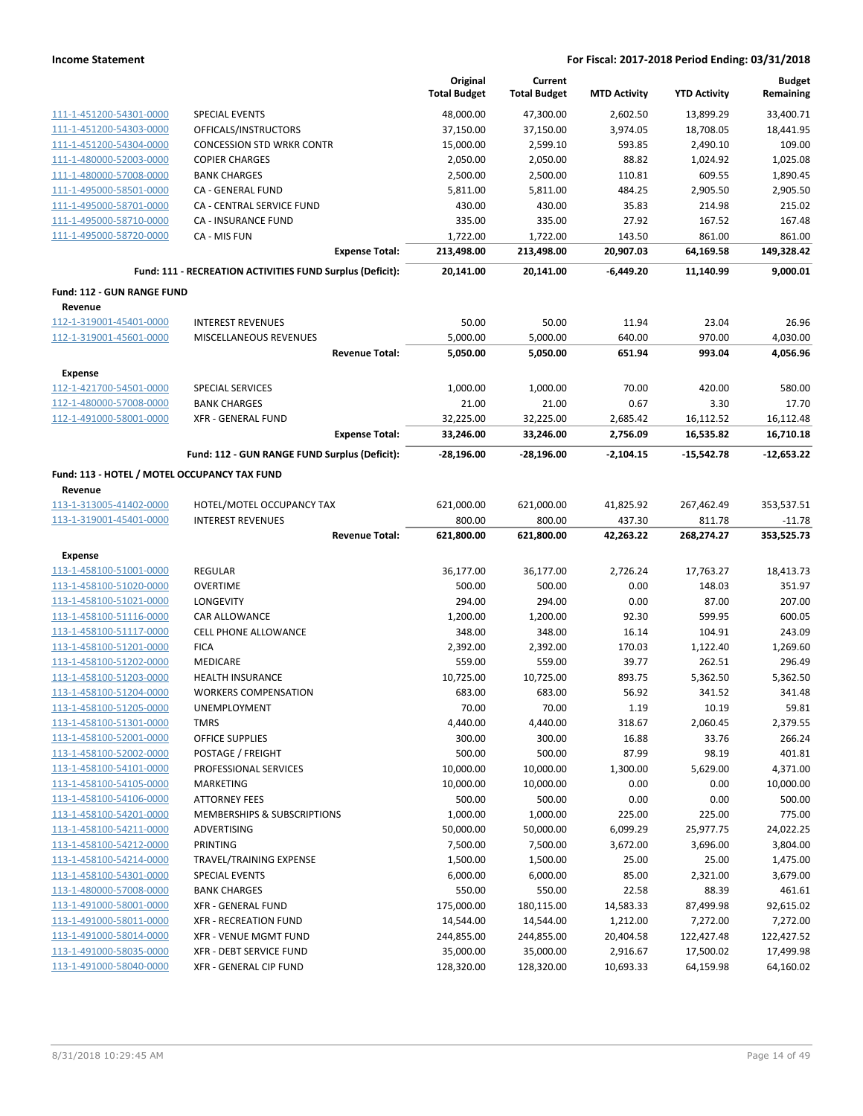|                                                    |                                                           | Original<br><b>Total Budget</b> | Current<br><b>Total Budget</b> | <b>MTD Activity</b>   | <b>YTD Activity</b>    | <b>Budget</b><br>Remaining |
|----------------------------------------------------|-----------------------------------------------------------|---------------------------------|--------------------------------|-----------------------|------------------------|----------------------------|
| 111-1-451200-54301-0000                            | <b>SPECIAL EVENTS</b>                                     | 48,000.00                       | 47,300.00                      | 2,602.50              | 13,899.29              | 33,400.71                  |
| 111-1-451200-54303-0000                            | OFFICALS/INSTRUCTORS                                      | 37,150.00                       | 37,150.00                      | 3,974.05              | 18,708.05              | 18,441.95                  |
| 111-1-451200-54304-0000                            | <b>CONCESSION STD WRKR CONTR</b>                          | 15,000.00                       | 2,599.10                       | 593.85                | 2,490.10               | 109.00                     |
| 111-1-480000-52003-0000                            | <b>COPIER CHARGES</b>                                     | 2,050.00                        | 2,050.00                       | 88.82                 | 1,024.92               | 1,025.08                   |
| 111-1-480000-57008-0000                            | <b>BANK CHARGES</b>                                       | 2,500.00                        | 2,500.00                       | 110.81                | 609.55                 | 1,890.45                   |
| 111-1-495000-58501-0000                            | CA - GENERAL FUND                                         | 5,811.00                        | 5,811.00                       | 484.25                | 2,905.50               | 2,905.50                   |
| 111-1-495000-58701-0000                            | CA - CENTRAL SERVICE FUND                                 | 430.00                          | 430.00                         | 35.83                 | 214.98                 | 215.02                     |
| 111-1-495000-58710-0000                            | CA - INSURANCE FUND                                       | 335.00                          | 335.00                         | 27.92                 | 167.52                 | 167.48                     |
| 111-1-495000-58720-0000                            | CA - MIS FUN                                              | 1,722.00                        | 1,722.00                       | 143.50                | 861.00                 | 861.00                     |
|                                                    | <b>Expense Total:</b>                                     | 213,498.00                      | 213,498.00                     | 20,907.03             | 64,169.58              | 149,328.42                 |
|                                                    | Fund: 111 - RECREATION ACTIVITIES FUND Surplus (Deficit): | 20,141.00                       | 20,141.00                      | $-6.449.20$           | 11,140.99              | 9,000.01                   |
| Fund: 112 - GUN RANGE FUND                         |                                                           |                                 |                                |                       |                        |                            |
| Revenue                                            |                                                           |                                 |                                |                       |                        |                            |
| 112-1-319001-45401-0000                            | <b>INTEREST REVENUES</b>                                  | 50.00                           | 50.00                          | 11.94                 | 23.04                  | 26.96                      |
| 112-1-319001-45601-0000                            | MISCELLANEOUS REVENUES<br><b>Revenue Total:</b>           | 5,000.00<br>5,050.00            | 5,000.00<br>5,050.00           | 640.00<br>651.94      | 970.00<br>993.04       | 4,030.00<br>4,056.96       |
| <b>Expense</b>                                     |                                                           |                                 |                                |                       |                        |                            |
| 112-1-421700-54501-0000                            | <b>SPECIAL SERVICES</b>                                   | 1,000.00                        | 1,000.00                       | 70.00                 | 420.00                 | 580.00                     |
| 112-1-480000-57008-0000                            | <b>BANK CHARGES</b>                                       | 21.00                           | 21.00                          | 0.67                  | 3.30                   | 17.70                      |
| 112-1-491000-58001-0000                            | XFR - GENERAL FUND                                        | 32,225.00                       | 32,225.00                      | 2,685.42              | 16,112.52              | 16,112.48                  |
|                                                    | <b>Expense Total:</b>                                     | 33,246.00                       | 33,246.00                      | 2,756.09              | 16,535.82              | 16,710.18                  |
|                                                    | Fund: 112 - GUN RANGE FUND Surplus (Deficit):             | $-28,196.00$                    | $-28,196.00$                   | $-2,104.15$           | $-15,542.78$           | $-12,653.22$               |
| Fund: 113 - HOTEL / MOTEL OCCUPANCY TAX FUND       |                                                           |                                 |                                |                       |                        |                            |
| Revenue                                            |                                                           |                                 |                                |                       |                        |                            |
| 113-1-313005-41402-0000                            | HOTEL/MOTEL OCCUPANCY TAX                                 | 621,000.00                      | 621,000.00                     | 41,825.92             | 267,462.49             | 353,537.51                 |
| 113-1-319001-45401-0000                            | <b>INTEREST REVENUES</b>                                  | 800.00                          | 800.00                         | 437.30                | 811.78                 | $-11.78$                   |
|                                                    | <b>Revenue Total:</b>                                     | 621,800.00                      | 621,800.00                     | 42,263.22             | 268,274.27             | 353,525.73                 |
| Expense                                            |                                                           |                                 |                                |                       |                        |                            |
| 113-1-458100-51001-0000                            | <b>REGULAR</b>                                            | 36,177.00                       | 36,177.00                      | 2,726.24              | 17,763.27              | 18,413.73                  |
| 113-1-458100-51020-0000                            | <b>OVERTIME</b>                                           | 500.00                          | 500.00                         | 0.00                  | 148.03                 | 351.97                     |
| 113-1-458100-51021-0000                            | LONGEVITY                                                 | 294.00                          | 294.00                         | 0.00                  | 87.00                  | 207.00                     |
| 113-1-458100-51116-0000                            | CAR ALLOWANCE                                             | 1,200.00                        | 1,200.00                       | 92.30                 | 599.95                 | 600.05                     |
| 113-1-458100-51117-0000                            | <b>CELL PHONE ALLOWANCE</b>                               | 348.00                          | 348.00                         | 16.14                 | 104.91                 | 243.09                     |
| 113-1-458100-51201-0000                            | <b>FICA</b>                                               | 2,392.00                        | 2,392.00                       | 170.03                | 1,122.40               | 1,269.60                   |
| 113-1-458100-51202-0000                            | MEDICARE                                                  | 559.00                          | 559.00                         | 39.77                 | 262.51                 | 296.49                     |
| 113-1-458100-51203-0000                            | HEALTH INSURANCE                                          | 10,725.00                       | 10,725.00                      | 893.75                | 5,362.50               | 5,362.50                   |
| 113-1-458100-51204-0000                            | <b>WORKERS COMPENSATION</b>                               | 683.00                          | 683.00                         | 56.92                 | 341.52                 | 341.48                     |
| 113-1-458100-51205-0000                            | UNEMPLOYMENT                                              | 70.00                           | 70.00                          | 1.19                  | 10.19                  | 59.81                      |
| 113-1-458100-51301-0000                            | TMRS                                                      | 4,440.00                        | 4,440.00                       | 318.67                | 2,060.45               | 2,379.55                   |
| 113-1-458100-52001-0000                            | <b>OFFICE SUPPLIES</b>                                    | 300.00                          | 300.00                         | 16.88                 | 33.76                  | 266.24                     |
| 113-1-458100-52002-0000                            | POSTAGE / FREIGHT                                         | 500.00                          | 500.00                         | 87.99                 | 98.19                  | 401.81                     |
| 113-1-458100-54101-0000                            | PROFESSIONAL SERVICES                                     | 10,000.00                       | 10,000.00                      | 1,300.00              | 5,629.00               | 4,371.00                   |
| 113-1-458100-54105-0000                            | MARKETING                                                 | 10,000.00                       | 10,000.00                      | 0.00                  | 0.00                   | 10,000.00                  |
| 113-1-458100-54106-0000                            | <b>ATTORNEY FEES</b>                                      | 500.00                          | 500.00                         | 0.00                  | 0.00                   | 500.00                     |
| 113-1-458100-54201-0000                            | MEMBERSHIPS & SUBSCRIPTIONS                               | 1,000.00                        | 1,000.00                       | 225.00                | 225.00                 | 775.00                     |
| 113-1-458100-54211-0000                            | ADVERTISING                                               | 50,000.00                       | 50,000.00                      | 6,099.29              | 25,977.75              | 24,022.25                  |
| 113-1-458100-54212-0000                            | PRINTING                                                  | 7,500.00                        | 7,500.00                       | 3,672.00              | 3,696.00               | 3,804.00                   |
| 113-1-458100-54214-0000                            | TRAVEL/TRAINING EXPENSE                                   | 1,500.00                        | 1,500.00                       | 25.00                 | 25.00                  | 1,475.00                   |
| 113-1-458100-54301-0000                            | SPECIAL EVENTS                                            | 6,000.00                        | 6,000.00                       | 85.00                 | 2,321.00               | 3,679.00                   |
| 113-1-480000-57008-0000                            | <b>BANK CHARGES</b>                                       | 550.00                          | 550.00                         | 22.58                 | 88.39                  | 461.61                     |
| 113-1-491000-58001-0000                            | <b>XFR - GENERAL FUND</b>                                 | 175,000.00                      | 180,115.00                     | 14,583.33             | 87,499.98              | 92,615.02                  |
| 113-1-491000-58011-0000                            | XFR - RECREATION FUND                                     | 14,544.00                       | 14,544.00                      | 1,212.00              | 7,272.00               | 7,272.00                   |
| 113-1-491000-58014-0000                            | XFR - VENUE MGMT FUND                                     | 244,855.00                      | 244,855.00                     | 20,404.58             | 122,427.48             | 122,427.52                 |
| 113-1-491000-58035-0000<br>113-1-491000-58040-0000 | XFR - DEBT SERVICE FUND<br>XFR - GENERAL CIP FUND         | 35,000.00<br>128,320.00         | 35,000.00<br>128,320.00        | 2,916.67<br>10,693.33 | 17,500.02<br>64,159.98 | 17,499.98<br>64,160.02     |
|                                                    |                                                           |                                 |                                |                       |                        |                            |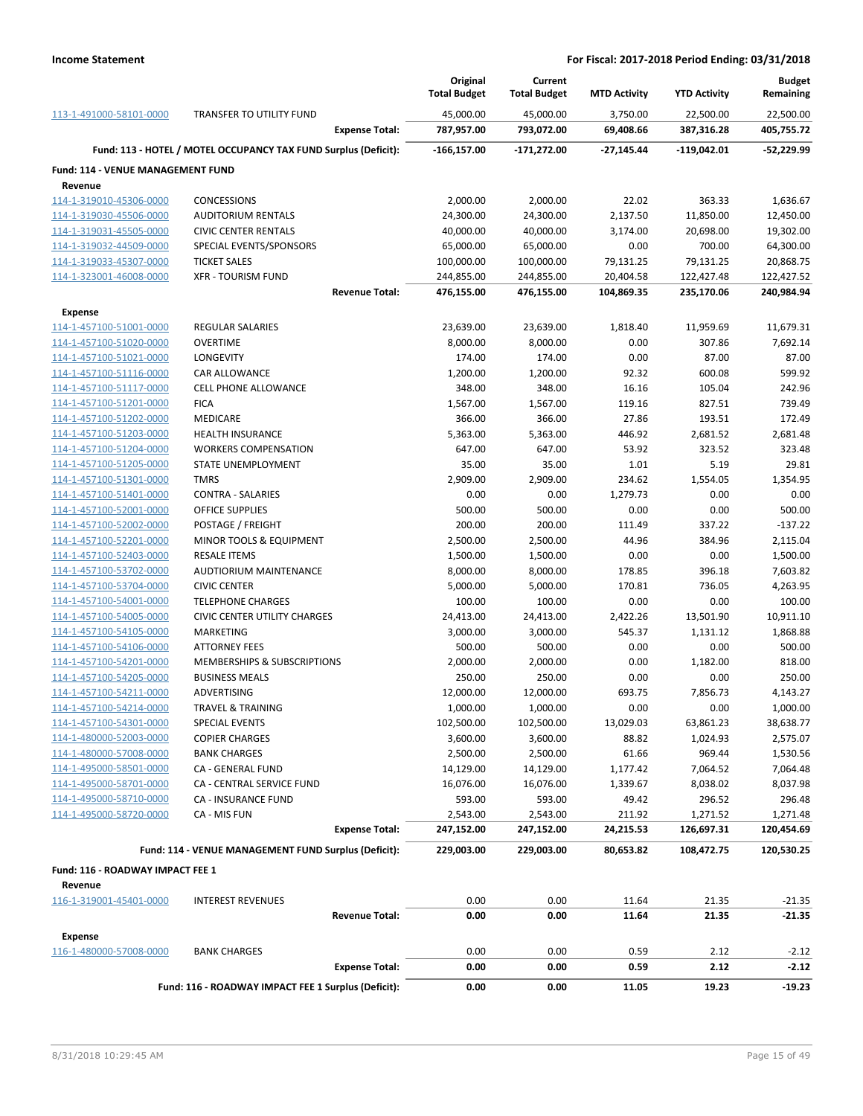|                                   |                                                                 | Original<br><b>Total Budget</b> | Current<br><b>Total Budget</b> | <b>MTD Activity</b> | <b>YTD Activity</b> | <b>Budget</b><br>Remaining |
|-----------------------------------|-----------------------------------------------------------------|---------------------------------|--------------------------------|---------------------|---------------------|----------------------------|
| 113-1-491000-58101-0000           | <b>TRANSFER TO UTILITY FUND</b>                                 | 45,000.00                       | 45,000.00                      | 3,750.00            | 22,500.00           | 22,500.00                  |
|                                   | <b>Expense Total:</b>                                           | 787,957.00                      | 793,072.00                     | 69,408.66           | 387,316.28          | 405,755.72                 |
|                                   | Fund: 113 - HOTEL / MOTEL OCCUPANCY TAX FUND Surplus (Deficit): | $-166, 157.00$                  | $-171,272.00$                  | $-27,145.44$        | $-119,042.01$       | -52,229.99                 |
| Fund: 114 - VENUE MANAGEMENT FUND |                                                                 |                                 |                                |                     |                     |                            |
| Revenue                           |                                                                 |                                 |                                |                     |                     |                            |
| 114-1-319010-45306-0000           | <b>CONCESSIONS</b>                                              | 2,000.00                        | 2,000.00                       | 22.02               | 363.33              | 1,636.67                   |
| 114-1-319030-45506-0000           | <b>AUDITORIUM RENTALS</b>                                       | 24,300.00                       | 24,300.00                      | 2,137.50            | 11,850.00           | 12,450.00                  |
| 114-1-319031-45505-0000           | <b>CIVIC CENTER RENTALS</b>                                     | 40,000.00                       | 40,000.00                      | 3,174.00            | 20,698.00           | 19,302.00                  |
| 114-1-319032-44509-0000           | SPECIAL EVENTS/SPONSORS                                         | 65,000.00                       | 65,000.00                      | 0.00                | 700.00              | 64,300.00                  |
| 114-1-319033-45307-0000           | <b>TICKET SALES</b>                                             | 100,000.00                      | 100,000.00                     | 79,131.25           | 79,131.25           | 20,868.75                  |
| 114-1-323001-46008-0000           | <b>XFR - TOURISM FUND</b>                                       | 244,855.00                      | 244,855.00                     | 20,404.58           | 122,427.48          | 122,427.52                 |
|                                   | <b>Revenue Total:</b>                                           | 476,155.00                      | 476,155.00                     | 104,869.35          | 235,170.06          | 240,984.94                 |
| Expense                           |                                                                 |                                 |                                |                     |                     |                            |
| 114-1-457100-51001-0000           | <b>REGULAR SALARIES</b>                                         | 23,639.00                       | 23,639.00                      | 1,818.40            | 11,959.69           | 11,679.31                  |
| 114-1-457100-51020-0000           | <b>OVERTIME</b>                                                 | 8,000.00                        | 8,000.00                       | 0.00                | 307.86              | 7,692.14                   |
| 114-1-457100-51021-0000           | LONGEVITY                                                       | 174.00                          | 174.00                         | 0.00                | 87.00               | 87.00                      |
| 114-1-457100-51116-0000           | CAR ALLOWANCE                                                   | 1,200.00                        | 1,200.00                       | 92.32               | 600.08              | 599.92                     |
| 114-1-457100-51117-0000           | <b>CELL PHONE ALLOWANCE</b>                                     | 348.00                          | 348.00                         | 16.16               | 105.04              | 242.96                     |
| 114-1-457100-51201-0000           | <b>FICA</b>                                                     | 1,567.00                        | 1,567.00                       | 119.16              | 827.51              | 739.49                     |
| 114-1-457100-51202-0000           | <b>MEDICARE</b>                                                 | 366.00                          | 366.00                         | 27.86               | 193.51              | 172.49                     |
| 114-1-457100-51203-0000           | <b>HEALTH INSURANCE</b>                                         | 5,363.00                        | 5,363.00                       | 446.92              | 2,681.52            | 2,681.48                   |
| 114-1-457100-51204-0000           | <b>WORKERS COMPENSATION</b>                                     | 647.00                          | 647.00                         | 53.92               | 323.52              | 323.48                     |
| 114-1-457100-51205-0000           | STATE UNEMPLOYMENT                                              | 35.00                           | 35.00                          | 1.01                | 5.19                | 29.81                      |
| 114-1-457100-51301-0000           | <b>TMRS</b>                                                     | 2,909.00                        | 2,909.00                       | 234.62              | 1,554.05            | 1,354.95                   |
| 114-1-457100-51401-0000           | <b>CONTRA - SALARIES</b>                                        | 0.00                            | 0.00                           | 1,279.73            | 0.00                | 0.00                       |
| 114-1-457100-52001-0000           | <b>OFFICE SUPPLIES</b>                                          | 500.00                          | 500.00                         | 0.00                | 0.00                | 500.00                     |
| 114-1-457100-52002-0000           | POSTAGE / FREIGHT                                               | 200.00                          | 200.00                         | 111.49              | 337.22              | $-137.22$                  |
| 114-1-457100-52201-0000           | MINOR TOOLS & EQUIPMENT                                         | 2,500.00                        | 2,500.00                       | 44.96               | 384.96              | 2,115.04                   |
| 114-1-457100-52403-0000           | <b>RESALE ITEMS</b>                                             | 1,500.00                        | 1,500.00                       | 0.00                | 0.00                | 1,500.00                   |
| 114-1-457100-53702-0000           | AUDTIORIUM MAINTENANCE                                          | 8,000.00                        | 8,000.00                       | 178.85              | 396.18              | 7,603.82                   |
| 114-1-457100-53704-0000           | <b>CIVIC CENTER</b>                                             | 5,000.00                        | 5,000.00                       | 170.81              | 736.05              | 4,263.95                   |
| 114-1-457100-54001-0000           | <b>TELEPHONE CHARGES</b>                                        | 100.00                          | 100.00                         | 0.00                | 0.00                | 100.00                     |
| 114-1-457100-54005-0000           | <b>CIVIC CENTER UTILITY CHARGES</b>                             | 24,413.00                       | 24,413.00                      | 2,422.26            | 13,501.90           | 10,911.10                  |
| 114-1-457100-54105-0000           | <b>MARKETING</b>                                                | 3,000.00                        | 3,000.00                       | 545.37              | 1,131.12            | 1,868.88                   |
| 114-1-457100-54106-0000           | <b>ATTORNEY FEES</b>                                            | 500.00                          | 500.00                         | 0.00                | 0.00                | 500.00                     |
| 114-1-457100-54201-0000           | MEMBERSHIPS & SUBSCRIPTIONS                                     | 2,000.00                        | 2,000.00                       | 0.00                | 1,182.00            | 818.00                     |
| 114-1-457100-54205-0000           | <b>BUSINESS MEALS</b>                                           | 250.00                          | 250.00                         | 0.00                | 0.00                | 250.00                     |
| 114-1-457100-54211-0000           | ADVERTISING                                                     | 12,000.00                       | 12,000.00                      | 693.75              | 7,856.73            | 4,143.27                   |
| 114-1-457100-54214-0000           | TRAVEL & TRAINING                                               | 1,000.00                        | 1,000.00                       | 0.00                | 0.00                | 1,000.00                   |
| 114-1-457100-54301-0000           | <b>SPECIAL EVENTS</b>                                           | 102,500.00                      | 102,500.00                     | 13,029.03           | 63,861.23           | 38,638.77                  |
| 114-1-480000-52003-0000           | <b>COPIER CHARGES</b>                                           | 3,600.00                        | 3,600.00                       | 88.82               | 1,024.93            | 2,575.07                   |
| 114-1-480000-57008-0000           | <b>BANK CHARGES</b>                                             | 2,500.00                        | 2,500.00                       | 61.66               | 969.44              | 1,530.56                   |
| 114-1-495000-58501-0000           | CA - GENERAL FUND                                               | 14,129.00                       | 14,129.00                      | 1,177.42            | 7,064.52            | 7,064.48                   |
| 114-1-495000-58701-0000           | CA - CENTRAL SERVICE FUND                                       | 16,076.00                       | 16,076.00                      | 1,339.67            | 8,038.02            | 8,037.98                   |
| 114-1-495000-58710-0000           | CA - INSURANCE FUND                                             | 593.00                          | 593.00                         | 49.42               | 296.52              | 296.48                     |
| 114-1-495000-58720-0000           | CA - MIS FUN                                                    | 2,543.00                        | 2,543.00                       | 211.92              | 1,271.52            | 1,271.48                   |
|                                   | <b>Expense Total:</b>                                           | 247,152.00                      | 247,152.00                     | 24,215.53           | 126,697.31          | 120,454.69                 |
|                                   | Fund: 114 - VENUE MANAGEMENT FUND Surplus (Deficit):            | 229,003.00                      | 229,003.00                     | 80,653.82           | 108,472.75          | 120,530.25                 |
| Fund: 116 - ROADWAY IMPACT FEE 1  |                                                                 |                                 |                                |                     |                     |                            |
| Revenue                           |                                                                 |                                 |                                |                     |                     |                            |
| 116-1-319001-45401-0000           | <b>INTEREST REVENUES</b>                                        | 0.00                            | 0.00                           | 11.64               | 21.35               | $-21.35$                   |
|                                   | <b>Revenue Total:</b>                                           | 0.00                            | 0.00                           | 11.64               | 21.35               | -21.35                     |
| <b>Expense</b>                    |                                                                 |                                 |                                |                     |                     |                            |
| 116-1-480000-57008-0000           | <b>BANK CHARGES</b>                                             | 0.00                            | 0.00                           | 0.59                | 2.12                | $-2.12$                    |
|                                   | <b>Expense Total:</b>                                           | 0.00                            | 0.00                           | 0.59                | 2.12                | $-2.12$                    |
|                                   | Fund: 116 - ROADWAY IMPACT FEE 1 Surplus (Deficit):             | 0.00                            | 0.00                           | 11.05               | 19.23               | $-19.23$                   |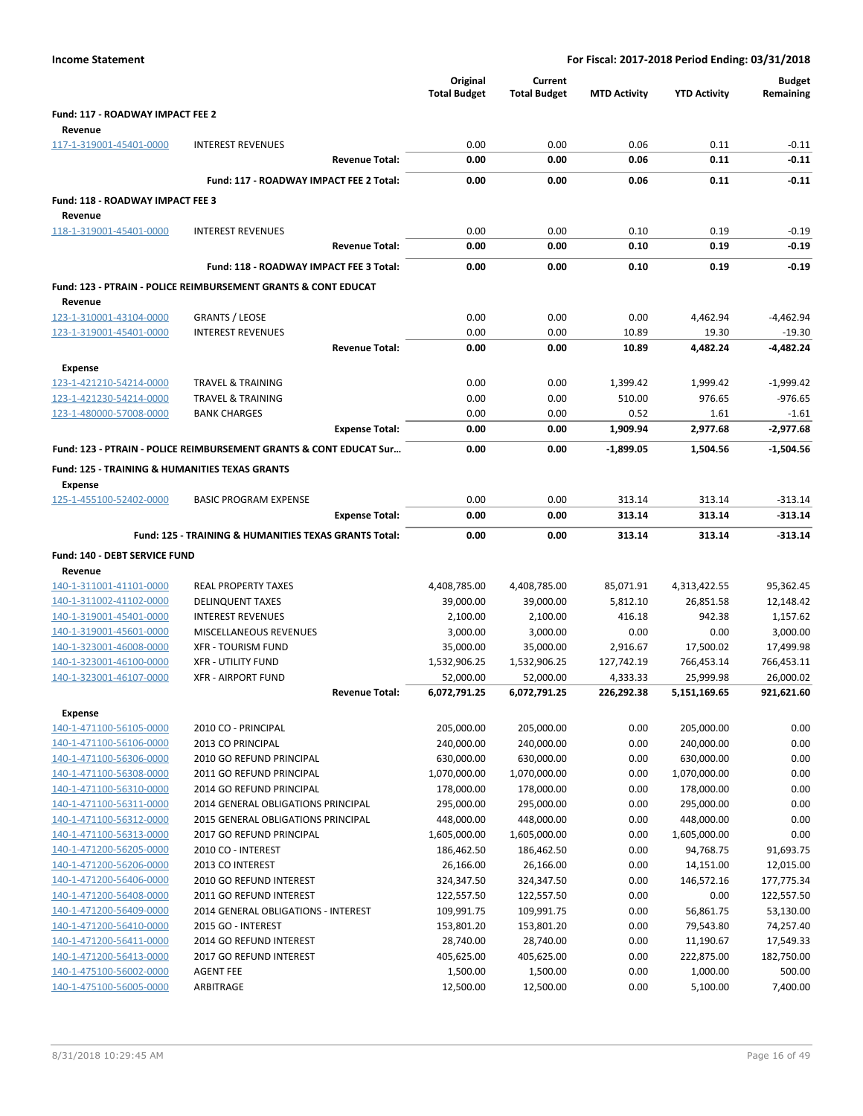| <b>Income Statement</b>                                   |                                                                           | For Fiscal: 2017-2018 Period Ending: 03/31/2018 |                                |                     |                            |                            |  |
|-----------------------------------------------------------|---------------------------------------------------------------------------|-------------------------------------------------|--------------------------------|---------------------|----------------------------|----------------------------|--|
|                                                           |                                                                           | Original<br><b>Total Budget</b>                 | Current<br><b>Total Budget</b> | <b>MTD Activity</b> | <b>YTD Activity</b>        | <b>Budget</b><br>Remaining |  |
| Fund: 117 - ROADWAY IMPACT FEE 2                          |                                                                           |                                                 |                                |                     |                            |                            |  |
| Revenue                                                   |                                                                           |                                                 |                                |                     |                            |                            |  |
| 117-1-319001-45401-0000                                   | <b>INTEREST REVENUES</b>                                                  | 0.00                                            | 0.00                           | 0.06                | 0.11                       | $-0.11$                    |  |
|                                                           | <b>Revenue Total:</b>                                                     | 0.00                                            | 0.00                           | 0.06                | 0.11                       | $-0.11$                    |  |
|                                                           | Fund: 117 - ROADWAY IMPACT FEE 2 Total:                                   | 0.00                                            | 0.00                           | 0.06                | 0.11                       | $-0.11$                    |  |
| Fund: 118 - ROADWAY IMPACT FEE 3                          |                                                                           |                                                 |                                |                     |                            |                            |  |
| Revenue                                                   |                                                                           |                                                 |                                |                     |                            |                            |  |
| 118-1-319001-45401-0000                                   | <b>INTEREST REVENUES</b>                                                  | 0.00                                            | 0.00                           | 0.10                | 0.19                       | $-0.19$                    |  |
|                                                           | <b>Revenue Total:</b>                                                     | 0.00                                            | 0.00                           | 0.10                | 0.19                       | $-0.19$                    |  |
|                                                           | Fund: 118 - ROADWAY IMPACT FEE 3 Total:                                   | 0.00                                            | 0.00                           | 0.10                | 0.19                       | $-0.19$                    |  |
|                                                           | <b>Fund: 123 - PTRAIN - POLICE REIMBURSEMENT GRANTS &amp; CONT EDUCAT</b> |                                                 |                                |                     |                            |                            |  |
| Revenue                                                   |                                                                           |                                                 |                                |                     |                            |                            |  |
| 123-1-310001-43104-0000                                   | <b>GRANTS / LEOSE</b>                                                     | 0.00                                            | 0.00                           | 0.00                | 4,462.94                   | -4,462.94                  |  |
| 123-1-319001-45401-0000                                   | <b>INTEREST REVENUES</b>                                                  | 0.00                                            | 0.00                           | 10.89               | 19.30                      | $-19.30$                   |  |
|                                                           | <b>Revenue Total:</b>                                                     | 0.00                                            | 0.00                           | 10.89               | 4,482.24                   | -4,482.24                  |  |
| <b>Expense</b>                                            |                                                                           |                                                 |                                |                     |                            |                            |  |
| 123-1-421210-54214-0000                                   | <b>TRAVEL &amp; TRAINING</b>                                              | 0.00                                            | 0.00                           | 1,399.42            | 1,999.42                   | $-1,999.42$                |  |
| 123-1-421230-54214-0000                                   | <b>TRAVEL &amp; TRAINING</b>                                              | 0.00                                            | 0.00                           | 510.00              | 976.65                     | $-976.65$                  |  |
| 123-1-480000-57008-0000                                   | <b>BANK CHARGES</b>                                                       | 0.00                                            | 0.00                           | 0.52                | 1.61                       | $-1.61$                    |  |
|                                                           | <b>Expense Total:</b>                                                     | 0.00                                            | 0.00                           | 1,909.94            | 2,977.68                   | $-2,977.68$                |  |
|                                                           | Fund: 123 - PTRAIN - POLICE REIMBURSEMENT GRANTS & CONT EDUCAT Sur        | 0.00                                            | 0.00                           | $-1.899.05$         | 1,504.56                   | $-1.504.56$                |  |
| <b>Fund: 125 - TRAINING &amp; HUMANITIES TEXAS GRANTS</b> |                                                                           |                                                 |                                |                     |                            |                            |  |
| <b>Expense</b>                                            |                                                                           |                                                 |                                |                     |                            |                            |  |
| 125-1-455100-52402-0000                                   | <b>BASIC PROGRAM EXPENSE</b>                                              | 0.00                                            | 0.00                           | 313.14              | 313.14                     | $-313.14$                  |  |
|                                                           | <b>Expense Total:</b>                                                     | 0.00                                            | 0.00                           | 313.14              | 313.14                     | $-313.14$                  |  |
|                                                           | Fund: 125 - TRAINING & HUMANITIES TEXAS GRANTS Total:                     | 0.00                                            | 0.00                           | 313.14              | 313.14                     | $-313.14$                  |  |
| <b>Fund: 140 - DEBT SERVICE FUND</b>                      |                                                                           |                                                 |                                |                     |                            |                            |  |
| Revenue                                                   |                                                                           |                                                 |                                |                     |                            |                            |  |
| 140-1-311001-41101-0000                                   | REAL PROPERTY TAXES                                                       | 4,408,785.00                                    | 4,408,785.00                   | 85,071.91           | 4,313,422.55               | 95,362.45                  |  |
| 140-1-311002-41102-0000                                   | <b>DELINQUENT TAXES</b>                                                   | 39,000.00                                       | 39,000.00                      | 5,812.10            | 26,851.58                  | 12,148.42                  |  |
| 140-1-319001-45401-0000                                   | <b>INTEREST REVENUES</b>                                                  | 2,100.00                                        | 2,100.00                       | 416.18              | 942.38                     | 1,157.62                   |  |
| 140-1-319001-45601-0000                                   | MISCELLANEOUS REVENUES                                                    | 3,000.00                                        | 3,000.00                       | 0.00                | 0.00                       | 3,000.00                   |  |
| 140-1-323001-46008-0000                                   | <b>XFR - TOURISM FUND</b>                                                 | 35,000.00                                       | 35,000.00                      | 2,916.67            | 17,500.02                  | 17,499.98                  |  |
| 140-1-323001-46100-0000                                   | <b>XFR - UTILITY FUND</b>                                                 | 1,532,906.25                                    | 1,532,906.25                   | 127,742.19          | 766,453.14                 | 766,453.11                 |  |
| 140-1-323001-46107-0000                                   | <b>XFR - AIRPORT FUND</b>                                                 | 52,000.00                                       | 52,000.00                      | 4,333.33            | 25,999.98                  | 26,000.02                  |  |
|                                                           | <b>Revenue Total:</b>                                                     | 6,072,791.25                                    | 6,072,791.25                   | 226,292.38          | 5,151,169.65               | 921,621.60                 |  |
| <b>Expense</b>                                            |                                                                           |                                                 |                                |                     |                            |                            |  |
| 140-1-471100-56105-0000                                   | 2010 CO - PRINCIPAL                                                       | 205,000.00                                      | 205,000.00                     | 0.00                | 205,000.00                 | 0.00                       |  |
| 140-1-471100-56106-0000                                   | 2013 CO PRINCIPAL                                                         | 240,000.00                                      | 240,000.00                     | 0.00                | 240,000.00                 | 0.00                       |  |
| 140-1-471100-56306-0000                                   | 2010 GO REFUND PRINCIPAL                                                  | 630,000.00                                      | 630,000.00                     | 0.00                | 630,000.00                 | 0.00                       |  |
| 140-1-471100-56308-0000                                   | 2011 GO REFUND PRINCIPAL                                                  | 1,070,000.00                                    | 1,070,000.00                   | 0.00                | 1,070,000.00               | 0.00                       |  |
| 140-1-471100-56310-0000                                   | 2014 GO REFUND PRINCIPAL                                                  | 178,000.00                                      | 178,000.00                     | 0.00                | 178,000.00                 | 0.00                       |  |
| 140-1-471100-56311-0000<br>140-1-471100-56312-0000        | 2014 GENERAL OBLIGATIONS PRINCIPAL                                        | 295,000.00                                      | 295,000.00                     | 0.00                | 295,000.00                 | 0.00<br>0.00               |  |
| 140-1-471100-56313-0000                                   | 2015 GENERAL OBLIGATIONS PRINCIPAL<br>2017 GO REFUND PRINCIPAL            | 448,000.00<br>1,605,000.00                      | 448,000.00<br>1,605,000.00     | 0.00<br>0.00        | 448,000.00<br>1,605,000.00 | 0.00                       |  |
| 140-1-471200-56205-0000                                   | 2010 CO - INTEREST                                                        | 186,462.50                                      | 186,462.50                     | 0.00                | 94,768.75                  | 91,693.75                  |  |
| 140-1-471200-56206-0000                                   | 2013 CO INTEREST                                                          | 26,166.00                                       | 26,166.00                      | 0.00                | 14,151.00                  | 12,015.00                  |  |
| 140-1-471200-56406-0000                                   | 2010 GO REFUND INTEREST                                                   | 324,347.50                                      | 324,347.50                     | 0.00                | 146,572.16                 | 177,775.34                 |  |
| 140-1-471200-56408-0000                                   | 2011 GO REFUND INTEREST                                                   | 122,557.50                                      | 122,557.50                     | 0.00                | 0.00                       | 122,557.50                 |  |
| 140-1-471200-56409-0000                                   | 2014 GENERAL OBLIGATIONS - INTEREST                                       | 109,991.75                                      | 109,991.75                     | 0.00                | 56,861.75                  | 53,130.00                  |  |
| 140-1-471200-56410-0000                                   | 2015 GO - INTEREST                                                        | 153,801.20                                      | 153,801.20                     | 0.00                | 79,543.80                  | 74,257.40                  |  |
| 140-1-471200-56411-0000                                   | 2014 GO REFUND INTEREST                                                   | 28,740.00                                       | 28,740.00                      | 0.00                | 11,190.67                  | 17,549.33                  |  |
| 140-1-471200-56413-0000                                   | 2017 GO REFUND INTEREST                                                   | 405,625.00                                      | 405,625.00                     | 0.00                | 222,875.00                 | 182,750.00                 |  |
| 140-1-475100-56002-0000                                   | <b>AGENT FEE</b>                                                          | 1,500.00                                        | 1,500.00                       | 0.00                | 1,000.00                   | 500.00                     |  |
| 140-1-475100-56005-0000                                   | ARBITRAGE                                                                 | 12,500.00                                       | 12,500.00                      | 0.00                | 5,100.00                   | 7,400.00                   |  |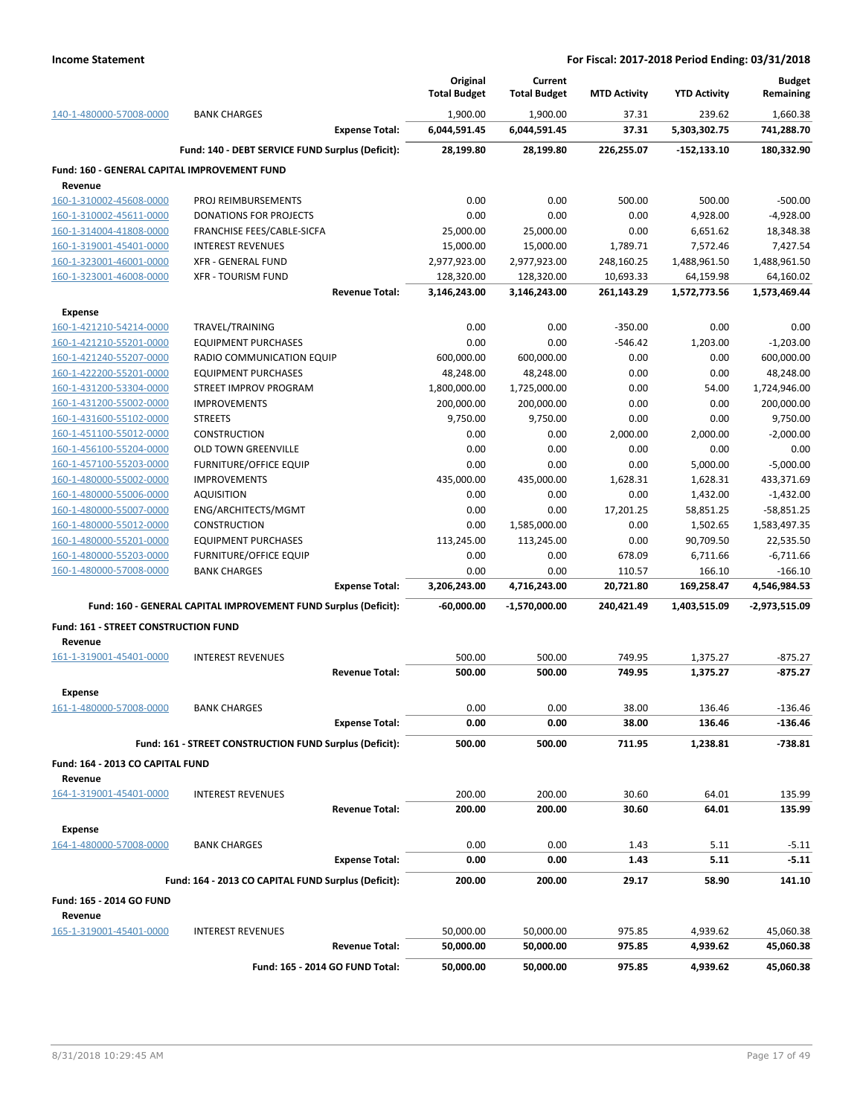|                                                         |                                                                 | Original<br><b>Total Budget</b> | Current<br><b>Total Budget</b> | <b>MTD Activity</b> | <b>YTD Activity</b> | <b>Budget</b><br>Remaining |
|---------------------------------------------------------|-----------------------------------------------------------------|---------------------------------|--------------------------------|---------------------|---------------------|----------------------------|
| 140-1-480000-57008-0000                                 | <b>BANK CHARGES</b>                                             | 1,900.00                        | 1,900.00                       | 37.31               | 239.62              | 1,660.38                   |
|                                                         | <b>Expense Total:</b>                                           | 6,044,591.45                    | 6,044,591.45                   | 37.31               | 5,303,302.75        | 741,288.70                 |
|                                                         | Fund: 140 - DEBT SERVICE FUND Surplus (Deficit):                | 28,199.80                       | 28,199.80                      | 226,255.07          | $-152, 133.10$      | 180,332.90                 |
| Fund: 160 - GENERAL CAPITAL IMPROVEMENT FUND<br>Revenue |                                                                 |                                 |                                |                     |                     |                            |
| 160-1-310002-45608-0000                                 | PROJ REIMBURSEMENTS                                             | 0.00                            | 0.00                           | 500.00              | 500.00              | $-500.00$                  |
| 160-1-310002-45611-0000                                 | <b>DONATIONS FOR PROJECTS</b>                                   | 0.00                            | 0.00                           | 0.00                | 4,928.00            | $-4,928.00$                |
| 160-1-314004-41808-0000                                 | FRANCHISE FEES/CABLE-SICFA                                      | 25,000.00                       | 25,000.00                      | 0.00                | 6,651.62            | 18,348.38                  |
| 160-1-319001-45401-0000                                 | <b>INTEREST REVENUES</b>                                        | 15,000.00                       | 15,000.00                      | 1,789.71            | 7,572.46            | 7,427.54                   |
| 160-1-323001-46001-0000                                 | <b>XFR - GENERAL FUND</b>                                       | 2,977,923.00                    | 2,977,923.00                   | 248,160.25          | 1,488,961.50        | 1,488,961.50               |
| 160-1-323001-46008-0000                                 | <b>XFR - TOURISM FUND</b>                                       | 128,320.00                      | 128,320.00                     | 10,693.33           | 64,159.98           | 64,160.02                  |
|                                                         | <b>Revenue Total:</b>                                           | 3,146,243.00                    | 3,146,243.00                   | 261,143.29          | 1,572,773.56        | 1,573,469.44               |
| <b>Expense</b>                                          |                                                                 |                                 |                                |                     |                     |                            |
| 160-1-421210-54214-0000                                 | TRAVEL/TRAINING                                                 | 0.00                            | 0.00                           | $-350.00$           | 0.00                | 0.00                       |
| 160-1-421210-55201-0000                                 | <b>EQUIPMENT PURCHASES</b>                                      | 0.00                            | 0.00                           | $-546.42$           | 1,203.00            | $-1,203.00$                |
| 160-1-421240-55207-0000                                 | RADIO COMMUNICATION EQUIP                                       | 600,000.00                      | 600,000.00                     | 0.00                | 0.00                | 600,000.00                 |
| 160-1-422200-55201-0000                                 | <b>EQUIPMENT PURCHASES</b>                                      | 48,248.00                       | 48,248.00                      | 0.00                | 0.00                | 48,248.00                  |
| 160-1-431200-53304-0000                                 | STREET IMPROV PROGRAM                                           | 1,800,000.00                    | 1,725,000.00                   | 0.00                | 54.00               | 1,724,946.00               |
| 160-1-431200-55002-0000                                 | <b>IMPROVEMENTS</b>                                             | 200,000.00                      | 200,000.00                     | 0.00                | 0.00                | 200,000.00                 |
| 160-1-431600-55102-0000                                 | <b>STREETS</b>                                                  | 9,750.00                        | 9,750.00                       | 0.00                | 0.00                | 9,750.00                   |
| 160-1-451100-55012-0000                                 | <b>CONSTRUCTION</b>                                             | 0.00                            | 0.00                           | 2,000.00            | 2,000.00            | $-2,000.00$                |
| 160-1-456100-55204-0000                                 | <b>OLD TOWN GREENVILLE</b>                                      | 0.00                            | 0.00                           | 0.00                | 0.00                | 0.00                       |
| 160-1-457100-55203-0000                                 | <b>FURNITURE/OFFICE EQUIP</b>                                   | 0.00                            | 0.00                           | 0.00                | 5,000.00            | $-5,000.00$                |
| 160-1-480000-55002-0000                                 | <b>IMPROVEMENTS</b>                                             | 435,000.00                      | 435,000.00                     | 1,628.31            | 1,628.31            | 433,371.69                 |
| 160-1-480000-55006-0000                                 | <b>AQUISITION</b>                                               | 0.00                            | 0.00                           | 0.00                | 1,432.00            | $-1,432.00$                |
| 160-1-480000-55007-0000                                 | ENG/ARCHITECTS/MGMT                                             | 0.00                            | 0.00                           | 17,201.25           | 58,851.25           | $-58,851.25$               |
| 160-1-480000-55012-0000                                 | <b>CONSTRUCTION</b>                                             | 0.00                            | 1,585,000.00                   | 0.00                | 1,502.65            | 1,583,497.35               |
| 160-1-480000-55201-0000                                 | <b>EQUIPMENT PURCHASES</b>                                      | 113,245.00                      | 113,245.00                     | 0.00                | 90,709.50           | 22,535.50                  |
| 160-1-480000-55203-0000                                 | <b>FURNITURE/OFFICE EQUIP</b>                                   | 0.00                            | 0.00                           | 678.09              | 6,711.66            | $-6,711.66$                |
| 160-1-480000-57008-0000                                 | <b>BANK CHARGES</b>                                             | 0.00                            | 0.00                           | 110.57              | 166.10              | $-166.10$                  |
|                                                         | <b>Expense Total:</b>                                           | 3,206,243.00                    | 4,716,243.00                   | 20,721.80           | 169,258.47          | 4,546,984.53               |
|                                                         | Fund: 160 - GENERAL CAPITAL IMPROVEMENT FUND Surplus (Deficit): | -60,000.00                      | $-1,570,000.00$                | 240,421.49          | 1,403,515.09        | -2,973,515.09              |
| Fund: 161 - STREET CONSTRUCTION FUND<br>Revenue         |                                                                 |                                 |                                |                     |                     |                            |
| 161-1-319001-45401-0000                                 | <b>INTEREST REVENUES</b>                                        | 500.00                          | 500.00                         | 749.95              | 1,375.27            | $-875.27$                  |
|                                                         | <b>Revenue Total:</b>                                           | 500.00                          | 500.00                         | 749.95              | 1,375.27            | -875.27                    |
|                                                         |                                                                 |                                 |                                |                     |                     |                            |
| Expense<br>161-1-480000-57008-0000                      | <b>BANK CHARGES</b>                                             | 0.00                            | 0.00                           | 38.00               | 136.46              | -136.46                    |
|                                                         | <b>Expense Total:</b>                                           | 0.00                            | 0.00                           | 38.00               | 136.46              | -136.46                    |
|                                                         | Fund: 161 - STREET CONSTRUCTION FUND Surplus (Deficit):         | 500.00                          | 500.00                         | 711.95              | 1,238.81            | $-738.81$                  |
|                                                         |                                                                 |                                 |                                |                     |                     |                            |
| Fund: 164 - 2013 CO CAPITAL FUND                        |                                                                 |                                 |                                |                     |                     |                            |
| Revenue                                                 |                                                                 |                                 |                                |                     |                     |                            |
| 164-1-319001-45401-0000                                 | <b>INTEREST REVENUES</b><br><b>Revenue Total:</b>               | 200.00                          | 200.00                         | 30.60               | 64.01               | 135.99                     |
|                                                         |                                                                 | 200.00                          | 200.00                         | 30.60               | 64.01               | 135.99                     |
| <b>Expense</b>                                          |                                                                 |                                 |                                |                     |                     |                            |
| 164-1-480000-57008-0000                                 | <b>BANK CHARGES</b>                                             | 0.00                            | 0.00                           | 1.43                | 5.11                | $-5.11$                    |
|                                                         | <b>Expense Total:</b>                                           | 0.00                            | 0.00                           | 1.43                | 5.11                | $-5.11$                    |
|                                                         | Fund: 164 - 2013 CO CAPITAL FUND Surplus (Deficit):             | 200.00                          | 200.00                         | 29.17               | 58.90               | 141.10                     |
| Fund: 165 - 2014 GO FUND                                |                                                                 |                                 |                                |                     |                     |                            |
| Revenue                                                 |                                                                 |                                 |                                |                     |                     |                            |
| 165-1-319001-45401-0000                                 | <b>INTEREST REVENUES</b>                                        | 50,000.00                       | 50,000.00                      | 975.85              | 4,939.62            | 45,060.38                  |
|                                                         | <b>Revenue Total:</b>                                           | 50,000.00                       | 50,000.00                      | 975.85              | 4,939.62            | 45,060.38                  |
|                                                         | Fund: 165 - 2014 GO FUND Total:                                 | 50,000.00                       | 50,000.00                      | 975.85              | 4,939.62            | 45,060.38                  |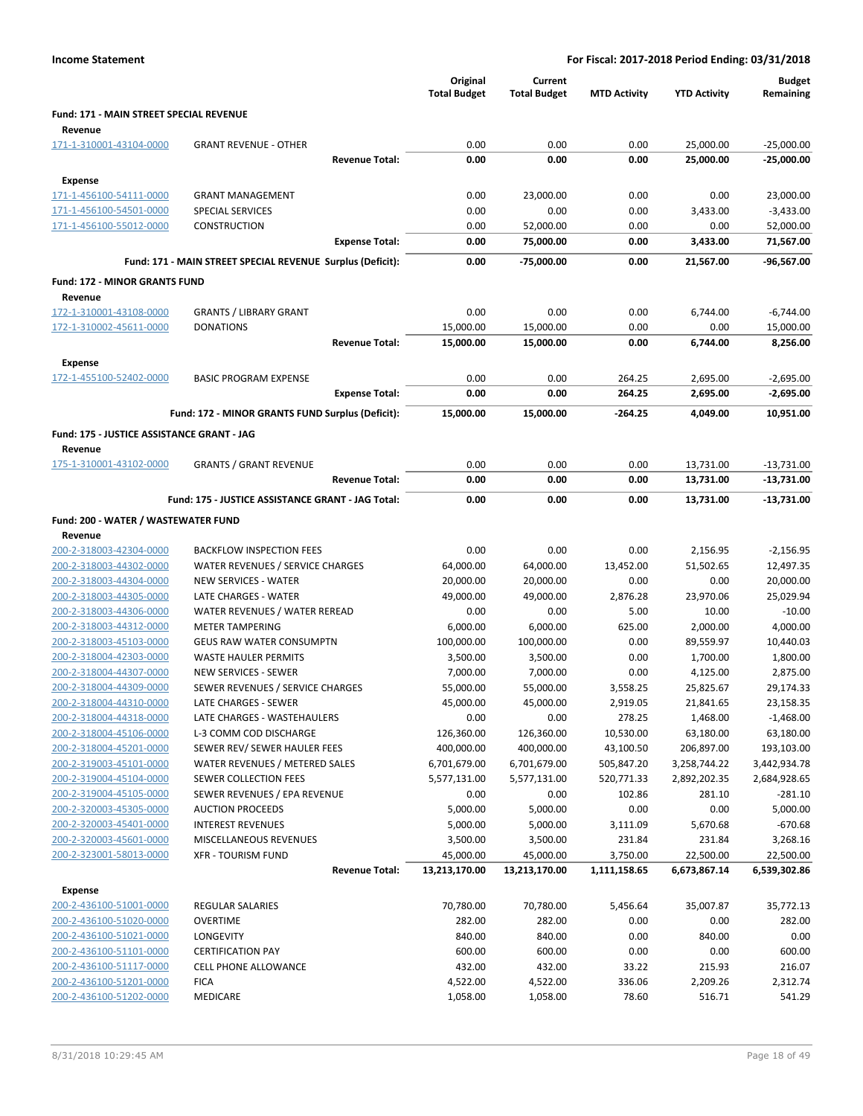|                                                    |                                                                     |                       | Original<br><b>Total Budget</b> | Current<br><b>Total Budget</b> | <b>MTD Activity</b> | <b>YTD Activity</b>    | <b>Budget</b><br>Remaining |
|----------------------------------------------------|---------------------------------------------------------------------|-----------------------|---------------------------------|--------------------------------|---------------------|------------------------|----------------------------|
| <b>Fund: 171 - MAIN STREET SPECIAL REVENUE</b>     |                                                                     |                       |                                 |                                |                     |                        |                            |
| Revenue<br>171-1-310001-43104-0000                 | <b>GRANT REVENUE - OTHER</b>                                        |                       | 0.00                            | 0.00                           | 0.00                | 25,000.00              | $-25,000.00$               |
|                                                    |                                                                     | <b>Revenue Total:</b> | 0.00                            | 0.00                           | 0.00                | 25,000.00              | $-25,000.00$               |
| <b>Expense</b>                                     |                                                                     |                       |                                 |                                |                     |                        |                            |
| 171-1-456100-54111-0000                            | <b>GRANT MANAGEMENT</b>                                             |                       | 0.00                            | 23,000.00                      | 0.00                | 0.00                   | 23,000.00                  |
| 171-1-456100-54501-0000                            | <b>SPECIAL SERVICES</b>                                             |                       | 0.00                            | 0.00                           | 0.00                | 3,433.00               | $-3,433.00$                |
| 171-1-456100-55012-0000                            | <b>CONSTRUCTION</b>                                                 |                       | 0.00                            | 52,000.00                      | 0.00                | 0.00                   | 52,000.00                  |
|                                                    |                                                                     | <b>Expense Total:</b> | 0.00                            | 75,000.00                      | 0.00                | 3,433.00               | 71,567.00                  |
|                                                    | Fund: 171 - MAIN STREET SPECIAL REVENUE Surplus (Deficit):          |                       | 0.00                            | -75,000.00                     | 0.00                | 21,567.00              | $-96,567.00$               |
| Fund: 172 - MINOR GRANTS FUND                      |                                                                     |                       |                                 |                                |                     |                        |                            |
| Revenue                                            |                                                                     |                       |                                 |                                |                     |                        |                            |
| 172-1-310001-43108-0000                            | <b>GRANTS / LIBRARY GRANT</b>                                       |                       | 0.00                            | 0.00                           | 0.00                | 6,744.00               | $-6,744.00$                |
| 172-1-310002-45611-0000                            | <b>DONATIONS</b>                                                    |                       | 15,000.00                       | 15,000.00                      | 0.00                | 0.00                   | 15,000.00                  |
|                                                    |                                                                     | <b>Revenue Total:</b> | 15,000.00                       | 15,000.00                      | 0.00                | 6,744.00               | 8,256.00                   |
| <b>Expense</b>                                     |                                                                     |                       |                                 |                                |                     |                        |                            |
| 172-1-455100-52402-0000                            | <b>BASIC PROGRAM EXPENSE</b>                                        |                       | 0.00<br>0.00                    | 0.00                           | 264.25<br>264.25    | 2,695.00               | $-2,695.00$                |
|                                                    |                                                                     | <b>Expense Total:</b> |                                 | 0.00                           |                     | 2,695.00               | $-2,695.00$                |
|                                                    | Fund: 172 - MINOR GRANTS FUND Surplus (Deficit):                    |                       | 15,000.00                       | 15,000.00                      | -264.25             | 4,049.00               | 10,951.00                  |
| Fund: 175 - JUSTICE ASSISTANCE GRANT - JAG         |                                                                     |                       |                                 |                                |                     |                        |                            |
| Revenue                                            |                                                                     |                       |                                 |                                |                     |                        |                            |
| 175-1-310001-43102-0000                            | <b>GRANTS / GRANT REVENUE</b>                                       | <b>Revenue Total:</b> | 0.00<br>0.00                    | 0.00<br>0.00                   | 0.00<br>0.00        | 13,731.00<br>13,731.00 | $-13,731.00$<br>-13,731.00 |
|                                                    |                                                                     |                       |                                 |                                |                     |                        |                            |
|                                                    | Fund: 175 - JUSTICE ASSISTANCE GRANT - JAG Total:                   |                       | 0.00                            | 0.00                           | 0.00                | 13,731.00              | -13,731.00                 |
| Fund: 200 - WATER / WASTEWATER FUND                |                                                                     |                       |                                 |                                |                     |                        |                            |
| Revenue                                            |                                                                     |                       |                                 | 0.00                           | 0.00                |                        |                            |
| 200-2-318003-42304-0000<br>200-2-318003-44302-0000 | <b>BACKFLOW INSPECTION FEES</b><br>WATER REVENUES / SERVICE CHARGES |                       | 0.00<br>64,000.00               | 64,000.00                      | 13,452.00           | 2,156.95<br>51,502.65  | $-2,156.95$<br>12,497.35   |
| 200-2-318003-44304-0000                            | NEW SERVICES - WATER                                                |                       | 20,000.00                       | 20,000.00                      | 0.00                | 0.00                   | 20,000.00                  |
| 200-2-318003-44305-0000                            | LATE CHARGES - WATER                                                |                       | 49,000.00                       | 49,000.00                      | 2,876.28            | 23,970.06              | 25,029.94                  |
| 200-2-318003-44306-0000                            | WATER REVENUES / WATER REREAD                                       |                       | 0.00                            | 0.00                           | 5.00                | 10.00                  | $-10.00$                   |
| 200-2-318003-44312-0000                            | <b>METER TAMPERING</b>                                              |                       | 6,000.00                        | 6,000.00                       | 625.00              | 2,000.00               | 4,000.00                   |
| 200-2-318003-45103-0000                            | <b>GEUS RAW WATER CONSUMPTN</b>                                     |                       | 100,000.00                      | 100,000.00                     | 0.00                | 89,559.97              | 10,440.03                  |
| 200-2-318004-42303-0000                            | <b>WASTE HAULER PERMITS</b>                                         |                       | 3,500.00                        | 3,500.00                       | 0.00                | 1,700.00               | 1,800.00                   |
| 200-2-318004-44307-0000                            | <b>NEW SERVICES - SEWER</b>                                         |                       | 7,000.00                        | 7,000.00                       | 0.00                | 4,125.00               | 2,875.00                   |
| 200-2-318004-44309-0000                            | SEWER REVENUES / SERVICE CHARGES                                    |                       | 55,000.00                       | 55,000.00                      | 3,558.25            | 25,825.67              | 29,174.33                  |
| 200-2-318004-44310-0000                            | LATE CHARGES - SEWER                                                |                       | 45,000.00                       | 45,000.00                      | 2,919.05            | 21,841.65              | 23,158.35                  |
| 200-2-318004-44318-0000                            | LATE CHARGES - WASTEHAULERS                                         |                       | 0.00                            | 0.00                           | 278.25              | 1,468.00               | $-1,468.00$                |
| 200-2-318004-45106-0000                            | L-3 COMM COD DISCHARGE                                              |                       | 126,360.00                      | 126,360.00                     | 10,530.00           | 63,180.00              | 63,180.00                  |
| 200-2-318004-45201-0000                            | SEWER REV/ SEWER HAULER FEES                                        |                       | 400,000.00                      | 400,000.00                     | 43,100.50           | 206,897.00             | 193,103.00                 |
| 200-2-319003-45101-0000                            | WATER REVENUES / METERED SALES                                      |                       | 6,701,679.00                    | 6,701,679.00                   | 505,847.20          | 3,258,744.22           | 3,442,934.78               |
| 200-2-319004-45104-0000                            | <b>SEWER COLLECTION FEES</b>                                        |                       | 5,577,131.00                    | 5,577,131.00                   | 520,771.33          | 2,892,202.35           | 2,684,928.65               |
| 200-2-319004-45105-0000                            | SEWER REVENUES / EPA REVENUE                                        |                       | 0.00                            | 0.00                           | 102.86              | 281.10                 | $-281.10$                  |
| 200-2-320003-45305-0000                            | <b>AUCTION PROCEEDS</b>                                             |                       | 5,000.00                        | 5,000.00                       | 0.00                | 0.00                   | 5,000.00                   |
| 200-2-320003-45401-0000                            | <b>INTEREST REVENUES</b>                                            |                       | 5,000.00                        | 5,000.00                       | 3,111.09            | 5,670.68               | $-670.68$                  |
| 200-2-320003-45601-0000                            | MISCELLANEOUS REVENUES                                              |                       | 3,500.00                        | 3,500.00                       | 231.84              | 231.84                 | 3,268.16                   |
| 200-2-323001-58013-0000                            | <b>XFR - TOURISM FUND</b>                                           |                       | 45,000.00                       | 45,000.00                      | 3,750.00            | 22,500.00              | 22,500.00                  |
|                                                    |                                                                     | <b>Revenue Total:</b> | 13,213,170.00                   | 13,213,170.00                  | 1,111,158.65        | 6,673,867.14           | 6,539,302.86               |
| <b>Expense</b>                                     |                                                                     |                       |                                 |                                |                     |                        |                            |
| 200-2-436100-51001-0000                            | REGULAR SALARIES                                                    |                       | 70,780.00                       | 70,780.00                      | 5,456.64            | 35,007.87              | 35,772.13                  |
| 200-2-436100-51020-0000                            | <b>OVERTIME</b>                                                     |                       | 282.00                          | 282.00                         | 0.00                | 0.00                   | 282.00                     |
| 200-2-436100-51021-0000                            | <b>LONGEVITY</b>                                                    |                       | 840.00                          | 840.00                         | 0.00                | 840.00                 | 0.00                       |
| 200-2-436100-51101-0000                            | <b>CERTIFICATION PAY</b>                                            |                       | 600.00                          | 600.00                         | 0.00                | 0.00                   | 600.00                     |
| 200-2-436100-51117-0000                            | <b>CELL PHONE ALLOWANCE</b>                                         |                       | 432.00                          | 432.00                         | 33.22               | 215.93                 | 216.07                     |
| 200-2-436100-51201-0000                            | <b>FICA</b>                                                         |                       | 4,522.00                        | 4,522.00                       | 336.06              | 2,209.26               | 2,312.74                   |
| 200-2-436100-51202-0000                            | MEDICARE                                                            |                       | 1,058.00                        | 1,058.00                       | 78.60               | 516.71                 | 541.29                     |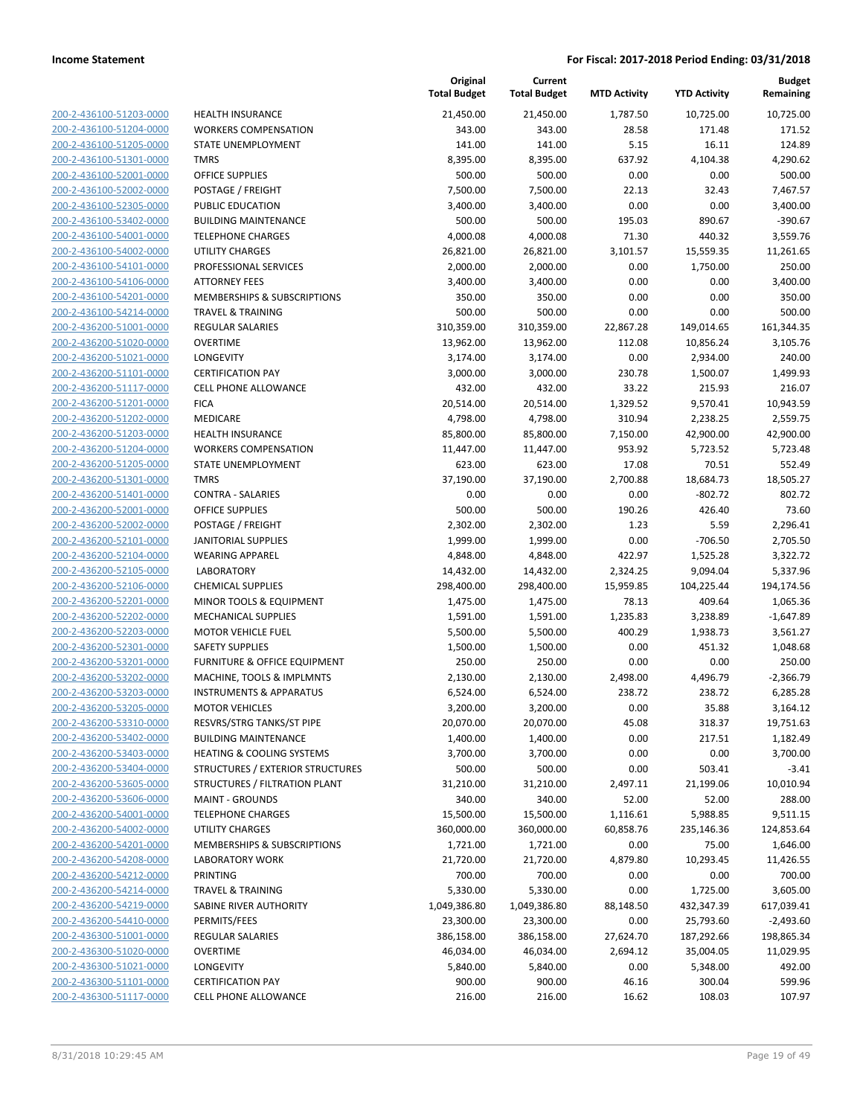200-2-436100-51203-0000 200-2-436100-51204-0000 200-2-436100-51205-0000 200-2-436100-51301-0000 200-2-436100-52001-0000 200-2-436100-52002-0000 200-2-436100-52305-0000 200-2-436100-53402-0000 200-2-436100-54001-0000 200-2-436100-54002-0000 200-2-436100-54101-0000 200-2-436100-54106-0000 200-2-436100-54201-0000 200-2-436100-54214-0000 200-2-436200-51001-0000 200-2-436200-51020-0000 200-2-436200-51021-0000 200-2-436200-51101-0000 200-2-436200-51117-0000 200-2-436200-51201-0000 200-2-436200-51202-0000 200-2-436200-51203-0000 200-2-436200-51204-0000 200-2-436200-51205-0000 200-2-436200-51301-0000 200-2-436200-51401-0000 200-2-436200-52001-0000 200-2-436200-52002-0000 200-2-436200-52101-0000 200-2-436200-52104-0000 200-2-436200-52105-0000 200-2-436200-52106-0000 200-2-436200-52201-0000 200-2-436200-52202-0000 200-2-436200-52203-0000 200-2-436200-52301-0000 200-2-436200-53201-0000 200-2-436200-53202-0000 200-2-436200-53203-0000 200-2-436200-53205-0000 200-2-436200-53310-0000 200-2-436200-53402-0000 200-2-436200-53403-0000 200-2-436200-53404-0000 200-2-436200-53605-0000 200-2-436200-53606-0000 200-2-436200-54001-0000 200-2-436200-54002-0000 200-2-436200-54201-0000 200-2-436200-54208-0000 200-2-436200-54212-0000 200-2-436200-54214-0000 200-2-436200-54219-0000 200-2-436200-54410-0000 200-2-436300-51001-0000 200-2-436300-51020-0000 200-2-436300-51021-0000 200-2-436300-51101-0000 200-2-436300-51117-0000

|                                                                     | Original<br><b>Total Budget</b> | Current               |                     |                     | <b>Budget</b>         |
|---------------------------------------------------------------------|---------------------------------|-----------------------|---------------------|---------------------|-----------------------|
|                                                                     |                                 | <b>Total Budget</b>   | <b>MTD Activity</b> | <b>YTD Activity</b> | Remaining             |
| <b>HEALTH INSURANCE</b>                                             | 21,450.00                       | 21,450.00             | 1,787.50            | 10,725.00           | 10,725.00             |
| <b>WORKERS COMPENSATION</b>                                         | 343.00                          | 343.00                | 28.58               | 171.48              | 171.52                |
| STATE UNEMPLOYMENT                                                  | 141.00                          | 141.00                | 5.15                | 16.11               | 124.89                |
| <b>TMRS</b>                                                         | 8,395.00                        | 8,395.00              | 637.92              | 4,104.38            | 4,290.62              |
| <b>OFFICE SUPPLIES</b>                                              | 500.00                          | 500.00                | 0.00                | 0.00                | 500.00                |
| POSTAGE / FREIGHT                                                   | 7,500.00                        | 7,500.00              | 22.13               | 32.43               | 7,467.57              |
| PUBLIC EDUCATION                                                    | 3,400.00                        | 3,400.00              | 0.00                | 0.00                | 3,400.00              |
| <b>BUILDING MAINTENANCE</b>                                         | 500.00                          | 500.00                | 195.03              | 890.67              | $-390.67$             |
| <b>TELEPHONE CHARGES</b>                                            | 4,000.08                        | 4,000.08              | 71.30               | 440.32              | 3,559.76              |
| <b>UTILITY CHARGES</b>                                              | 26,821.00                       | 26,821.00             | 3,101.57            | 15,559.35           | 11,261.65             |
| PROFESSIONAL SERVICES                                               | 2,000.00                        | 2,000.00              | 0.00                | 1,750.00            | 250.00                |
| <b>ATTORNEY FEES</b>                                                | 3,400.00                        | 3,400.00              | 0.00                | 0.00                | 3,400.00              |
| MEMBERSHIPS & SUBSCRIPTIONS                                         | 350.00                          | 350.00                | 0.00                | 0.00                | 350.00                |
| <b>TRAVEL &amp; TRAINING</b>                                        | 500.00                          | 500.00                | 0.00                | 0.00                | 500.00                |
| REGULAR SALARIES                                                    | 310,359.00                      | 310,359.00            | 22,867.28           | 149,014.65          | 161,344.35            |
| <b>OVERTIME</b>                                                     | 13,962.00                       | 13,962.00             | 112.08              | 10,856.24           | 3,105.76              |
| LONGEVITY                                                           | 3,174.00                        | 3,174.00              | 0.00                | 2,934.00            | 240.00                |
| <b>CERTIFICATION PAY</b>                                            | 3,000.00                        | 3,000.00              | 230.78              | 1,500.07            | 1,499.93              |
| <b>CELL PHONE ALLOWANCE</b>                                         | 432.00                          | 432.00                | 33.22               | 215.93              | 216.07                |
| <b>FICA</b>                                                         | 20,514.00                       | 20,514.00             | 1,329.52            | 9,570.41            | 10,943.59             |
| MEDICARE                                                            | 4,798.00                        | 4,798.00              | 310.94              | 2,238.25            | 2,559.75              |
| <b>HEALTH INSURANCE</b>                                             | 85,800.00                       | 85,800.00             | 7,150.00            | 42,900.00           | 42,900.00             |
| <b>WORKERS COMPENSATION</b>                                         | 11,447.00                       | 11,447.00             | 953.92              | 5,723.52            | 5,723.48              |
| <b>STATE UNEMPLOYMENT</b>                                           | 623.00                          | 623.00                | 17.08               | 70.51               | 552.49                |
| <b>TMRS</b>                                                         | 37,190.00                       | 37,190.00             | 2,700.88            | 18,684.73           | 18,505.27             |
| <b>CONTRA - SALARIES</b>                                            | 0.00                            | 0.00                  | 0.00                | $-802.72$           | 802.72                |
| <b>OFFICE SUPPLIES</b>                                              | 500.00                          | 500.00                | 190.26              | 426.40              | 73.60                 |
| POSTAGE / FREIGHT                                                   | 2,302.00                        | 2,302.00              | 1.23                | 5.59                | 2,296.41              |
| JANITORIAL SUPPLIES                                                 | 1,999.00                        | 1,999.00              | 0.00                | $-706.50$           | 2,705.50              |
| <b>WEARING APPAREL</b>                                              | 4,848.00                        | 4,848.00              | 422.97              | 1,525.28            | 3,322.72              |
| <b>LABORATORY</b>                                                   | 14,432.00                       | 14,432.00             | 2,324.25            | 9,094.04            | 5,337.96              |
| <b>CHEMICAL SUPPLIES</b>                                            | 298,400.00                      | 298,400.00            | 15,959.85           | 104,225.44          | 194,174.56            |
| MINOR TOOLS & EQUIPMENT                                             | 1,475.00                        | 1,475.00              | 78.13               | 409.64              | 1,065.36              |
| <b>MECHANICAL SUPPLIES</b>                                          | 1,591.00                        | 1,591.00              | 1,235.83            | 3,238.89            | $-1,647.89$           |
| <b>MOTOR VEHICLE FUEL</b>                                           | 5,500.00                        | 5,500.00              | 400.29              | 1,938.73            | 3,561.27              |
| <b>SAFETY SUPPLIES</b>                                              | 1,500.00                        | 1,500.00              | 0.00                | 451.32              | 1,048.68              |
| FURNITURE & OFFICE EQUIPMENT                                        | 250.00                          | 250.00                | 0.00                | 0.00                | 250.00                |
| MACHINE, TOOLS & IMPLMNTS                                           | 2,130.00                        | 2,130.00              | 2,498.00            | 4,496.79            | $-2,366.79$           |
| <b>INSTRUMENTS &amp; APPARATUS</b>                                  | 6,524.00                        | 6,524.00              | 238.72              | 238.72              | 6,285.28              |
| <b>MOTOR VEHICLES</b>                                               | 3,200.00                        | 3,200.00              | 0.00                | 35.88               | 3,164.12              |
| RESVRS/STRG TANKS/ST PIPE                                           | 20,070.00<br>1,400.00           | 20,070.00<br>1,400.00 | 45.08<br>0.00       | 318.37              | 19,751.63<br>1,182.49 |
| <b>BUILDING MAINTENANCE</b><br><b>HEATING &amp; COOLING SYSTEMS</b> |                                 |                       | 0.00                | 217.51<br>0.00      | 3,700.00              |
| STRUCTURES / EXTERIOR STRUCTURES                                    | 3,700.00<br>500.00              | 3,700.00<br>500.00    | 0.00                | 503.41              | $-3.41$               |
| STRUCTURES / FILTRATION PLANT                                       | 31,210.00                       | 31,210.00             | 2,497.11            | 21,199.06           | 10,010.94             |
| <b>MAINT - GROUNDS</b>                                              | 340.00                          | 340.00                | 52.00               | 52.00               | 288.00                |
| <b>TELEPHONE CHARGES</b>                                            | 15,500.00                       | 15,500.00             | 1,116.61            | 5,988.85            | 9,511.15              |
| UTILITY CHARGES                                                     | 360,000.00                      | 360,000.00            | 60,858.76           | 235,146.36          | 124,853.64            |
| <b>MEMBERSHIPS &amp; SUBSCRIPTIONS</b>                              | 1,721.00                        | 1,721.00              | 0.00                | 75.00               | 1,646.00              |
| <b>LABORATORY WORK</b>                                              | 21,720.00                       | 21,720.00             | 4,879.80            | 10,293.45           | 11,426.55             |
| PRINTING                                                            | 700.00                          | 700.00                | 0.00                | 0.00                | 700.00                |
| <b>TRAVEL &amp; TRAINING</b>                                        | 5,330.00                        | 5,330.00              | 0.00                | 1,725.00            | 3,605.00              |
| SABINE RIVER AUTHORITY                                              | 1,049,386.80                    | 1,049,386.80          | 88,148.50           | 432,347.39          | 617,039.41            |
| PERMITS/FEES                                                        | 23,300.00                       | 23,300.00             | 0.00                | 25,793.60           | $-2,493.60$           |
| REGULAR SALARIES                                                    | 386,158.00                      | 386,158.00            | 27,624.70           | 187,292.66          | 198,865.34            |
| <b>OVERTIME</b>                                                     | 46,034.00                       | 46,034.00             | 2,694.12            | 35,004.05           | 11,029.95             |
| LONGEVITY                                                           | 5,840.00                        | 5,840.00              | 0.00                | 5,348.00            | 492.00                |
| <b>CERTIFICATION PAY</b>                                            | 900.00                          | 900.00                | 46.16               | 300.04              | 599.96                |
| CELL PHONE ALLOWANCE                                                | 216.00                          | 216.00                | 16.62               | 108.03              | 107.97                |
|                                                                     |                                 |                       |                     |                     |                       |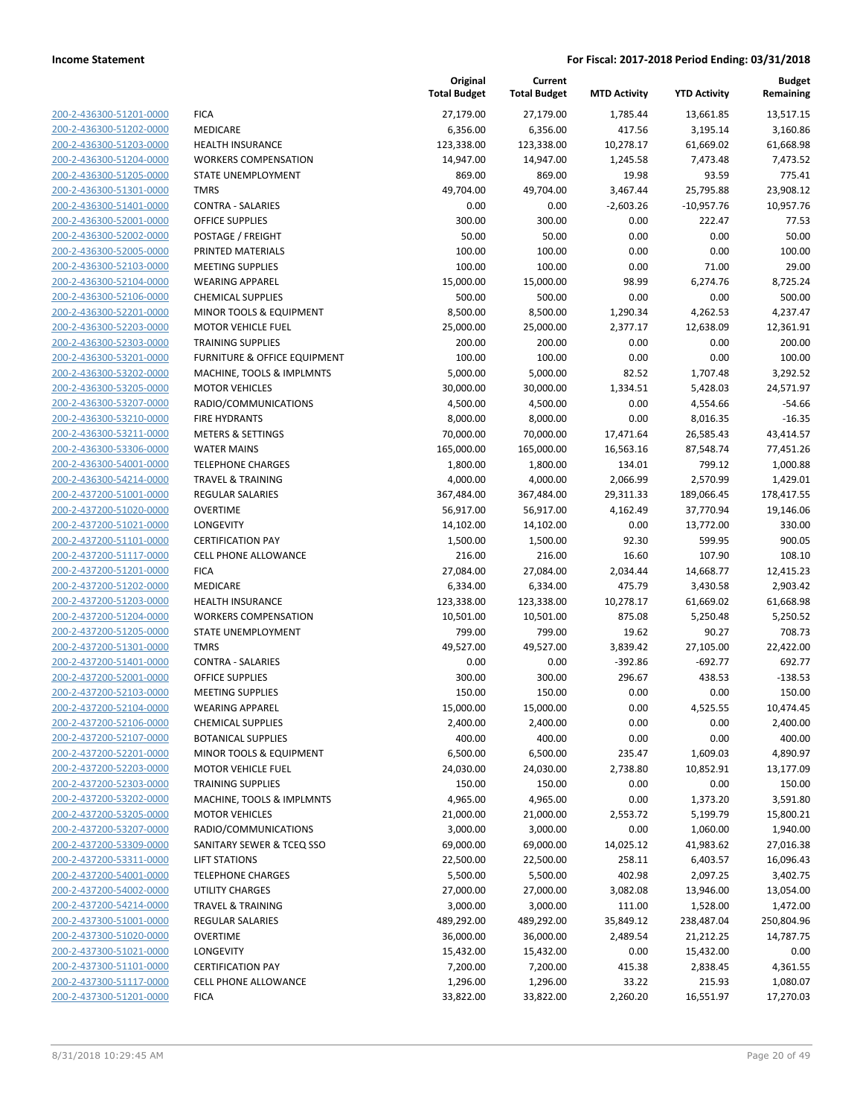| 200-2-436300-51201-0000 | FIC/       |
|-------------------------|------------|
| 200-2-436300-51202-0000 | MEI        |
| 200-2-436300-51203-0000 | HEA        |
| 200-2-436300-51204-0000 | <b>WO</b>  |
| 200-2-436300-51205-0000 | <b>STA</b> |
| 200-2-436300-51301-0000 | <b>TMI</b> |
| 200-2-436300-51401-0000 | COI        |
|                         | OFF        |
| 200-2-436300-52001-0000 |            |
| 200-2-436300-52002-0000 | <b>POS</b> |
| 200-2-436300-52005-0000 | PRII       |
| 200-2-436300-52103-0000 | MEI        |
| 200-2-436300-52104-0000 | WE.        |
| 200-2-436300-52106-0000 | CHE        |
| 200-2-436300-52201-0000 | MIN        |
| 200-2-436300-52203-0000 | мo         |
| 200-2-436300-52303-0000 | TRA        |
| 200-2-436300-53201-0000 | FUR        |
| 200-2-436300-53202-0000 | MA         |
| 200-2-436300-53205-0000 | MO         |
| 200-2-436300-53207-0000 | Rad        |
| 200-2-436300-53210-0000 | FIRE       |
| 200-2-436300-53211-0000 | ME.        |
| 200-2-436300-53306-0000 | WA         |
| 200-2-436300-54001-0000 | TEL        |
| 200-2-436300-54214-0000 | <b>TRA</b> |
| 200-2-437200-51001-0000 | REC        |
| 200-2-437200-51020-0000 | OVE        |
| 200-2-437200-51021-0000 | LON        |
| 200-2-437200-51101-0000 | CER        |
| 200-2-437200-51117-0000 | CEL        |
| 200-2-437200-51201-0000 | FIC/       |
| 200-2-437200-51202-0000 | MEI        |
| 200-2-437200-51203-0000 | HEA        |
| 200-2-437200-51204-0000 | wo         |
| 200-2-437200-51205-0000 | STA        |
| 200-2-437200-51301-0000 | <b>TMI</b> |
| 200-2-437200-51401-0000 | COI        |
| 200-2-437200-52001-0000 | OFF        |
| 200-2-437200-52103-0000 | MEI        |
| 200-2-437200-52104-0000 | WE.        |
| 200-2-437200-52106-0000 | CHE        |
| 200-2-437200-52107-0000 | BO1        |
| 200-2-437200-52201-0000 | MIN        |
| 200-2-437200-52203-0000 | мo         |
| 200-2-437200-52303-0000 | TRA        |
| 200-2-437200-53202-0000 | MA         |
| 200-2-437200-53205-0000 | MO         |
| 200-2-437200-53207-0000 | rad        |
| 200-2-437200-53309-0000 | SAN        |
| 200-2-437200-53311-0000 | LIFT       |
| 200-2-437200-54001-0000 | TEL        |
| 200-2-437200-54002-0000 | UTI        |
| 200-2-437200-54214-0000 | TRA        |
| 200-2-437300-51001-0000 | REC        |
| 200-2-437300-51020-0000 | ovi        |
| 200-2-437300-51021-0000 | LON        |
|                         | CER        |
| 200-2-437300-51101-0000 | CEL        |
| 200-2-437300-51117-0000 |            |
| 200-2-437300-51201-0000 | FIC/       |

|                         |                              | Original<br><b>Total Budget</b> | Current<br><b>Total Budget</b> | <b>MTD Activity</b> | <b>YTD Activity</b> | <b>Budget</b><br>Remaining |
|-------------------------|------------------------------|---------------------------------|--------------------------------|---------------------|---------------------|----------------------------|
| 200-2-436300-51201-0000 | <b>FICA</b>                  | 27,179.00                       | 27,179.00                      | 1,785.44            | 13,661.85           | 13,517.15                  |
| 200-2-436300-51202-0000 | MEDICARE                     | 6,356.00                        | 6,356.00                       | 417.56              | 3,195.14            | 3,160.86                   |
| 200-2-436300-51203-0000 | HEALTH INSURANCE             | 123,338.00                      | 123,338.00                     | 10,278.17           | 61,669.02           | 61,668.98                  |
| 200-2-436300-51204-0000 | <b>WORKERS COMPENSATION</b>  | 14,947.00                       | 14,947.00                      | 1,245.58            | 7,473.48            | 7,473.52                   |
| 200-2-436300-51205-0000 | STATE UNEMPLOYMENT           | 869.00                          | 869.00                         | 19.98               | 93.59               | 775.41                     |
| 200-2-436300-51301-0000 | <b>TMRS</b>                  | 49,704.00                       | 49,704.00                      | 3,467.44            | 25,795.88           | 23,908.12                  |
| 200-2-436300-51401-0000 | <b>CONTRA - SALARIES</b>     | 0.00                            | 0.00                           | $-2,603.26$         | $-10,957.76$        | 10,957.76                  |
| 200-2-436300-52001-0000 | <b>OFFICE SUPPLIES</b>       | 300.00                          | 300.00                         | 0.00                | 222.47              | 77.53                      |
| 200-2-436300-52002-0000 | POSTAGE / FREIGHT            | 50.00                           | 50.00                          | 0.00                | 0.00                | 50.00                      |
| 200-2-436300-52005-0000 | PRINTED MATERIALS            | 100.00                          | 100.00                         | 0.00                | 0.00                | 100.00                     |
| 200-2-436300-52103-0000 | <b>MEETING SUPPLIES</b>      | 100.00                          | 100.00                         | 0.00                | 71.00               | 29.00                      |
| 200-2-436300-52104-0000 | <b>WEARING APPAREL</b>       | 15,000.00                       | 15,000.00                      | 98.99               | 6,274.76            | 8,725.24                   |
| 200-2-436300-52106-0000 | <b>CHEMICAL SUPPLIES</b>     | 500.00                          | 500.00                         | 0.00                | 0.00                | 500.00                     |
| 200-2-436300-52201-0000 | MINOR TOOLS & EQUIPMENT      | 8,500.00                        | 8,500.00                       | 1,290.34            | 4,262.53            | 4,237.47                   |
| 200-2-436300-52203-0000 | <b>MOTOR VEHICLE FUEL</b>    | 25,000.00                       | 25,000.00                      | 2,377.17            | 12,638.09           | 12,361.91                  |
| 200-2-436300-52303-0000 | <b>TRAINING SUPPLIES</b>     | 200.00                          | 200.00                         | 0.00                | 0.00                | 200.00                     |
| 200-2-436300-53201-0000 | FURNITURE & OFFICE EQUIPMENT | 100.00                          | 100.00                         | 0.00                | 0.00                | 100.00                     |
| 200-2-436300-53202-0000 | MACHINE, TOOLS & IMPLMNTS    | 5,000.00                        | 5,000.00                       | 82.52               | 1,707.48            | 3,292.52                   |
| 200-2-436300-53205-0000 | <b>MOTOR VEHICLES</b>        | 30,000.00                       | 30,000.00                      | 1,334.51            | 5,428.03            | 24,571.97                  |
| 200-2-436300-53207-0000 | RADIO/COMMUNICATIONS         | 4,500.00                        | 4,500.00                       | 0.00                | 4,554.66            | $-54.66$                   |
| 200-2-436300-53210-0000 | <b>FIRE HYDRANTS</b>         | 8,000.00                        | 8,000.00                       | 0.00                | 8,016.35            | $-16.35$                   |
| 200-2-436300-53211-0000 | <b>METERS &amp; SETTINGS</b> | 70,000.00                       | 70,000.00                      | 17,471.64           | 26,585.43           | 43,414.57                  |
| 200-2-436300-53306-0000 | <b>WATER MAINS</b>           | 165,000.00                      | 165,000.00                     | 16,563.16           | 87,548.74           | 77,451.26                  |
| 200-2-436300-54001-0000 | <b>TELEPHONE CHARGES</b>     | 1,800.00                        | 1,800.00                       | 134.01              | 799.12              | 1,000.88                   |
| 200-2-436300-54214-0000 | <b>TRAVEL &amp; TRAINING</b> | 4,000.00                        | 4,000.00                       | 2,066.99            | 2,570.99            | 1,429.01                   |
| 200-2-437200-51001-0000 | <b>REGULAR SALARIES</b>      | 367,484.00                      | 367,484.00                     | 29,311.33           | 189,066.45          | 178,417.55                 |
| 200-2-437200-51020-0000 | <b>OVERTIME</b>              | 56,917.00                       | 56,917.00                      | 4,162.49            | 37,770.94           | 19,146.06                  |
| 200-2-437200-51021-0000 | LONGEVITY                    | 14,102.00                       | 14,102.00                      | 0.00                | 13,772.00           | 330.00                     |
| 200-2-437200-51101-0000 | <b>CERTIFICATION PAY</b>     | 1,500.00                        | 1,500.00                       | 92.30               | 599.95              | 900.05                     |
| 200-2-437200-51117-0000 | <b>CELL PHONE ALLOWANCE</b>  | 216.00                          | 216.00                         | 16.60               | 107.90              | 108.10                     |
| 200-2-437200-51201-0000 | <b>FICA</b>                  | 27,084.00                       | 27,084.00                      | 2,034.44            | 14,668.77           | 12,415.23                  |
| 200-2-437200-51202-0000 | MEDICARE                     | 6,334.00                        | 6,334.00                       | 475.79              | 3,430.58            | 2,903.42                   |
| 200-2-437200-51203-0000 | HEALTH INSURANCE             | 123,338.00                      | 123,338.00                     | 10,278.17           | 61,669.02           | 61,668.98                  |
| 200-2-437200-51204-0000 | <b>WORKERS COMPENSATION</b>  | 10,501.00                       | 10,501.00                      | 875.08              | 5,250.48            | 5,250.52                   |
| 200-2-437200-51205-0000 | STATE UNEMPLOYMENT           | 799.00                          | 799.00                         | 19.62               | 90.27               | 708.73                     |
| 200-2-437200-51301-0000 | <b>TMRS</b>                  | 49,527.00                       | 49,527.00                      | 3,839.42            | 27,105.00           | 22,422.00                  |
| 200-2-437200-51401-0000 | <b>CONTRA - SALARIES</b>     | 0.00                            | 0.00                           | $-392.86$           | $-692.77$           | 692.77                     |
| 200-2-437200-52001-0000 | <b>OFFICE SUPPLIES</b>       | 300.00                          | 300.00                         | 296.67              | 438.53              | $-138.53$                  |
| 200-2-437200-52103-0000 | <b>MEETING SUPPLIES</b>      | 150.00                          | 150.00                         | 0.00                | 0.00                | 150.00                     |
| 200-2-437200-52104-0000 | <b>WEARING APPAREL</b>       | 15,000.00                       | 15,000.00                      | 0.00                | 4,525.55            | 10,474.45                  |
| 200-2-437200-52106-0000 | <b>CHEMICAL SUPPLIES</b>     | 2,400.00                        | 2,400.00                       | 0.00                | 0.00                | 2,400.00                   |
| 200-2-437200-52107-0000 | <b>BOTANICAL SUPPLIES</b>    | 400.00                          | 400.00                         | 0.00                | 0.00                | 400.00                     |
| 200-2-437200-52201-0000 | MINOR TOOLS & EQUIPMENT      | 6,500.00                        | 6,500.00                       | 235.47              | 1,609.03            | 4,890.97                   |
| 200-2-437200-52203-0000 | <b>MOTOR VEHICLE FUEL</b>    | 24,030.00                       | 24,030.00                      | 2,738.80            | 10,852.91           | 13,177.09                  |
| 200-2-437200-52303-0000 | <b>TRAINING SUPPLIES</b>     | 150.00                          | 150.00                         | 0.00                | 0.00                | 150.00                     |
| 200-2-437200-53202-0000 | MACHINE, TOOLS & IMPLMNTS    | 4,965.00                        | 4,965.00                       | 0.00                | 1,373.20            | 3,591.80                   |
| 200-2-437200-53205-0000 | <b>MOTOR VEHICLES</b>        | 21,000.00                       | 21,000.00                      | 2,553.72            | 5,199.79            | 15,800.21                  |
| 200-2-437200-53207-0000 | RADIO/COMMUNICATIONS         | 3,000.00                        | 3,000.00                       | 0.00                | 1,060.00            | 1,940.00                   |
| 200-2-437200-53309-0000 | SANITARY SEWER & TCEQ SSO    | 69,000.00                       | 69,000.00                      | 14,025.12           | 41,983.62           | 27,016.38                  |
| 200-2-437200-53311-0000 | <b>LIFT STATIONS</b>         | 22,500.00                       | 22,500.00                      | 258.11              | 6,403.57            | 16,096.43                  |
| 200-2-437200-54001-0000 | <b>TELEPHONE CHARGES</b>     | 5,500.00                        | 5,500.00                       | 402.98              | 2,097.25            | 3,402.75                   |
| 200-2-437200-54002-0000 | UTILITY CHARGES              | 27,000.00                       | 27,000.00                      | 3,082.08            | 13,946.00           | 13,054.00                  |
| 200-2-437200-54214-0000 | <b>TRAVEL &amp; TRAINING</b> | 3,000.00                        | 3,000.00                       | 111.00              | 1,528.00            | 1,472.00                   |
| 200-2-437300-51001-0000 | <b>REGULAR SALARIES</b>      | 489,292.00                      | 489,292.00                     | 35,849.12           | 238,487.04          | 250,804.96                 |
| 200-2-437300-51020-0000 | <b>OVERTIME</b>              | 36,000.00                       | 36,000.00                      | 2,489.54            | 21,212.25           | 14,787.75                  |
| 200-2-437300-51021-0000 | LONGEVITY                    | 15,432.00                       | 15,432.00                      | 0.00                | 15,432.00           | 0.00                       |
| 200-2-437300-51101-0000 | <b>CERTIFICATION PAY</b>     | 7,200.00                        | 7,200.00                       | 415.38              | 2,838.45            | 4,361.55                   |
| 200-2-437300-51117-0000 | CELL PHONE ALLOWANCE         | 1,296.00                        | 1,296.00                       | 33.22               | 215.93              | 1,080.07                   |
| 200-2-437300-51201-0000 | <b>FICA</b>                  | 33,822.00                       | 33,822.00                      | 2,260.20            | 16,551.97           | 17,270.03                  |
|                         |                              |                                 |                                |                     |                     |                            |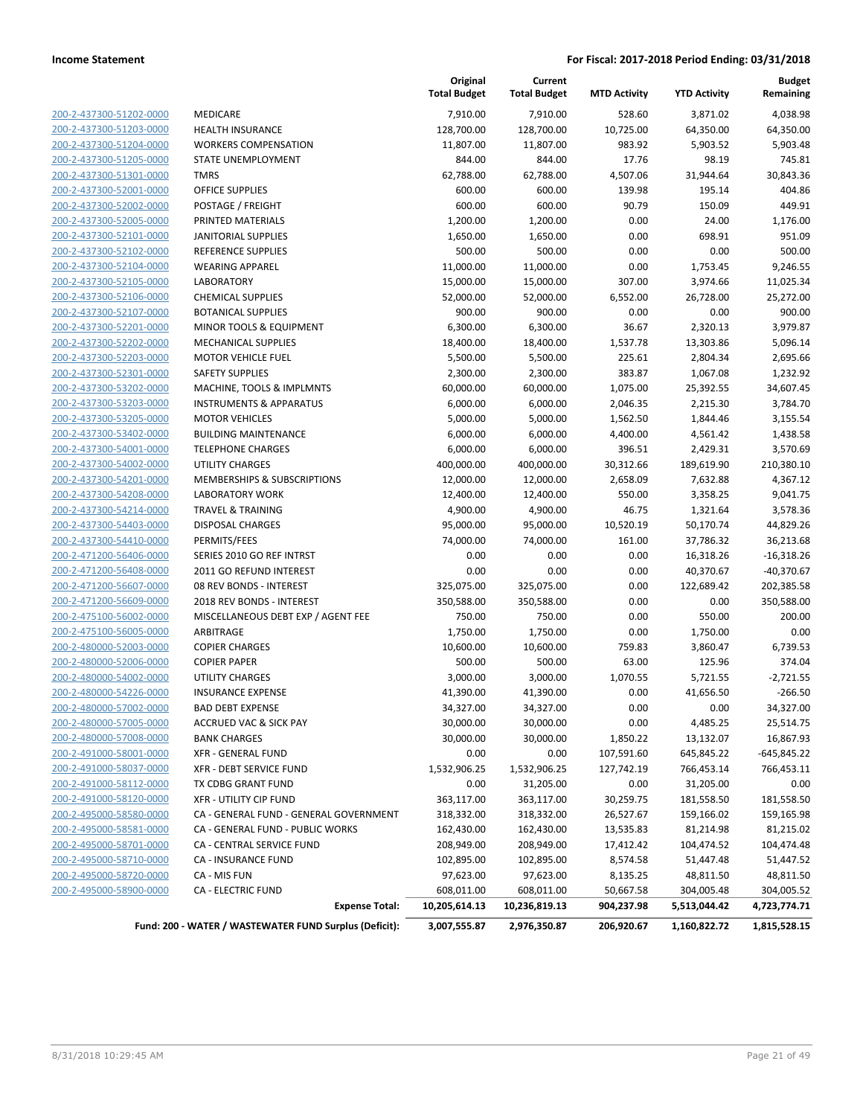|                         |                                                        | Original<br><b>Total Budget</b> | Current<br><b>Total Budget</b> | <b>MTD Activity</b> | <b>YTD Activity</b> | <b>Budget</b><br>Remaining |
|-------------------------|--------------------------------------------------------|---------------------------------|--------------------------------|---------------------|---------------------|----------------------------|
| 200-2-437300-51202-0000 | MEDICARE                                               | 7,910.00                        | 7,910.00                       | 528.60              | 3,871.02            | 4,038.98                   |
| 200-2-437300-51203-0000 | <b>HEALTH INSURANCE</b>                                | 128,700.00                      | 128,700.00                     | 10,725.00           | 64,350.00           | 64,350.00                  |
| 200-2-437300-51204-0000 | <b>WORKERS COMPENSATION</b>                            | 11,807.00                       | 11,807.00                      | 983.92              | 5,903.52            | 5,903.48                   |
| 200-2-437300-51205-0000 | STATE UNEMPLOYMENT                                     | 844.00                          | 844.00                         | 17.76               | 98.19               | 745.81                     |
| 200-2-437300-51301-0000 | <b>TMRS</b>                                            | 62,788.00                       | 62,788.00                      | 4,507.06            | 31,944.64           | 30,843.36                  |
| 200-2-437300-52001-0000 | <b>OFFICE SUPPLIES</b>                                 | 600.00                          | 600.00                         | 139.98              | 195.14              | 404.86                     |
| 200-2-437300-52002-0000 | POSTAGE / FREIGHT                                      | 600.00                          | 600.00                         | 90.79               | 150.09              | 449.91                     |
| 200-2-437300-52005-0000 | PRINTED MATERIALS                                      | 1,200.00                        | 1,200.00                       | 0.00                | 24.00               | 1,176.00                   |
| 200-2-437300-52101-0000 | <b>JANITORIAL SUPPLIES</b>                             | 1,650.00                        | 1,650.00                       | 0.00                | 698.91              | 951.09                     |
| 200-2-437300-52102-0000 | REFERENCE SUPPLIES                                     | 500.00                          | 500.00                         | 0.00                | 0.00                | 500.00                     |
| 200-2-437300-52104-0000 | <b>WEARING APPAREL</b>                                 | 11,000.00                       | 11,000.00                      | 0.00                | 1,753.45            | 9,246.55                   |
| 200-2-437300-52105-0000 | <b>LABORATORY</b>                                      | 15,000.00                       | 15,000.00                      | 307.00              | 3,974.66            | 11,025.34                  |
| 200-2-437300-52106-0000 | <b>CHEMICAL SUPPLIES</b>                               | 52,000.00                       | 52,000.00                      | 6,552.00            | 26,728.00           | 25,272.00                  |
| 200-2-437300-52107-0000 | <b>BOTANICAL SUPPLIES</b>                              | 900.00                          | 900.00                         | 0.00                | 0.00                | 900.00                     |
| 200-2-437300-52201-0000 | MINOR TOOLS & EQUIPMENT                                | 6,300.00                        | 6,300.00                       | 36.67               | 2,320.13            | 3,979.87                   |
| 200-2-437300-52202-0000 | <b>MECHANICAL SUPPLIES</b>                             | 18,400.00                       | 18,400.00                      | 1,537.78            | 13,303.86           | 5,096.14                   |
| 200-2-437300-52203-0000 | <b>MOTOR VEHICLE FUEL</b>                              | 5,500.00                        | 5,500.00                       | 225.61              | 2,804.34            | 2,695.66                   |
| 200-2-437300-52301-0000 | <b>SAFETY SUPPLIES</b>                                 | 2,300.00                        | 2,300.00                       | 383.87              | 1,067.08            | 1,232.92                   |
| 200-2-437300-53202-0000 | MACHINE, TOOLS & IMPLMNTS                              | 60,000.00                       | 60,000.00                      | 1,075.00            | 25,392.55           | 34,607.45                  |
| 200-2-437300-53203-0000 | <b>INSTRUMENTS &amp; APPARATUS</b>                     | 6,000.00                        | 6,000.00                       | 2,046.35            | 2,215.30            | 3,784.70                   |
| 200-2-437300-53205-0000 | <b>MOTOR VEHICLES</b>                                  | 5,000.00                        | 5,000.00                       | 1,562.50            | 1,844.46            | 3,155.54                   |
| 200-2-437300-53402-0000 | <b>BUILDING MAINTENANCE</b>                            | 6,000.00                        | 6,000.00                       | 4,400.00            | 4,561.42            | 1,438.58                   |
| 200-2-437300-54001-0000 | <b>TELEPHONE CHARGES</b>                               | 6,000.00                        | 6,000.00                       | 396.51              | 2,429.31            | 3,570.69                   |
| 200-2-437300-54002-0000 | <b>UTILITY CHARGES</b>                                 | 400,000.00                      | 400,000.00                     | 30,312.66           | 189,619.90          | 210,380.10                 |
| 200-2-437300-54201-0000 | MEMBERSHIPS & SUBSCRIPTIONS                            | 12,000.00                       | 12,000.00                      | 2,658.09            | 7,632.88            | 4,367.12                   |
| 200-2-437300-54208-0000 | <b>LABORATORY WORK</b>                                 | 12,400.00                       | 12,400.00                      | 550.00              | 3,358.25            | 9,041.75                   |
| 200-2-437300-54214-0000 | <b>TRAVEL &amp; TRAINING</b>                           | 4,900.00                        | 4,900.00                       | 46.75               | 1,321.64            | 3,578.36                   |
| 200-2-437300-54403-0000 | <b>DISPOSAL CHARGES</b>                                | 95,000.00                       | 95,000.00                      | 10,520.19           | 50,170.74           | 44,829.26                  |
| 200-2-437300-54410-0000 | PERMITS/FEES                                           | 74,000.00                       | 74,000.00                      | 161.00              | 37,786.32           | 36,213.68                  |
| 200-2-471200-56406-0000 | SERIES 2010 GO REF INTRST                              | 0.00                            | 0.00                           | 0.00                | 16,318.26           | $-16,318.26$               |
| 200-2-471200-56408-0000 | 2011 GO REFUND INTEREST                                | 0.00                            | 0.00                           | 0.00                | 40,370.67           | $-40,370.67$               |
| 200-2-471200-56607-0000 | 08 REV BONDS - INTEREST                                | 325,075.00                      | 325,075.00                     | 0.00                | 122,689.42          | 202,385.58                 |
| 200-2-471200-56609-0000 | 2018 REV BONDS - INTEREST                              | 350,588.00                      | 350,588.00                     | 0.00                | 0.00                | 350,588.00                 |
| 200-2-475100-56002-0000 | MISCELLANEOUS DEBT EXP / AGENT FEE                     | 750.00                          | 750.00                         | 0.00                | 550.00              | 200.00                     |
| 200-2-475100-56005-0000 | ARBITRAGE                                              | 1,750.00                        | 1,750.00                       | 0.00                | 1,750.00            | 0.00                       |
| 200-2-480000-52003-0000 | <b>COPIER CHARGES</b>                                  | 10,600.00                       | 10,600.00                      | 759.83              | 3,860.47            | 6,739.53                   |
| 200-2-480000-52006-0000 | <b>COPIER PAPER</b>                                    | 500.00                          | 500.00                         | 63.00               | 125.96              | 374.04                     |
| 200-2-480000-54002-0000 | <b>UTILITY CHARGES</b>                                 | 3,000.00                        | 3,000.00                       | 1,070.55            | 5,721.55            | $-2,721.55$                |
| 200-2-480000-54226-0000 | <b>INSURANCE EXPENSE</b>                               | 41,390.00                       | 41,390.00                      | 0.00                | 41,656.50           | $-266.50$                  |
| 200-2-480000-57002-0000 | <b>BAD DEBT EXPENSE</b>                                | 34,327.00                       | 34,327.00                      | 0.00                | 0.00                | 34,327.00                  |
| 200-2-480000-57005-0000 | <b>ACCRUED VAC &amp; SICK PAY</b>                      | 30,000.00                       | 30,000.00                      | 0.00                | 4,485.25            | 25,514.75                  |
| 200-2-480000-57008-0000 | <b>BANK CHARGES</b>                                    | 30,000.00                       | 30,000.00                      | 1,850.22            | 13,132.07           | 16,867.93                  |
| 200-2-491000-58001-0000 | <b>XFR - GENERAL FUND</b>                              | 0.00                            | 0.00                           | 107,591.60          | 645,845.22          | $-645,845.22$              |
| 200-2-491000-58037-0000 | XFR - DEBT SERVICE FUND                                | 1,532,906.25                    | 1,532,906.25                   | 127,742.19          | 766,453.14          | 766,453.11                 |
| 200-2-491000-58112-0000 | TX CDBG GRANT FUND                                     | 0.00                            | 31,205.00                      | 0.00                | 31,205.00           | 0.00                       |
| 200-2-491000-58120-0000 | XFR - UTILITY CIP FUND                                 | 363,117.00                      | 363,117.00                     | 30,259.75           | 181,558.50          | 181,558.50                 |
| 200-2-495000-58580-0000 | CA - GENERAL FUND - GENERAL GOVERNMENT                 | 318,332.00                      | 318,332.00                     | 26,527.67           | 159,166.02          | 159,165.98                 |
| 200-2-495000-58581-0000 | CA - GENERAL FUND - PUBLIC WORKS                       | 162,430.00                      | 162,430.00                     | 13,535.83           | 81,214.98           | 81,215.02                  |
| 200-2-495000-58701-0000 | CA - CENTRAL SERVICE FUND                              | 208,949.00                      | 208,949.00                     | 17,412.42           | 104,474.52          | 104,474.48                 |
| 200-2-495000-58710-0000 | CA - INSURANCE FUND                                    | 102,895.00                      | 102,895.00                     | 8,574.58            | 51,447.48           | 51,447.52                  |
| 200-2-495000-58720-0000 | CA - MIS FUN                                           | 97,623.00                       | 97,623.00                      | 8,135.25            | 48,811.50           | 48,811.50                  |
| 200-2-495000-58900-0000 | <b>CA - ELECTRIC FUND</b>                              | 608,011.00                      | 608,011.00                     | 50,667.58           | 304,005.48          | 304,005.52                 |
|                         | <b>Expense Total:</b>                                  | 10,205,614.13                   | 10,236,819.13                  | 904,237.98          | 5,513,044.42        | 4,723,774.71               |
|                         | Fund: 200 - WATER / WASTEWATER FUND Surplus (Deficit): | 3,007,555.87                    | 2,976,350.87                   | 206,920.67          | 1,160,822.72        | 1,815,528.15               |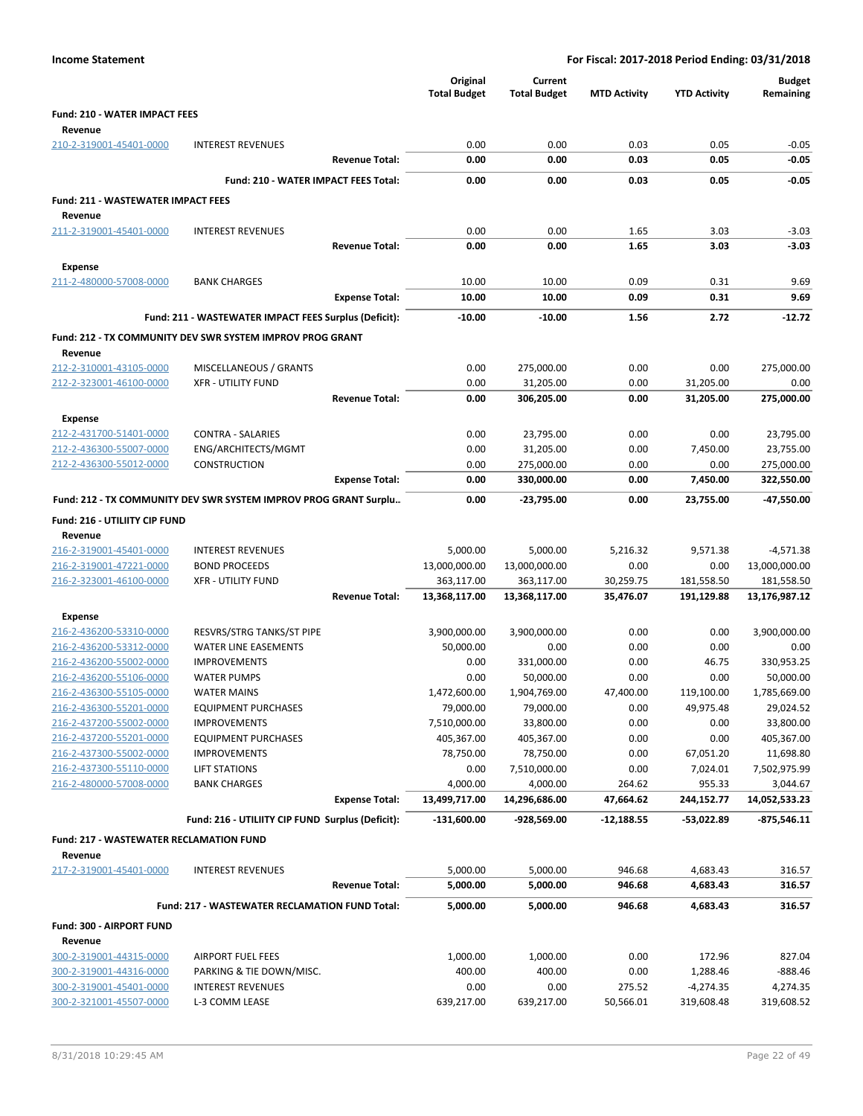|                                                |                                                                  |                       | Original<br><b>Total Budget</b> | Current<br><b>Total Budget</b> | <b>MTD Activity</b> | <b>YTD Activity</b> | <b>Budget</b><br>Remaining |
|------------------------------------------------|------------------------------------------------------------------|-----------------------|---------------------------------|--------------------------------|---------------------|---------------------|----------------------------|
| <b>Fund: 210 - WATER IMPACT FEES</b>           |                                                                  |                       |                                 |                                |                     |                     |                            |
| Revenue                                        |                                                                  |                       |                                 |                                |                     |                     |                            |
| 210-2-319001-45401-0000                        | <b>INTEREST REVENUES</b>                                         |                       | 0.00                            | 0.00                           | 0.03                | 0.05                | $-0.05$                    |
|                                                |                                                                  | <b>Revenue Total:</b> | 0.00                            | 0.00                           | 0.03                | 0.05                | $-0.05$                    |
|                                                | Fund: 210 - WATER IMPACT FEES Total:                             |                       | 0.00                            | 0.00                           | 0.03                | 0.05                | $-0.05$                    |
| <b>Fund: 211 - WASTEWATER IMPACT FEES</b>      |                                                                  |                       |                                 |                                |                     |                     |                            |
| Revenue                                        |                                                                  |                       |                                 |                                |                     |                     |                            |
| 211-2-319001-45401-0000                        | <b>INTEREST REVENUES</b>                                         |                       | 0.00                            | 0.00                           | 1.65                | 3.03                | $-3.03$                    |
|                                                |                                                                  | <b>Revenue Total:</b> | 0.00                            | 0.00                           | 1.65                | 3.03                | $-3.03$                    |
|                                                |                                                                  |                       |                                 |                                |                     |                     |                            |
| <b>Expense</b>                                 |                                                                  |                       | 10.00                           |                                | 0.09                |                     |                            |
| 211-2-480000-57008-0000                        | <b>BANK CHARGES</b>                                              | <b>Expense Total:</b> | 10.00                           | 10.00<br>10.00                 | 0.09                | 0.31<br>0.31        | 9.69<br>9.69               |
|                                                |                                                                  |                       |                                 |                                |                     |                     |                            |
|                                                | Fund: 211 - WASTEWATER IMPACT FEES Surplus (Deficit):            |                       | $-10.00$                        | $-10.00$                       | 1.56                | 2.72                | $-12.72$                   |
| Revenue                                        | Fund: 212 - TX COMMUNITY DEV SWR SYSTEM IMPROV PROG GRANT        |                       |                                 |                                |                     |                     |                            |
| 212-2-310001-43105-0000                        | MISCELLANEOUS / GRANTS                                           |                       | 0.00                            | 275,000.00                     | 0.00                | 0.00                | 275,000.00                 |
| 212-2-323001-46100-0000                        | <b>XFR - UTILITY FUND</b>                                        |                       | 0.00                            | 31,205.00                      | 0.00                | 31,205.00           | 0.00                       |
|                                                |                                                                  | <b>Revenue Total:</b> | 0.00                            | 306,205.00                     | 0.00                | 31,205.00           | 275,000.00                 |
| <b>Expense</b>                                 |                                                                  |                       |                                 |                                |                     |                     |                            |
| 212-2-431700-51401-0000                        | <b>CONTRA - SALARIES</b>                                         |                       | 0.00                            | 23,795.00                      | 0.00                | 0.00                | 23,795.00                  |
| 212-2-436300-55007-0000                        | ENG/ARCHITECTS/MGMT                                              |                       | 0.00                            | 31,205.00                      | 0.00                | 7,450.00            | 23,755.00                  |
| 212-2-436300-55012-0000                        | <b>CONSTRUCTION</b>                                              |                       | 0.00                            | 275,000.00                     | 0.00                | 0.00                | 275,000.00                 |
|                                                |                                                                  | <b>Expense Total:</b> | 0.00                            | 330,000.00                     | 0.00                | 7,450.00            | 322,550.00                 |
|                                                | Fund: 212 - TX COMMUNITY DEV SWR SYSTEM IMPROV PROG GRANT Surplu |                       | 0.00                            | $-23,795.00$                   | 0.00                | 23,755.00           | -47,550.00                 |
|                                                |                                                                  |                       |                                 |                                |                     |                     |                            |
| Fund: 216 - UTILIITY CIP FUND<br>Revenue       |                                                                  |                       |                                 |                                |                     |                     |                            |
| 216-2-319001-45401-0000                        | <b>INTEREST REVENUES</b>                                         |                       | 5,000.00                        | 5,000.00                       | 5,216.32            | 9,571.38            | $-4,571.38$                |
| 216-2-319001-47221-0000                        | <b>BOND PROCEEDS</b>                                             |                       | 13,000,000.00                   | 13,000,000.00                  | 0.00                | 0.00                | 13,000,000.00              |
| 216-2-323001-46100-0000                        | <b>XFR - UTILITY FUND</b>                                        |                       | 363,117.00                      | 363,117.00                     | 30,259.75           | 181,558.50          | 181,558.50                 |
|                                                |                                                                  | <b>Revenue Total:</b> | 13,368,117.00                   | 13,368,117.00                  | 35,476.07           | 191,129.88          | 13,176,987.12              |
|                                                |                                                                  |                       |                                 |                                |                     |                     |                            |
| <b>Expense</b><br>216-2-436200-53310-0000      | RESVRS/STRG TANKS/ST PIPE                                        |                       | 3,900,000.00                    | 3,900,000.00                   | 0.00                | 0.00                | 3,900,000.00               |
| 216-2-436200-53312-0000                        | WATER LINE EASEMENTS                                             |                       | 50,000.00                       | 0.00                           | 0.00                | 0.00                | 0.00                       |
| 216-2-436200-55002-0000                        | <b>IMPROVEMENTS</b>                                              |                       | 0.00                            | 331,000.00                     | 0.00                | 46.75               | 330,953.25                 |
| 216-2-436200-55106-0000                        | <b>WATER PUMPS</b>                                               |                       | 0.00                            | 50,000.00                      | 0.00                | 0.00                | 50,000.00                  |
| 216-2-436300-55105-0000                        | <b>WATER MAINS</b>                                               |                       | 1,472,600.00                    | 1,904,769.00                   | 47,400.00           | 119,100.00          | 1,785,669.00               |
| 216-2-436300-55201-0000                        | <b>EQUIPMENT PURCHASES</b>                                       |                       | 79,000.00                       | 79,000.00                      | 0.00                | 49,975.48           | 29,024.52                  |
| 216-2-437200-55002-0000                        | <b>IMPROVEMENTS</b>                                              |                       | 7,510,000.00                    | 33,800.00                      | 0.00                | 0.00                | 33,800.00                  |
| 216-2-437200-55201-0000                        | <b>EQUIPMENT PURCHASES</b>                                       |                       | 405,367.00                      | 405,367.00                     | 0.00                | 0.00                | 405,367.00                 |
| 216-2-437300-55002-0000                        | <b>IMPROVEMENTS</b>                                              |                       | 78,750.00                       | 78,750.00                      | 0.00                | 67,051.20           | 11,698.80                  |
| 216-2-437300-55110-0000                        | <b>LIFT STATIONS</b>                                             |                       | 0.00                            | 7,510,000.00                   | 0.00                | 7,024.01            | 7,502,975.99               |
| 216-2-480000-57008-0000                        | <b>BANK CHARGES</b>                                              |                       | 4,000.00                        | 4,000.00                       | 264.62              | 955.33              | 3,044.67                   |
|                                                |                                                                  | <b>Expense Total:</b> | 13,499,717.00                   | 14,296,686.00                  | 47,664.62           | 244,152.77          | 14,052,533.23              |
|                                                | Fund: 216 - UTILIITY CIP FUND Surplus (Deficit):                 |                       | $-131,600.00$                   | -928,569.00                    | -12,188.55          | -53,022.89          | $-875,546.11$              |
| <b>Fund: 217 - WASTEWATER RECLAMATION FUND</b> |                                                                  |                       |                                 |                                |                     |                     |                            |
| Revenue                                        |                                                                  |                       |                                 |                                |                     |                     |                            |
| 217-2-319001-45401-0000                        | <b>INTEREST REVENUES</b>                                         |                       | 5,000.00                        | 5,000.00                       | 946.68              | 4,683.43            | 316.57                     |
|                                                |                                                                  | <b>Revenue Total:</b> | 5,000.00                        | 5,000.00                       | 946.68              | 4,683.43            | 316.57                     |
|                                                | Fund: 217 - WASTEWATER RECLAMATION FUND Total:                   |                       |                                 |                                |                     |                     |                            |
|                                                |                                                                  |                       | 5,000.00                        | 5,000.00                       | 946.68              | 4,683.43            | 316.57                     |
| Fund: 300 - AIRPORT FUND                       |                                                                  |                       |                                 |                                |                     |                     |                            |
| Revenue                                        |                                                                  |                       |                                 |                                |                     |                     |                            |
| 300-2-319001-44315-0000                        | <b>AIRPORT FUEL FEES</b>                                         |                       | 1,000.00                        | 1,000.00                       | 0.00                | 172.96              | 827.04                     |
| 300-2-319001-44316-0000                        | PARKING & TIE DOWN/MISC.                                         |                       | 400.00                          | 400.00                         | 0.00                | 1,288.46            | $-888.46$                  |
| 300-2-319001-45401-0000                        | <b>INTEREST REVENUES</b>                                         |                       | 0.00                            | 0.00                           | 275.52              | $-4,274.35$         | 4,274.35                   |
| 300-2-321001-45507-0000                        | L-3 COMM LEASE                                                   |                       | 639,217.00                      | 639,217.00                     | 50,566.01           | 319,608.48          | 319,608.52                 |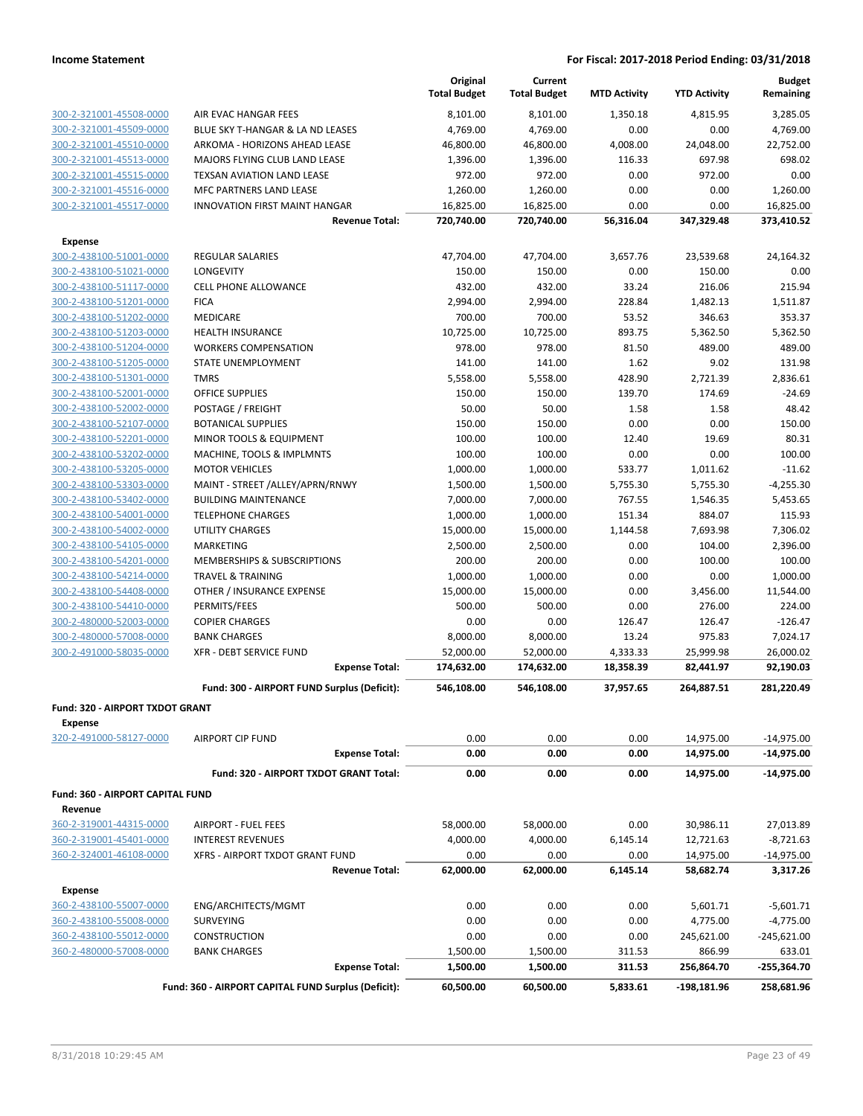|                                                    |                                                             | Original<br><b>Total Budget</b> | Current<br><b>Total Budget</b> | <b>MTD Activity</b> | <b>YTD Activity</b> | <b>Budget</b><br>Remaining |
|----------------------------------------------------|-------------------------------------------------------------|---------------------------------|--------------------------------|---------------------|---------------------|----------------------------|
| 300-2-321001-45508-0000                            | AIR EVAC HANGAR FEES                                        | 8,101.00                        | 8,101.00                       | 1,350.18            | 4,815.95            | 3,285.05                   |
| 300-2-321001-45509-0000                            | BLUE SKY T-HANGAR & LA ND LEASES                            | 4,769.00                        | 4,769.00                       | 0.00                | 0.00                | 4,769.00                   |
| 300-2-321001-45510-0000                            | ARKOMA - HORIZONS AHEAD LEASE                               | 46,800.00                       | 46,800.00                      | 4,008.00            | 24,048.00           | 22,752.00                  |
| 300-2-321001-45513-0000                            | MAJORS FLYING CLUB LAND LEASE                               | 1,396.00                        | 1,396.00                       | 116.33              | 697.98              | 698.02                     |
| 300-2-321001-45515-0000                            | TEXSAN AVIATION LAND LEASE                                  | 972.00                          | 972.00                         | 0.00                | 972.00              | 0.00                       |
| 300-2-321001-45516-0000                            | MFC PARTNERS LAND LEASE                                     | 1,260.00                        | 1,260.00                       | 0.00                | 0.00                | 1,260.00                   |
| 300-2-321001-45517-0000                            | INNOVATION FIRST MAINT HANGAR                               | 16,825.00                       | 16,825.00                      | 0.00                | 0.00                | 16,825.00                  |
|                                                    | <b>Revenue Total:</b>                                       | 720,740.00                      | 720,740.00                     | 56,316.04           | 347,329.48          | 373,410.52                 |
| Expense                                            |                                                             |                                 |                                |                     |                     |                            |
| 300-2-438100-51001-0000                            | REGULAR SALARIES                                            | 47,704.00                       | 47,704.00                      | 3,657.76            | 23,539.68           | 24,164.32                  |
| 300-2-438100-51021-0000                            | LONGEVITY                                                   | 150.00                          | 150.00                         | 0.00                | 150.00              | 0.00                       |
| 300-2-438100-51117-0000                            | <b>CELL PHONE ALLOWANCE</b>                                 | 432.00                          | 432.00                         | 33.24               | 216.06              | 215.94                     |
| 300-2-438100-51201-0000                            | <b>FICA</b>                                                 | 2,994.00                        | 2,994.00                       | 228.84              | 1,482.13            | 1,511.87                   |
| 300-2-438100-51202-0000                            | MEDICARE                                                    | 700.00                          | 700.00                         | 53.52               | 346.63              | 353.37                     |
| 300-2-438100-51203-0000                            | <b>HEALTH INSURANCE</b>                                     | 10,725.00                       | 10,725.00                      | 893.75              | 5,362.50            | 5,362.50                   |
| 300-2-438100-51204-0000                            | <b>WORKERS COMPENSATION</b>                                 | 978.00                          | 978.00                         | 81.50               | 489.00              | 489.00                     |
| 300-2-438100-51205-0000                            | STATE UNEMPLOYMENT                                          | 141.00                          | 141.00                         | 1.62                | 9.02                | 131.98                     |
| 300-2-438100-51301-0000                            | <b>TMRS</b>                                                 | 5,558.00                        | 5,558.00                       | 428.90              | 2,721.39            | 2,836.61                   |
| 300-2-438100-52001-0000                            | <b>OFFICE SUPPLIES</b>                                      | 150.00                          | 150.00                         | 139.70              | 174.69              | $-24.69$                   |
| 300-2-438100-52002-0000                            | POSTAGE / FREIGHT                                           | 50.00                           | 50.00                          | 1.58                | 1.58                | 48.42                      |
| 300-2-438100-52107-0000                            | <b>BOTANICAL SUPPLIES</b>                                   | 150.00                          | 150.00                         | 0.00                | 0.00                | 150.00                     |
| 300-2-438100-52201-0000                            | MINOR TOOLS & EQUIPMENT                                     | 100.00                          | 100.00                         | 12.40               | 19.69               | 80.31                      |
| 300-2-438100-53202-0000                            | MACHINE, TOOLS & IMPLMNTS                                   | 100.00                          | 100.00                         | 0.00                | 0.00                | 100.00                     |
| 300-2-438100-53205-0000                            | <b>MOTOR VEHICLES</b>                                       | 1,000.00                        | 1,000.00                       | 533.77              | 1,011.62            | $-11.62$                   |
| 300-2-438100-53303-0000                            | MAINT - STREET /ALLEY/APRN/RNWY                             | 1,500.00                        | 1,500.00                       | 5,755.30            | 5,755.30            | $-4,255.30$                |
| 300-2-438100-53402-0000                            | <b>BUILDING MAINTENANCE</b>                                 | 7,000.00                        | 7,000.00                       | 767.55              | 1,546.35            | 5,453.65                   |
| 300-2-438100-54001-0000                            | <b>TELEPHONE CHARGES</b>                                    | 1,000.00                        | 1,000.00                       | 151.34              | 884.07              | 115.93                     |
| 300-2-438100-54002-0000                            | <b>UTILITY CHARGES</b>                                      | 15,000.00                       | 15,000.00                      | 1,144.58            | 7,693.98            | 7,306.02                   |
| 300-2-438100-54105-0000                            | <b>MARKETING</b>                                            | 2,500.00                        | 2,500.00<br>200.00             | 0.00                | 104.00              | 2,396.00<br>100.00         |
| 300-2-438100-54201-0000<br>300-2-438100-54214-0000 | MEMBERSHIPS & SUBSCRIPTIONS<br><b>TRAVEL &amp; TRAINING</b> | 200.00<br>1,000.00              | 1,000.00                       | 0.00<br>0.00        | 100.00<br>0.00      | 1,000.00                   |
| 300-2-438100-54408-0000                            | OTHER / INSURANCE EXPENSE                                   | 15,000.00                       | 15,000.00                      | 0.00                | 3,456.00            | 11,544.00                  |
| 300-2-438100-54410-0000                            | PERMITS/FEES                                                | 500.00                          | 500.00                         | 0.00                | 276.00              | 224.00                     |
| 300-2-480000-52003-0000                            | <b>COPIER CHARGES</b>                                       | 0.00                            | 0.00                           | 126.47              | 126.47              | $-126.47$                  |
| 300-2-480000-57008-0000                            | <b>BANK CHARGES</b>                                         | 8,000.00                        | 8,000.00                       | 13.24               | 975.83              | 7,024.17                   |
| 300-2-491000-58035-0000                            | <b>XFR - DEBT SERVICE FUND</b>                              | 52,000.00                       | 52,000.00                      | 4,333.33            | 25,999.98           | 26,000.02                  |
|                                                    | <b>Expense Total:</b>                                       | 174,632.00                      | 174,632.00                     | 18,358.39           | 82,441.97           | 92,190.03                  |
|                                                    | Fund: 300 - AIRPORT FUND Surplus (Deficit):                 |                                 | 546,108.00                     |                     | 264,887.51          | 281,220.49                 |
|                                                    |                                                             | 546,108.00                      |                                | 37,957.65           |                     |                            |
| Fund: 320 - AIRPORT TXDOT GRANT                    |                                                             |                                 |                                |                     |                     |                            |
| Expense<br>320-2-491000-58127-0000                 | <b>AIRPORT CIP FUND</b>                                     | 0.00                            | 0.00                           | 0.00                | 14,975.00           | $-14,975.00$               |
|                                                    | <b>Expense Total:</b>                                       | 0.00                            | 0.00                           | 0.00                | 14,975.00           | $-14,975.00$               |
|                                                    |                                                             |                                 |                                |                     |                     |                            |
|                                                    | Fund: 320 - AIRPORT TXDOT GRANT Total:                      | 0.00                            | 0.00                           | 0.00                | 14,975.00           | $-14,975.00$               |
| Fund: 360 - AIRPORT CAPITAL FUND<br>Revenue        |                                                             |                                 |                                |                     |                     |                            |
| 360-2-319001-44315-0000                            | <b>AIRPORT - FUEL FEES</b>                                  | 58,000.00                       | 58,000.00                      | 0.00                | 30,986.11           | 27,013.89                  |
| 360-2-319001-45401-0000                            | <b>INTEREST REVENUES</b>                                    | 4,000.00                        | 4,000.00                       | 6,145.14            | 12,721.63           | $-8,721.63$                |
| 360-2-324001-46108-0000                            | XFRS - AIRPORT TXDOT GRANT FUND                             | 0.00                            | 0.00                           | 0.00                | 14,975.00           | $-14,975.00$               |
|                                                    | <b>Revenue Total:</b>                                       | 62,000.00                       | 62,000.00                      | 6,145.14            | 58,682.74           | 3,317.26                   |
| <b>Expense</b>                                     |                                                             |                                 |                                |                     |                     |                            |
| 360-2-438100-55007-0000                            | ENG/ARCHITECTS/MGMT                                         | 0.00                            | 0.00                           | 0.00                | 5,601.71            | $-5,601.71$                |
| 360-2-438100-55008-0000                            | <b>SURVEYING</b>                                            | 0.00                            | 0.00                           | 0.00                | 4,775.00            | $-4,775.00$                |
| 360-2-438100-55012-0000                            | <b>CONSTRUCTION</b>                                         | 0.00                            | 0.00                           | 0.00                | 245,621.00          | $-245,621.00$              |
| 360-2-480000-57008-0000                            | <b>BANK CHARGES</b>                                         | 1,500.00                        | 1,500.00                       | 311.53              | 866.99              | 633.01                     |
|                                                    | <b>Expense Total:</b>                                       | 1,500.00                        | 1,500.00                       | 311.53              | 256,864.70          | -255,364.70                |
|                                                    | Fund: 360 - AIRPORT CAPITAL FUND Surplus (Deficit):         | 60,500.00                       | 60,500.00                      | 5,833.61            | $-198,181.96$       | 258,681.96                 |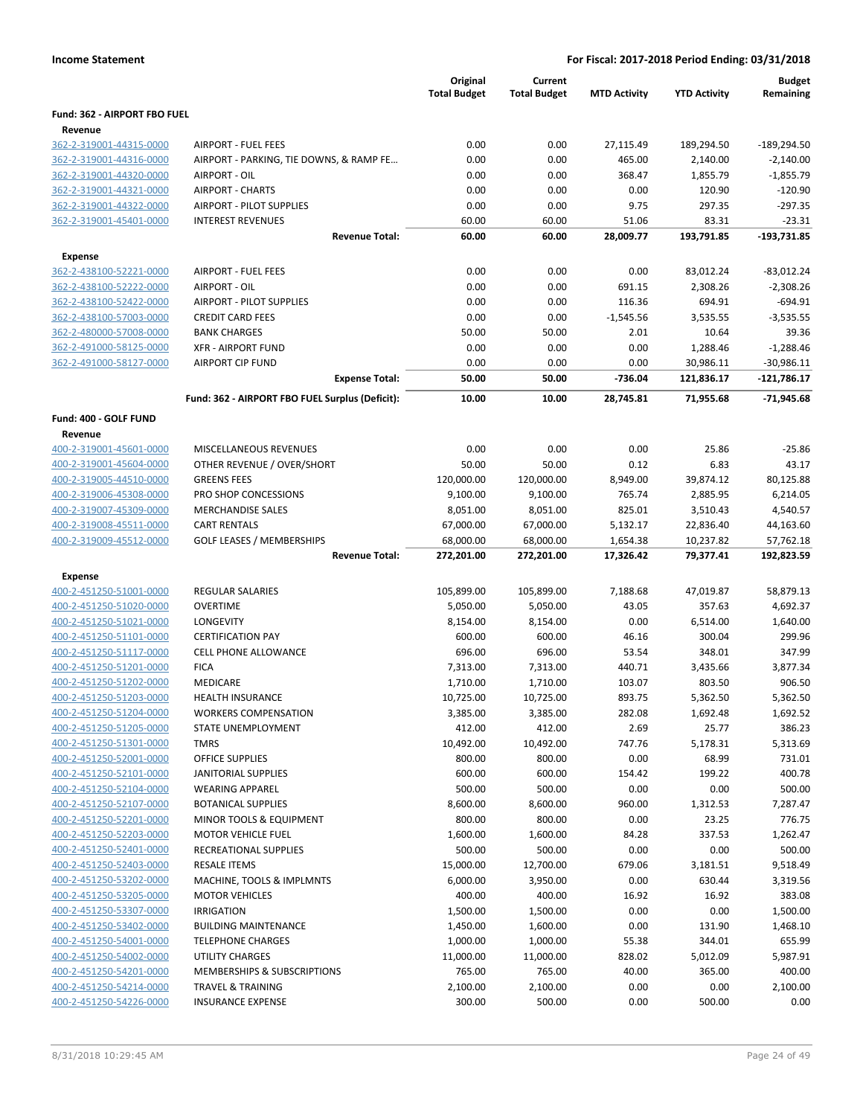|                                                    |                                                    | Original<br><b>Total Budget</b> | Current<br><b>Total Budget</b> | <b>MTD Activity</b> | <b>YTD Activity</b> | <b>Budget</b><br>Remaining |
|----------------------------------------------------|----------------------------------------------------|---------------------------------|--------------------------------|---------------------|---------------------|----------------------------|
| Fund: 362 - AIRPORT FBO FUEL                       |                                                    |                                 |                                |                     |                     |                            |
| Revenue                                            |                                                    |                                 |                                |                     |                     |                            |
| 362-2-319001-44315-0000                            | <b>AIRPORT - FUEL FEES</b>                         | 0.00                            | 0.00                           | 27,115.49           | 189,294.50          | $-189,294.50$              |
| 362-2-319001-44316-0000                            | AIRPORT - PARKING, TIE DOWNS, & RAMP FE            | 0.00                            | 0.00                           | 465.00              | 2,140.00            | $-2,140.00$                |
| 362-2-319001-44320-0000                            | AIRPORT - OIL                                      | 0.00                            | 0.00                           | 368.47              | 1,855.79            | $-1,855.79$                |
| 362-2-319001-44321-0000                            | <b>AIRPORT - CHARTS</b>                            | 0.00                            | 0.00                           | 0.00                | 120.90              | $-120.90$                  |
| 362-2-319001-44322-0000                            | AIRPORT - PILOT SUPPLIES                           | 0.00                            | 0.00                           | 9.75                | 297.35              | $-297.35$                  |
| 362-2-319001-45401-0000                            | <b>INTEREST REVENUES</b>                           | 60.00                           | 60.00                          | 51.06               | 83.31               | $-23.31$                   |
|                                                    | <b>Revenue Total:</b>                              | 60.00                           | 60.00                          | 28,009.77           | 193,791.85          | -193,731.85                |
| <b>Expense</b>                                     |                                                    |                                 |                                |                     |                     |                            |
| 362-2-438100-52221-0000                            | <b>AIRPORT - FUEL FEES</b>                         | 0.00                            | 0.00                           | 0.00                | 83,012.24           | $-83,012.24$               |
| 362-2-438100-52222-0000                            | AIRPORT - OIL                                      | 0.00                            | 0.00                           | 691.15              | 2,308.26            | $-2,308.26$                |
| 362-2-438100-52422-0000                            | AIRPORT - PILOT SUPPLIES                           | 0.00                            | 0.00                           | 116.36              | 694.91              | $-694.91$                  |
| 362-2-438100-57003-0000                            | <b>CREDIT CARD FEES</b>                            | 0.00                            | 0.00                           | $-1,545.56$         | 3,535.55            | $-3,535.55$                |
| 362-2-480000-57008-0000                            | <b>BANK CHARGES</b>                                | 50.00                           | 50.00                          | 2.01                | 10.64               | 39.36                      |
| 362-2-491000-58125-0000                            | <b>XFR - AIRPORT FUND</b>                          | 0.00                            | 0.00                           | 0.00                | 1,288.46            | $-1,288.46$                |
| 362-2-491000-58127-0000                            | <b>AIRPORT CIP FUND</b>                            | 0.00                            | 0.00                           | 0.00                | 30,986.11           | $-30,986.11$               |
|                                                    | <b>Expense Total:</b>                              | 50.00                           | 50.00                          | -736.04             | 121,836.17          | $-121,786.17$              |
|                                                    | Fund: 362 - AIRPORT FBO FUEL Surplus (Deficit):    | 10.00                           | 10.00                          | 28,745.81           | 71,955.68           | $-71,945.68$               |
| Fund: 400 - GOLF FUND                              |                                                    |                                 |                                |                     |                     |                            |
| Revenue                                            |                                                    |                                 |                                |                     |                     |                            |
| 400-2-319001-45601-0000                            | MISCELLANEOUS REVENUES                             | 0.00                            | 0.00                           | 0.00                | 25.86               | $-25.86$                   |
| 400-2-319001-45604-0000                            | OTHER REVENUE / OVER/SHORT                         | 50.00                           | 50.00                          | 0.12                | 6.83                | 43.17                      |
| 400-2-319005-44510-0000                            | <b>GREENS FEES</b>                                 | 120,000.00                      | 120,000.00                     | 8,949.00            | 39,874.12           | 80,125.88                  |
| 400-2-319006-45308-0000                            | PRO SHOP CONCESSIONS                               | 9,100.00                        | 9,100.00                       | 765.74              | 2,885.95            | 6,214.05                   |
| 400-2-319007-45309-0000                            | <b>MERCHANDISE SALES</b>                           | 8,051.00                        | 8,051.00                       | 825.01              | 3,510.43            | 4,540.57                   |
| 400-2-319008-45511-0000                            | <b>CART RENTALS</b>                                | 67,000.00                       | 67,000.00                      | 5,132.17            | 22,836.40           | 44,163.60                  |
| 400-2-319009-45512-0000                            | <b>GOLF LEASES / MEMBERSHIPS</b>                   | 68,000.00                       | 68,000.00                      | 1,654.38            | 10,237.82           | 57,762.18                  |
|                                                    | <b>Revenue Total:</b>                              | 272,201.00                      | 272,201.00                     | 17,326.42           | 79,377.41           | 192,823.59                 |
| <b>Expense</b>                                     |                                                    |                                 |                                |                     |                     |                            |
| 400-2-451250-51001-0000                            | <b>REGULAR SALARIES</b>                            | 105,899.00                      | 105,899.00                     | 7,188.68            | 47,019.87           | 58,879.13                  |
| 400-2-451250-51020-0000                            | <b>OVERTIME</b>                                    | 5,050.00                        | 5,050.00                       | 43.05               | 357.63              | 4,692.37                   |
| 400-2-451250-51021-0000                            | LONGEVITY                                          | 8,154.00                        | 8,154.00                       | 0.00                | 6,514.00            | 1,640.00                   |
| 400-2-451250-51101-0000                            | <b>CERTIFICATION PAY</b>                           | 600.00                          | 600.00                         | 46.16               | 300.04              | 299.96                     |
| 400-2-451250-51117-0000                            | <b>CELL PHONE ALLOWANCE</b>                        | 696.00                          | 696.00                         | 53.54               | 348.01              | 347.99                     |
| 400-2-451250-51201-0000                            | <b>FICA</b>                                        | 7,313.00                        | 7,313.00                       | 440.71              | 3,435.66            | 3,877.34                   |
| 400-2-451250-51202-0000                            | MEDICARE                                           | 1,710.00                        | 1,710.00                       | 103.07              | 803.50              | 906.50                     |
| 400-2-451250-51203-0000                            | <b>HEALTH INSURANCE</b>                            | 10,725.00                       | 10,725.00                      | 893.75              | 5,362.50            | 5,362.50                   |
| 400-2-451250-51204-0000                            | <b>WORKERS COMPENSATION</b>                        | 3,385.00                        | 3,385.00                       | 282.08              | 1,692.48            | 1,692.52                   |
| 400-2-451250-51205-0000                            | STATE UNEMPLOYMENT                                 | 412.00                          | 412.00                         | 2.69                | 25.77               | 386.23                     |
| 400-2-451250-51301-0000                            | <b>TMRS</b>                                        | 10,492.00                       | 10,492.00                      | 747.76              | 5,178.31            | 5,313.69                   |
| 400-2-451250-52001-0000                            | OFFICE SUPPLIES                                    | 800.00                          | 800.00                         | 0.00                | 68.99               | 731.01                     |
| 400-2-451250-52101-0000                            | <b>JANITORIAL SUPPLIES</b>                         | 600.00                          | 600.00                         | 154.42              | 199.22              | 400.78                     |
| 400-2-451250-52104-0000                            | <b>WEARING APPAREL</b>                             | 500.00                          | 500.00                         | 0.00                | 0.00                | 500.00                     |
| 400-2-451250-52107-0000                            | <b>BOTANICAL SUPPLIES</b>                          | 8,600.00                        | 8,600.00                       | 960.00              | 1,312.53            | 7,287.47                   |
| 400-2-451250-52201-0000                            | MINOR TOOLS & EQUIPMENT                            | 800.00                          | 800.00                         | 0.00                | 23.25               | 776.75                     |
| 400-2-451250-52203-0000<br>400-2-451250-52401-0000 | <b>MOTOR VEHICLE FUEL</b><br>RECREATIONAL SUPPLIES | 1,600.00                        | 1,600.00                       | 84.28               | 337.53              | 1,262.47<br>500.00         |
| 400-2-451250-52403-0000                            | <b>RESALE ITEMS</b>                                | 500.00<br>15,000.00             | 500.00<br>12,700.00            | 0.00<br>679.06      | 0.00<br>3,181.51    | 9,518.49                   |
| 400-2-451250-53202-0000                            | MACHINE, TOOLS & IMPLMNTS                          | 6,000.00                        | 3,950.00                       | 0.00                | 630.44              | 3,319.56                   |
| 400-2-451250-53205-0000                            | <b>MOTOR VEHICLES</b>                              | 400.00                          | 400.00                         | 16.92               | 16.92               | 383.08                     |
| 400-2-451250-53307-0000                            | <b>IRRIGATION</b>                                  | 1,500.00                        | 1,500.00                       | 0.00                | 0.00                | 1,500.00                   |
| 400-2-451250-53402-0000                            | <b>BUILDING MAINTENANCE</b>                        | 1,450.00                        | 1,600.00                       | 0.00                | 131.90              | 1,468.10                   |
| 400-2-451250-54001-0000                            | <b>TELEPHONE CHARGES</b>                           | 1,000.00                        | 1,000.00                       | 55.38               | 344.01              | 655.99                     |
| 400-2-451250-54002-0000                            | UTILITY CHARGES                                    | 11,000.00                       | 11,000.00                      | 828.02              | 5,012.09            | 5,987.91                   |
| 400-2-451250-54201-0000                            | MEMBERSHIPS & SUBSCRIPTIONS                        | 765.00                          | 765.00                         | 40.00               | 365.00              | 400.00                     |
| 400-2-451250-54214-0000                            | <b>TRAVEL &amp; TRAINING</b>                       | 2,100.00                        | 2,100.00                       | 0.00                | 0.00                | 2,100.00                   |
| 400-2-451250-54226-0000                            | <b>INSURANCE EXPENSE</b>                           | 300.00                          | 500.00                         | 0.00                | 500.00              | 0.00                       |
|                                                    |                                                    |                                 |                                |                     |                     |                            |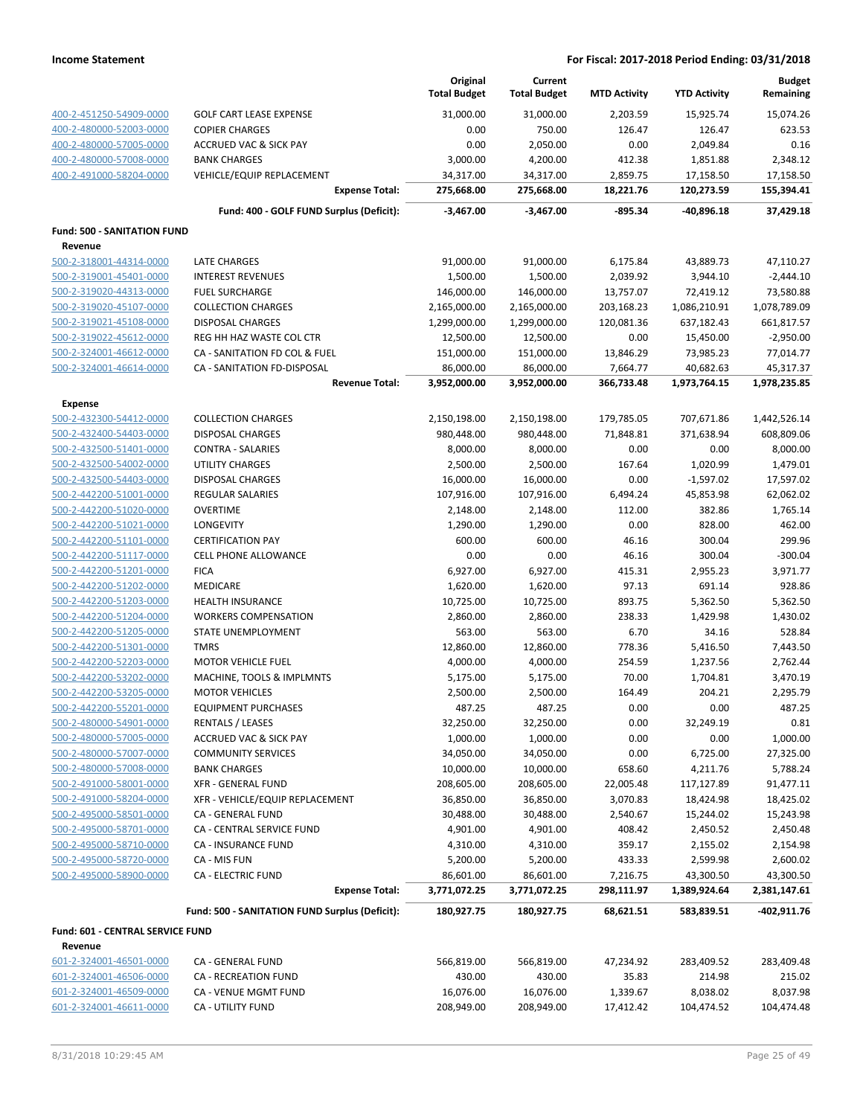|                                                    |                                                 | Original<br><b>Total Budget</b> | Current<br><b>Total Budget</b> | <b>MTD Activity</b>   | <b>YTD Activity</b>   | <b>Budget</b><br>Remaining |
|----------------------------------------------------|-------------------------------------------------|---------------------------------|--------------------------------|-----------------------|-----------------------|----------------------------|
| 400-2-451250-54909-0000                            | <b>GOLF CART LEASE EXPENSE</b>                  | 31,000.00                       | 31,000.00                      | 2.203.59              | 15,925.74             | 15,074.26                  |
| 400-2-480000-52003-0000                            | <b>COPIER CHARGES</b>                           | 0.00                            | 750.00                         | 126.47                | 126.47                | 623.53                     |
| 400-2-480000-57005-0000                            | <b>ACCRUED VAC &amp; SICK PAY</b>               | 0.00                            | 2,050.00                       | 0.00                  | 2,049.84              | 0.16                       |
| 400-2-480000-57008-0000                            | <b>BANK CHARGES</b>                             | 3,000.00                        | 4,200.00                       | 412.38                | 1,851.88              | 2,348.12                   |
| 400-2-491000-58204-0000                            | <b>VEHICLE/EQUIP REPLACEMENT</b>                | 34,317.00                       | 34,317.00                      | 2,859.75              | 17,158.50             | 17,158.50                  |
|                                                    | <b>Expense Total:</b>                           | 275,668.00                      | 275,668.00                     | 18,221.76             | 120,273.59            | 155,394.41                 |
|                                                    | Fund: 400 - GOLF FUND Surplus (Deficit):        | $-3,467.00$                     | $-3,467.00$                    | $-895.34$             | -40,896.18            | 37,429.18                  |
| <b>Fund: 500 - SANITATION FUND</b>                 |                                                 |                                 |                                |                       |                       |                            |
| Revenue                                            |                                                 |                                 |                                |                       |                       |                            |
| 500-2-318001-44314-0000                            | <b>LATE CHARGES</b><br><b>INTEREST REVENUES</b> | 91,000.00                       | 91,000.00<br>1,500.00          | 6,175.84              | 43,889.73             | 47,110.27                  |
| 500-2-319001-45401-0000<br>500-2-319020-44313-0000 | <b>FUEL SURCHARGE</b>                           | 1,500.00<br>146,000.00          | 146,000.00                     | 2,039.92<br>13,757.07 | 3,944.10<br>72,419.12 | $-2,444.10$<br>73,580.88   |
| 500-2-319020-45107-0000                            | <b>COLLECTION CHARGES</b>                       | 2,165,000.00                    | 2,165,000.00                   | 203,168.23            | 1,086,210.91          | 1,078,789.09               |
| 500-2-319021-45108-0000                            | <b>DISPOSAL CHARGES</b>                         | 1,299,000.00                    | 1,299,000.00                   | 120,081.36            | 637,182.43            | 661,817.57                 |
| 500-2-319022-45612-0000                            | REG HH HAZ WASTE COL CTR                        | 12,500.00                       | 12,500.00                      | 0.00                  | 15,450.00             | $-2,950.00$                |
| 500-2-324001-46612-0000                            | CA - SANITATION FD COL & FUEL                   | 151,000.00                      | 151,000.00                     | 13,846.29             | 73,985.23             | 77,014.77                  |
| 500-2-324001-46614-0000                            | CA - SANITATION FD-DISPOSAL                     | 86,000.00                       | 86,000.00                      | 7,664.77              | 40,682.63             | 45,317.37                  |
|                                                    | <b>Revenue Total:</b>                           | 3,952,000.00                    | 3,952,000.00                   | 366,733.48            | 1,973,764.15          | 1,978,235.85               |
| <b>Expense</b>                                     |                                                 |                                 |                                |                       |                       |                            |
| 500-2-432300-54412-0000                            | <b>COLLECTION CHARGES</b>                       | 2,150,198.00                    | 2,150,198.00                   | 179,785.05            | 707,671.86            | 1,442,526.14               |
| 500-2-432400-54403-0000                            | <b>DISPOSAL CHARGES</b>                         | 980,448.00                      | 980,448.00                     | 71,848.81             | 371,638.94            | 608,809.06                 |
| 500-2-432500-51401-0000                            | <b>CONTRA - SALARIES</b>                        | 8,000.00                        | 8,000.00                       | 0.00                  | 0.00                  | 8,000.00                   |
| 500-2-432500-54002-0000                            | UTILITY CHARGES                                 | 2,500.00                        | 2,500.00                       | 167.64                | 1,020.99              | 1,479.01                   |
| 500-2-432500-54403-0000                            | <b>DISPOSAL CHARGES</b>                         | 16,000.00                       | 16,000.00                      | 0.00                  | $-1,597.02$           | 17,597.02                  |
| 500-2-442200-51001-0000                            | REGULAR SALARIES                                | 107,916.00                      | 107,916.00                     | 6,494.24              | 45,853.98             | 62,062.02                  |
| 500-2-442200-51020-0000                            | <b>OVERTIME</b>                                 | 2,148.00                        | 2,148.00                       | 112.00                | 382.86                | 1,765.14                   |
| 500-2-442200-51021-0000                            | LONGEVITY                                       | 1,290.00                        | 1,290.00                       | 0.00                  | 828.00                | 462.00                     |
| 500-2-442200-51101-0000                            | <b>CERTIFICATION PAY</b>                        | 600.00                          | 600.00                         | 46.16                 | 300.04                | 299.96                     |
| 500-2-442200-51117-0000                            | CELL PHONE ALLOWANCE                            | 0.00                            | 0.00                           | 46.16                 | 300.04                | $-300.04$                  |
| 500-2-442200-51201-0000                            | <b>FICA</b>                                     | 6,927.00                        | 6,927.00                       | 415.31                | 2,955.23              | 3,971.77                   |
| 500-2-442200-51202-0000                            | <b>MEDICARE</b>                                 | 1,620.00                        | 1,620.00                       | 97.13                 | 691.14                | 928.86                     |
| 500-2-442200-51203-0000                            | <b>HEALTH INSURANCE</b>                         | 10,725.00                       | 10,725.00                      | 893.75                | 5,362.50              | 5,362.50                   |
| 500-2-442200-51204-0000                            | <b>WORKERS COMPENSATION</b>                     | 2,860.00                        | 2,860.00                       | 238.33                | 1,429.98              | 1,430.02                   |
| 500-2-442200-51205-0000                            | STATE UNEMPLOYMENT                              | 563.00                          | 563.00                         | 6.70                  | 34.16                 | 528.84                     |
| 500-2-442200-51301-0000                            | <b>TMRS</b>                                     | 12,860.00                       | 12,860.00                      | 778.36                | 5,416.50              | 7,443.50                   |
| 500-2-442200-52203-0000                            | <b>MOTOR VEHICLE FUEL</b>                       | 4,000.00                        | 4,000.00                       | 254.59                | 1,237.56              | 2,762.44                   |
| 500-2-442200-53202-0000                            | MACHINE, TOOLS & IMPLMNTS                       | 5,175.00                        | 5,175.00                       | 70.00                 | 1,704.81              | 3,470.19                   |
| 500-2-442200-53205-0000                            | <b>MOTOR VEHICLES</b>                           | 2,500.00                        | 2,500.00                       | 164.49                | 204.21                | 2,295.79                   |
| 500-2-442200-55201-0000                            | <b>EQUIPMENT PURCHASES</b>                      | 487.25                          | 487.25                         | 0.00                  | 0.00                  | 487.25                     |
| 500-2-480000-54901-0000                            | <b>RENTALS / LEASES</b>                         | 32,250.00                       | 32,250.00                      | 0.00                  | 32,249.19             | 0.81                       |
| 500-2-480000-57005-0000                            | <b>ACCRUED VAC &amp; SICK PAY</b>               | 1,000.00                        | 1,000.00                       | 0.00                  | 0.00                  | 1,000.00                   |
| 500-2-480000-57007-0000                            | <b>COMMUNITY SERVICES</b>                       | 34,050.00                       | 34,050.00                      | 0.00                  | 6,725.00              | 27,325.00                  |
| 500-2-480000-57008-0000                            | <b>BANK CHARGES</b>                             | 10,000.00                       | 10,000.00                      | 658.60                | 4,211.76              | 5,788.24                   |
| 500-2-491000-58001-0000                            | <b>XFR - GENERAL FUND</b>                       | 208,605.00                      | 208,605.00                     | 22,005.48             | 117,127.89            | 91,477.11                  |
| 500-2-491000-58204-0000                            | XFR - VEHICLE/EQUIP REPLACEMENT                 | 36,850.00                       | 36,850.00                      | 3,070.83              | 18,424.98             | 18,425.02                  |
| 500-2-495000-58501-0000                            | CA - GENERAL FUND                               | 30,488.00                       | 30,488.00                      | 2,540.67              | 15,244.02             | 15,243.98                  |
| 500-2-495000-58701-0000                            | CA - CENTRAL SERVICE FUND                       | 4,901.00                        | 4,901.00                       | 408.42                | 2,450.52              | 2,450.48                   |
| 500-2-495000-58710-0000                            | CA - INSURANCE FUND                             | 4,310.00                        | 4,310.00                       | 359.17                | 2,155.02              | 2,154.98                   |
| 500-2-495000-58720-0000                            | CA - MIS FUN                                    | 5,200.00                        | 5,200.00                       | 433.33                | 2,599.98              | 2,600.02                   |
| 500-2-495000-58900-0000                            | <b>CA - ELECTRIC FUND</b>                       | 86,601.00                       | 86,601.00                      | 7,216.75              | 43,300.50             | 43,300.50                  |
|                                                    | <b>Expense Total:</b>                           | 3,771,072.25                    | 3,771,072.25                   | 298,111.97            | 1,389,924.64          | 2,381,147.61               |
|                                                    | Fund: 500 - SANITATION FUND Surplus (Deficit):  | 180,927.75                      | 180,927.75                     | 68,621.51             | 583,839.51            | -402,911.76                |
| Fund: 601 - CENTRAL SERVICE FUND                   |                                                 |                                 |                                |                       |                       |                            |
| Revenue                                            |                                                 |                                 |                                |                       |                       |                            |
| 601-2-324001-46501-0000                            | CA - GENERAL FUND                               | 566,819.00                      | 566,819.00                     | 47,234.92             | 283,409.52            | 283,409.48                 |
| 601-2-324001-46506-0000                            | CA - RECREATION FUND                            | 430.00                          | 430.00                         | 35.83                 | 214.98                | 215.02                     |
| 601-2-324001-46509-0000                            | CA - VENUE MGMT FUND                            | 16,076.00                       | 16,076.00                      | 1,339.67              | 8,038.02              | 8,037.98                   |
| 601-2-324001-46611-0000                            | CA - UTILITY FUND                               | 208,949.00                      | 208,949.00                     | 17,412.42             | 104,474.52            | 104,474.48                 |
|                                                    |                                                 |                                 |                                |                       |                       |                            |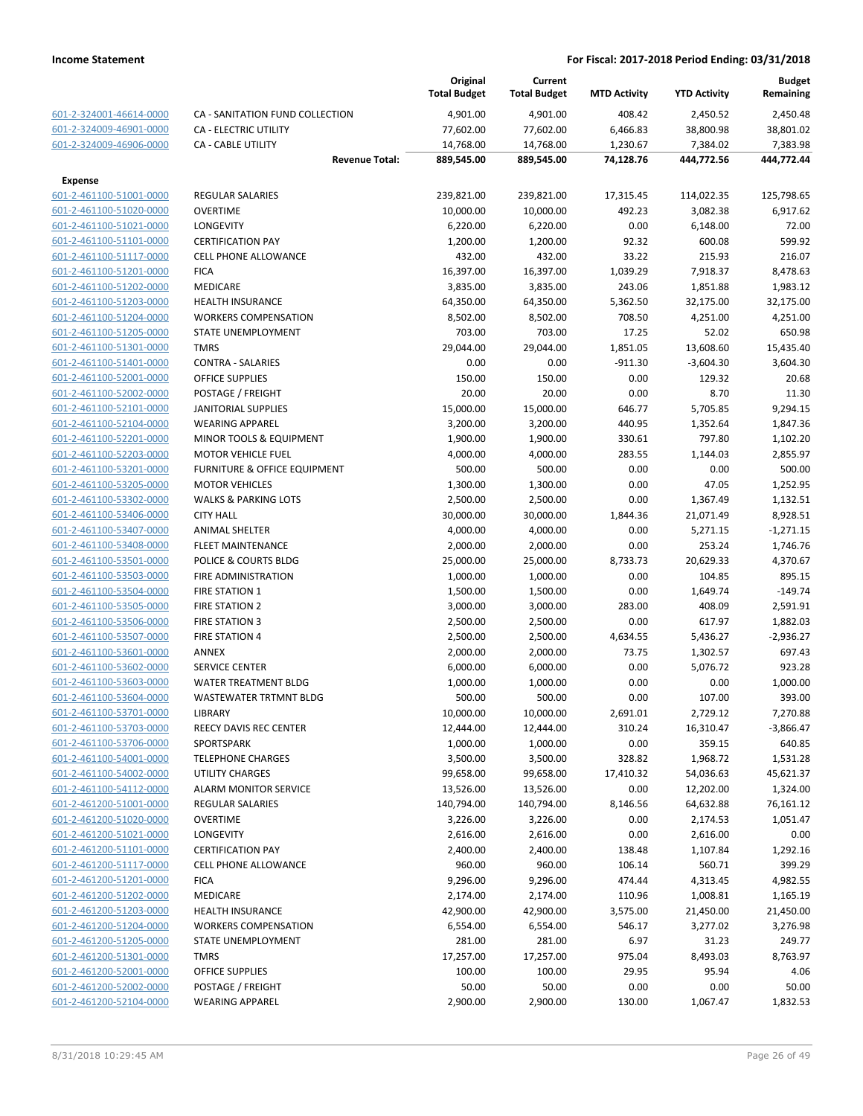|                         |                                    | Original<br><b>Total Budget</b> | Current<br><b>Total Budget</b> | <b>MTD Activity</b> | <b>YTD Activity</b> | <b>Budget</b><br>Remaining |
|-------------------------|------------------------------------|---------------------------------|--------------------------------|---------------------|---------------------|----------------------------|
| 601-2-324001-46614-0000 | CA - SANITATION FUND COLLECTION    | 4,901.00                        | 4,901.00                       | 408.42              | 2,450.52            | 2,450.48                   |
| 601-2-324009-46901-0000 | <b>CA - ELECTRIC UTILITY</b>       | 77,602.00                       | 77,602.00                      | 6,466.83            | 38,800.98           | 38,801.02                  |
| 601-2-324009-46906-0000 | <b>CA - CABLE UTILITY</b>          | 14,768.00                       | 14,768.00                      | 1,230.67            | 7,384.02            | 7,383.98                   |
|                         | <b>Revenue Total:</b>              | 889,545.00                      | 889,545.00                     | 74,128.76           | 444,772.56          | 444,772.44                 |
| <b>Expense</b>          |                                    |                                 |                                |                     |                     |                            |
| 601-2-461100-51001-0000 | <b>REGULAR SALARIES</b>            | 239,821.00                      | 239,821.00                     | 17,315.45           | 114,022.35          | 125,798.65                 |
| 601-2-461100-51020-0000 | <b>OVERTIME</b>                    | 10,000.00                       | 10,000.00                      | 492.23              | 3,082.38            | 6,917.62                   |
| 601-2-461100-51021-0000 | <b>LONGEVITY</b>                   | 6,220.00                        | 6,220.00                       | 0.00                | 6,148.00            | 72.00                      |
| 601-2-461100-51101-0000 | <b>CERTIFICATION PAY</b>           | 1,200.00                        | 1,200.00                       | 92.32               | 600.08              | 599.92                     |
| 601-2-461100-51117-0000 | <b>CELL PHONE ALLOWANCE</b>        | 432.00                          | 432.00                         | 33.22               | 215.93              | 216.07                     |
| 601-2-461100-51201-0000 | <b>FICA</b>                        | 16,397.00                       | 16,397.00                      | 1,039.29            | 7,918.37            | 8,478.63                   |
| 601-2-461100-51202-0000 | <b>MEDICARE</b>                    | 3,835.00                        | 3,835.00                       | 243.06              | 1,851.88            | 1,983.12                   |
| 601-2-461100-51203-0000 | <b>HEALTH INSURANCE</b>            | 64,350.00                       | 64,350.00                      | 5,362.50            | 32,175.00           | 32,175.00                  |
| 601-2-461100-51204-0000 | <b>WORKERS COMPENSATION</b>        | 8,502.00                        | 8,502.00                       | 708.50              | 4,251.00            | 4,251.00                   |
| 601-2-461100-51205-0000 | STATE UNEMPLOYMENT                 | 703.00                          | 703.00                         | 17.25               | 52.02               | 650.98                     |
| 601-2-461100-51301-0000 | <b>TMRS</b>                        | 29,044.00                       | 29,044.00                      | 1,851.05            | 13,608.60           | 15,435.40                  |
| 601-2-461100-51401-0000 | <b>CONTRA - SALARIES</b>           | 0.00                            | 0.00                           | $-911.30$           | $-3,604.30$         | 3,604.30                   |
| 601-2-461100-52001-0000 | <b>OFFICE SUPPLIES</b>             | 150.00                          | 150.00                         | 0.00                | 129.32              | 20.68                      |
| 601-2-461100-52002-0000 | POSTAGE / FREIGHT                  | 20.00                           | 20.00                          | 0.00                | 8.70                | 11.30                      |
| 601-2-461100-52101-0000 | <b>JANITORIAL SUPPLIES</b>         | 15,000.00                       | 15,000.00                      | 646.77              | 5,705.85            | 9,294.15                   |
| 601-2-461100-52104-0000 | <b>WEARING APPAREL</b>             | 3,200.00                        | 3,200.00                       | 440.95              | 1,352.64            | 1,847.36                   |
| 601-2-461100-52201-0000 | <b>MINOR TOOLS &amp; EQUIPMENT</b> | 1,900.00                        | 1,900.00                       | 330.61              | 797.80              | 1,102.20                   |
| 601-2-461100-52203-0000 | <b>MOTOR VEHICLE FUEL</b>          | 4,000.00                        | 4,000.00                       | 283.55              | 1,144.03            | 2,855.97                   |
| 601-2-461100-53201-0000 | FURNITURE & OFFICE EQUIPMENT       | 500.00                          | 500.00                         | 0.00                | 0.00                | 500.00                     |
| 601-2-461100-53205-0000 | <b>MOTOR VEHICLES</b>              | 1,300.00                        | 1,300.00                       | 0.00                | 47.05               | 1,252.95                   |
| 601-2-461100-53302-0000 | <b>WALKS &amp; PARKING LOTS</b>    | 2,500.00                        | 2,500.00                       | 0.00                | 1,367.49            | 1,132.51                   |
| 601-2-461100-53406-0000 | <b>CITY HALL</b>                   | 30,000.00                       | 30,000.00                      | 1,844.36            | 21,071.49           | 8,928.51                   |
| 601-2-461100-53407-0000 | <b>ANIMAL SHELTER</b>              | 4,000.00                        | 4,000.00                       | 0.00                | 5,271.15            | $-1,271.15$                |
| 601-2-461100-53408-0000 | <b>FLEET MAINTENANCE</b>           | 2,000.00                        | 2,000.00                       | 0.00                | 253.24              | 1,746.76                   |
| 601-2-461100-53501-0000 | POLICE & COURTS BLDG               | 25,000.00                       | 25,000.00                      | 8,733.73            | 20,629.33           | 4,370.67                   |
| 601-2-461100-53503-0000 | FIRE ADMINISTRATION                | 1,000.00                        | 1,000.00                       | 0.00                | 104.85              | 895.15                     |
| 601-2-461100-53504-0000 | <b>FIRE STATION 1</b>              | 1,500.00                        | 1,500.00                       | 0.00                | 1,649.74            | $-149.74$                  |
| 601-2-461100-53505-0000 | <b>FIRE STATION 2</b>              | 3,000.00                        | 3,000.00                       | 283.00              | 408.09              | 2,591.91                   |
| 601-2-461100-53506-0000 | <b>FIRE STATION 3</b>              | 2,500.00                        | 2,500.00                       | 0.00                | 617.97              | 1,882.03                   |
| 601-2-461100-53507-0000 | <b>FIRE STATION 4</b>              | 2,500.00                        | 2,500.00                       | 4,634.55            | 5,436.27            | $-2,936.27$                |
| 601-2-461100-53601-0000 | <b>ANNEX</b>                       | 2,000.00                        | 2,000.00                       | 73.75               | 1,302.57            | 697.43                     |
| 601-2-461100-53602-0000 | <b>SERVICE CENTER</b>              | 6,000.00                        | 6,000.00                       | 0.00                | 5,076.72            | 923.28                     |
| 601-2-461100-53603-0000 | <b>WATER TREATMENT BLDG</b>        | 1,000.00                        | 1,000.00                       | 0.00                | 0.00                | 1,000.00                   |
| 601-2-461100-53604-0000 | <b>WASTEWATER TRTMNT BLDG</b>      | 500.00                          | 500.00                         | 0.00                | 107.00              | 393.00                     |
| 601-2-461100-53701-0000 | LIBRARY                            | 10,000.00                       | 10,000.00                      | 2,691.01            | 2,729.12            | 7,270.88                   |
| 601-2-461100-53703-0000 | REECY DAVIS REC CENTER             | 12,444.00                       | 12,444.00                      | 310.24              | 16,310.47           | $-3,866.47$                |
| 601-2-461100-53706-0000 | SPORTSPARK                         | 1,000.00                        | 1,000.00                       | 0.00                | 359.15              | 640.85                     |
| 601-2-461100-54001-0000 | <b>TELEPHONE CHARGES</b>           | 3,500.00                        | 3,500.00                       | 328.82              | 1,968.72            | 1,531.28                   |
| 601-2-461100-54002-0000 | UTILITY CHARGES                    | 99,658.00                       | 99,658.00                      | 17,410.32           | 54,036.63           | 45,621.37                  |
| 601-2-461100-54112-0000 | ALARM MONITOR SERVICE              | 13,526.00                       | 13,526.00                      | 0.00                | 12,202.00           | 1,324.00                   |
| 601-2-461200-51001-0000 | <b>REGULAR SALARIES</b>            | 140,794.00                      | 140,794.00                     | 8,146.56            | 64,632.88           | 76,161.12                  |
| 601-2-461200-51020-0000 | <b>OVERTIME</b>                    | 3,226.00                        | 3,226.00                       | 0.00                | 2,174.53            | 1,051.47                   |
| 601-2-461200-51021-0000 | <b>LONGEVITY</b>                   | 2,616.00                        | 2,616.00                       | 0.00                | 2,616.00            | 0.00                       |
| 601-2-461200-51101-0000 | <b>CERTIFICATION PAY</b>           | 2,400.00                        | 2,400.00                       | 138.48              | 1,107.84            | 1,292.16                   |
| 601-2-461200-51117-0000 | <b>CELL PHONE ALLOWANCE</b>        | 960.00                          | 960.00                         | 106.14              | 560.71              | 399.29                     |
| 601-2-461200-51201-0000 | <b>FICA</b>                        | 9,296.00                        | 9,296.00                       | 474.44              | 4,313.45            | 4,982.55                   |
| 601-2-461200-51202-0000 | <b>MEDICARE</b>                    | 2,174.00                        | 2,174.00                       | 110.96              | 1,008.81            | 1,165.19                   |
| 601-2-461200-51203-0000 | <b>HEALTH INSURANCE</b>            | 42,900.00                       | 42,900.00                      | 3,575.00            | 21,450.00           | 21,450.00                  |
| 601-2-461200-51204-0000 | <b>WORKERS COMPENSATION</b>        | 6,554.00                        | 6,554.00                       | 546.17              | 3,277.02            | 3,276.98                   |
| 601-2-461200-51205-0000 | STATE UNEMPLOYMENT                 | 281.00                          | 281.00                         | 6.97                | 31.23               | 249.77                     |
| 601-2-461200-51301-0000 | <b>TMRS</b>                        | 17,257.00                       | 17,257.00                      | 975.04              | 8,493.03            | 8,763.97                   |
| 601-2-461200-52001-0000 | <b>OFFICE SUPPLIES</b>             | 100.00                          | 100.00                         | 29.95               | 95.94               | 4.06                       |
| 601-2-461200-52002-0000 | POSTAGE / FREIGHT                  | 50.00                           | 50.00                          | 0.00                | 0.00                | 50.00                      |
| 601-2-461200-52104-0000 | <b>WEARING APPAREL</b>             | 2,900.00                        | 2,900.00                       | 130.00              | 1,067.47            | 1,832.53                   |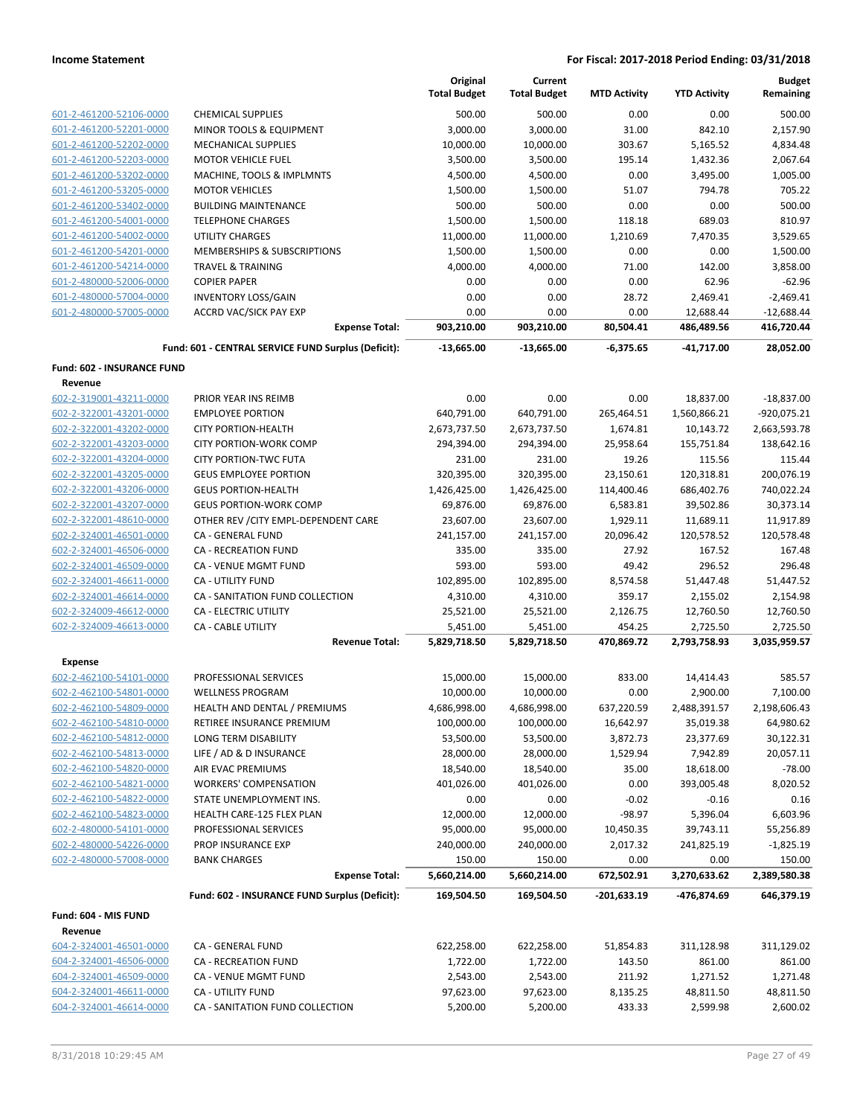|                                              |                                                     | Original<br><b>Total Budget</b> | Current<br><b>Total Budget</b> | <b>MTD Activity</b> | <b>YTD Activity</b> | <b>Budget</b><br>Remaining |
|----------------------------------------------|-----------------------------------------------------|---------------------------------|--------------------------------|---------------------|---------------------|----------------------------|
| 601-2-461200-52106-0000                      | <b>CHEMICAL SUPPLIES</b>                            | 500.00                          | 500.00                         | 0.00                | 0.00                | 500.00                     |
| 601-2-461200-52201-0000                      | MINOR TOOLS & EQUIPMENT                             | 3,000.00                        | 3,000.00                       | 31.00               | 842.10              | 2,157.90                   |
| 601-2-461200-52202-0000                      | <b>MECHANICAL SUPPLIES</b>                          | 10,000.00                       | 10,000.00                      | 303.67              | 5,165.52            | 4,834.48                   |
| 601-2-461200-52203-0000                      | <b>MOTOR VEHICLE FUEL</b>                           | 3,500.00                        | 3,500.00                       | 195.14              | 1,432.36            | 2.067.64                   |
| 601-2-461200-53202-0000                      | MACHINE, TOOLS & IMPLMNTS                           | 4,500.00                        | 4,500.00                       | 0.00                | 3,495.00            | 1,005.00                   |
| 601-2-461200-53205-0000                      | <b>MOTOR VEHICLES</b>                               | 1,500.00                        | 1,500.00                       | 51.07               | 794.78              | 705.22                     |
| 601-2-461200-53402-0000                      | <b>BUILDING MAINTENANCE</b>                         | 500.00                          | 500.00                         | 0.00                | 0.00                | 500.00                     |
| 601-2-461200-54001-0000                      | <b>TELEPHONE CHARGES</b>                            | 1,500.00                        | 1,500.00                       | 118.18              | 689.03              | 810.97                     |
| 601-2-461200-54002-0000                      | <b>UTILITY CHARGES</b>                              | 11,000.00                       | 11,000.00                      | 1,210.69            | 7,470.35            | 3,529.65                   |
| 601-2-461200-54201-0000                      | MEMBERSHIPS & SUBSCRIPTIONS                         | 1,500.00                        | 1,500.00                       | 0.00                | 0.00                | 1,500.00                   |
| 601-2-461200-54214-0000                      | <b>TRAVEL &amp; TRAINING</b>                        | 4,000.00                        | 4,000.00                       | 71.00               | 142.00              | 3,858.00                   |
| 601-2-480000-52006-0000                      | <b>COPIER PAPER</b>                                 | 0.00                            | 0.00                           | 0.00                | 62.96               | $-62.96$                   |
| 601-2-480000-57004-0000                      | <b>INVENTORY LOSS/GAIN</b>                          | 0.00                            | 0.00                           | 28.72               | 2,469.41            | $-2,469.41$                |
| 601-2-480000-57005-0000                      | ACCRD VAC/SICK PAY EXP                              | 0.00                            | 0.00                           | 0.00                | 12,688.44           | $-12,688.44$               |
|                                              | <b>Expense Total:</b>                               | 903,210.00                      | 903,210.00                     | 80,504.41           | 486,489.56          | 416,720.44                 |
|                                              | Fund: 601 - CENTRAL SERVICE FUND Surplus (Deficit): | $-13,665.00$                    | -13,665.00                     | -6,375.65           | $-41,717.00$        | 28,052.00                  |
| <b>Fund: 602 - INSURANCE FUND</b><br>Revenue |                                                     |                                 |                                |                     |                     |                            |
| 602-2-319001-43211-0000                      | PRIOR YEAR INS REIMB                                | 0.00                            | 0.00                           | 0.00                | 18,837.00           | $-18,837.00$               |
| 602-2-322001-43201-0000                      | <b>EMPLOYEE PORTION</b>                             | 640,791.00                      | 640,791.00                     | 265,464.51          | 1,560,866.21        | $-920,075.21$              |
| 602-2-322001-43202-0000                      | <b>CITY PORTION-HEALTH</b>                          | 2,673,737.50                    | 2,673,737.50                   | 1,674.81            | 10,143.72           | 2,663,593.78               |
| 602-2-322001-43203-0000                      | CITY PORTION-WORK COMP                              | 294,394.00                      | 294,394.00                     | 25,958.64           | 155,751.84          | 138,642.16                 |
| 602-2-322001-43204-0000                      | <b>CITY PORTION-TWC FUTA</b>                        | 231.00                          | 231.00                         | 19.26               | 115.56              | 115.44                     |
| 602-2-322001-43205-0000                      | <b>GEUS EMPLOYEE PORTION</b>                        | 320,395.00                      | 320,395.00                     | 23,150.61           | 120,318.81          | 200,076.19                 |
| 602-2-322001-43206-0000                      | <b>GEUS PORTION-HEALTH</b>                          | 1,426,425.00                    | 1,426,425.00                   | 114,400.46          | 686,402.76          | 740,022.24                 |
| 602-2-322001-43207-0000                      | <b>GEUS PORTION-WORK COMP</b>                       | 69,876.00                       | 69,876.00                      | 6,583.81            | 39,502.86           | 30,373.14                  |
| 602-2-322001-48610-0000                      | OTHER REV / CITY EMPL-DEPENDENT CARE                | 23,607.00                       | 23,607.00                      | 1,929.11            | 11,689.11           | 11,917.89                  |
| 602-2-324001-46501-0000                      | CA - GENERAL FUND                                   | 241,157.00                      | 241,157.00                     | 20,096.42           | 120,578.52          | 120,578.48                 |
| 602-2-324001-46506-0000                      | <b>CA - RECREATION FUND</b>                         | 335.00                          | 335.00                         | 27.92               | 167.52              | 167.48                     |
| 602-2-324001-46509-0000                      | CA - VENUE MGMT FUND                                | 593.00                          | 593.00                         | 49.42               | 296.52              | 296.48                     |
| 602-2-324001-46611-0000                      | <b>CA - UTILITY FUND</b>                            | 102,895.00                      | 102,895.00                     | 8,574.58            | 51,447.48           | 51,447.52                  |
| 602-2-324001-46614-0000                      | CA - SANITATION FUND COLLECTION                     | 4,310.00                        | 4,310.00                       | 359.17              | 2,155.02            | 2,154.98                   |
| 602-2-324009-46612-0000                      | <b>CA - ELECTRIC UTILITY</b>                        | 25,521.00                       | 25,521.00                      | 2,126.75            | 12,760.50           | 12,760.50                  |
| 602-2-324009-46613-0000                      | <b>CA - CABLE UTILITY</b>                           | 5,451.00                        | 5,451.00                       | 454.25              | 2,725.50            | 2,725.50                   |
|                                              | <b>Revenue Total:</b>                               | 5,829,718.50                    | 5,829,718.50                   | 470,869.72          | 2,793,758.93        | 3,035,959.57               |
| <b>Expense</b><br>602-2-462100-54101-0000    | PROFESSIONAL SERVICES                               | 15,000.00                       | 15,000.00                      | 833.00              | 14,414.43           | 585.57                     |
| 602-2-462100-54801-0000                      | <b>WELLNESS PROGRAM</b>                             | 10,000.00                       | 10,000.00                      | 0.00                | 2,900.00            | 7,100.00                   |
| 602-2-462100-54809-0000                      | HEALTH AND DENTAL / PREMIUMS                        | 4,686,998.00                    | 4,686,998.00                   | 637,220.59          | 2,488,391.57        | 2,198,606.43               |
| 602-2-462100-54810-0000                      | RETIREE INSURANCE PREMIUM                           | 100,000.00                      | 100,000.00                     | 16,642.97           | 35,019.38           | 64,980.62                  |
| 602-2-462100-54812-0000                      | LONG TERM DISABILITY                                | 53,500.00                       | 53,500.00                      | 3,872.73            | 23,377.69           | 30,122.31                  |
| 602-2-462100-54813-0000                      | LIFE / AD & D INSURANCE                             | 28,000.00                       | 28,000.00                      | 1,529.94            | 7,942.89            | 20,057.11                  |
| 602-2-462100-54820-0000                      | AIR EVAC PREMIUMS                                   | 18,540.00                       | 18,540.00                      | 35.00               | 18,618.00           | $-78.00$                   |
| 602-2-462100-54821-0000                      | <b>WORKERS' COMPENSATION</b>                        | 401,026.00                      | 401,026.00                     | 0.00                | 393,005.48          | 8,020.52                   |
| 602-2-462100-54822-0000                      | STATE UNEMPLOYMENT INS.                             | 0.00                            | 0.00                           | $-0.02$             | $-0.16$             | 0.16                       |
| 602-2-462100-54823-0000                      | HEALTH CARE-125 FLEX PLAN                           | 12,000.00                       | 12,000.00                      | $-98.97$            | 5,396.04            | 6,603.96                   |
| 602-2-480000-54101-0000                      | PROFESSIONAL SERVICES                               | 95,000.00                       | 95,000.00                      | 10,450.35           | 39,743.11           | 55,256.89                  |
| 602-2-480000-54226-0000                      | PROP INSURANCE EXP                                  | 240,000.00                      | 240,000.00                     | 2,017.32            | 241,825.19          | $-1,825.19$                |
| 602-2-480000-57008-0000                      | <b>BANK CHARGES</b>                                 | 150.00                          | 150.00                         | 0.00                | 0.00                | 150.00                     |
|                                              | <b>Expense Total:</b>                               | 5,660,214.00                    | 5,660,214.00                   | 672,502.91          | 3,270,633.62        | 2,389,580.38               |
|                                              | Fund: 602 - INSURANCE FUND Surplus (Deficit):       | 169,504.50                      | 169,504.50                     | -201,633.19         | -476,874.69         | 646,379.19                 |
| Fund: 604 - MIS FUND<br>Revenue              |                                                     |                                 |                                |                     |                     |                            |
| 604-2-324001-46501-0000                      | CA - GENERAL FUND                                   | 622,258.00                      | 622,258.00                     | 51,854.83           | 311,128.98          | 311,129.02                 |
| 604-2-324001-46506-0000                      | CA - RECREATION FUND                                | 1,722.00                        | 1,722.00                       | 143.50              | 861.00              | 861.00                     |
| 604-2-324001-46509-0000                      | CA - VENUE MGMT FUND                                | 2,543.00                        | 2,543.00                       | 211.92              | 1,271.52            | 1,271.48                   |
| 604-2-324001-46611-0000                      | CA - UTILITY FUND                                   | 97,623.00                       | 97,623.00                      | 8,135.25            | 48,811.50           | 48,811.50                  |
| 604-2-324001-46614-0000                      | CA - SANITATION FUND COLLECTION                     | 5,200.00                        | 5,200.00                       | 433.33              | 2,599.98            | 2,600.02                   |
|                                              |                                                     |                                 |                                |                     |                     |                            |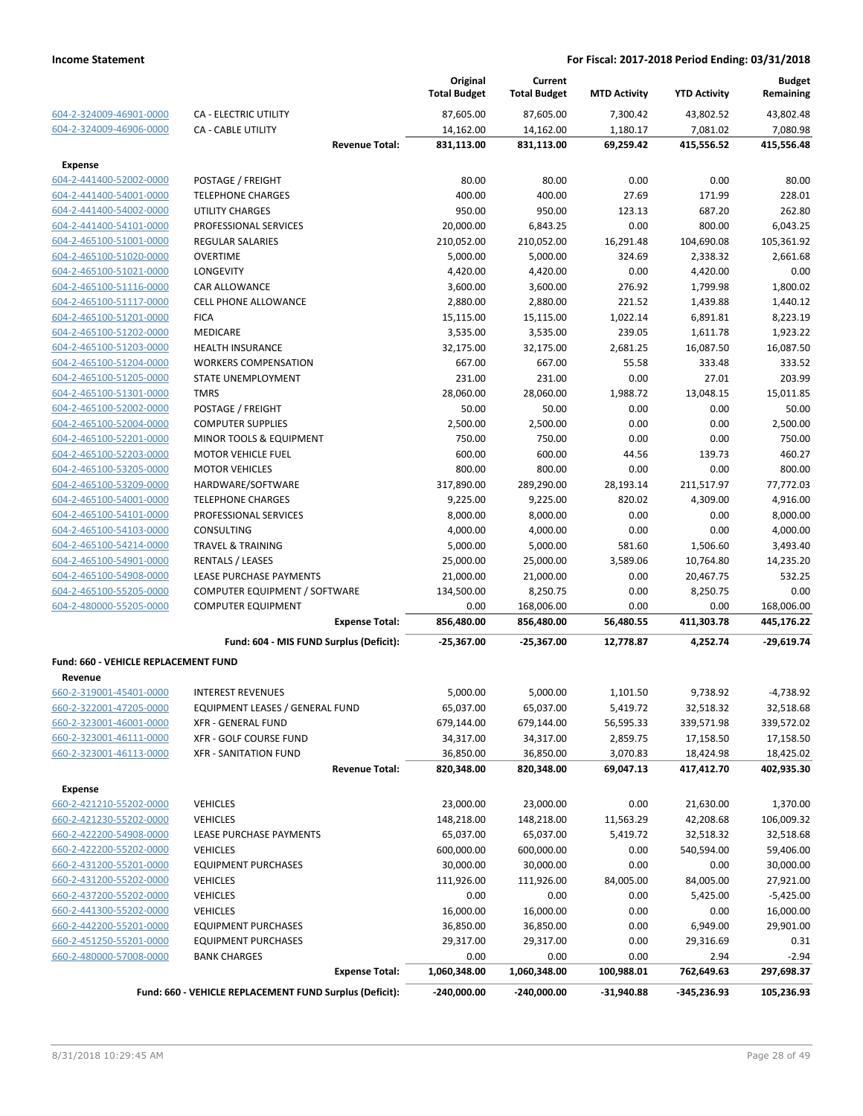|                                                    |                                                          |                       | Original<br><b>Total Budget</b> | Current<br><b>Total Budget</b> | <b>MTD Activity</b> | <b>YTD Activity</b>   | <b>Budget</b><br>Remaining |
|----------------------------------------------------|----------------------------------------------------------|-----------------------|---------------------------------|--------------------------------|---------------------|-----------------------|----------------------------|
| 604-2-324009-46901-0000                            | <b>CA - ELECTRIC UTILITY</b>                             |                       | 87,605.00                       | 87,605.00                      | 7,300.42            | 43,802.52             | 43,802.48                  |
| 604-2-324009-46906-0000                            | CA - CABLE UTILITY                                       |                       | 14,162.00                       | 14,162.00                      | 1,180.17            | 7,081.02              | 7,080.98                   |
|                                                    |                                                          | <b>Revenue Total:</b> | 831,113.00                      | 831,113.00                     | 69,259.42           | 415,556.52            | 415,556.48                 |
| <b>Expense</b>                                     |                                                          |                       |                                 |                                |                     |                       |                            |
| 604-2-441400-52002-0000                            | POSTAGE / FREIGHT                                        |                       | 80.00                           | 80.00                          | 0.00                | 0.00                  | 80.00                      |
| 604-2-441400-54001-0000                            | <b>TELEPHONE CHARGES</b>                                 |                       | 400.00                          | 400.00                         | 27.69               | 171.99                | 228.01                     |
| 604-2-441400-54002-0000                            | <b>UTILITY CHARGES</b>                                   |                       | 950.00                          | 950.00                         | 123.13              | 687.20                | 262.80                     |
| 604-2-441400-54101-0000                            | PROFESSIONAL SERVICES                                    |                       | 20,000.00                       | 6,843.25                       | 0.00                | 800.00                | 6,043.25                   |
| 604-2-465100-51001-0000                            | <b>REGULAR SALARIES</b>                                  |                       | 210,052.00                      | 210,052.00                     | 16,291.48           | 104,690.08            | 105,361.92                 |
| 604-2-465100-51020-0000                            | <b>OVERTIME</b>                                          |                       | 5,000.00                        | 5,000.00                       | 324.69              | 2,338.32              | 2,661.68                   |
| 604-2-465100-51021-0000                            | LONGEVITY                                                |                       | 4,420.00                        | 4,420.00                       | 0.00                | 4,420.00              | 0.00                       |
| 604-2-465100-51116-0000                            | CAR ALLOWANCE                                            |                       | 3,600.00                        | 3,600.00                       | 276.92              | 1,799.98              | 1,800.02                   |
| 604-2-465100-51117-0000                            | <b>CELL PHONE ALLOWANCE</b>                              |                       | 2,880.00                        | 2,880.00                       | 221.52              | 1,439.88              | 1,440.12                   |
| 604-2-465100-51201-0000                            | <b>FICA</b>                                              |                       | 15,115.00                       | 15,115.00                      | 1,022.14            | 6,891.81              | 8,223.19                   |
| 604-2-465100-51202-0000                            | MEDICARE                                                 |                       | 3,535.00                        | 3,535.00                       | 239.05              | 1,611.78              | 1,923.22                   |
| 604-2-465100-51203-0000                            | <b>HEALTH INSURANCE</b>                                  |                       | 32,175.00                       | 32,175.00                      | 2,681.25            | 16,087.50             | 16,087.50                  |
| 604-2-465100-51204-0000                            | <b>WORKERS COMPENSATION</b>                              |                       | 667.00                          | 667.00                         | 55.58               | 333.48                | 333.52                     |
| 604-2-465100-51205-0000                            | STATE UNEMPLOYMENT                                       |                       | 231.00                          | 231.00                         | 0.00                | 27.01                 | 203.99                     |
| 604-2-465100-51301-0000                            | <b>TMRS</b>                                              |                       | 28,060.00                       | 28,060.00                      | 1,988.72            | 13,048.15             | 15,011.85                  |
| 604-2-465100-52002-0000                            | POSTAGE / FREIGHT                                        |                       | 50.00                           | 50.00                          | 0.00                | 0.00                  | 50.00                      |
| 604-2-465100-52004-0000<br>604-2-465100-52201-0000 | <b>COMPUTER SUPPLIES</b>                                 |                       | 2,500.00<br>750.00              | 2,500.00<br>750.00             | 0.00<br>0.00        | 0.00                  | 2,500.00<br>750.00         |
| 604-2-465100-52203-0000                            | MINOR TOOLS & EQUIPMENT<br><b>MOTOR VEHICLE FUEL</b>     |                       | 600.00                          | 600.00                         | 44.56               | 0.00<br>139.73        | 460.27                     |
| 604-2-465100-53205-0000                            | <b>MOTOR VEHICLES</b>                                    |                       | 800.00                          | 800.00                         | 0.00                | 0.00                  | 800.00                     |
| 604-2-465100-53209-0000                            | HARDWARE/SOFTWARE                                        |                       | 317,890.00                      | 289,290.00                     | 28,193.14           | 211,517.97            | 77,772.03                  |
| 604-2-465100-54001-0000                            | <b>TELEPHONE CHARGES</b>                                 |                       | 9,225.00                        | 9,225.00                       | 820.02              | 4,309.00              | 4,916.00                   |
| 604-2-465100-54101-0000                            | PROFESSIONAL SERVICES                                    |                       | 8,000.00                        | 8,000.00                       | 0.00                | 0.00                  | 8,000.00                   |
| 604-2-465100-54103-0000                            | CONSULTING                                               |                       | 4,000.00                        | 4,000.00                       | 0.00                | 0.00                  | 4,000.00                   |
| 604-2-465100-54214-0000                            | <b>TRAVEL &amp; TRAINING</b>                             |                       | 5,000.00                        | 5,000.00                       | 581.60              | 1,506.60              | 3,493.40                   |
| 604-2-465100-54901-0000                            | RENTALS / LEASES                                         |                       | 25,000.00                       | 25,000.00                      | 3,589.06            | 10,764.80             | 14,235.20                  |
| 604-2-465100-54908-0000                            | LEASE PURCHASE PAYMENTS                                  |                       | 21,000.00                       | 21,000.00                      | 0.00                | 20,467.75             | 532.25                     |
| 604-2-465100-55205-0000                            | COMPUTER EQUIPMENT / SOFTWARE                            |                       | 134,500.00                      | 8,250.75                       | 0.00                | 8,250.75              | 0.00                       |
| 604-2-480000-55205-0000                            | <b>COMPUTER EQUIPMENT</b>                                |                       | 0.00                            | 168,006.00                     | 0.00                | 0.00                  | 168,006.00                 |
|                                                    |                                                          | <b>Expense Total:</b> | 856,480.00                      | 856,480.00                     | 56,480.55           | 411,303.78            | 445,176.22                 |
|                                                    | Fund: 604 - MIS FUND Surplus (Deficit):                  |                       | $-25,367.00$                    | $-25.367.00$                   | 12.778.87           | 4,252.74              | $-29,619.74$               |
| Fund: 660 - VEHICLE REPLACEMENT FUND               |                                                          |                       |                                 |                                |                     |                       |                            |
| Revenue                                            |                                                          |                       |                                 |                                |                     |                       |                            |
| 660-2-319001-45401-0000                            | <b>INTEREST REVENUES</b>                                 |                       | 5,000.00                        | 5,000.00                       | 1,101.50            | 9,738.92              | $-4,738.92$                |
| 660-2-322001-47205-0000                            | EQUIPMENT LEASES / GENERAL FUND                          |                       | 65,037.00                       | 65,037.00                      | 5,419.72            | 32,518.32             | 32,518.68                  |
| 660-2-323001-46001-0000                            | <b>XFR - GENERAL FUND</b>                                |                       | 679,144.00                      | 679,144.00                     | 56,595.33           | 339,571.98            | 339,572.02                 |
| 660-2-323001-46111-0000                            | XFR - GOLF COURSE FUND                                   |                       | 34,317.00                       | 34,317.00                      | 2,859.75            | 17,158.50             | 17,158.50                  |
| 660-2-323001-46113-0000                            | <b>XFR - SANITATION FUND</b>                             |                       | 36,850.00                       | 36,850.00                      | 3,070.83            | 18,424.98             | 18,425.02                  |
|                                                    |                                                          | <b>Revenue Total:</b> | 820,348.00                      | 820,348.00                     | 69,047.13           | 417,412.70            | 402,935.30                 |
| <b>Expense</b>                                     |                                                          |                       |                                 |                                |                     |                       |                            |
| 660-2-421210-55202-0000                            | <b>VEHICLES</b>                                          |                       | 23,000.00                       | 23,000.00                      | 0.00                | 21,630.00             | 1,370.00                   |
| 660-2-421230-55202-0000                            | <b>VEHICLES</b>                                          |                       | 148,218.00                      | 148,218.00                     | 11,563.29           | 42,208.68             | 106,009.32                 |
| 660-2-422200-54908-0000                            | LEASE PURCHASE PAYMENTS                                  |                       | 65,037.00                       | 65,037.00                      | 5,419.72            | 32,518.32             | 32,518.68                  |
| 660-2-422200-55202-0000                            | <b>VEHICLES</b>                                          |                       | 600,000.00                      | 600,000.00                     | 0.00                | 540,594.00            | 59,406.00                  |
| 660-2-431200-55201-0000                            | <b>EQUIPMENT PURCHASES</b>                               |                       | 30,000.00                       | 30,000.00                      | 0.00                | 0.00                  | 30,000.00                  |
| 660-2-431200-55202-0000                            | <b>VEHICLES</b>                                          |                       | 111,926.00                      | 111,926.00                     | 84,005.00           | 84,005.00             | 27,921.00                  |
| 660-2-437200-55202-0000                            | <b>VEHICLES</b>                                          |                       | 0.00                            | 0.00                           | 0.00                | 5,425.00              | $-5,425.00$                |
| 660-2-441300-55202-0000<br>660-2-442200-55201-0000 | <b>VEHICLES</b>                                          |                       | 16,000.00                       | 16,000.00                      | 0.00<br>0.00        | 0.00                  | 16,000.00                  |
| 660-2-451250-55201-0000                            | <b>EQUIPMENT PURCHASES</b><br><b>EQUIPMENT PURCHASES</b> |                       | 36,850.00<br>29,317.00          | 36,850.00<br>29,317.00         | 0.00                | 6,949.00<br>29,316.69 | 29,901.00<br>0.31          |
| 660-2-480000-57008-0000                            | <b>BANK CHARGES</b>                                      |                       | 0.00                            | 0.00                           | 0.00                | 2.94                  | $-2.94$                    |
|                                                    |                                                          | <b>Expense Total:</b> | 1,060,348.00                    | 1,060,348.00                   | 100,988.01          | 762,649.63            | 297,698.37                 |
|                                                    | Fund: 660 - VEHICLE REPLACEMENT FUND Surplus (Deficit):  |                       | $-240,000.00$                   | $-240,000.00$                  | $-31,940.88$        | -345,236.93           | 105,236.93                 |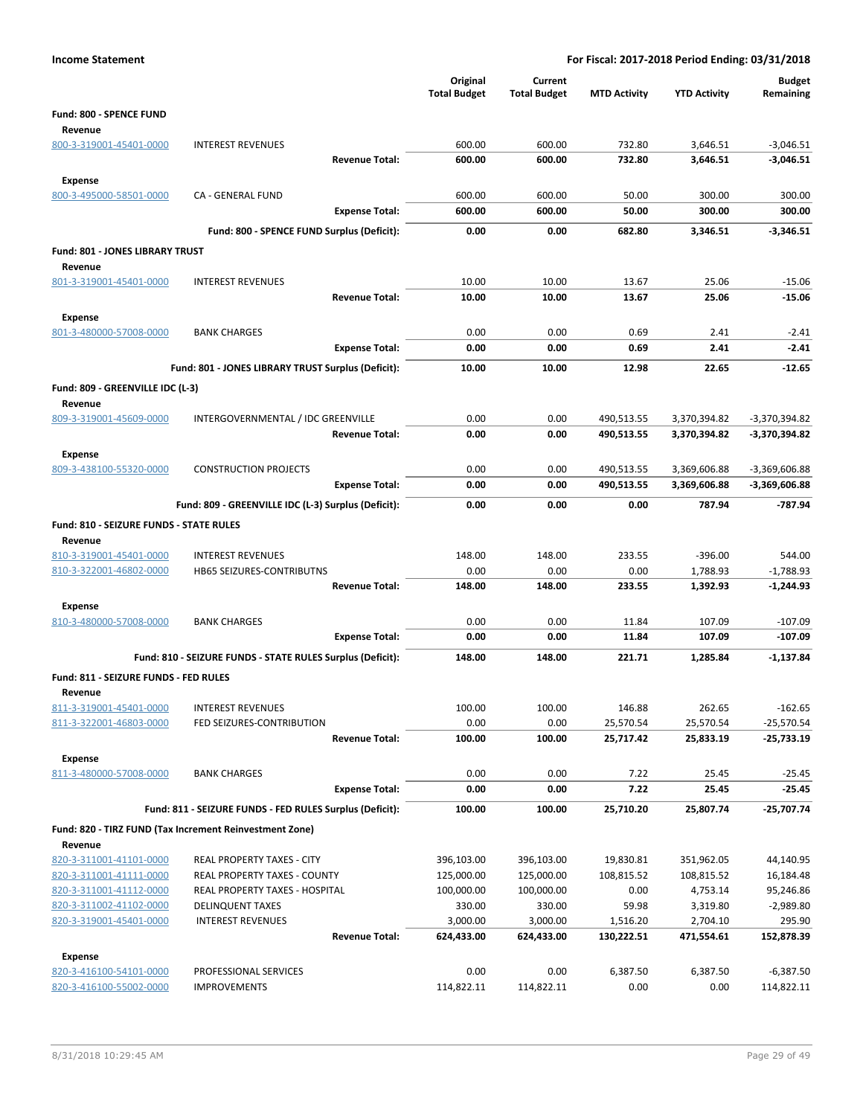| <b>Income Statement</b>                            |                                                            |                                 |                                | For Fiscal: 2017-2018 Period Ending: 03/31/2018 |                      |                            |
|----------------------------------------------------|------------------------------------------------------------|---------------------------------|--------------------------------|-------------------------------------------------|----------------------|----------------------------|
|                                                    |                                                            | Original<br><b>Total Budget</b> | Current<br><b>Total Budget</b> | <b>MTD Activity</b>                             | <b>YTD Activity</b>  | <b>Budget</b><br>Remaining |
| Fund: 800 - SPENCE FUND                            |                                                            |                                 |                                |                                                 |                      |                            |
| Revenue                                            |                                                            |                                 |                                |                                                 |                      |                            |
| 800-3-319001-45401-0000                            | <b>INTEREST REVENUES</b>                                   | 600.00                          | 600.00                         | 732.80                                          | 3,646.51             | $-3,046.51$                |
|                                                    | <b>Revenue Total:</b>                                      | 600.00                          | 600.00                         | 732.80                                          | 3,646.51             | $-3,046.51$                |
| Expense                                            |                                                            |                                 |                                |                                                 |                      |                            |
| 800-3-495000-58501-0000                            | CA - GENERAL FUND                                          | 600.00                          | 600.00                         | 50.00                                           | 300.00               | 300.00                     |
|                                                    | <b>Expense Total:</b>                                      | 600.00                          | 600.00                         | 50.00                                           | 300.00               | 300.00                     |
|                                                    | Fund: 800 - SPENCE FUND Surplus (Deficit):                 | 0.00                            | 0.00                           | 682.80                                          | 3,346.51             | $-3,346.51$                |
| <b>Fund: 801 - JONES LIBRARY TRUST</b>             |                                                            |                                 |                                |                                                 |                      |                            |
| Revenue                                            |                                                            |                                 |                                |                                                 |                      |                            |
| 801-3-319001-45401-0000                            | <b>INTEREST REVENUES</b>                                   | 10.00                           | 10.00                          | 13.67                                           | 25.06                | $-15.06$                   |
|                                                    | <b>Revenue Total:</b>                                      | 10.00                           | 10.00                          | 13.67                                           | 25.06                | $-15.06$                   |
| <b>Expense</b>                                     |                                                            |                                 |                                |                                                 |                      |                            |
| 801-3-480000-57008-0000                            | <b>BANK CHARGES</b>                                        | 0.00                            | 0.00                           | 0.69                                            | 2.41                 | $-2.41$                    |
|                                                    | <b>Expense Total:</b>                                      | 0.00                            | 0.00                           | 0.69                                            | 2.41                 | $-2.41$                    |
|                                                    | Fund: 801 - JONES LIBRARY TRUST Surplus (Deficit):         | 10.00                           | 10.00                          | 12.98                                           | 22.65                | $-12.65$                   |
| Fund: 809 - GREENVILLE IDC (L-3)                   |                                                            |                                 |                                |                                                 |                      |                            |
| Revenue                                            |                                                            |                                 |                                |                                                 |                      |                            |
| 809-3-319001-45609-0000                            | INTERGOVERNMENTAL / IDC GREENVILLE                         | 0.00                            | 0.00                           | 490,513.55                                      | 3,370,394.82         | $-3,370,394.82$            |
|                                                    | <b>Revenue Total:</b>                                      | 0.00                            | 0.00                           | 490,513.55                                      | 3,370,394.82         | -3,370,394.82              |
| <b>Expense</b>                                     |                                                            |                                 |                                |                                                 |                      |                            |
| 809-3-438100-55320-0000                            | <b>CONSTRUCTION PROJECTS</b>                               | 0.00                            | 0.00                           | 490,513.55                                      | 3,369,606.88         | $-3,369,606.88$            |
|                                                    | <b>Expense Total:</b>                                      | 0.00                            | 0.00                           | 490,513.55                                      | 3,369,606.88         | -3,369,606.88              |
|                                                    | Fund: 809 - GREENVILLE IDC (L-3) Surplus (Deficit):        | 0.00                            | 0.00                           | 0.00                                            | 787.94               | -787.94                    |
|                                                    |                                                            |                                 |                                |                                                 |                      |                            |
| <b>Fund: 810 - SEIZURE FUNDS - STATE RULES</b>     |                                                            |                                 |                                |                                                 |                      |                            |
| Revenue<br>810-3-319001-45401-0000                 | <b>INTEREST REVENUES</b>                                   | 148.00                          | 148.00                         | 233.55                                          | $-396.00$            | 544.00                     |
| 810-3-322001-46802-0000                            | HB65 SEIZURES-CONTRIBUTNS                                  | 0.00                            | 0.00                           | 0.00                                            | 1,788.93             | $-1,788.93$                |
|                                                    | <b>Revenue Total:</b>                                      | 148.00                          | 148.00                         | 233.55                                          | 1,392.93             | $-1,244.93$                |
| <b>Expense</b>                                     |                                                            |                                 |                                |                                                 |                      |                            |
| 810-3-480000-57008-0000                            | <b>BANK CHARGES</b>                                        | 0.00                            | 0.00                           | 11.84                                           | 107.09               | $-107.09$                  |
|                                                    | <b>Expense Total:</b>                                      | 0.00                            | 0.00                           | 11.84                                           | 107.09               | -107.09                    |
|                                                    |                                                            | 148.00                          | 148.00                         | 221.71                                          |                      | $-1,137.84$                |
|                                                    | Fund: 810 - SEIZURE FUNDS - STATE RULES Surplus (Deficit): |                                 |                                |                                                 | 1,285.84             |                            |
| Fund: 811 - SEIZURE FUNDS - FED RULES              |                                                            |                                 |                                |                                                 |                      |                            |
| Revenue                                            |                                                            |                                 |                                |                                                 |                      |                            |
| 811-3-319001-45401-0000<br>811-3-322001-46803-0000 | <b>INTEREST REVENUES</b><br>FED SEIZURES-CONTRIBUTION      | 100.00<br>0.00                  | 100.00<br>0.00                 | 146.88<br>25,570.54                             | 262.65<br>25,570.54  | $-162.65$<br>$-25,570.54$  |
|                                                    | <b>Revenue Total:</b>                                      | 100.00                          | 100.00                         | 25,717.42                                       | 25,833.19            | -25,733.19                 |
|                                                    |                                                            |                                 |                                |                                                 |                      |                            |
| Expense<br>811-3-480000-57008-0000                 | <b>BANK CHARGES</b>                                        | 0.00                            | 0.00                           | 7.22                                            | 25.45                | $-25.45$                   |
|                                                    | <b>Expense Total:</b>                                      | 0.00                            | 0.00                           | 7.22                                            | 25.45                | $-25.45$                   |
|                                                    |                                                            |                                 |                                |                                                 |                      |                            |
|                                                    | Fund: 811 - SEIZURE FUNDS - FED RULES Surplus (Deficit):   | 100.00                          | 100.00                         | 25,710.20                                       | 25,807.74            | -25,707.74                 |
|                                                    | Fund: 820 - TIRZ FUND (Tax Increment Reinvestment Zone)    |                                 |                                |                                                 |                      |                            |
| Revenue                                            |                                                            |                                 |                                |                                                 |                      |                            |
| 820-3-311001-41101-0000                            | REAL PROPERTY TAXES - CITY                                 | 396,103.00                      | 396,103.00                     | 19,830.81                                       | 351,962.05           | 44,140.95                  |
| 820-3-311001-41111-0000                            | REAL PROPERTY TAXES - COUNTY                               | 125,000.00                      | 125,000.00                     | 108,815.52                                      | 108,815.52           | 16,184.48                  |
| 820-3-311001-41112-0000                            | REAL PROPERTY TAXES - HOSPITAL                             | 100,000.00                      | 100,000.00                     | 0.00                                            | 4,753.14             | 95,246.86                  |
| 820-3-311002-41102-0000<br>820-3-319001-45401-0000 | <b>DELINQUENT TAXES</b><br><b>INTEREST REVENUES</b>        | 330.00<br>3,000.00              | 330.00<br>3,000.00             | 59.98<br>1,516.20                               | 3,319.80<br>2,704.10 | $-2,989.80$<br>295.90      |
|                                                    | <b>Revenue Total:</b>                                      | 624,433.00                      | 624,433.00                     | 130,222.51                                      | 471,554.61           | 152,878.39                 |
|                                                    |                                                            |                                 |                                |                                                 |                      |                            |
| <b>Expense</b><br>820-3-416100-54101-0000          | PROFESSIONAL SERVICES                                      | 0.00                            | 0.00                           | 6,387.50                                        | 6,387.50             | $-6,387.50$                |
| 820-3-416100-55002-0000                            | <b>IMPROVEMENTS</b>                                        | 114,822.11                      | 114,822.11                     | 0.00                                            | 0.00                 | 114,822.11                 |
|                                                    |                                                            |                                 |                                |                                                 |                      |                            |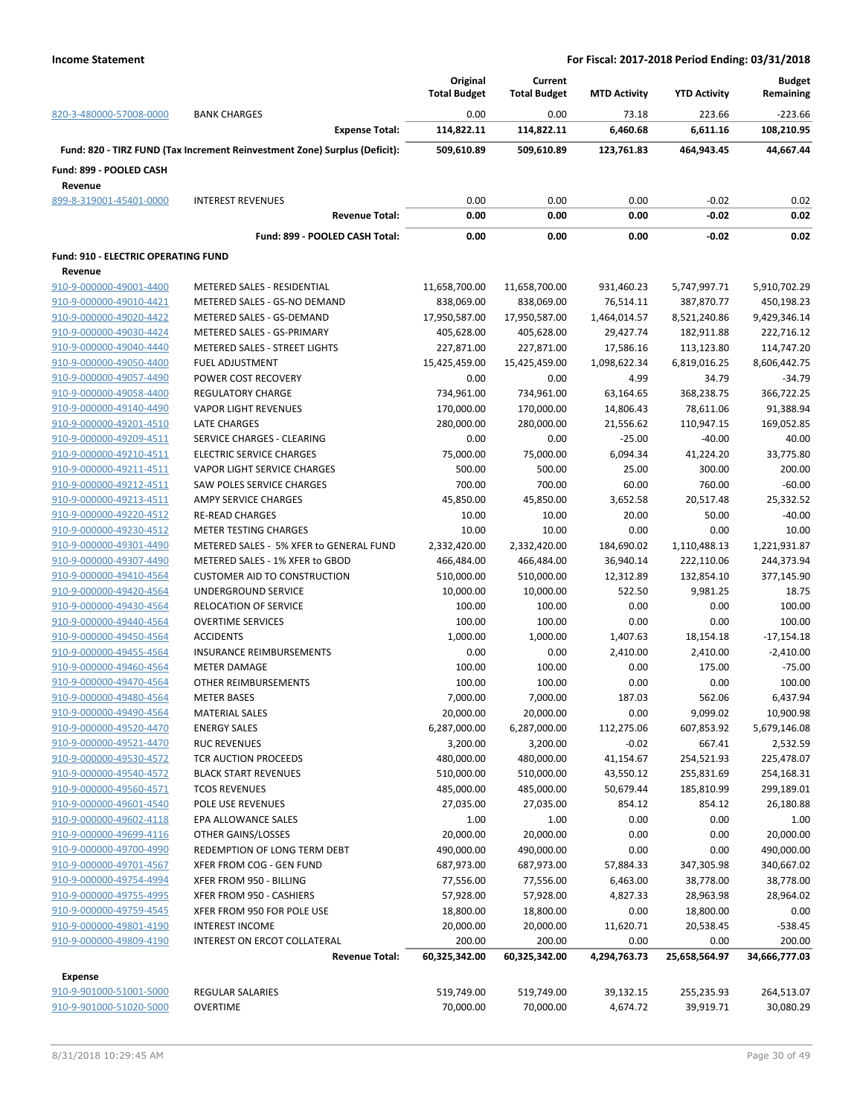|                                     |                                                                            | Original            | Current             |                     |                     | <b>Budget</b> |
|-------------------------------------|----------------------------------------------------------------------------|---------------------|---------------------|---------------------|---------------------|---------------|
|                                     |                                                                            | <b>Total Budget</b> | <b>Total Budget</b> | <b>MTD Activity</b> | <b>YTD Activity</b> | Remaining     |
| 820-3-480000-57008-0000             | <b>BANK CHARGES</b>                                                        | 0.00                | 0.00                | 73.18               | 223.66              | $-223.66$     |
|                                     | <b>Expense Total:</b>                                                      | 114,822.11          | 114,822.11          | 6,460.68            | 6,611.16            | 108,210.95    |
|                                     | Fund: 820 - TIRZ FUND (Tax Increment Reinvestment Zone) Surplus (Deficit): | 509,610.89          | 509.610.89          | 123,761.83          | 464,943.45          | 44,667.44     |
|                                     |                                                                            |                     |                     |                     |                     |               |
| Fund: 899 - POOLED CASH             |                                                                            |                     |                     |                     |                     |               |
| Revenue                             |                                                                            |                     |                     |                     |                     |               |
| 899-8-319001-45401-0000             | <b>INTEREST REVENUES</b>                                                   | 0.00                | 0.00                | 0.00                | $-0.02$             | 0.02          |
|                                     | <b>Revenue Total:</b>                                                      | 0.00                | 0.00                | 0.00                | $-0.02$             | 0.02          |
|                                     | Fund: 899 - POOLED CASH Total:                                             | 0.00                | 0.00                | 0.00                | $-0.02$             | 0.02          |
| Fund: 910 - ELECTRIC OPERATING FUND |                                                                            |                     |                     |                     |                     |               |
| Revenue                             |                                                                            |                     |                     |                     |                     |               |
| 910-9-000000-49001-4400             | METERED SALES - RESIDENTIAL                                                | 11,658,700.00       | 11,658,700.00       | 931,460.23          | 5,747,997.71        | 5,910,702.29  |
| 910-9-000000-49010-4421             | METERED SALES - GS-NO DEMAND                                               | 838,069.00          | 838,069.00          | 76,514.11           | 387,870.77          | 450,198.23    |
| 910-9-000000-49020-4422             | METERED SALES - GS-DEMAND                                                  | 17,950,587.00       | 17,950,587.00       | 1,464,014.57        | 8,521,240.86        | 9,429,346.14  |
| 910-9-000000-49030-4424             | METERED SALES - GS-PRIMARY                                                 | 405,628.00          | 405,628.00          | 29,427.74           | 182,911.88          | 222,716.12    |
| 910-9-000000-49040-4440             | <b>METERED SALES - STREET LIGHTS</b>                                       | 227,871.00          | 227,871.00          | 17,586.16           | 113,123.80          | 114,747.20    |
| 910-9-000000-49050-4400             | <b>FUEL ADJUSTMENT</b>                                                     | 15,425,459.00       | 15,425,459.00       | 1,098,622.34        | 6,819,016.25        | 8,606,442.75  |
| 910-9-000000-49057-4490             | POWER COST RECOVERY                                                        | 0.00                | 0.00                | 4.99                | 34.79               | $-34.79$      |
| 910-9-000000-49058-4400             | <b>REGULATORY CHARGE</b>                                                   |                     |                     |                     |                     |               |
|                                     |                                                                            | 734,961.00          | 734,961.00          | 63,164.65           | 368,238.75          | 366,722.25    |
| 910-9-000000-49140-4490             | <b>VAPOR LIGHT REVENUES</b>                                                | 170,000.00          | 170,000.00          | 14,806.43           | 78,611.06           | 91,388.94     |
| 910-9-000000-49201-4510             | LATE CHARGES                                                               | 280,000.00          | 280,000.00          | 21,556.62           | 110,947.15          | 169,052.85    |
| 910-9-000000-49209-4511             | SERVICE CHARGES - CLEARING                                                 | 0.00                | 0.00                | $-25.00$            | $-40.00$            | 40.00         |
| 910-9-000000-49210-4511             | <b>ELECTRIC SERVICE CHARGES</b>                                            | 75,000.00           | 75,000.00           | 6,094.34            | 41,224.20           | 33,775.80     |
| 910-9-000000-49211-4511             | VAPOR LIGHT SERVICE CHARGES                                                | 500.00              | 500.00              | 25.00               | 300.00              | 200.00        |
| 910-9-000000-49212-4511             | <b>SAW POLES SERVICE CHARGES</b>                                           | 700.00              | 700.00              | 60.00               | 760.00              | $-60.00$      |
| 910-9-000000-49213-4511             | AMPY SERVICE CHARGES                                                       | 45,850.00           | 45,850.00           | 3,652.58            | 20,517.48           | 25,332.52     |
| 910-9-000000-49220-4512             | <b>RE-READ CHARGES</b>                                                     | 10.00               | 10.00               | 20.00               | 50.00               | $-40.00$      |
| 910-9-000000-49230-4512             | <b>METER TESTING CHARGES</b>                                               | 10.00               | 10.00               | 0.00                | 0.00                | 10.00         |
| 910-9-000000-49301-4490             | METERED SALES - 5% XFER to GENERAL FUND                                    | 2,332,420.00        | 2,332,420.00        | 184,690.02          | 1,110,488.13        | 1,221,931.87  |
| 910-9-000000-49307-4490             | METERED SALES - 1% XFER to GBOD                                            | 466,484.00          | 466,484.00          | 36,940.14           | 222,110.06          | 244,373.94    |
| 910-9-000000-49410-4564             | <b>CUSTOMER AID TO CONSTRUCTION</b>                                        | 510,000.00          | 510,000.00          | 12,312.89           | 132,854.10          | 377,145.90    |
| 910-9-000000-49420-4564             | UNDERGROUND SERVICE                                                        | 10,000.00           | 10,000.00           | 522.50              | 9,981.25            | 18.75         |
| 910-9-000000-49430-4564             | <b>RELOCATION OF SERVICE</b>                                               | 100.00              | 100.00              | 0.00                | 0.00                | 100.00        |
| 910-9-000000-49440-4564             | <b>OVERTIME SERVICES</b>                                                   | 100.00              | 100.00              | 0.00                | 0.00                | 100.00        |
| 910-9-000000-49450-4564             | <b>ACCIDENTS</b>                                                           | 1,000.00            | 1,000.00            | 1,407.63            | 18,154.18           | $-17,154.18$  |
| 910-9-000000-49455-4564             | <b>INSURANCE REIMBURSEMENTS</b>                                            | 0.00                | 0.00                | 2,410.00            | 2,410.00            | $-2,410.00$   |
| 910-9-000000-49460-4564             | <b>METER DAMAGE</b>                                                        | 100.00              | 100.00              | 0.00                | 175.00              | $-75.00$      |
| 910-9-000000-49470-4564             | OTHER REIMBURSEMENTS                                                       | 100.00              | 100.00              | 0.00                | 0.00                | 100.00        |
| 910-9-000000-49480-4564             | <b>METER BASES</b>                                                         | 7,000.00            | 7,000.00            | 187.03              | 562.06              | 6,437.94      |
| 910-9-000000-49490-4564             | <b>MATERIAL SALES</b>                                                      | 20,000.00           | 20,000.00           | 0.00                | 9,099.02            | 10,900.98     |
| 910-9-000000-49520-4470             | <b>ENERGY SALES</b>                                                        | 6,287,000.00        | 6,287,000.00        | 112,275.06          | 607,853.92          | 5,679,146.08  |
| 910-9-000000-49521-4470             | <b>RUC REVENUES</b>                                                        | 3,200.00            | 3,200.00            | $-0.02$             | 667.41              | 2,532.59      |
| 910-9-000000-49530-4572             | TCR AUCTION PROCEEDS                                                       | 480,000.00          | 480,000.00          | 41,154.67           | 254,521.93          | 225,478.07    |
| 910-9-000000-49540-4572             | <b>BLACK START REVENUES</b>                                                | 510,000.00          | 510,000.00          | 43,550.12           | 255,831.69          | 254,168.31    |
| 910-9-000000-49560-4571             | <b>TCOS REVENUES</b>                                                       | 485,000.00          | 485,000.00          | 50,679.44           | 185,810.99          | 299,189.01    |
| 910-9-000000-49601-4540             | POLE USE REVENUES                                                          | 27,035.00           | 27,035.00           | 854.12              | 854.12              | 26,180.88     |
| 910-9-000000-49602-4118             |                                                                            |                     |                     |                     |                     |               |
|                                     | EPA ALLOWANCE SALES                                                        | 1.00                | 1.00                | 0.00                | 0.00                | 1.00          |
| 910-9-000000-49699-4116             | OTHER GAINS/LOSSES                                                         | 20,000.00           | 20,000.00           | 0.00                | 0.00                | 20,000.00     |
| 910-9-000000-49700-4990             | REDEMPTION OF LONG TERM DEBT                                               | 490,000.00          | 490,000.00          | 0.00                | 0.00                | 490,000.00    |
| 910-9-000000-49701-4567             | XFER FROM COG - GEN FUND                                                   | 687,973.00          | 687,973.00          | 57,884.33           | 347,305.98          | 340,667.02    |
| 910-9-000000-49754-4994             | XFER FROM 950 - BILLING                                                    | 77,556.00           | 77,556.00           | 6,463.00            | 38,778.00           | 38,778.00     |
| 910-9-000000-49755-4995             | XFER FROM 950 - CASHIERS                                                   | 57,928.00           | 57,928.00           | 4,827.33            | 28,963.98           | 28,964.02     |
| 910-9-000000-49759-4545             | XFER FROM 950 FOR POLE USE                                                 | 18,800.00           | 18,800.00           | 0.00                | 18,800.00           | 0.00          |
| 910-9-000000-49801-4190             | <b>INTEREST INCOME</b>                                                     | 20,000.00           | 20,000.00           | 11,620.71           | 20,538.45           | $-538.45$     |
| 910-9-000000-49809-4190             | INTEREST ON ERCOT COLLATERAL                                               | 200.00              | 200.00              | 0.00                | 0.00                | 200.00        |
|                                     | <b>Revenue Total:</b>                                                      | 60,325,342.00       | 60,325,342.00       | 4,294,763.73        | 25,658,564.97       | 34,666,777.03 |
| <b>Expense</b>                      |                                                                            |                     |                     |                     |                     |               |
| 910-9-901000-51001-5000             | REGULAR SALARIES                                                           | 519,749.00          | 519,749.00          | 39,132.15           | 255,235.93          | 264,513.07    |
| 910-9-901000-51020-5000             | <b>OVERTIME</b>                                                            | 70,000.00           | 70,000.00           | 4,674.72            | 39,919.71           | 30,080.29     |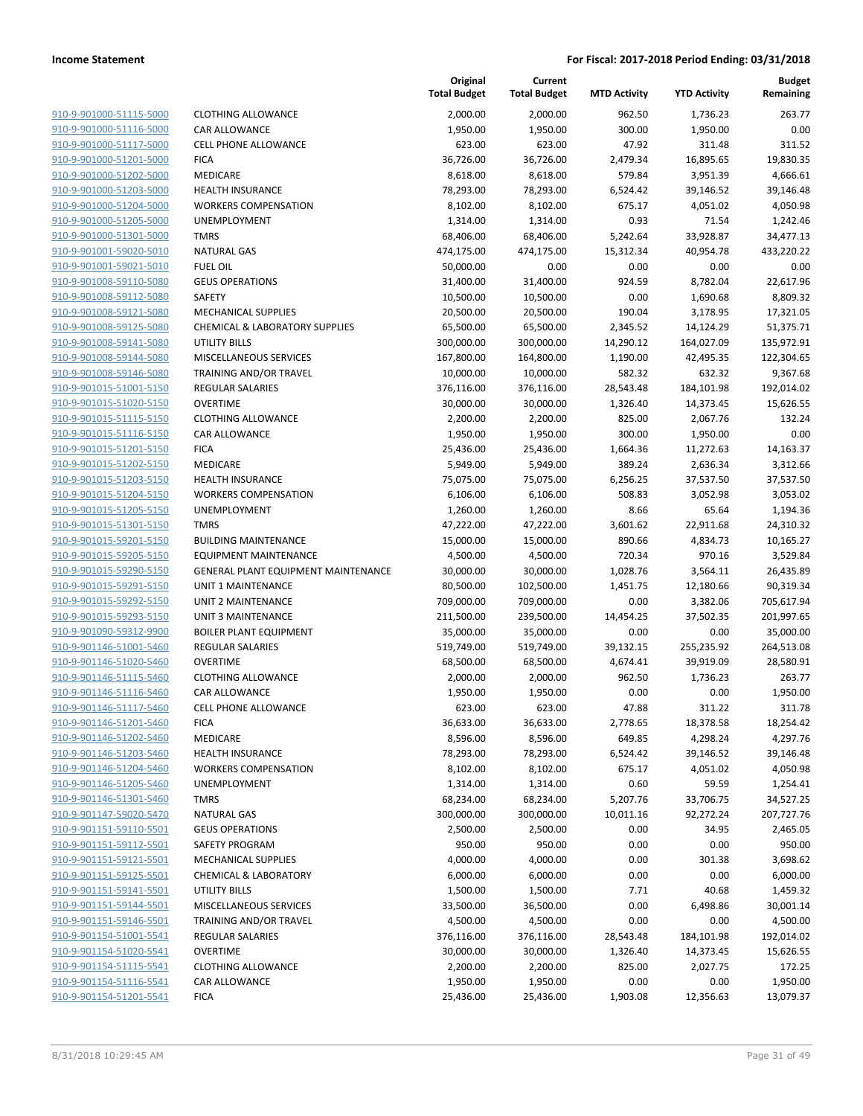| 910-9-901000-51115-5000                            |
|----------------------------------------------------|
| 910-9-901000-51116-5000                            |
| 910-9-901000-51117-5000                            |
| 910-9-901000-51201-5000                            |
| 910-9-901000-51202-5000                            |
| 910-9-901000-51203-5000                            |
| 910-9-901000-51204-5000                            |
| 910-9-901000-51205-5000                            |
| 910-9-901000-51301-5000                            |
| 910-9-901001-59020-5010                            |
| 910-9-901001-59021-5010                            |
| 910-9-901008-59110-5080                            |
| 910-9-901008-59112-5080                            |
| 910-9-901008-59121-5080                            |
| <u>910-9-901008-59125-5080</u>                     |
| 910-9-901008-59141-5080                            |
| 910-9-901008-59144-5080                            |
| 910-9-901008-59146-5080                            |
| 910-9-901015-51001-5150                            |
| 910-9-901015-51020-5150                            |
| 910-9-901015-51115-5150                            |
| 910-9-901015-51116-5150                            |
| 910-9-901015-51201-5150                            |
| 910-9-901015-51202-5150                            |
| 910-9-901015-51203-5150                            |
| 910-9-901015-51204-5150                            |
| 910-9-901015-51205-5150                            |
| 910-9-901015-51301-5150                            |
| 910-9-901015-59201-5150                            |
| <u>910-9-901015-59205-5150</u>                     |
| 910-9-901015-59290-5150<br>910-9-901015-59291-5150 |
| 910-9-901015-59292-5150                            |
| 910-9-901015-59293-5150                            |
| <u>910-9-901090-59312-9900</u>                     |
| 910-9-901146-51001-5460                            |
| 910-9-901146-51020-5460                            |
| 910-9-901146-51115-5460                            |
| 910-9-901146-51116-5460                            |
| 910-9-901146-51117-5460                            |
| 910-9-901146-51201-5460                            |
| 910-9-901146-51202-5460                            |
| 910-9-901146-51203-5460                            |
| 910-9-901146-51204-5460                            |
| <u>910-9-901146-51205-5460</u>                     |
| 910-9-901146-51301-5460                            |
| 910-9-901147-59020-5470                            |
| 910-9-901151-59110-5501                            |
| 910-9-901151-59112-5501                            |
| <u>910-9-901151-59121-5501</u>                     |
| 910-9-901151-59125-5501                            |
| 910-9-901151-59141-5501                            |
| 910-9-901151-59144-5501                            |
| 910-9-901151-59146-5501                            |
| <u>910-9-901154-51001-5541</u>                     |
| 910-9-901154-51020-5541                            |
| 910-9-901154-51115-5541                            |
| 910-9-901154-51116-5541                            |
| 910-9-901154-51201-5541                            |
|                                                    |

|                         |                                           | Original<br><b>Total Budget</b> | Current<br><b>Total Budget</b> | <b>MTD Activity</b> | <b>YTD Activity</b> | <b>Budget</b><br>Remaining |
|-------------------------|-------------------------------------------|---------------------------------|--------------------------------|---------------------|---------------------|----------------------------|
| 910-9-901000-51115-5000 | <b>CLOTHING ALLOWANCE</b>                 | 2,000.00                        | 2,000.00                       | 962.50              | 1,736.23            | 263.77                     |
| 910-9-901000-51116-5000 | CAR ALLOWANCE                             | 1,950.00                        | 1,950.00                       | 300.00              | 1,950.00            | 0.00                       |
| 910-9-901000-51117-5000 | CELL PHONE ALLOWANCE                      | 623.00                          | 623.00                         | 47.92               | 311.48              | 311.52                     |
| 910-9-901000-51201-5000 | <b>FICA</b>                               | 36,726.00                       | 36,726.00                      | 2,479.34            | 16,895.65           | 19,830.35                  |
| 910-9-901000-51202-5000 | MEDICARE                                  | 8,618.00                        | 8,618.00                       | 579.84              | 3,951.39            | 4,666.61                   |
| 910-9-901000-51203-5000 | <b>HEALTH INSURANCE</b>                   | 78,293.00                       | 78,293.00                      | 6,524.42            | 39,146.52           | 39,146.48                  |
| 910-9-901000-51204-5000 | <b>WORKERS COMPENSATION</b>               | 8,102.00                        | 8,102.00                       | 675.17              | 4,051.02            | 4,050.98                   |
| 910-9-901000-51205-5000 | UNEMPLOYMENT                              | 1,314.00                        | 1,314.00                       | 0.93                | 71.54               | 1,242.46                   |
| 910-9-901000-51301-5000 | <b>TMRS</b>                               | 68,406.00                       | 68,406.00                      | 5,242.64            | 33,928.87           | 34,477.13                  |
| 910-9-901001-59020-5010 | <b>NATURAL GAS</b>                        | 474,175.00                      | 474,175.00                     | 15,312.34           | 40,954.78           | 433,220.22                 |
| 910-9-901001-59021-5010 | <b>FUEL OIL</b>                           | 50,000.00                       | 0.00                           | 0.00                | 0.00                | 0.00                       |
| 910-9-901008-59110-5080 | <b>GEUS OPERATIONS</b>                    | 31,400.00                       | 31,400.00                      | 924.59              | 8,782.04            | 22,617.96                  |
| 910-9-901008-59112-5080 | SAFETY                                    | 10,500.00                       | 10,500.00                      | 0.00                | 1,690.68            | 8,809.32                   |
| 910-9-901008-59121-5080 | <b>MECHANICAL SUPPLIES</b>                | 20,500.00                       | 20,500.00                      | 190.04              | 3,178.95            | 17,321.05                  |
| 910-9-901008-59125-5080 | <b>CHEMICAL &amp; LABORATORY SUPPLIES</b> | 65,500.00                       | 65,500.00                      | 2,345.52            | 14,124.29           | 51,375.71                  |
| 910-9-901008-59141-5080 | UTILITY BILLS                             | 300,000.00                      | 300,000.00                     | 14,290.12           | 164,027.09          | 135,972.91                 |
| 910-9-901008-59144-5080 | MISCELLANEOUS SERVICES                    | 167,800.00                      | 164,800.00                     | 1,190.00            | 42,495.35           | 122,304.65                 |
| 910-9-901008-59146-5080 | TRAINING AND/OR TRAVEL                    | 10,000.00                       | 10,000.00                      | 582.32              | 632.32              | 9,367.68                   |
| 910-9-901015-51001-5150 | <b>REGULAR SALARIES</b>                   | 376,116.00                      | 376,116.00                     | 28,543.48           | 184,101.98          | 192,014.02                 |
| 910-9-901015-51020-5150 | <b>OVERTIME</b>                           | 30,000.00                       | 30,000.00                      | 1,326.40            | 14,373.45           | 15,626.55                  |
| 910-9-901015-51115-5150 | <b>CLOTHING ALLOWANCE</b>                 | 2,200.00                        | 2,200.00                       | 825.00              | 2,067.76            | 132.24                     |
| 910-9-901015-51116-5150 | CAR ALLOWANCE                             | 1,950.00                        | 1,950.00                       | 300.00              | 1,950.00            | 0.00                       |
| 910-9-901015-51201-5150 | <b>FICA</b>                               | 25,436.00                       | 25,436.00                      | 1,664.36            | 11,272.63           | 14,163.37                  |
| 910-9-901015-51202-5150 | MEDICARE                                  | 5,949.00                        | 5,949.00                       | 389.24              | 2,636.34            | 3,312.66                   |
| 910-9-901015-51203-5150 | <b>HEALTH INSURANCE</b>                   | 75,075.00                       | 75,075.00                      | 6,256.25            | 37,537.50           | 37,537.50                  |
| 910-9-901015-51204-5150 | <b>WORKERS COMPENSATION</b>               | 6,106.00                        | 6,106.00                       | 508.83              | 3,052.98            | 3,053.02                   |
| 910-9-901015-51205-5150 | UNEMPLOYMENT                              | 1,260.00                        | 1,260.00                       | 8.66                | 65.64               | 1,194.36                   |
| 910-9-901015-51301-5150 | <b>TMRS</b>                               | 47,222.00                       | 47,222.00                      | 3,601.62            | 22,911.68           | 24,310.32                  |
| 910-9-901015-59201-5150 | <b>BUILDING MAINTENANCE</b>               | 15,000.00                       | 15,000.00                      | 890.66              | 4,834.73            | 10,165.27                  |
| 910-9-901015-59205-5150 | <b>EQUIPMENT MAINTENANCE</b>              | 4,500.00                        | 4,500.00                       | 720.34              | 970.16              | 3,529.84                   |
| 910-9-901015-59290-5150 | GENERAL PLANT EQUIPMENT MAINTENANCE       | 30,000.00                       | 30,000.00                      | 1,028.76            | 3,564.11            | 26,435.89                  |
| 910-9-901015-59291-5150 | UNIT 1 MAINTENANCE                        | 80,500.00                       | 102,500.00                     | 1,451.75            | 12,180.66           | 90,319.34                  |
| 910-9-901015-59292-5150 | UNIT 2 MAINTENANCE                        | 709,000.00                      | 709,000.00                     | 0.00                | 3,382.06            | 705,617.94                 |
| 910-9-901015-59293-5150 | UNIT 3 MAINTENANCE                        | 211,500.00                      | 239,500.00                     | 14,454.25           | 37,502.35           | 201,997.65                 |
| 910-9-901090-59312-9900 | <b>BOILER PLANT EQUIPMENT</b>             | 35,000.00                       | 35,000.00                      | 0.00                | 0.00                | 35,000.00                  |
| 910-9-901146-51001-5460 | <b>REGULAR SALARIES</b>                   | 519,749.00                      | 519,749.00                     | 39,132.15           | 255,235.92          | 264,513.08                 |
| 910-9-901146-51020-5460 | <b>OVERTIME</b>                           | 68,500.00                       | 68,500.00                      | 4,674.41            | 39,919.09           | 28,580.91                  |
| 910-9-901146-51115-5460 | <b>CLOTHING ALLOWANCE</b>                 | 2,000.00                        | 2,000.00                       | 962.50              | 1,736.23            | 263.77                     |
| 910-9-901146-51116-5460 | CAR ALLOWANCE                             | 1,950.00                        | 1,950.00                       | 0.00                | 0.00                | 1,950.00                   |
| 910-9-901146-51117-5460 | CELL PHONE ALLOWANCE                      | 623.00                          | 623.00                         | 47.88               | 311.22              | 311.78                     |
| 910-9-901146-51201-5460 | <b>FICA</b>                               | 36,633.00                       | 36,633.00                      | 2,778.65            | 18,378.58           | 18,254.42                  |
| 910-9-901146-51202-5460 | MEDICARE                                  | 8,596.00                        | 8,596.00                       | 649.85              | 4,298.24            | 4,297.76                   |
| 910-9-901146-51203-5460 | <b>HEALTH INSURANCE</b>                   | 78,293.00                       | 78,293.00                      | 6,524.42            | 39,146.52           | 39,146.48                  |
| 910-9-901146-51204-5460 | <b>WORKERS COMPENSATION</b>               | 8,102.00                        | 8,102.00                       | 675.17              | 4,051.02            | 4,050.98                   |
| 910-9-901146-51205-5460 | UNEMPLOYMENT                              | 1,314.00                        | 1,314.00                       | 0.60                | 59.59               | 1,254.41                   |
| 910-9-901146-51301-5460 | <b>TMRS</b>                               | 68,234.00                       | 68,234.00                      | 5,207.76            | 33,706.75           | 34,527.25                  |
| 910-9-901147-59020-5470 | <b>NATURAL GAS</b>                        | 300,000.00                      | 300,000.00                     | 10,011.16           | 92,272.24           | 207,727.76                 |
| 910-9-901151-59110-5501 | <b>GEUS OPERATIONS</b>                    | 2,500.00                        | 2,500.00                       | 0.00                | 34.95               | 2,465.05                   |
| 910-9-901151-59112-5501 | <b>SAFETY PROGRAM</b>                     | 950.00                          | 950.00                         | 0.00                | 0.00                | 950.00                     |
| 910-9-901151-59121-5501 | <b>MECHANICAL SUPPLIES</b>                | 4,000.00                        | 4,000.00                       | 0.00                | 301.38              | 3,698.62                   |
| 910-9-901151-59125-5501 | <b>CHEMICAL &amp; LABORATORY</b>          | 6,000.00                        | 6,000.00                       | 0.00                | 0.00                | 6,000.00                   |
| 910-9-901151-59141-5501 | UTILITY BILLS                             | 1,500.00                        | 1,500.00                       | 7.71                | 40.68               | 1,459.32                   |
| 910-9-901151-59144-5501 | MISCELLANEOUS SERVICES                    | 33,500.00                       | 36,500.00                      | 0.00                | 6,498.86            | 30,001.14                  |
| 910-9-901151-59146-5501 | TRAINING AND/OR TRAVEL                    | 4,500.00                        | 4,500.00                       | 0.00                | 0.00                | 4,500.00                   |
| 910-9-901154-51001-5541 | <b>REGULAR SALARIES</b>                   | 376,116.00                      | 376,116.00                     | 28,543.48           | 184,101.98          | 192,014.02                 |
| 910-9-901154-51020-5541 | <b>OVERTIME</b>                           | 30,000.00                       | 30,000.00                      | 1,326.40            | 14,373.45           | 15,626.55                  |
| 910-9-901154-51115-5541 | <b>CLOTHING ALLOWANCE</b>                 | 2,200.00                        | 2,200.00                       | 825.00              | 2,027.75            | 172.25                     |
| 910-9-901154-51116-5541 | CAR ALLOWANCE                             | 1,950.00                        | 1,950.00                       | 0.00                | 0.00                | 1,950.00                   |
| 910-9-901154-51201-5541 | <b>FICA</b>                               | 25,436.00                       | 25,436.00                      | 1,903.08            | 12,356.63           | 13,079.37                  |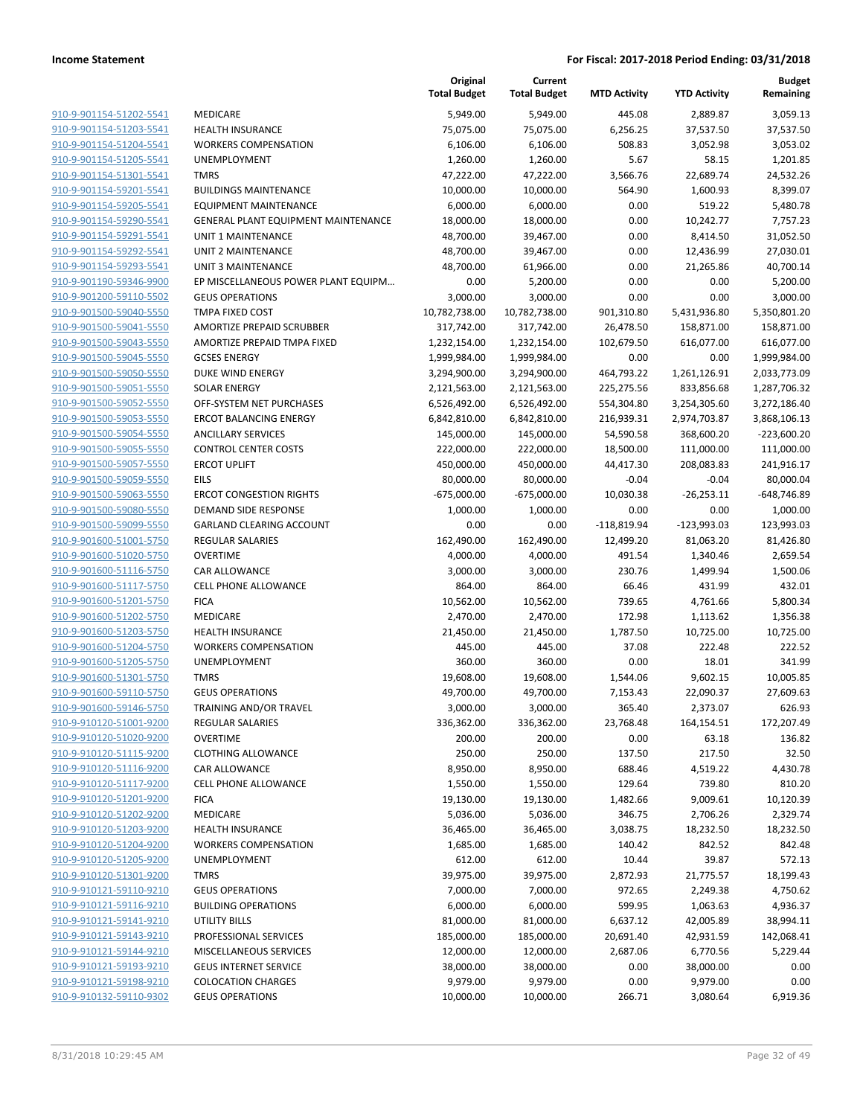|                         |                                     | Original<br><b>Total Budget</b> | Current<br><b>Total Budget</b> | <b>MTD Activity</b> | <b>YTD Activity</b> | <b>Budget</b><br>Remaining |
|-------------------------|-------------------------------------|---------------------------------|--------------------------------|---------------------|---------------------|----------------------------|
| 910-9-901154-51202-5541 | <b>MEDICARE</b>                     | 5,949.00                        | 5,949.00                       | 445.08              | 2,889.87            | 3,059.13                   |
| 910-9-901154-51203-5541 | <b>HEALTH INSURANCE</b>             | 75,075.00                       | 75,075.00                      | 6,256.25            | 37,537.50           | 37,537.50                  |
| 910-9-901154-51204-5541 | <b>WORKERS COMPENSATION</b>         | 6,106.00                        | 6,106.00                       | 508.83              | 3,052.98            | 3,053.02                   |
| 910-9-901154-51205-5541 | <b>UNEMPLOYMENT</b>                 | 1,260.00                        | 1,260.00                       | 5.67                | 58.15               | 1,201.85                   |
| 910-9-901154-51301-5541 | <b>TMRS</b>                         | 47,222.00                       | 47,222.00                      | 3,566.76            | 22,689.74           | 24,532.26                  |
| 910-9-901154-59201-5541 | <b>BUILDINGS MAINTENANCE</b>        | 10,000.00                       | 10,000.00                      | 564.90              | 1,600.93            | 8,399.07                   |
| 910-9-901154-59205-5541 | <b>EQUIPMENT MAINTENANCE</b>        | 6,000.00                        | 6,000.00                       | 0.00                | 519.22              | 5,480.78                   |
| 910-9-901154-59290-5541 | GENERAL PLANT EQUIPMENT MAINTENANCE | 18,000.00                       | 18,000.00                      | 0.00                | 10,242.77           | 7,757.23                   |
| 910-9-901154-59291-5541 | <b>UNIT 1 MAINTENANCE</b>           | 48,700.00                       | 39,467.00                      | 0.00                | 8,414.50            | 31,052.50                  |
| 910-9-901154-59292-5541 | UNIT 2 MAINTENANCE                  | 48,700.00                       | 39,467.00                      | 0.00                | 12,436.99           | 27,030.01                  |
| 910-9-901154-59293-5541 | <b>UNIT 3 MAINTENANCE</b>           | 48,700.00                       | 61,966.00                      | 0.00                | 21,265.86           | 40,700.14                  |
| 910-9-901190-59346-9900 | EP MISCELLANEOUS POWER PLANT EQUIPM | 0.00                            | 5,200.00                       | 0.00                | 0.00                | 5,200.00                   |
| 910-9-901200-59110-5502 | <b>GEUS OPERATIONS</b>              | 3,000.00                        | 3,000.00                       | 0.00                | 0.00                | 3,000.00                   |
| 910-9-901500-59040-5550 | TMPA FIXED COST                     | 10,782,738.00                   | 10,782,738.00                  | 901,310.80          | 5,431,936.80        | 5,350,801.20               |
| 910-9-901500-59041-5550 | AMORTIZE PREPAID SCRUBBER           | 317,742.00                      | 317,742.00                     | 26,478.50           | 158,871.00          | 158,871.00                 |
| 910-9-901500-59043-5550 | AMORTIZE PREPAID TMPA FIXED         | 1,232,154.00                    | 1,232,154.00                   | 102,679.50          | 616,077.00          | 616,077.00                 |
| 910-9-901500-59045-5550 | <b>GCSES ENERGY</b>                 | 1,999,984.00                    | 1,999,984.00                   | 0.00                | 0.00                | 1,999,984.00               |
| 910-9-901500-59050-5550 | DUKE WIND ENERGY                    | 3,294,900.00                    | 3,294,900.00                   | 464,793.22          | 1,261,126.91        | 2,033,773.09               |
| 910-9-901500-59051-5550 | <b>SOLAR ENERGY</b>                 | 2,121,563.00                    | 2,121,563.00                   | 225,275.56          | 833,856.68          | 1,287,706.32               |
| 910-9-901500-59052-5550 | OFF-SYSTEM NET PURCHASES            | 6,526,492.00                    | 6,526,492.00                   | 554,304.80          | 3,254,305.60        | 3,272,186.40               |
| 910-9-901500-59053-5550 | <b>ERCOT BALANCING ENERGY</b>       | 6,842,810.00                    | 6,842,810.00                   | 216,939.31          | 2,974,703.87        | 3,868,106.13               |
| 910-9-901500-59054-5550 | <b>ANCILLARY SERVICES</b>           | 145,000.00                      | 145,000.00                     | 54,590.58           | 368,600.20          | $-223,600.20$              |
| 910-9-901500-59055-5550 | <b>CONTROL CENTER COSTS</b>         | 222,000.00                      | 222,000.00                     | 18,500.00           | 111,000.00          | 111,000.00                 |
| 910-9-901500-59057-5550 | <b>ERCOT UPLIFT</b>                 | 450,000.00                      | 450,000.00                     | 44,417.30           | 208,083.83          | 241,916.17                 |
| 910-9-901500-59059-5550 | <b>EILS</b>                         | 80,000.00                       | 80,000.00                      | $-0.04$             | $-0.04$             | 80,000.04                  |
| 910-9-901500-59063-5550 | <b>ERCOT CONGESTION RIGHTS</b>      | $-675,000.00$                   | $-675,000.00$                  | 10,030.38           | $-26,253.11$        | $-648,746.89$              |
| 910-9-901500-59080-5550 | DEMAND SIDE RESPONSE                | 1,000.00                        | 1,000.00                       | 0.00                | 0.00                | 1,000.00                   |
| 910-9-901500-59099-5550 | <b>GARLAND CLEARING ACCOUNT</b>     | 0.00                            | 0.00                           | $-118,819.94$       | $-123,993.03$       | 123,993.03                 |
| 910-9-901600-51001-5750 | <b>REGULAR SALARIES</b>             | 162,490.00                      | 162,490.00                     | 12,499.20           | 81,063.20           | 81,426.80                  |
| 910-9-901600-51020-5750 | <b>OVERTIME</b>                     | 4,000.00                        | 4,000.00                       | 491.54              | 1,340.46            | 2,659.54                   |
| 910-9-901600-51116-5750 | CAR ALLOWANCE                       | 3,000.00                        | 3,000.00                       | 230.76              | 1,499.94            | 1,500.06                   |
| 910-9-901600-51117-5750 | CELL PHONE ALLOWANCE                | 864.00                          | 864.00                         | 66.46               | 431.99              | 432.01                     |
| 910-9-901600-51201-5750 | <b>FICA</b>                         | 10,562.00                       | 10,562.00                      | 739.65              | 4,761.66            | 5,800.34                   |
| 910-9-901600-51202-5750 | MEDICARE                            | 2,470.00                        | 2,470.00                       | 172.98              | 1,113.62            | 1,356.38                   |
| 910-9-901600-51203-5750 | <b>HEALTH INSURANCE</b>             | 21,450.00                       | 21,450.00                      | 1,787.50            | 10,725.00           | 10,725.00                  |
| 910-9-901600-51204-5750 | <b>WORKERS COMPENSATION</b>         | 445.00                          | 445.00                         | 37.08               | 222.48              | 222.52                     |
| 910-9-901600-51205-5750 | UNEMPLOYMENT                        | 360.00                          | 360.00                         | 0.00                | 18.01               | 341.99                     |
| 910-9-901600-51301-5750 | <b>TMRS</b>                         | 19,608.00                       | 19,608.00                      | 1,544.06            | 9,602.15            | 10,005.85                  |
| 910-9-901600-59110-5750 | <b>GEUS OPERATIONS</b>              | 49,700.00                       | 49,700.00                      | 7,153.43            | 22,090.37           | 27,609.63                  |
| 910-9-901600-59146-5750 | TRAINING AND/OR TRAVEL              | 3,000.00                        | 3,000.00                       | 365.40              | 2,373.07            | 626.93                     |
| 910-9-910120-51001-9200 | REGULAR SALARIES                    | 336,362.00                      | 336,362.00                     | 23,768.48           | 164,154.51          | 172,207.49                 |
| 910-9-910120-51020-9200 | <b>OVERTIME</b>                     | 200.00                          | 200.00                         | 0.00                | 63.18               | 136.82                     |
| 910-9-910120-51115-9200 | <b>CLOTHING ALLOWANCE</b>           | 250.00                          | 250.00                         | 137.50              | 217.50              | 32.50                      |
| 910-9-910120-51116-9200 | CAR ALLOWANCE                       | 8,950.00                        | 8,950.00                       | 688.46              | 4,519.22            | 4,430.78                   |
| 910-9-910120-51117-9200 | CELL PHONE ALLOWANCE                | 1,550.00                        | 1,550.00                       | 129.64              | 739.80              | 810.20                     |
| 910-9-910120-51201-9200 | <b>FICA</b>                         | 19,130.00                       | 19,130.00                      | 1,482.66            | 9,009.61            | 10,120.39                  |
| 910-9-910120-51202-9200 | MEDICARE                            | 5,036.00                        | 5,036.00                       | 346.75              | 2,706.26            | 2,329.74                   |
| 910-9-910120-51203-9200 | <b>HEALTH INSURANCE</b>             | 36,465.00                       | 36,465.00                      | 3,038.75            | 18,232.50           | 18,232.50                  |
| 910-9-910120-51204-9200 | <b>WORKERS COMPENSATION</b>         | 1,685.00                        | 1,685.00                       | 140.42              | 842.52              | 842.48                     |
| 910-9-910120-51205-9200 | <b>UNEMPLOYMENT</b>                 | 612.00                          | 612.00                         | 10.44               | 39.87               | 572.13                     |
| 910-9-910120-51301-9200 | <b>TMRS</b>                         | 39,975.00                       | 39,975.00                      | 2,872.93            | 21,775.57           | 18,199.43                  |
| 910-9-910121-59110-9210 | <b>GEUS OPERATIONS</b>              | 7,000.00                        | 7,000.00                       | 972.65              | 2,249.38            | 4,750.62                   |
| 910-9-910121-59116-9210 | <b>BUILDING OPERATIONS</b>          | 6,000.00                        | 6,000.00                       | 599.95              | 1,063.63            | 4,936.37                   |
| 910-9-910121-59141-9210 | <b>UTILITY BILLS</b>                | 81,000.00                       | 81,000.00                      | 6,637.12            | 42,005.89           | 38,994.11                  |
| 910-9-910121-59143-9210 | PROFESSIONAL SERVICES               | 185,000.00                      | 185,000.00                     | 20,691.40           | 42,931.59           | 142,068.41                 |
| 910-9-910121-59144-9210 | MISCELLANEOUS SERVICES              | 12,000.00                       | 12,000.00                      | 2,687.06            | 6,770.56            | 5,229.44                   |
| 910-9-910121-59193-9210 | <b>GEUS INTERNET SERVICE</b>        | 38,000.00                       | 38,000.00                      | 0.00                | 38,000.00           | 0.00                       |
| 910-9-910121-59198-9210 | <b>COLOCATION CHARGES</b>           | 9,979.00                        | 9,979.00                       | 0.00                | 9,979.00            | 0.00                       |
| 910-9-910132-59110-9302 | <b>GEUS OPERATIONS</b>              | 10,000.00                       | 10,000.00                      | 266.71              | 3,080.64            | 6,919.36                   |
|                         |                                     |                                 |                                |                     |                     |                            |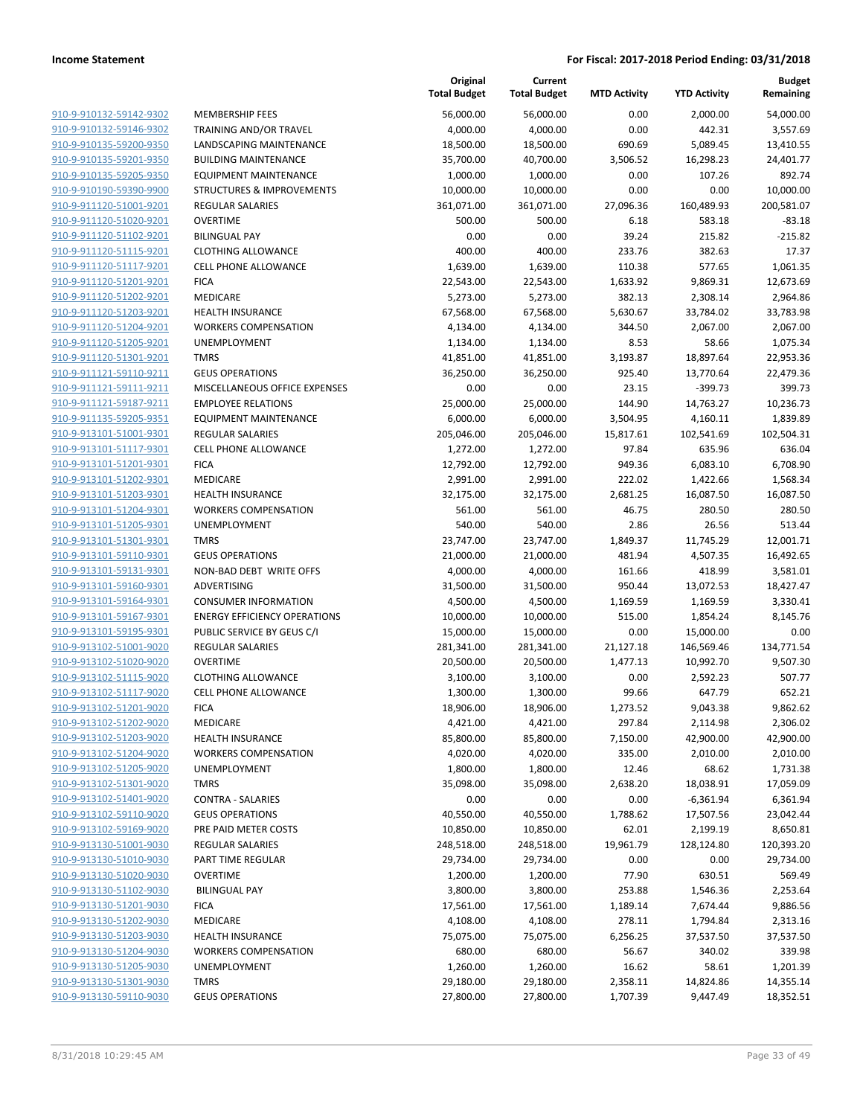|                                                    |                                                       | Original<br><b>Total Budget</b> | Current<br><b>Total Budget</b> | <b>MTD Activity</b> | <b>YTD Activity</b>     | <b>Budget</b><br>Remaining |
|----------------------------------------------------|-------------------------------------------------------|---------------------------------|--------------------------------|---------------------|-------------------------|----------------------------|
| 910-9-910132-59142-9302                            | <b>MEMBERSHIP FEES</b>                                | 56,000.00                       | 56,000.00                      | 0.00                | 2,000.00                | 54,000.00                  |
| 910-9-910132-59146-9302                            | TRAINING AND/OR TRAVEL                                | 4,000.00                        | 4,000.00                       | 0.00                | 442.31                  | 3,557.69                   |
| 910-9-910135-59200-9350                            | LANDSCAPING MAINTENANCE                               | 18,500.00                       | 18,500.00                      | 690.69              | 5,089.45                | 13,410.55                  |
| 910-9-910135-59201-9350                            | <b>BUILDING MAINTENANCE</b>                           | 35,700.00                       | 40,700.00                      | 3,506.52            | 16,298.23               | 24,401.77                  |
| 910-9-910135-59205-9350                            | <b>EQUIPMENT MAINTENANCE</b>                          | 1,000.00                        | 1,000.00                       | 0.00                | 107.26                  | 892.74                     |
| 910-9-910190-59390-9900                            | <b>STRUCTURES &amp; IMPROVEMENTS</b>                  | 10,000.00                       | 10,000.00                      | 0.00                | 0.00                    | 10,000.00                  |
| 910-9-911120-51001-9201                            | REGULAR SALARIES                                      | 361,071.00                      | 361,071.00                     | 27,096.36           | 160,489.93              | 200,581.07                 |
| 910-9-911120-51020-9201                            | <b>OVERTIME</b>                                       | 500.00                          | 500.00                         | 6.18                | 583.18                  | $-83.18$                   |
| 910-9-911120-51102-9201                            | <b>BILINGUAL PAY</b>                                  | 0.00                            | 0.00                           | 39.24               | 215.82                  | $-215.82$                  |
| 910-9-911120-51115-9201                            | <b>CLOTHING ALLOWANCE</b>                             | 400.00                          | 400.00                         | 233.76              | 382.63                  | 17.37                      |
| 910-9-911120-51117-9201                            | <b>CELL PHONE ALLOWANCE</b>                           | 1,639.00                        | 1,639.00                       | 110.38              | 577.65                  | 1,061.35                   |
| 910-9-911120-51201-9201                            | <b>FICA</b>                                           | 22,543.00                       | 22,543.00                      | 1,633.92            | 9,869.31                | 12,673.69                  |
| 910-9-911120-51202-9201                            | <b>MEDICARE</b>                                       | 5,273.00                        | 5,273.00                       | 382.13              | 2,308.14                | 2,964.86                   |
| 910-9-911120-51203-9201                            | <b>HEALTH INSURANCE</b>                               | 67,568.00                       | 67,568.00                      | 5,630.67            | 33,784.02               | 33,783.98                  |
| 910-9-911120-51204-9201                            | <b>WORKERS COMPENSATION</b>                           | 4,134.00                        | 4,134.00                       | 344.50              | 2,067.00                | 2,067.00                   |
| 910-9-911120-51205-9201                            | UNEMPLOYMENT                                          | 1,134.00                        | 1,134.00                       | 8.53                | 58.66                   | 1,075.34                   |
| 910-9-911120-51301-9201                            | <b>TMRS</b>                                           | 41,851.00                       | 41,851.00                      | 3,193.87            | 18,897.64               | 22,953.36                  |
| 910-9-911121-59110-9211                            | <b>GEUS OPERATIONS</b>                                | 36,250.00                       | 36,250.00                      | 925.40              | 13,770.64               | 22,479.36                  |
| 910-9-911121-59111-9211                            | MISCELLANEOUS OFFICE EXPENSES                         | 0.00                            | 0.00                           | 23.15               | $-399.73$               | 399.73                     |
| 910-9-911121-59187-9211                            | <b>EMPLOYEE RELATIONS</b>                             | 25,000.00                       | 25,000.00                      | 144.90              | 14,763.27               | 10,236.73                  |
| 910-9-911135-59205-9351                            | <b>EQUIPMENT MAINTENANCE</b>                          | 6,000.00                        | 6,000.00                       | 3,504.95            | 4,160.11                | 1,839.89                   |
| 910-9-913101-51001-9301                            | REGULAR SALARIES                                      | 205,046.00                      | 205,046.00                     | 15,817.61           | 102,541.69              | 102,504.31                 |
| 910-9-913101-51117-9301                            | <b>CELL PHONE ALLOWANCE</b>                           | 1,272.00                        | 1,272.00                       | 97.84               | 635.96                  | 636.04                     |
| 910-9-913101-51201-9301                            | <b>FICA</b>                                           | 12,792.00                       | 12,792.00                      | 949.36              | 6,083.10                | 6,708.90                   |
| 910-9-913101-51202-9301                            | <b>MEDICARE</b>                                       | 2,991.00                        | 2,991.00                       | 222.02              | 1,422.66                | 1,568.34                   |
| 910-9-913101-51203-9301                            | <b>HEALTH INSURANCE</b>                               | 32,175.00                       | 32,175.00                      | 2,681.25            | 16,087.50               | 16,087.50                  |
| 910-9-913101-51204-9301                            | <b>WORKERS COMPENSATION</b>                           | 561.00                          | 561.00                         | 46.75               | 280.50                  | 280.50                     |
| 910-9-913101-51205-9301                            | UNEMPLOYMENT                                          | 540.00                          | 540.00                         | 2.86                | 26.56                   | 513.44                     |
| 910-9-913101-51301-9301                            | <b>TMRS</b>                                           | 23,747.00                       | 23,747.00                      | 1,849.37            | 11,745.29               | 12,001.71                  |
| 910-9-913101-59110-9301                            | <b>GEUS OPERATIONS</b>                                | 21,000.00                       | 21,000.00                      | 481.94              | 4,507.35                | 16,492.65                  |
| 910-9-913101-59131-9301                            | NON-BAD DEBT WRITE OFFS                               | 4,000.00                        | 4,000.00                       | 161.66              | 418.99                  | 3,581.01                   |
| 910-9-913101-59160-9301                            | ADVERTISING                                           | 31,500.00                       | 31,500.00                      | 950.44              | 13,072.53               | 18,427.47                  |
| 910-9-913101-59164-9301                            | <b>CONSUMER INFORMATION</b>                           | 4,500.00                        | 4,500.00                       | 1,169.59            | 1,169.59                | 3,330.41                   |
| 910-9-913101-59167-9301<br>910-9-913101-59195-9301 | <b>ENERGY EFFICIENCY OPERATIONS</b>                   | 10,000.00                       | 10,000.00                      | 515.00              | 1,854.24                | 8,145.76                   |
| 910-9-913102-51001-9020                            | PUBLIC SERVICE BY GEUS C/I<br><b>REGULAR SALARIES</b> | 15,000.00<br>281,341.00         | 15,000.00<br>281,341.00        | 0.00<br>21,127.18   | 15,000.00<br>146,569.46 | 0.00<br>134,771.54         |
| 910-9-913102-51020-9020                            | <b>OVERTIME</b>                                       | 20,500.00                       | 20,500.00                      | 1,477.13            | 10,992.70               | 9,507.30                   |
| 910-9-913102-51115-9020                            | <b>CLOTHING ALLOWANCE</b>                             | 3,100.00                        | 3,100.00                       | 0.00                | 2,592.23                | 507.77                     |
| 910-9-913102-51117-9020                            | <b>CELL PHONE ALLOWANCE</b>                           | 1,300.00                        | 1,300.00                       | 99.66               | 647.79                  | 652.21                     |
| 910-9-913102-51201-9020                            | <b>FICA</b>                                           | 18,906.00                       | 18,906.00                      | 1,273.52            | 9,043.38                | 9,862.62                   |
| 910-9-913102-51202-9020                            | MEDICARE                                              | 4,421.00                        | 4,421.00                       | 297.84              | 2,114.98                | 2,306.02                   |
| 910-9-913102-51203-9020                            | <b>HEALTH INSURANCE</b>                               | 85,800.00                       | 85,800.00                      | 7,150.00            | 42,900.00               | 42,900.00                  |
| 910-9-913102-51204-9020                            | <b>WORKERS COMPENSATION</b>                           | 4,020.00                        | 4,020.00                       | 335.00              | 2,010.00                | 2,010.00                   |
| 910-9-913102-51205-9020                            | UNEMPLOYMENT                                          | 1,800.00                        | 1,800.00                       | 12.46               | 68.62                   | 1,731.38                   |
| 910-9-913102-51301-9020                            | <b>TMRS</b>                                           | 35,098.00                       | 35,098.00                      | 2,638.20            | 18,038.91               | 17,059.09                  |
| 910-9-913102-51401-9020                            | CONTRA - SALARIES                                     | 0.00                            | 0.00                           | 0.00                | $-6,361.94$             | 6,361.94                   |
| 910-9-913102-59110-9020                            | <b>GEUS OPERATIONS</b>                                | 40,550.00                       | 40,550.00                      | 1,788.62            | 17,507.56               | 23,042.44                  |
| 910-9-913102-59169-9020                            | PRE PAID METER COSTS                                  | 10,850.00                       | 10,850.00                      | 62.01               | 2,199.19                | 8,650.81                   |
| 910-9-913130-51001-9030                            | REGULAR SALARIES                                      | 248,518.00                      | 248,518.00                     | 19,961.79           | 128,124.80              | 120,393.20                 |
| 910-9-913130-51010-9030                            | PART TIME REGULAR                                     | 29,734.00                       | 29,734.00                      | 0.00                | 0.00                    | 29,734.00                  |
| 910-9-913130-51020-9030                            | <b>OVERTIME</b>                                       | 1,200.00                        | 1,200.00                       | 77.90               | 630.51                  | 569.49                     |
| 910-9-913130-51102-9030                            | <b>BILINGUAL PAY</b>                                  | 3,800.00                        | 3,800.00                       | 253.88              | 1,546.36                | 2,253.64                   |
| 910-9-913130-51201-9030                            | <b>FICA</b>                                           | 17,561.00                       | 17,561.00                      | 1,189.14            | 7,674.44                | 9,886.56                   |
| 910-9-913130-51202-9030                            | MEDICARE                                              | 4,108.00                        | 4,108.00                       | 278.11              | 1,794.84                | 2,313.16                   |
| 910-9-913130-51203-9030                            | <b>HEALTH INSURANCE</b>                               | 75,075.00                       | 75,075.00                      | 6,256.25            | 37,537.50               | 37,537.50                  |
| 910-9-913130-51204-9030                            | <b>WORKERS COMPENSATION</b>                           | 680.00                          | 680.00                         | 56.67               | 340.02                  | 339.98                     |
| 910-9-913130-51205-9030                            | UNEMPLOYMENT                                          | 1,260.00                        | 1,260.00                       | 16.62               | 58.61                   | 1,201.39                   |
| 910-9-913130-51301-9030                            | <b>TMRS</b>                                           | 29,180.00                       | 29,180.00                      | 2,358.11            | 14,824.86               | 14,355.14                  |
| 910-9-913130-59110-9030                            | <b>GEUS OPERATIONS</b>                                | 27,800.00                       | 27,800.00                      | 1,707.39            | 9,447.49                | 18,352.51                  |
|                                                    |                                                       |                                 |                                |                     |                         |                            |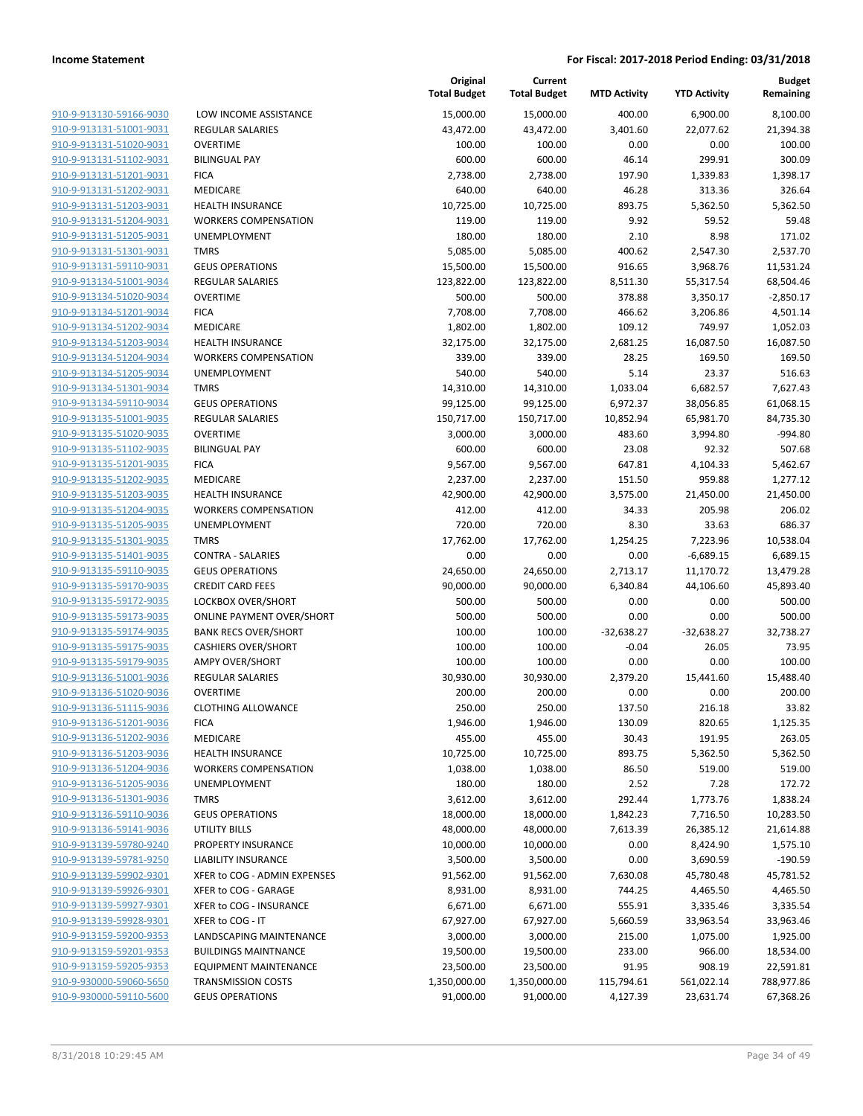| 910-9-913130-59166-9030                                   |
|-----------------------------------------------------------|
| 910-9-913131-51001-9031                                   |
| 910-9-913131-51020-9031                                   |
| <u>910-9-913131-51102-9031</u>                            |
| 910-9-913131-51201-9031                                   |
| 910-9-913131-51202-9031                                   |
| 910-9-913131-51203-9031                                   |
| 910-9-913131-51204-9031                                   |
| <u>910-9-913131-51205-9031</u>                            |
| 910-9-913131-51301-9031                                   |
| 910-9-913131-59110-9031                                   |
| 910-9-913134-51001-9034                                   |
| 910-9-913134-51020-9034                                   |
| <u>910-9-913134-51201-9034</u>                            |
| 910-9-913134-51202-9034                                   |
| 910-9-913134-51203-9034                                   |
| 910-9-913134-51204-9034                                   |
| 910-9-913134-51205-9034                                   |
| <u>910-9-913134-51301-9034</u>                            |
| 910-9-913134-59110-9034                                   |
| 910-9-913135-51001-9035                                   |
| 910-9-913135-51020-9035                                   |
| 910-9-913135-51102-9035                                   |
|                                                           |
| <u>910-9-913135-51201-9035</u><br>910-9-913135-51202-9035 |
|                                                           |
| 910-9-913135-51203-9035                                   |
| 910-9-913135-51204-9035                                   |
| 910-9-913135-51205-9035                                   |
| <u>910-9-913135-51301-9035</u>                            |
| 910-9-913135-51401-9035                                   |
| 910-9-913135-59110-9035                                   |
| 910-9-913135-59170-9035                                   |
| 910-9-913135-59172-9035                                   |
| <u>910-9-913135-59173-9035</u>                            |
| 910-9-913135-59174-9035                                   |
| 910-9-913135-59175-9035                                   |
| 910-9-913135-59179-9035                                   |
| 910-9-913136-51001-9036                                   |
| 910-9-913136-51020-9036                                   |
| 910-9-913136-51115-9036                                   |
| 910-9-913136-51201-9036                                   |
| 910-9-913136-51202-9036                                   |
| 910-9-913136-51203-9036                                   |
| 910-9-913136-51204-9036                                   |
| <u>910-9-913136-51205-9036</u>                            |
| 910-9-913136-51301-9036                                   |
| 910-9-913136-59110-9036                                   |
| 910-9-913136-59141-9036                                   |
| <u>910-9-913139-59780-9240</u>                            |
| <u>910-9-913139-59781-9250</u>                            |
| 910-9-913139-59902-9301                                   |
| 910-9-913139-59926-9301                                   |
| 910-9-913139-59927-9301                                   |
|                                                           |
| <u>910-9-913139-59928-9301</u>                            |
| 910-9-913159-59200-9353                                   |
| 910-9-913159-59201-9353                                   |
| 910-9-913159-59205-9353                                   |
| 910-9-930000-59060-5650                                   |
| <u>910-9-930000-59110-5600</u>                            |

| LOW INCOME ASSISTANCE              |
|------------------------------------|
| <b>REGULAR SALARIES</b>            |
| OVERTIME                           |
| <b>BILINGUAL PAY</b>               |
| <b>FICA</b>                        |
| MEDICARE                           |
| <b>HEALTH INSURANCE</b>            |
| <b>WORKERS COMPENSATION</b>        |
| <b>UNEMPLOYMENT</b>                |
| <b>TMRS</b>                        |
| <b>GEUS OPERATIONS</b>             |
| <b>REGULAR SALARIES</b>            |
| <b>OVERTIME</b>                    |
| <b>FICA</b>                        |
| MEDICARE                           |
| <b>HEALTH INSURANCE</b>            |
| <b>WORKERS COMPENSATION</b>        |
| <b>UNEMPLOYMENT</b>                |
| <b>TMRS</b>                        |
| <b>GEUS OPERATIONS</b>             |
| <b>REGULAR SALARIES</b>            |
| OVERTIME                           |
| <b>BILINGUAL PAY</b>               |
| <b>FICA</b>                        |
| MEDICARE                           |
| <b>HEALTH INSURANCE</b>            |
| <b>WORKERS COMPENSATION</b>        |
| <b>UNEMPLOYMENT</b><br><b>TMRS</b> |
| <b>CONTRA - SALARIES</b>           |
| <b>GEUS OPERATIONS</b>             |
| <b>CREDIT CARD FEES</b>            |
| <b>LOCKBOX OVER/SHORT</b>          |
| <b>ONLINE PAYMENT OVER/SHORT</b>   |
| <b>BANK RECS OVER/SHORT</b>        |
| <b>CASHIERS OVER/SHORT</b>         |
| <b>AMPY OVER/SHORT</b>             |
| REGULAR SALARIES                   |
| <b>OVERTIME</b>                    |
| <b>CLOTHING ALLOWANCE</b>          |
| <b>FICA</b>                        |
| MEDICARE                           |
| <b>HEALTH INSURANCE</b>            |
| <b>WORKERS COMPENSATION</b>        |
| <b>UNEMPLOYMENT</b>                |
| <b>TMRS</b>                        |
| <b>GEUS OPERATIONS</b>             |
| <b>UTILITY BILLS</b>               |
| <b>PROPERTY INSURANCE</b>          |
| <b>LIABILITY INSURANCE</b>         |
| XFER to COG - ADMIN EXPENSES       |
| XFER to COG - GARAGE               |
| XFER to COG - INSURANCE            |
| XFER to COG - IT                   |
| LANDSCAPING MAINTENANCE            |
| <b>BUILDINGS MAINTNANCE</b>        |
| <b>EQUIPMENT MAINTENANCE</b>       |
| <b>TRANSMISSION COSTS</b>          |
|                                    |

|                                                    |                                                           | Original<br><b>Total Budget</b> | Current<br><b>Total Budget</b> | <b>MTD Activity</b>     | <b>YTD Activity</b>   | <b>Budget</b><br>Remaining |
|----------------------------------------------------|-----------------------------------------------------------|---------------------------------|--------------------------------|-------------------------|-----------------------|----------------------------|
| 910-9-913130-59166-9030                            | LOW INCOME ASSISTANCE                                     | 15,000.00                       | 15,000.00                      | 400.00                  | 6,900.00              | 8,100.00                   |
| 910-9-913131-51001-9031                            | REGULAR SALARIES                                          | 43,472.00                       | 43,472.00                      | 3,401.60                | 22,077.62             | 21,394.38                  |
| 910-9-913131-51020-9031                            | <b>OVERTIME</b>                                           | 100.00                          | 100.00                         | 0.00                    | 0.00                  | 100.00                     |
| 910-9-913131-51102-9031                            | <b>BILINGUAL PAY</b>                                      | 600.00                          | 600.00                         | 46.14                   | 299.91                | 300.09                     |
| 910-9-913131-51201-9031                            | <b>FICA</b>                                               | 2,738.00                        | 2,738.00                       | 197.90                  | 1,339.83              | 1,398.17                   |
| 910-9-913131-51202-9031                            | MEDICARE                                                  | 640.00                          | 640.00                         | 46.28                   | 313.36                | 326.64                     |
| 910-9-913131-51203-9031                            | <b>HEALTH INSURANCE</b>                                   | 10,725.00                       | 10,725.00                      | 893.75                  | 5,362.50              | 5,362.50                   |
| 910-9-913131-51204-9031                            | <b>WORKERS COMPENSATION</b>                               | 119.00                          | 119.00                         | 9.92                    | 59.52                 | 59.48                      |
| 910-9-913131-51205-9031                            | UNEMPLOYMENT                                              | 180.00                          | 180.00                         | 2.10                    | 8.98                  | 171.02                     |
| 910-9-913131-51301-9031                            | <b>TMRS</b>                                               | 5,085.00                        | 5,085.00                       | 400.62                  | 2,547.30              | 2,537.70                   |
| 910-9-913131-59110-9031                            | <b>GEUS OPERATIONS</b>                                    | 15,500.00                       | 15,500.00                      | 916.65                  | 3,968.76              | 11,531.24                  |
| 910-9-913134-51001-9034                            | REGULAR SALARIES                                          | 123,822.00                      | 123,822.00                     | 8,511.30                | 55,317.54             | 68,504.46                  |
| 910-9-913134-51020-9034                            | <b>OVERTIME</b>                                           | 500.00                          | 500.00                         | 378.88                  | 3,350.17              | $-2,850.17$                |
| 910-9-913134-51201-9034                            | <b>FICA</b>                                               | 7,708.00                        | 7,708.00                       | 466.62                  | 3,206.86              | 4,501.14                   |
| 910-9-913134-51202-9034                            | MEDICARE                                                  | 1,802.00                        | 1,802.00                       | 109.12                  | 749.97                | 1,052.03                   |
| 910-9-913134-51203-9034                            | <b>HEALTH INSURANCE</b>                                   | 32,175.00                       | 32,175.00                      | 2,681.25                | 16,087.50             | 16,087.50                  |
| 910-9-913134-51204-9034                            | <b>WORKERS COMPENSATION</b>                               | 339.00                          | 339.00                         | 28.25                   | 169.50                | 169.50                     |
| 910-9-913134-51205-9034                            | <b>UNEMPLOYMENT</b>                                       | 540.00                          | 540.00                         | 5.14                    | 23.37                 | 516.63                     |
| 910-9-913134-51301-9034                            | <b>TMRS</b>                                               | 14,310.00                       | 14,310.00                      | 1,033.04                | 6,682.57              | 7,627.43                   |
| 910-9-913134-59110-9034                            | <b>GEUS OPERATIONS</b>                                    | 99,125.00                       | 99,125.00                      | 6,972.37                | 38,056.85             | 61,068.15                  |
| 910-9-913135-51001-9035                            | REGULAR SALARIES                                          | 150,717.00                      | 150,717.00                     | 10,852.94               | 65,981.70             | 84,735.30                  |
| 910-9-913135-51020-9035                            | <b>OVERTIME</b>                                           | 3,000.00                        | 3,000.00                       | 483.60                  | 3,994.80              | -994.80                    |
| 910-9-913135-51102-9035                            | <b>BILINGUAL PAY</b>                                      | 600.00                          | 600.00                         | 23.08                   | 92.32                 | 507.68                     |
| 910-9-913135-51201-9035                            | <b>FICA</b>                                               | 9,567.00                        | 9,567.00                       | 647.81                  | 4,104.33              | 5,462.67                   |
| 910-9-913135-51202-9035                            | MEDICARE                                                  | 2,237.00                        | 2,237.00                       | 151.50                  | 959.88                | 1,277.12                   |
| 910-9-913135-51203-9035                            | <b>HEALTH INSURANCE</b>                                   | 42,900.00                       | 42,900.00                      | 3,575.00                | 21,450.00             | 21,450.00                  |
| 910-9-913135-51204-9035                            | <b>WORKERS COMPENSATION</b>                               | 412.00                          | 412.00                         | 34.33                   | 205.98                | 206.02                     |
| 910-9-913135-51205-9035                            | UNEMPLOYMENT                                              | 720.00                          | 720.00                         | 8.30                    | 33.63                 | 686.37                     |
| 910-9-913135-51301-9035                            | <b>TMRS</b>                                               | 17,762.00                       | 17,762.00                      | 1,254.25                | 7,223.96              | 10,538.04                  |
| 910-9-913135-51401-9035                            | <b>CONTRA - SALARIES</b>                                  | 0.00                            | 0.00                           | 0.00                    | $-6,689.15$           | 6,689.15                   |
| 910-9-913135-59110-9035                            | <b>GEUS OPERATIONS</b>                                    | 24,650.00                       | 24,650.00                      | 2,713.17                | 11,170.72             | 13,479.28                  |
| 910-9-913135-59170-9035                            | <b>CREDIT CARD FEES</b>                                   | 90,000.00                       | 90,000.00                      | 6,340.84                | 44,106.60             | 45,893.40                  |
| 910-9-913135-59172-9035                            | LOCKBOX OVER/SHORT                                        | 500.00                          | 500.00                         | 0.00                    | 0.00                  | 500.00                     |
| 910-9-913135-59173-9035<br>910-9-913135-59174-9035 | <b>ONLINE PAYMENT OVER/SHORT</b>                          | 500.00<br>100.00                | 500.00<br>100.00               | 0.00                    | 0.00                  | 500.00<br>32,738.27        |
| 910-9-913135-59175-9035                            | <b>BANK RECS OVER/SHORT</b><br><b>CASHIERS OVER/SHORT</b> | 100.00                          | 100.00                         | $-32,638.27$<br>$-0.04$ | $-32,638.27$<br>26.05 | 73.95                      |
| 910-9-913135-59179-9035                            | <b>AMPY OVER/SHORT</b>                                    | 100.00                          | 100.00                         | 0.00                    | 0.00                  | 100.00                     |
| 910-9-913136-51001-9036                            | REGULAR SALARIES                                          | 30,930.00                       | 30,930.00                      | 2,379.20                | 15,441.60             | 15,488.40                  |
| 910-9-913136-51020-9036                            | <b>OVERTIME</b>                                           | 200.00                          | 200.00                         | 0.00                    | 0.00                  | 200.00                     |
| 910-9-913136-51115-9036                            | <b>CLOTHING ALLOWANCE</b>                                 | 250.00                          | 250.00                         | 137.50                  | 216.18                | 33.82                      |
| 910-9-913136-51201-9036                            | <b>FICA</b>                                               | 1,946.00                        | 1,946.00                       | 130.09                  | 820.65                | 1,125.35                   |
| 910-9-913136-51202-9036                            | MEDICARE                                                  | 455.00                          | 455.00                         | 30.43                   | 191.95                | 263.05                     |
| 910-9-913136-51203-9036                            | <b>HEALTH INSURANCE</b>                                   | 10,725.00                       | 10,725.00                      | 893.75                  | 5,362.50              | 5,362.50                   |
| 910-9-913136-51204-9036                            | <b>WORKERS COMPENSATION</b>                               | 1,038.00                        | 1,038.00                       | 86.50                   | 519.00                | 519.00                     |
| 910-9-913136-51205-9036                            | <b>UNEMPLOYMENT</b>                                       | 180.00                          | 180.00                         | 2.52                    | 7.28                  | 172.72                     |
| 910-9-913136-51301-9036                            | <b>TMRS</b>                                               | 3,612.00                        | 3,612.00                       | 292.44                  | 1,773.76              | 1,838.24                   |
| 910-9-913136-59110-9036                            | <b>GEUS OPERATIONS</b>                                    | 18,000.00                       | 18,000.00                      | 1,842.23                | 7,716.50              | 10,283.50                  |
| 910-9-913136-59141-9036                            | <b>UTILITY BILLS</b>                                      | 48,000.00                       | 48,000.00                      | 7,613.39                | 26,385.12             | 21,614.88                  |
| 910-9-913139-59780-9240                            | PROPERTY INSURANCE                                        | 10,000.00                       | 10,000.00                      | 0.00                    | 8,424.90              | 1,575.10                   |
| 910-9-913139-59781-9250                            | <b>LIABILITY INSURANCE</b>                                | 3,500.00                        | 3,500.00                       | 0.00                    | 3,690.59              | $-190.59$                  |
| 910-9-913139-59902-9301                            | XFER to COG - ADMIN EXPENSES                              | 91,562.00                       | 91,562.00                      | 7,630.08                | 45,780.48             | 45,781.52                  |
| 910-9-913139-59926-9301                            | XFER to COG - GARAGE                                      | 8,931.00                        | 8,931.00                       | 744.25                  | 4,465.50              | 4,465.50                   |
| 910-9-913139-59927-9301                            | XFER to COG - INSURANCE                                   | 6,671.00                        | 6,671.00                       | 555.91                  | 3,335.46              | 3,335.54                   |
| 910-9-913139-59928-9301                            | XFER to COG - IT                                          | 67,927.00                       | 67,927.00                      | 5,660.59                | 33,963.54             | 33,963.46                  |
| 910-9-913159-59200-9353                            | LANDSCAPING MAINTENANCE                                   | 3,000.00                        | 3,000.00                       | 215.00                  | 1,075.00              | 1,925.00                   |
| 910-9-913159-59201-9353                            | <b>BUILDINGS MAINTNANCE</b>                               | 19,500.00                       | 19,500.00                      | 233.00                  | 966.00                | 18,534.00                  |
| 910-9-913159-59205-9353                            | <b>EQUIPMENT MAINTENANCE</b>                              | 23,500.00                       | 23,500.00                      | 91.95                   | 908.19                | 22,591.81                  |
| 910-9-930000-59060-5650                            | <b>TRANSMISSION COSTS</b>                                 | 1,350,000.00                    | 1,350,000.00                   | 115,794.61              | 561,022.14            | 788,977.86                 |
| 910-9-930000-59110-5600                            | <b>GEUS OPERATIONS</b>                                    | 91,000.00                       | 91,000.00                      | 4,127.39                | 23,631.74             | 67,368.26                  |
|                                                    |                                                           |                                 |                                |                         |                       |                            |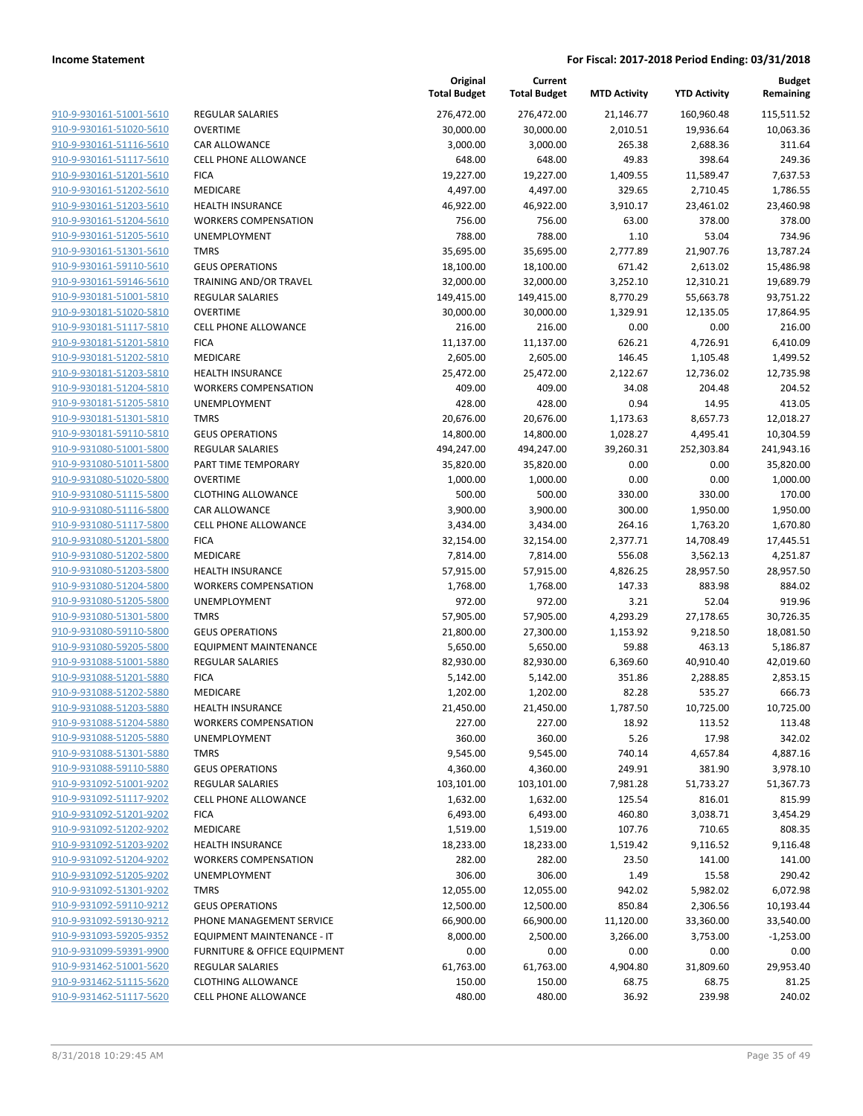| 910-9-930161-51001-5610<br><b>REGULAR SALARIES</b><br>276,472.00<br>276,472.00<br>21,146.77<br>160,960.48<br>910-9-930161-51020-5610<br><b>OVERTIME</b><br>30,000.00<br>30,000.00<br>2,010.51<br>19,936.64<br>910-9-930161-51116-5610<br>CAR ALLOWANCE<br>3,000.00<br>3,000.00<br>265.38<br>2,688.36<br>910-9-930161-51117-5610<br><b>CELL PHONE ALLOWANCE</b><br>648.00<br>648.00<br>49.83<br>398.64<br>910-9-930161-51201-5610<br><b>FICA</b><br>19,227.00<br>1,409.55<br>19,227.00<br>11,589.47<br>910-9-930161-51202-5610<br>MEDICARE<br>4,497.00<br>4,497.00<br>329.65<br>2,710.45<br>910-9-930161-51203-5610<br>46,922.00<br>46,922.00<br>3,910.17<br>23,461.02<br><b>HEALTH INSURANCE</b><br>910-9-930161-51204-5610<br>756.00<br>756.00<br>63.00<br>378.00<br><b>WORKERS COMPENSATION</b><br>910-9-930161-51205-5610<br>UNEMPLOYMENT<br>788.00<br>788.00<br>1.10<br>53.04<br>910-9-930161-51301-5610<br><b>TMRS</b><br>35,695.00<br>35,695.00<br>2,777.89<br>21,907.76<br>910-9-930161-59110-5610<br><b>GEUS OPERATIONS</b><br>18,100.00<br>18,100.00<br>671.42<br>2,613.02<br>910-9-930161-59146-5610<br>TRAINING AND/OR TRAVEL<br>32,000.00<br>32,000.00<br>3,252.10<br>12,310.21<br>910-9-930181-51001-5810<br><b>REGULAR SALARIES</b><br>149,415.00<br>149,415.00<br>8,770.29<br>55,663.78<br>910-9-930181-51020-5810<br><b>OVERTIME</b><br>30,000.00<br>30,000.00<br>1,329.91<br>12,135.05<br>910-9-930181-51117-5810<br>CELL PHONE ALLOWANCE<br>216.00<br>216.00<br>0.00<br>0.00<br>910-9-930181-51201-5810<br><b>FICA</b><br>11,137.00<br>11,137.00<br>626.21<br>4,726.91<br>910-9-930181-51202-5810<br>MEDICARE<br>2,605.00<br>2,605.00<br>146.45<br>1,105.48<br>910-9-930181-51203-5810<br><b>HEALTH INSURANCE</b><br>25,472.00<br>25,472.00<br>2,122.67<br>12,736.02<br>910-9-930181-51204-5810<br><b>WORKERS COMPENSATION</b><br>409.00<br>409.00<br>34.08<br>204.48<br>910-9-930181-51205-5810<br>UNEMPLOYMENT<br>428.00<br>428.00<br>0.94<br>14.95<br>910-9-930181-51301-5810<br><b>TMRS</b><br>20,676.00<br>20,676.00<br>1,173.63<br>8,657.73<br>910-9-930181-59110-5810<br><b>GEUS OPERATIONS</b><br>14,800.00<br>14,800.00<br>1,028.27<br>4,495.41<br>910-9-931080-51001-5800<br><b>REGULAR SALARIES</b><br>494,247.00<br>494,247.00<br>39,260.31<br>252,303.84<br>910-9-931080-51011-5800<br>PART TIME TEMPORARY<br>35,820.00<br>35,820.00<br>0.00<br>0.00<br>910-9-931080-51020-5800<br><b>OVERTIME</b><br>1,000.00<br>1,000.00<br>0.00<br>0.00<br>910-9-931080-51115-5800<br><b>CLOTHING ALLOWANCE</b><br>500.00<br>500.00<br>330.00<br>330.00<br>910-9-931080-51116-5800<br>300.00<br>CAR ALLOWANCE<br>3,900.00<br>3,900.00<br>1,950.00<br>910-9-931080-51117-5800<br><b>CELL PHONE ALLOWANCE</b><br>3,434.00<br>3,434.00<br>264.16<br>1,763.20 | <b>Budget</b><br>Remaining |
|-----------------------------------------------------------------------------------------------------------------------------------------------------------------------------------------------------------------------------------------------------------------------------------------------------------------------------------------------------------------------------------------------------------------------------------------------------------------------------------------------------------------------------------------------------------------------------------------------------------------------------------------------------------------------------------------------------------------------------------------------------------------------------------------------------------------------------------------------------------------------------------------------------------------------------------------------------------------------------------------------------------------------------------------------------------------------------------------------------------------------------------------------------------------------------------------------------------------------------------------------------------------------------------------------------------------------------------------------------------------------------------------------------------------------------------------------------------------------------------------------------------------------------------------------------------------------------------------------------------------------------------------------------------------------------------------------------------------------------------------------------------------------------------------------------------------------------------------------------------------------------------------------------------------------------------------------------------------------------------------------------------------------------------------------------------------------------------------------------------------------------------------------------------------------------------------------------------------------------------------------------------------------------------------------------------------------------------------------------------------------------------------------------------------------------------------------------------------------------------------------------------------------------------------------------------------------------------------------------------------------------------------------------------------------------------------------------------------------------------------------------------------------------|----------------------------|
|                                                                                                                                                                                                                                                                                                                                                                                                                                                                                                                                                                                                                                                                                                                                                                                                                                                                                                                                                                                                                                                                                                                                                                                                                                                                                                                                                                                                                                                                                                                                                                                                                                                                                                                                                                                                                                                                                                                                                                                                                                                                                                                                                                                                                                                                                                                                                                                                                                                                                                                                                                                                                                                                                                                                                                             | 115,511.52                 |
|                                                                                                                                                                                                                                                                                                                                                                                                                                                                                                                                                                                                                                                                                                                                                                                                                                                                                                                                                                                                                                                                                                                                                                                                                                                                                                                                                                                                                                                                                                                                                                                                                                                                                                                                                                                                                                                                                                                                                                                                                                                                                                                                                                                                                                                                                                                                                                                                                                                                                                                                                                                                                                                                                                                                                                             | 10,063.36                  |
|                                                                                                                                                                                                                                                                                                                                                                                                                                                                                                                                                                                                                                                                                                                                                                                                                                                                                                                                                                                                                                                                                                                                                                                                                                                                                                                                                                                                                                                                                                                                                                                                                                                                                                                                                                                                                                                                                                                                                                                                                                                                                                                                                                                                                                                                                                                                                                                                                                                                                                                                                                                                                                                                                                                                                                             | 311.64                     |
|                                                                                                                                                                                                                                                                                                                                                                                                                                                                                                                                                                                                                                                                                                                                                                                                                                                                                                                                                                                                                                                                                                                                                                                                                                                                                                                                                                                                                                                                                                                                                                                                                                                                                                                                                                                                                                                                                                                                                                                                                                                                                                                                                                                                                                                                                                                                                                                                                                                                                                                                                                                                                                                                                                                                                                             | 249.36                     |
|                                                                                                                                                                                                                                                                                                                                                                                                                                                                                                                                                                                                                                                                                                                                                                                                                                                                                                                                                                                                                                                                                                                                                                                                                                                                                                                                                                                                                                                                                                                                                                                                                                                                                                                                                                                                                                                                                                                                                                                                                                                                                                                                                                                                                                                                                                                                                                                                                                                                                                                                                                                                                                                                                                                                                                             | 7,637.53                   |
|                                                                                                                                                                                                                                                                                                                                                                                                                                                                                                                                                                                                                                                                                                                                                                                                                                                                                                                                                                                                                                                                                                                                                                                                                                                                                                                                                                                                                                                                                                                                                                                                                                                                                                                                                                                                                                                                                                                                                                                                                                                                                                                                                                                                                                                                                                                                                                                                                                                                                                                                                                                                                                                                                                                                                                             | 1,786.55                   |
|                                                                                                                                                                                                                                                                                                                                                                                                                                                                                                                                                                                                                                                                                                                                                                                                                                                                                                                                                                                                                                                                                                                                                                                                                                                                                                                                                                                                                                                                                                                                                                                                                                                                                                                                                                                                                                                                                                                                                                                                                                                                                                                                                                                                                                                                                                                                                                                                                                                                                                                                                                                                                                                                                                                                                                             | 23,460.98                  |
|                                                                                                                                                                                                                                                                                                                                                                                                                                                                                                                                                                                                                                                                                                                                                                                                                                                                                                                                                                                                                                                                                                                                                                                                                                                                                                                                                                                                                                                                                                                                                                                                                                                                                                                                                                                                                                                                                                                                                                                                                                                                                                                                                                                                                                                                                                                                                                                                                                                                                                                                                                                                                                                                                                                                                                             | 378.00                     |
|                                                                                                                                                                                                                                                                                                                                                                                                                                                                                                                                                                                                                                                                                                                                                                                                                                                                                                                                                                                                                                                                                                                                                                                                                                                                                                                                                                                                                                                                                                                                                                                                                                                                                                                                                                                                                                                                                                                                                                                                                                                                                                                                                                                                                                                                                                                                                                                                                                                                                                                                                                                                                                                                                                                                                                             | 734.96                     |
|                                                                                                                                                                                                                                                                                                                                                                                                                                                                                                                                                                                                                                                                                                                                                                                                                                                                                                                                                                                                                                                                                                                                                                                                                                                                                                                                                                                                                                                                                                                                                                                                                                                                                                                                                                                                                                                                                                                                                                                                                                                                                                                                                                                                                                                                                                                                                                                                                                                                                                                                                                                                                                                                                                                                                                             | 13,787.24                  |
|                                                                                                                                                                                                                                                                                                                                                                                                                                                                                                                                                                                                                                                                                                                                                                                                                                                                                                                                                                                                                                                                                                                                                                                                                                                                                                                                                                                                                                                                                                                                                                                                                                                                                                                                                                                                                                                                                                                                                                                                                                                                                                                                                                                                                                                                                                                                                                                                                                                                                                                                                                                                                                                                                                                                                                             | 15,486.98                  |
|                                                                                                                                                                                                                                                                                                                                                                                                                                                                                                                                                                                                                                                                                                                                                                                                                                                                                                                                                                                                                                                                                                                                                                                                                                                                                                                                                                                                                                                                                                                                                                                                                                                                                                                                                                                                                                                                                                                                                                                                                                                                                                                                                                                                                                                                                                                                                                                                                                                                                                                                                                                                                                                                                                                                                                             | 19,689.79                  |
|                                                                                                                                                                                                                                                                                                                                                                                                                                                                                                                                                                                                                                                                                                                                                                                                                                                                                                                                                                                                                                                                                                                                                                                                                                                                                                                                                                                                                                                                                                                                                                                                                                                                                                                                                                                                                                                                                                                                                                                                                                                                                                                                                                                                                                                                                                                                                                                                                                                                                                                                                                                                                                                                                                                                                                             | 93,751.22                  |
|                                                                                                                                                                                                                                                                                                                                                                                                                                                                                                                                                                                                                                                                                                                                                                                                                                                                                                                                                                                                                                                                                                                                                                                                                                                                                                                                                                                                                                                                                                                                                                                                                                                                                                                                                                                                                                                                                                                                                                                                                                                                                                                                                                                                                                                                                                                                                                                                                                                                                                                                                                                                                                                                                                                                                                             | 17,864.95                  |
|                                                                                                                                                                                                                                                                                                                                                                                                                                                                                                                                                                                                                                                                                                                                                                                                                                                                                                                                                                                                                                                                                                                                                                                                                                                                                                                                                                                                                                                                                                                                                                                                                                                                                                                                                                                                                                                                                                                                                                                                                                                                                                                                                                                                                                                                                                                                                                                                                                                                                                                                                                                                                                                                                                                                                                             | 216.00                     |
|                                                                                                                                                                                                                                                                                                                                                                                                                                                                                                                                                                                                                                                                                                                                                                                                                                                                                                                                                                                                                                                                                                                                                                                                                                                                                                                                                                                                                                                                                                                                                                                                                                                                                                                                                                                                                                                                                                                                                                                                                                                                                                                                                                                                                                                                                                                                                                                                                                                                                                                                                                                                                                                                                                                                                                             | 6,410.09                   |
|                                                                                                                                                                                                                                                                                                                                                                                                                                                                                                                                                                                                                                                                                                                                                                                                                                                                                                                                                                                                                                                                                                                                                                                                                                                                                                                                                                                                                                                                                                                                                                                                                                                                                                                                                                                                                                                                                                                                                                                                                                                                                                                                                                                                                                                                                                                                                                                                                                                                                                                                                                                                                                                                                                                                                                             | 1,499.52                   |
|                                                                                                                                                                                                                                                                                                                                                                                                                                                                                                                                                                                                                                                                                                                                                                                                                                                                                                                                                                                                                                                                                                                                                                                                                                                                                                                                                                                                                                                                                                                                                                                                                                                                                                                                                                                                                                                                                                                                                                                                                                                                                                                                                                                                                                                                                                                                                                                                                                                                                                                                                                                                                                                                                                                                                                             | 12,735.98                  |
|                                                                                                                                                                                                                                                                                                                                                                                                                                                                                                                                                                                                                                                                                                                                                                                                                                                                                                                                                                                                                                                                                                                                                                                                                                                                                                                                                                                                                                                                                                                                                                                                                                                                                                                                                                                                                                                                                                                                                                                                                                                                                                                                                                                                                                                                                                                                                                                                                                                                                                                                                                                                                                                                                                                                                                             | 204.52                     |
|                                                                                                                                                                                                                                                                                                                                                                                                                                                                                                                                                                                                                                                                                                                                                                                                                                                                                                                                                                                                                                                                                                                                                                                                                                                                                                                                                                                                                                                                                                                                                                                                                                                                                                                                                                                                                                                                                                                                                                                                                                                                                                                                                                                                                                                                                                                                                                                                                                                                                                                                                                                                                                                                                                                                                                             | 413.05                     |
|                                                                                                                                                                                                                                                                                                                                                                                                                                                                                                                                                                                                                                                                                                                                                                                                                                                                                                                                                                                                                                                                                                                                                                                                                                                                                                                                                                                                                                                                                                                                                                                                                                                                                                                                                                                                                                                                                                                                                                                                                                                                                                                                                                                                                                                                                                                                                                                                                                                                                                                                                                                                                                                                                                                                                                             | 12,018.27                  |
|                                                                                                                                                                                                                                                                                                                                                                                                                                                                                                                                                                                                                                                                                                                                                                                                                                                                                                                                                                                                                                                                                                                                                                                                                                                                                                                                                                                                                                                                                                                                                                                                                                                                                                                                                                                                                                                                                                                                                                                                                                                                                                                                                                                                                                                                                                                                                                                                                                                                                                                                                                                                                                                                                                                                                                             | 10,304.59                  |
|                                                                                                                                                                                                                                                                                                                                                                                                                                                                                                                                                                                                                                                                                                                                                                                                                                                                                                                                                                                                                                                                                                                                                                                                                                                                                                                                                                                                                                                                                                                                                                                                                                                                                                                                                                                                                                                                                                                                                                                                                                                                                                                                                                                                                                                                                                                                                                                                                                                                                                                                                                                                                                                                                                                                                                             | 241,943.16                 |
|                                                                                                                                                                                                                                                                                                                                                                                                                                                                                                                                                                                                                                                                                                                                                                                                                                                                                                                                                                                                                                                                                                                                                                                                                                                                                                                                                                                                                                                                                                                                                                                                                                                                                                                                                                                                                                                                                                                                                                                                                                                                                                                                                                                                                                                                                                                                                                                                                                                                                                                                                                                                                                                                                                                                                                             | 35,820.00                  |
|                                                                                                                                                                                                                                                                                                                                                                                                                                                                                                                                                                                                                                                                                                                                                                                                                                                                                                                                                                                                                                                                                                                                                                                                                                                                                                                                                                                                                                                                                                                                                                                                                                                                                                                                                                                                                                                                                                                                                                                                                                                                                                                                                                                                                                                                                                                                                                                                                                                                                                                                                                                                                                                                                                                                                                             | 1,000.00                   |
|                                                                                                                                                                                                                                                                                                                                                                                                                                                                                                                                                                                                                                                                                                                                                                                                                                                                                                                                                                                                                                                                                                                                                                                                                                                                                                                                                                                                                                                                                                                                                                                                                                                                                                                                                                                                                                                                                                                                                                                                                                                                                                                                                                                                                                                                                                                                                                                                                                                                                                                                                                                                                                                                                                                                                                             | 170.00                     |
|                                                                                                                                                                                                                                                                                                                                                                                                                                                                                                                                                                                                                                                                                                                                                                                                                                                                                                                                                                                                                                                                                                                                                                                                                                                                                                                                                                                                                                                                                                                                                                                                                                                                                                                                                                                                                                                                                                                                                                                                                                                                                                                                                                                                                                                                                                                                                                                                                                                                                                                                                                                                                                                                                                                                                                             | 1,950.00<br>1,670.80       |
| 910-9-931080-51201-5800<br><b>FICA</b><br>32,154.00<br>32,154.00<br>2,377.71<br>14,708.49                                                                                                                                                                                                                                                                                                                                                                                                                                                                                                                                                                                                                                                                                                                                                                                                                                                                                                                                                                                                                                                                                                                                                                                                                                                                                                                                                                                                                                                                                                                                                                                                                                                                                                                                                                                                                                                                                                                                                                                                                                                                                                                                                                                                                                                                                                                                                                                                                                                                                                                                                                                                                                                                                   | 17,445.51                  |
| 910-9-931080-51202-5800<br>MEDICARE<br>556.08<br>7,814.00<br>7,814.00<br>3,562.13                                                                                                                                                                                                                                                                                                                                                                                                                                                                                                                                                                                                                                                                                                                                                                                                                                                                                                                                                                                                                                                                                                                                                                                                                                                                                                                                                                                                                                                                                                                                                                                                                                                                                                                                                                                                                                                                                                                                                                                                                                                                                                                                                                                                                                                                                                                                                                                                                                                                                                                                                                                                                                                                                           | 4,251.87                   |
| 910-9-931080-51203-5800<br><b>HEALTH INSURANCE</b><br>57,915.00<br>57,915.00<br>4,826.25<br>28,957.50                                                                                                                                                                                                                                                                                                                                                                                                                                                                                                                                                                                                                                                                                                                                                                                                                                                                                                                                                                                                                                                                                                                                                                                                                                                                                                                                                                                                                                                                                                                                                                                                                                                                                                                                                                                                                                                                                                                                                                                                                                                                                                                                                                                                                                                                                                                                                                                                                                                                                                                                                                                                                                                                       | 28,957.50                  |
| 910-9-931080-51204-5800<br>147.33<br><b>WORKERS COMPENSATION</b><br>1,768.00<br>1,768.00<br>883.98                                                                                                                                                                                                                                                                                                                                                                                                                                                                                                                                                                                                                                                                                                                                                                                                                                                                                                                                                                                                                                                                                                                                                                                                                                                                                                                                                                                                                                                                                                                                                                                                                                                                                                                                                                                                                                                                                                                                                                                                                                                                                                                                                                                                                                                                                                                                                                                                                                                                                                                                                                                                                                                                          | 884.02                     |
| 910-9-931080-51205-5800<br>UNEMPLOYMENT<br>972.00<br>972.00<br>3.21<br>52.04                                                                                                                                                                                                                                                                                                                                                                                                                                                                                                                                                                                                                                                                                                                                                                                                                                                                                                                                                                                                                                                                                                                                                                                                                                                                                                                                                                                                                                                                                                                                                                                                                                                                                                                                                                                                                                                                                                                                                                                                                                                                                                                                                                                                                                                                                                                                                                                                                                                                                                                                                                                                                                                                                                | 919.96                     |
| 910-9-931080-51301-5800<br>57,905.00<br><b>TMRS</b><br>57,905.00<br>4,293.29<br>27,178.65                                                                                                                                                                                                                                                                                                                                                                                                                                                                                                                                                                                                                                                                                                                                                                                                                                                                                                                                                                                                                                                                                                                                                                                                                                                                                                                                                                                                                                                                                                                                                                                                                                                                                                                                                                                                                                                                                                                                                                                                                                                                                                                                                                                                                                                                                                                                                                                                                                                                                                                                                                                                                                                                                   | 30,726.35                  |
| 910-9-931080-59110-5800<br><b>GEUS OPERATIONS</b><br>21,800.00<br>27,300.00<br>1,153.92<br>9,218.50                                                                                                                                                                                                                                                                                                                                                                                                                                                                                                                                                                                                                                                                                                                                                                                                                                                                                                                                                                                                                                                                                                                                                                                                                                                                                                                                                                                                                                                                                                                                                                                                                                                                                                                                                                                                                                                                                                                                                                                                                                                                                                                                                                                                                                                                                                                                                                                                                                                                                                                                                                                                                                                                         | 18,081.50                  |
| 910-9-931080-59205-5800<br><b>EQUIPMENT MAINTENANCE</b><br>5,650.00<br>5,650.00<br>59.88<br>463.13                                                                                                                                                                                                                                                                                                                                                                                                                                                                                                                                                                                                                                                                                                                                                                                                                                                                                                                                                                                                                                                                                                                                                                                                                                                                                                                                                                                                                                                                                                                                                                                                                                                                                                                                                                                                                                                                                                                                                                                                                                                                                                                                                                                                                                                                                                                                                                                                                                                                                                                                                                                                                                                                          | 5,186.87                   |
| 910-9-931088-51001-5880<br><b>REGULAR SALARIES</b><br>82,930.00<br>82,930.00<br>6,369.60<br>40,910.40                                                                                                                                                                                                                                                                                                                                                                                                                                                                                                                                                                                                                                                                                                                                                                                                                                                                                                                                                                                                                                                                                                                                                                                                                                                                                                                                                                                                                                                                                                                                                                                                                                                                                                                                                                                                                                                                                                                                                                                                                                                                                                                                                                                                                                                                                                                                                                                                                                                                                                                                                                                                                                                                       | 42,019.60                  |
| 910-9-931088-51201-5880<br><b>FICA</b><br>351.86<br>5,142.00<br>5,142.00<br>2,288.85                                                                                                                                                                                                                                                                                                                                                                                                                                                                                                                                                                                                                                                                                                                                                                                                                                                                                                                                                                                                                                                                                                                                                                                                                                                                                                                                                                                                                                                                                                                                                                                                                                                                                                                                                                                                                                                                                                                                                                                                                                                                                                                                                                                                                                                                                                                                                                                                                                                                                                                                                                                                                                                                                        | 2,853.15                   |
| 910-9-931088-51202-5880<br>MEDICARE<br>1,202.00<br>1,202.00<br>82.28<br>535.27                                                                                                                                                                                                                                                                                                                                                                                                                                                                                                                                                                                                                                                                                                                                                                                                                                                                                                                                                                                                                                                                                                                                                                                                                                                                                                                                                                                                                                                                                                                                                                                                                                                                                                                                                                                                                                                                                                                                                                                                                                                                                                                                                                                                                                                                                                                                                                                                                                                                                                                                                                                                                                                                                              | 666.73                     |
| 910-9-931088-51203-5880<br><b>HEALTH INSURANCE</b><br>21,450.00<br>21,450.00<br>1,787.50<br>10,725.00                                                                                                                                                                                                                                                                                                                                                                                                                                                                                                                                                                                                                                                                                                                                                                                                                                                                                                                                                                                                                                                                                                                                                                                                                                                                                                                                                                                                                                                                                                                                                                                                                                                                                                                                                                                                                                                                                                                                                                                                                                                                                                                                                                                                                                                                                                                                                                                                                                                                                                                                                                                                                                                                       | 10,725.00                  |
| 910-9-931088-51204-5880<br><b>WORKERS COMPENSATION</b><br>227.00<br>227.00<br>18.92<br>113.52                                                                                                                                                                                                                                                                                                                                                                                                                                                                                                                                                                                                                                                                                                                                                                                                                                                                                                                                                                                                                                                                                                                                                                                                                                                                                                                                                                                                                                                                                                                                                                                                                                                                                                                                                                                                                                                                                                                                                                                                                                                                                                                                                                                                                                                                                                                                                                                                                                                                                                                                                                                                                                                                               | 113.48                     |
| 910-9-931088-51205-5880<br>360.00<br>360.00<br>5.26<br>17.98<br>UNEMPLOYMENT                                                                                                                                                                                                                                                                                                                                                                                                                                                                                                                                                                                                                                                                                                                                                                                                                                                                                                                                                                                                                                                                                                                                                                                                                                                                                                                                                                                                                                                                                                                                                                                                                                                                                                                                                                                                                                                                                                                                                                                                                                                                                                                                                                                                                                                                                                                                                                                                                                                                                                                                                                                                                                                                                                | 342.02                     |
| 910-9-931088-51301-5880<br><b>TMRS</b><br>9,545.00<br>9,545.00<br>740.14<br>4,657.84                                                                                                                                                                                                                                                                                                                                                                                                                                                                                                                                                                                                                                                                                                                                                                                                                                                                                                                                                                                                                                                                                                                                                                                                                                                                                                                                                                                                                                                                                                                                                                                                                                                                                                                                                                                                                                                                                                                                                                                                                                                                                                                                                                                                                                                                                                                                                                                                                                                                                                                                                                                                                                                                                        | 4,887.16                   |
| 910-9-931088-59110-5880<br><b>GEUS OPERATIONS</b><br>4,360.00<br>4,360.00<br>249.91<br>381.90                                                                                                                                                                                                                                                                                                                                                                                                                                                                                                                                                                                                                                                                                                                                                                                                                                                                                                                                                                                                                                                                                                                                                                                                                                                                                                                                                                                                                                                                                                                                                                                                                                                                                                                                                                                                                                                                                                                                                                                                                                                                                                                                                                                                                                                                                                                                                                                                                                                                                                                                                                                                                                                                               | 3,978.10                   |
| 910-9-931092-51001-9202<br>REGULAR SALARIES<br>103,101.00<br>103,101.00<br>7,981.28<br>51,733.27<br>910-9-931092-51117-9202<br><b>CELL PHONE ALLOWANCE</b><br>1,632.00                                                                                                                                                                                                                                                                                                                                                                                                                                                                                                                                                                                                                                                                                                                                                                                                                                                                                                                                                                                                                                                                                                                                                                                                                                                                                                                                                                                                                                                                                                                                                                                                                                                                                                                                                                                                                                                                                                                                                                                                                                                                                                                                                                                                                                                                                                                                                                                                                                                                                                                                                                                                      | 51,367.73                  |
| 1,632.00<br>125.54<br>816.01<br>910-9-931092-51201-9202<br><b>FICA</b><br>6,493.00<br>6,493.00<br>460.80<br>3,038.71                                                                                                                                                                                                                                                                                                                                                                                                                                                                                                                                                                                                                                                                                                                                                                                                                                                                                                                                                                                                                                                                                                                                                                                                                                                                                                                                                                                                                                                                                                                                                                                                                                                                                                                                                                                                                                                                                                                                                                                                                                                                                                                                                                                                                                                                                                                                                                                                                                                                                                                                                                                                                                                        | 815.99<br>3,454.29         |
| 910-9-931092-51202-9202<br>MEDICARE<br>1,519.00<br>107.76<br>710.65<br>1,519.00                                                                                                                                                                                                                                                                                                                                                                                                                                                                                                                                                                                                                                                                                                                                                                                                                                                                                                                                                                                                                                                                                                                                                                                                                                                                                                                                                                                                                                                                                                                                                                                                                                                                                                                                                                                                                                                                                                                                                                                                                                                                                                                                                                                                                                                                                                                                                                                                                                                                                                                                                                                                                                                                                             | 808.35                     |
| 910-9-931092-51203-9202<br><b>HEALTH INSURANCE</b><br>18,233.00<br>18,233.00<br>1,519.42<br>9,116.52                                                                                                                                                                                                                                                                                                                                                                                                                                                                                                                                                                                                                                                                                                                                                                                                                                                                                                                                                                                                                                                                                                                                                                                                                                                                                                                                                                                                                                                                                                                                                                                                                                                                                                                                                                                                                                                                                                                                                                                                                                                                                                                                                                                                                                                                                                                                                                                                                                                                                                                                                                                                                                                                        | 9,116.48                   |
| 910-9-931092-51204-9202<br><b>WORKERS COMPENSATION</b><br>282.00<br>282.00<br>23.50<br>141.00                                                                                                                                                                                                                                                                                                                                                                                                                                                                                                                                                                                                                                                                                                                                                                                                                                                                                                                                                                                                                                                                                                                                                                                                                                                                                                                                                                                                                                                                                                                                                                                                                                                                                                                                                                                                                                                                                                                                                                                                                                                                                                                                                                                                                                                                                                                                                                                                                                                                                                                                                                                                                                                                               | 141.00                     |
| 910-9-931092-51205-9202<br><b>UNEMPLOYMENT</b><br>306.00<br>306.00<br>1.49<br>15.58                                                                                                                                                                                                                                                                                                                                                                                                                                                                                                                                                                                                                                                                                                                                                                                                                                                                                                                                                                                                                                                                                                                                                                                                                                                                                                                                                                                                                                                                                                                                                                                                                                                                                                                                                                                                                                                                                                                                                                                                                                                                                                                                                                                                                                                                                                                                                                                                                                                                                                                                                                                                                                                                                         | 290.42                     |
| 910-9-931092-51301-9202<br><b>TMRS</b><br>12,055.00<br>12,055.00<br>942.02<br>5,982.02                                                                                                                                                                                                                                                                                                                                                                                                                                                                                                                                                                                                                                                                                                                                                                                                                                                                                                                                                                                                                                                                                                                                                                                                                                                                                                                                                                                                                                                                                                                                                                                                                                                                                                                                                                                                                                                                                                                                                                                                                                                                                                                                                                                                                                                                                                                                                                                                                                                                                                                                                                                                                                                                                      | 6,072.98                   |
| 910-9-931092-59110-9212<br><b>GEUS OPERATIONS</b><br>12,500.00<br>12,500.00<br>850.84<br>2,306.56                                                                                                                                                                                                                                                                                                                                                                                                                                                                                                                                                                                                                                                                                                                                                                                                                                                                                                                                                                                                                                                                                                                                                                                                                                                                                                                                                                                                                                                                                                                                                                                                                                                                                                                                                                                                                                                                                                                                                                                                                                                                                                                                                                                                                                                                                                                                                                                                                                                                                                                                                                                                                                                                           | 10,193.44                  |
| 910-9-931092-59130-9212<br>PHONE MANAGEMENT SERVICE<br>66,900.00<br>66,900.00<br>11,120.00<br>33,360.00                                                                                                                                                                                                                                                                                                                                                                                                                                                                                                                                                                                                                                                                                                                                                                                                                                                                                                                                                                                                                                                                                                                                                                                                                                                                                                                                                                                                                                                                                                                                                                                                                                                                                                                                                                                                                                                                                                                                                                                                                                                                                                                                                                                                                                                                                                                                                                                                                                                                                                                                                                                                                                                                     | 33,540.00                  |
| 910-9-931093-59205-9352<br>8,000.00<br>2,500.00<br>3,266.00<br>3,753.00<br>EQUIPMENT MAINTENANCE - IT                                                                                                                                                                                                                                                                                                                                                                                                                                                                                                                                                                                                                                                                                                                                                                                                                                                                                                                                                                                                                                                                                                                                                                                                                                                                                                                                                                                                                                                                                                                                                                                                                                                                                                                                                                                                                                                                                                                                                                                                                                                                                                                                                                                                                                                                                                                                                                                                                                                                                                                                                                                                                                                                       | $-1,253.00$                |
| 910-9-931099-59391-9900<br>FURNITURE & OFFICE EQUIPMENT<br>0.00<br>0.00<br>0.00<br>0.00                                                                                                                                                                                                                                                                                                                                                                                                                                                                                                                                                                                                                                                                                                                                                                                                                                                                                                                                                                                                                                                                                                                                                                                                                                                                                                                                                                                                                                                                                                                                                                                                                                                                                                                                                                                                                                                                                                                                                                                                                                                                                                                                                                                                                                                                                                                                                                                                                                                                                                                                                                                                                                                                                     | 0.00                       |
| 910-9-931462-51001-5620<br><b>REGULAR SALARIES</b><br>61,763.00<br>61,763.00<br>4,904.80<br>31,809.60                                                                                                                                                                                                                                                                                                                                                                                                                                                                                                                                                                                                                                                                                                                                                                                                                                                                                                                                                                                                                                                                                                                                                                                                                                                                                                                                                                                                                                                                                                                                                                                                                                                                                                                                                                                                                                                                                                                                                                                                                                                                                                                                                                                                                                                                                                                                                                                                                                                                                                                                                                                                                                                                       | 29,953.40                  |
| 910-9-931462-51115-5620<br><b>CLOTHING ALLOWANCE</b><br>150.00<br>150.00<br>68.75<br>68.75                                                                                                                                                                                                                                                                                                                                                                                                                                                                                                                                                                                                                                                                                                                                                                                                                                                                                                                                                                                                                                                                                                                                                                                                                                                                                                                                                                                                                                                                                                                                                                                                                                                                                                                                                                                                                                                                                                                                                                                                                                                                                                                                                                                                                                                                                                                                                                                                                                                                                                                                                                                                                                                                                  | 81.25                      |
| 910-9-931462-51117-5620<br><b>CELL PHONE ALLOWANCE</b><br>480.00<br>480.00<br>36.92<br>239.98                                                                                                                                                                                                                                                                                                                                                                                                                                                                                                                                                                                                                                                                                                                                                                                                                                                                                                                                                                                                                                                                                                                                                                                                                                                                                                                                                                                                                                                                                                                                                                                                                                                                                                                                                                                                                                                                                                                                                                                                                                                                                                                                                                                                                                                                                                                                                                                                                                                                                                                                                                                                                                                                               | 240.02                     |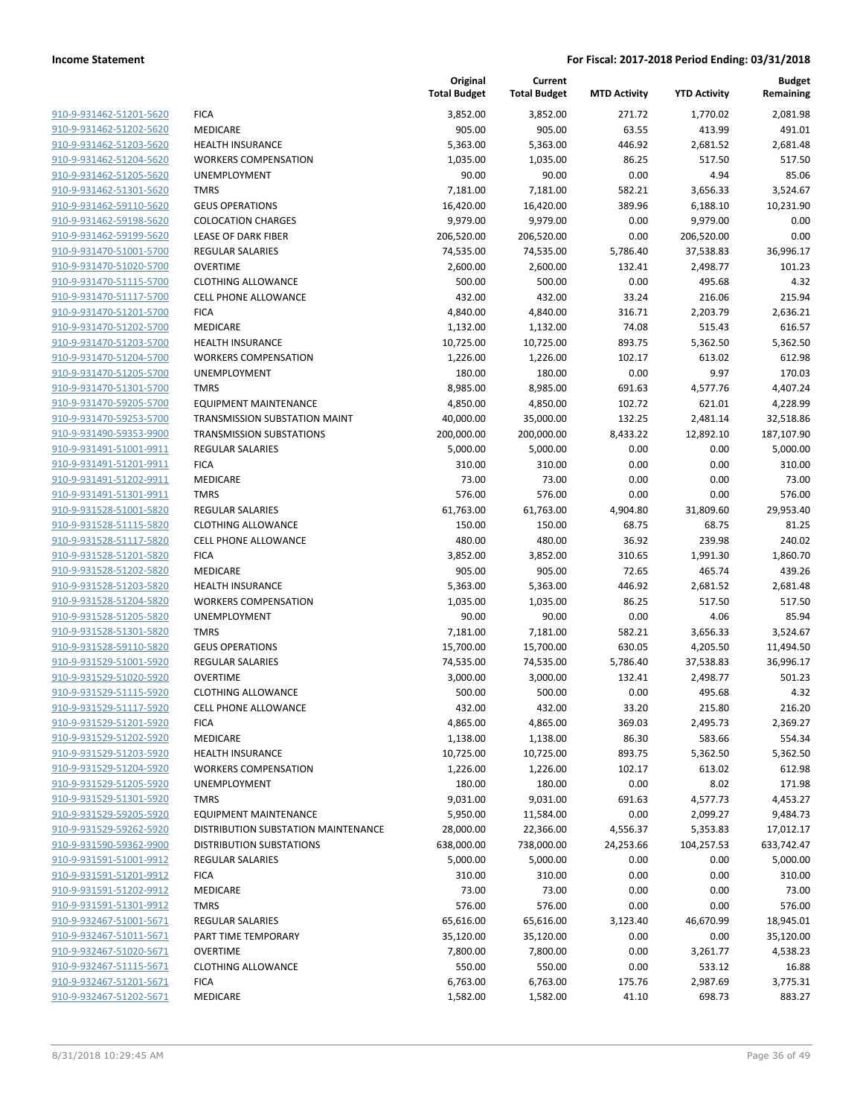|                                                    |                                     | Original<br><b>Total Budget</b> | Current<br><b>Total Budget</b> | <b>MTD Activity</b> | <b>YTD Activity</b> | <b>Budget</b><br>Remaining |
|----------------------------------------------------|-------------------------------------|---------------------------------|--------------------------------|---------------------|---------------------|----------------------------|
| 910-9-931462-51201-5620                            | <b>FICA</b>                         | 3,852.00                        | 3,852.00                       | 271.72              | 1,770.02            | 2,081.98                   |
| 910-9-931462-51202-5620                            | MEDICARE                            | 905.00                          | 905.00                         | 63.55               | 413.99              | 491.01                     |
| 910-9-931462-51203-5620                            | <b>HEALTH INSURANCE</b>             | 5,363.00                        | 5,363.00                       | 446.92              | 2,681.52            | 2,681.48                   |
| 910-9-931462-51204-5620                            | <b>WORKERS COMPENSATION</b>         | 1,035.00                        | 1,035.00                       | 86.25               | 517.50              | 517.50                     |
| 910-9-931462-51205-5620                            | <b>UNEMPLOYMENT</b>                 | 90.00                           | 90.00                          | 0.00                | 4.94                | 85.06                      |
| 910-9-931462-51301-5620                            | <b>TMRS</b>                         | 7,181.00                        | 7,181.00                       | 582.21              | 3,656.33            | 3,524.67                   |
| 910-9-931462-59110-5620                            | <b>GEUS OPERATIONS</b>              | 16,420.00                       | 16,420.00                      | 389.96              | 6,188.10            | 10,231.90                  |
| 910-9-931462-59198-5620                            | <b>COLOCATION CHARGES</b>           | 9,979.00                        | 9,979.00                       | 0.00                | 9,979.00            | 0.00                       |
| 910-9-931462-59199-5620                            | LEASE OF DARK FIBER                 | 206,520.00                      | 206,520.00                     | 0.00                | 206,520.00          | 0.00                       |
| 910-9-931470-51001-5700                            | <b>REGULAR SALARIES</b>             | 74,535.00                       | 74,535.00                      | 5,786.40            | 37,538.83           | 36,996.17                  |
| 910-9-931470-51020-5700                            | <b>OVERTIME</b>                     | 2,600.00                        | 2,600.00                       | 132.41              | 2,498.77            | 101.23                     |
| 910-9-931470-51115-5700                            | <b>CLOTHING ALLOWANCE</b>           | 500.00                          | 500.00                         | 0.00                | 495.68              | 4.32                       |
| 910-9-931470-51117-5700                            | <b>CELL PHONE ALLOWANCE</b>         | 432.00                          | 432.00                         | 33.24               | 216.06              | 215.94                     |
| 910-9-931470-51201-5700                            | <b>FICA</b>                         | 4,840.00                        | 4,840.00                       | 316.71              | 2,203.79            | 2,636.21                   |
| 910-9-931470-51202-5700                            | MEDICARE                            | 1,132.00                        | 1,132.00                       | 74.08               | 515.43              | 616.57                     |
| 910-9-931470-51203-5700                            | <b>HEALTH INSURANCE</b>             | 10,725.00                       | 10,725.00                      | 893.75              | 5,362.50            | 5,362.50                   |
| 910-9-931470-51204-5700                            | <b>WORKERS COMPENSATION</b>         | 1,226.00                        | 1,226.00                       | 102.17              | 613.02              | 612.98                     |
| 910-9-931470-51205-5700                            | <b>UNEMPLOYMENT</b>                 | 180.00                          | 180.00                         | 0.00                | 9.97                | 170.03                     |
| 910-9-931470-51301-5700                            | <b>TMRS</b>                         | 8,985.00                        | 8,985.00                       | 691.63              | 4,577.76            | 4,407.24                   |
| 910-9-931470-59205-5700                            | <b>EQUIPMENT MAINTENANCE</b>        | 4,850.00                        | 4,850.00                       | 102.72              | 621.01              | 4,228.99                   |
| 910-9-931470-59253-5700                            | TRANSMISSION SUBSTATION MAINT       | 40,000.00                       | 35,000.00                      | 132.25              | 2,481.14            | 32,518.86                  |
| 910-9-931490-59353-9900                            | <b>TRANSMISSION SUBSTATIONS</b>     | 200,000.00                      | 200,000.00                     | 8,433.22            | 12,892.10           | 187,107.90                 |
| 910-9-931491-51001-9911                            | <b>REGULAR SALARIES</b>             | 5,000.00                        | 5,000.00                       | 0.00                | 0.00                | 5,000.00                   |
| 910-9-931491-51201-9911                            | <b>FICA</b>                         | 310.00                          | 310.00                         | 0.00                | 0.00                | 310.00                     |
| 910-9-931491-51202-9911                            | MEDICARE                            | 73.00                           | 73.00                          | 0.00                | 0.00                | 73.00                      |
| 910-9-931491-51301-9911                            | <b>TMRS</b>                         | 576.00                          | 576.00                         | 0.00                | 0.00                | 576.00                     |
| 910-9-931528-51001-5820                            | <b>REGULAR SALARIES</b>             | 61,763.00                       | 61,763.00                      | 4,904.80            | 31,809.60           | 29,953.40                  |
| 910-9-931528-51115-5820                            | <b>CLOTHING ALLOWANCE</b>           | 150.00                          | 150.00                         | 68.75               | 68.75               | 81.25                      |
| 910-9-931528-51117-5820                            | <b>CELL PHONE ALLOWANCE</b>         | 480.00                          | 480.00                         | 36.92               | 239.98              | 240.02                     |
| 910-9-931528-51201-5820                            | <b>FICA</b>                         | 3,852.00                        | 3,852.00                       | 310.65              | 1,991.30            | 1,860.70                   |
| 910-9-931528-51202-5820                            | MEDICARE                            | 905.00                          | 905.00                         | 72.65               | 465.74              | 439.26                     |
| 910-9-931528-51203-5820                            | <b>HEALTH INSURANCE</b>             | 5,363.00                        | 5,363.00                       | 446.92              | 2,681.52            | 2,681.48                   |
| 910-9-931528-51204-5820                            | <b>WORKERS COMPENSATION</b>         | 1,035.00                        | 1,035.00                       | 86.25               | 517.50              | 517.50                     |
| 910-9-931528-51205-5820                            | UNEMPLOYMENT                        | 90.00                           | 90.00                          | 0.00                | 4.06                | 85.94                      |
| 910-9-931528-51301-5820                            | <b>TMRS</b>                         | 7,181.00                        | 7,181.00                       | 582.21              | 3,656.33            | 3,524.67                   |
| 910-9-931528-59110-5820                            | <b>GEUS OPERATIONS</b>              | 15,700.00                       | 15,700.00                      | 630.05              | 4,205.50            | 11,494.50                  |
| 910-9-931529-51001-5920                            | REGULAR SALARIES                    | 74,535.00                       | 74,535.00                      | 5,786.40            | 37,538.83           | 36,996.17                  |
| 910-9-931529-51020-5920                            | <b>OVERTIME</b>                     | 3,000.00                        | 3,000.00                       | 132.41              | 2,498.77            | 501.23                     |
| 910-9-931529-51115-5920<br>910-9-931529-51117-5920 | <b>CLOTHING ALLOWANCE</b>           | 500.00                          | 500.00                         | 0.00                | 495.68              | 4.32                       |
|                                                    | <b>CELL PHONE ALLOWANCE</b>         | 432.00                          | 432.00                         | 33.20               | 215.80              | 216.20                     |
| 910-9-931529-51201-5920<br>910-9-931529-51202-5920 | <b>FICA</b><br>MEDICARE             | 4,865.00<br>1,138.00            | 4,865.00<br>1,138.00           | 369.03<br>86.30     | 2,495.73<br>583.66  | 2,369.27<br>554.34         |
| 910-9-931529-51203-5920                            | <b>HEALTH INSURANCE</b>             | 10,725.00                       | 10,725.00                      | 893.75              | 5,362.50            | 5,362.50                   |
| 910-9-931529-51204-5920                            | <b>WORKERS COMPENSATION</b>         | 1,226.00                        | 1,226.00                       | 102.17              | 613.02              | 612.98                     |
| 910-9-931529-51205-5920                            | <b>UNEMPLOYMENT</b>                 | 180.00                          | 180.00                         | 0.00                | 8.02                | 171.98                     |
| 910-9-931529-51301-5920                            | <b>TMRS</b>                         | 9,031.00                        | 9,031.00                       | 691.63              | 4,577.73            | 4,453.27                   |
| 910-9-931529-59205-5920                            | <b>EQUIPMENT MAINTENANCE</b>        | 5,950.00                        | 11,584.00                      | 0.00                | 2,099.27            | 9,484.73                   |
| 910-9-931529-59262-5920                            | DISTRIBUTION SUBSTATION MAINTENANCE | 28,000.00                       | 22,366.00                      | 4,556.37            | 5,353.83            | 17,012.17                  |
| 910-9-931590-59362-9900                            | <b>DISTRIBUTION SUBSTATIONS</b>     | 638,000.00                      | 738,000.00                     | 24,253.66           | 104,257.53          | 633,742.47                 |
| 910-9-931591-51001-9912                            | <b>REGULAR SALARIES</b>             | 5,000.00                        | 5,000.00                       | 0.00                | 0.00                | 5,000.00                   |
| 910-9-931591-51201-9912                            | <b>FICA</b>                         | 310.00                          | 310.00                         | 0.00                | 0.00                | 310.00                     |
| 910-9-931591-51202-9912                            | MEDICARE                            | 73.00                           | 73.00                          | 0.00                | 0.00                | 73.00                      |
| 910-9-931591-51301-9912                            | <b>TMRS</b>                         | 576.00                          | 576.00                         | 0.00                | 0.00                | 576.00                     |
| 910-9-932467-51001-5671                            | REGULAR SALARIES                    | 65,616.00                       | 65,616.00                      | 3,123.40            | 46,670.99           | 18,945.01                  |
| 910-9-932467-51011-5671                            | PART TIME TEMPORARY                 | 35,120.00                       | 35,120.00                      | 0.00                | 0.00                | 35,120.00                  |
| 910-9-932467-51020-5671                            | <b>OVERTIME</b>                     | 7,800.00                        | 7,800.00                       | 0.00                | 3,261.77            | 4,538.23                   |
| 910-9-932467-51115-5671                            | <b>CLOTHING ALLOWANCE</b>           | 550.00                          | 550.00                         | 0.00                | 533.12              | 16.88                      |
| 910-9-932467-51201-5671                            | <b>FICA</b>                         | 6,763.00                        | 6,763.00                       | 175.76              | 2,987.69            | 3,775.31                   |
| 910-9-932467-51202-5671                            | MEDICARE                            | 1,582.00                        | 1,582.00                       | 41.10               | 698.73              | 883.27                     |
|                                                    |                                     |                                 |                                |                     |                     |                            |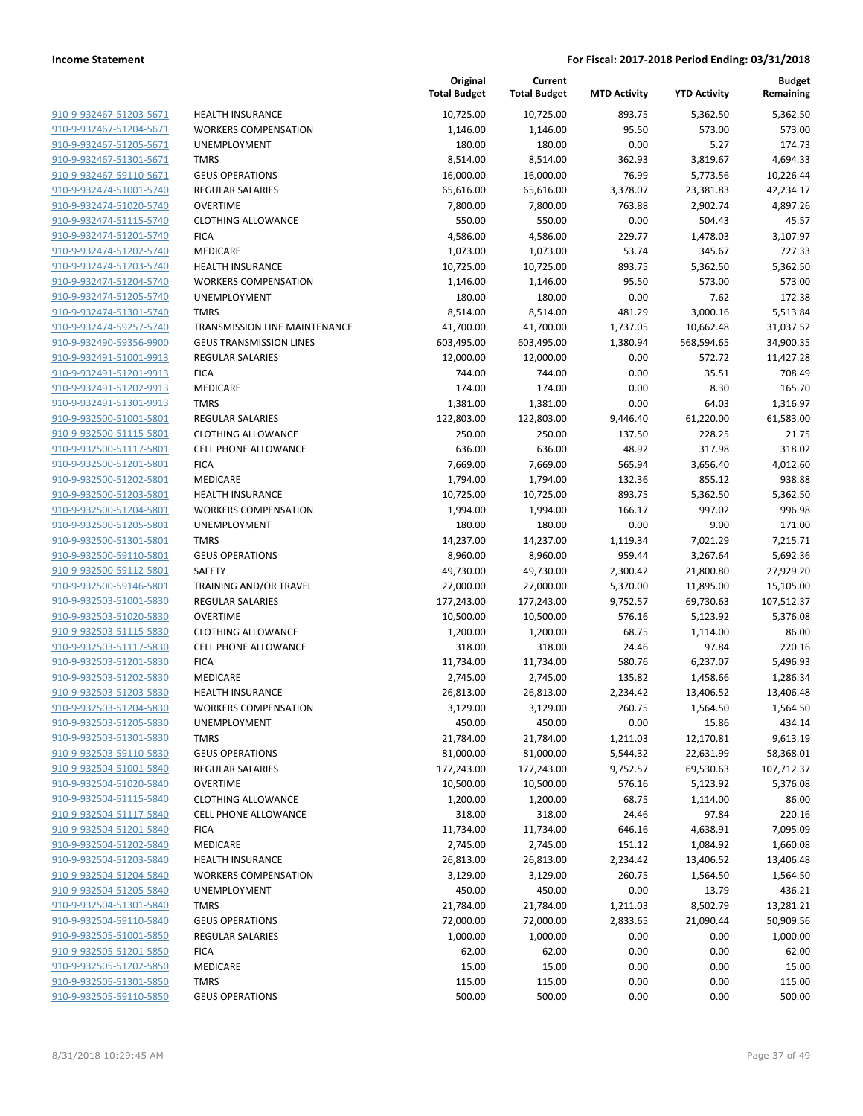| 910-9-932467-51203-5671        |
|--------------------------------|
| 910-9-932467-51204-5671        |
| 910-9-932467-51205-5671        |
| 910-9-932467-51301-5671        |
| 910-9-932467-59110-5671        |
| 910-9-932474-51001-5740        |
| 910-9-932474-51020-5740        |
| 910-9-932474-51115-5740        |
| 910-9-932474-51201-5740        |
| 910-9-932474-51202-5740        |
| <u>910-9-932474-51203-5740</u> |
| 910-9-932474-51204-5740        |
| 910-9-932474-51205-5740        |
| 910-9-932474-51301-5740        |
| 910-9-932474-59257-5740        |
| 910-9-932490-59356-9900        |
| 910-9-932491-51001-9913        |
| <u>910-9-932491-51201-9913</u> |
| <u>910-9-932491-51202-9913</u> |
| 910-9-932491-51301-9913        |
| 910-9-932500-51001-5801        |
| 910-9-932500-51115-5801        |
| 910-9-932500-51117-5801        |
| 910-9-932500-51201-5801        |
| <u>910-9-932500-51202-5801</u> |
| 910-9-932500-51203-5801        |
| 910-9-932500-51204-5801        |
| 910-9-932500-51205-5801        |
| 910-9-932500-51301-5801        |
| <u>910-9-932500-59110-5801</u> |
| 910-9-932500-59112-5801        |
| 910-9-932500-59146-5801        |
| 910-9-932503-51001-5830        |
| 910-9-932503-51020-5830        |
| <u>910-9-932503-51115-5830</u> |
| 910-9-932503-51117-5830        |
| 910-9-932503-51201-5830        |
| 910-9-932503-51202-5830        |
| <u>910-9-932503-51203-5830</u> |
| 910-9-932503-51204-5830        |
| 910-9-932503-51205-5830        |
| 910-9-932503-51301-5830        |
| 910-9-932503-59110-5830        |
| 910-9-932504-51001-5840        |
| <u>910-9-932504-51020-5840</u> |
| 910-9-932504-51115-5840        |
| 910-9-932504-51117-5840        |
| 910-9-932504-51201-5840        |
| 910-9-932504-51202-5840        |
| <u>910-9-932504-51203-5840</u> |
| 910-9-932504-51204-5840        |
| 910-9-932504-51205-5840        |
| 910-9-932504-51301-5840        |
| 910-9-932504-59110-5840        |
| <u>910-9-932505-51001-5850</u> |
| 910-9-932505-51201-5850        |
| 910-9-932505-51202-5850        |
| 910-9-932505-51301-5850        |
| <u>910-9-932505-59110-5850</u> |
|                                |

|                         |                                | Original<br><b>Total Budget</b> | Current<br><b>Total Budget</b> | <b>MTD Activity</b> | <b>YTD Activity</b> | <b>Budget</b><br>Remaining |
|-------------------------|--------------------------------|---------------------------------|--------------------------------|---------------------|---------------------|----------------------------|
| 910-9-932467-51203-5671 | <b>HEALTH INSURANCE</b>        | 10,725.00                       | 10,725.00                      | 893.75              | 5,362.50            | 5,362.50                   |
| 910-9-932467-51204-5671 | <b>WORKERS COMPENSATION</b>    | 1,146.00                        | 1,146.00                       | 95.50               | 573.00              | 573.00                     |
| 910-9-932467-51205-5671 | UNEMPLOYMENT                   | 180.00                          | 180.00                         | 0.00                | 5.27                | 174.73                     |
| 910-9-932467-51301-5671 | <b>TMRS</b>                    | 8,514.00                        | 8,514.00                       | 362.93              | 3,819.67            | 4,694.33                   |
| 910-9-932467-59110-5671 | <b>GEUS OPERATIONS</b>         | 16,000.00                       | 16,000.00                      | 76.99               | 5,773.56            | 10,226.44                  |
| 910-9-932474-51001-5740 | REGULAR SALARIES               | 65,616.00                       | 65,616.00                      | 3,378.07            | 23,381.83           | 42,234.17                  |
| 910-9-932474-51020-5740 | <b>OVERTIME</b>                | 7,800.00                        | 7,800.00                       | 763.88              | 2,902.74            | 4,897.26                   |
| 910-9-932474-51115-5740 | <b>CLOTHING ALLOWANCE</b>      | 550.00                          | 550.00                         | 0.00                | 504.43              | 45.57                      |
| 910-9-932474-51201-5740 | <b>FICA</b>                    | 4,586.00                        | 4,586.00                       | 229.77              | 1,478.03            | 3,107.97                   |
| 910-9-932474-51202-5740 | MEDICARE                       | 1,073.00                        | 1,073.00                       | 53.74               | 345.67              | 727.33                     |
| 910-9-932474-51203-5740 | <b>HEALTH INSURANCE</b>        | 10,725.00                       | 10,725.00                      | 893.75              | 5,362.50            | 5,362.50                   |
| 910-9-932474-51204-5740 | <b>WORKERS COMPENSATION</b>    | 1,146.00                        | 1,146.00                       | 95.50               | 573.00              | 573.00                     |
| 910-9-932474-51205-5740 | UNEMPLOYMENT                   | 180.00                          | 180.00                         | 0.00                | 7.62                | 172.38                     |
| 910-9-932474-51301-5740 | <b>TMRS</b>                    | 8,514.00                        | 8,514.00                       | 481.29              | 3,000.16            | 5,513.84                   |
| 910-9-932474-59257-5740 | TRANSMISSION LINE MAINTENANCE  | 41,700.00                       | 41,700.00                      | 1,737.05            | 10,662.48           | 31,037.52                  |
| 910-9-932490-59356-9900 | <b>GEUS TRANSMISSION LINES</b> | 603,495.00                      | 603,495.00                     | 1,380.94            | 568,594.65          | 34,900.35                  |
| 910-9-932491-51001-9913 | REGULAR SALARIES               | 12,000.00                       | 12,000.00                      | 0.00                | 572.72              | 11,427.28                  |
| 910-9-932491-51201-9913 | <b>FICA</b>                    | 744.00                          | 744.00                         | 0.00                | 35.51               | 708.49                     |
| 910-9-932491-51202-9913 | <b>MEDICARE</b>                | 174.00                          | 174.00                         | 0.00                | 8.30                | 165.70                     |
| 910-9-932491-51301-9913 | <b>TMRS</b>                    | 1,381.00                        | 1,381.00                       | 0.00                | 64.03               | 1,316.97                   |
| 910-9-932500-51001-5801 | <b>REGULAR SALARIES</b>        | 122,803.00                      | 122,803.00                     | 9,446.40            | 61,220.00           | 61,583.00                  |
| 910-9-932500-51115-5801 | <b>CLOTHING ALLOWANCE</b>      | 250.00                          | 250.00                         | 137.50              | 228.25              | 21.75                      |
| 910-9-932500-51117-5801 | <b>CELL PHONE ALLOWANCE</b>    | 636.00                          | 636.00                         | 48.92               | 317.98              | 318.02                     |
| 910-9-932500-51201-5801 | <b>FICA</b>                    | 7,669.00                        | 7,669.00                       | 565.94              | 3,656.40            | 4,012.60                   |
| 910-9-932500-51202-5801 | <b>MEDICARE</b>                | 1,794.00                        | 1,794.00                       | 132.36              | 855.12              | 938.88                     |
| 910-9-932500-51203-5801 | <b>HEALTH INSURANCE</b>        | 10,725.00                       | 10,725.00                      | 893.75              | 5,362.50            | 5,362.50                   |
| 910-9-932500-51204-5801 | <b>WORKERS COMPENSATION</b>    | 1,994.00                        | 1,994.00                       | 166.17              | 997.02              | 996.98                     |
| 910-9-932500-51205-5801 | UNEMPLOYMENT                   | 180.00                          | 180.00                         | 0.00                | 9.00                | 171.00                     |
| 910-9-932500-51301-5801 | <b>TMRS</b>                    | 14,237.00                       | 14,237.00                      | 1,119.34            | 7,021.29            | 7,215.71                   |
| 910-9-932500-59110-5801 | <b>GEUS OPERATIONS</b>         | 8,960.00                        | 8,960.00                       | 959.44              | 3,267.64            | 5,692.36                   |
| 910-9-932500-59112-5801 | SAFETY                         | 49,730.00                       | 49,730.00                      | 2,300.42            | 21,800.80           | 27,929.20                  |
| 910-9-932500-59146-5801 | TRAINING AND/OR TRAVEL         | 27,000.00                       | 27,000.00                      | 5,370.00            | 11,895.00           | 15,105.00                  |
| 910-9-932503-51001-5830 | REGULAR SALARIES               | 177,243.00                      | 177,243.00                     | 9,752.57            | 69,730.63           | 107,512.37                 |
| 910-9-932503-51020-5830 | <b>OVERTIME</b>                | 10,500.00                       | 10,500.00                      | 576.16              | 5,123.92            | 5,376.08                   |
| 910-9-932503-51115-5830 | <b>CLOTHING ALLOWANCE</b>      | 1,200.00                        | 1,200.00                       | 68.75               | 1,114.00            | 86.00                      |
| 910-9-932503-51117-5830 | <b>CELL PHONE ALLOWANCE</b>    | 318.00                          | 318.00                         | 24.46               | 97.84               | 220.16                     |
| 910-9-932503-51201-5830 | <b>FICA</b>                    | 11,734.00                       | 11,734.00                      | 580.76              | 6,237.07            | 5,496.93                   |
| 910-9-932503-51202-5830 | MEDICARE                       | 2,745.00                        | 2,745.00                       | 135.82              | 1,458.66            | 1,286.34                   |
| 910-9-932503-51203-5830 | <b>HEALTH INSURANCE</b>        | 26,813.00                       | 26,813.00                      | 2,234.42            | 13,406.52           | 13,406.48                  |
| 910-9-932503-51204-5830 | <b>WORKERS COMPENSATION</b>    | 3,129.00                        | 3,129.00                       | 260.75              | 1,564.50            | 1,564.50                   |
| 910-9-932503-51205-5830 | UNEMPLOYMENT                   | 450.00                          | 450.00                         | 0.00                | 15.86               | 434.14                     |
| 910-9-932503-51301-5830 | <b>TMRS</b>                    | 21,784.00                       | 21,784.00                      | 1,211.03            | 12,170.81           | 9,613.19                   |
| 910-9-932503-59110-5830 | <b>GEUS OPERATIONS</b>         | 81,000.00                       | 81,000.00                      | 5,544.32            | 22,631.99           | 58,368.01                  |
| 910-9-932504-51001-5840 | REGULAR SALARIES               | 177,243.00                      | 177,243.00                     | 9,752.57            | 69,530.63           | 107,712.37                 |
| 910-9-932504-51020-5840 | <b>OVERTIME</b>                | 10,500.00                       | 10,500.00                      | 576.16              | 5,123.92            | 5,376.08                   |
| 910-9-932504-51115-5840 | <b>CLOTHING ALLOWANCE</b>      | 1,200.00                        | 1,200.00                       | 68.75               | 1,114.00            | 86.00                      |
| 910-9-932504-51117-5840 | <b>CELL PHONE ALLOWANCE</b>    | 318.00                          | 318.00                         | 24.46               | 97.84               | 220.16                     |
| 910-9-932504-51201-5840 | <b>FICA</b>                    | 11,734.00                       | 11,734.00                      | 646.16              | 4,638.91            | 7,095.09                   |
| 910-9-932504-51202-5840 | MEDICARE                       | 2,745.00                        | 2,745.00                       | 151.12              | 1,084.92            | 1,660.08                   |
| 910-9-932504-51203-5840 | <b>HEALTH INSURANCE</b>        | 26,813.00                       | 26,813.00                      | 2,234.42            | 13,406.52           | 13,406.48                  |
| 910-9-932504-51204-5840 | <b>WORKERS COMPENSATION</b>    | 3,129.00                        | 3,129.00                       | 260.75              | 1,564.50            | 1,564.50                   |
| 910-9-932504-51205-5840 | UNEMPLOYMENT                   | 450.00                          | 450.00                         | 0.00                | 13.79               | 436.21                     |
| 910-9-932504-51301-5840 | <b>TMRS</b>                    | 21,784.00                       | 21,784.00                      | 1,211.03            | 8,502.79            | 13,281.21                  |
| 910-9-932504-59110-5840 | <b>GEUS OPERATIONS</b>         | 72,000.00                       | 72,000.00                      | 2,833.65            | 21,090.44           | 50,909.56                  |
| 910-9-932505-51001-5850 | REGULAR SALARIES               | 1,000.00                        | 1,000.00                       | 0.00                | 0.00                | 1,000.00                   |
| 910-9-932505-51201-5850 | <b>FICA</b>                    | 62.00                           | 62.00                          | 0.00                | 0.00                | 62.00                      |
| 910-9-932505-51202-5850 | MEDICARE                       | 15.00                           | 15.00                          | 0.00                | 0.00                | 15.00                      |
| 910-9-932505-51301-5850 | <b>TMRS</b>                    | 115.00                          | 115.00                         | 0.00                | 0.00                | 115.00                     |
| 910-9-932505-59110-5850 | <b>GEUS OPERATIONS</b>         | 500.00                          | 500.00                         | 0.00                | 0.00                | 500.00                     |
|                         |                                |                                 |                                |                     |                     |                            |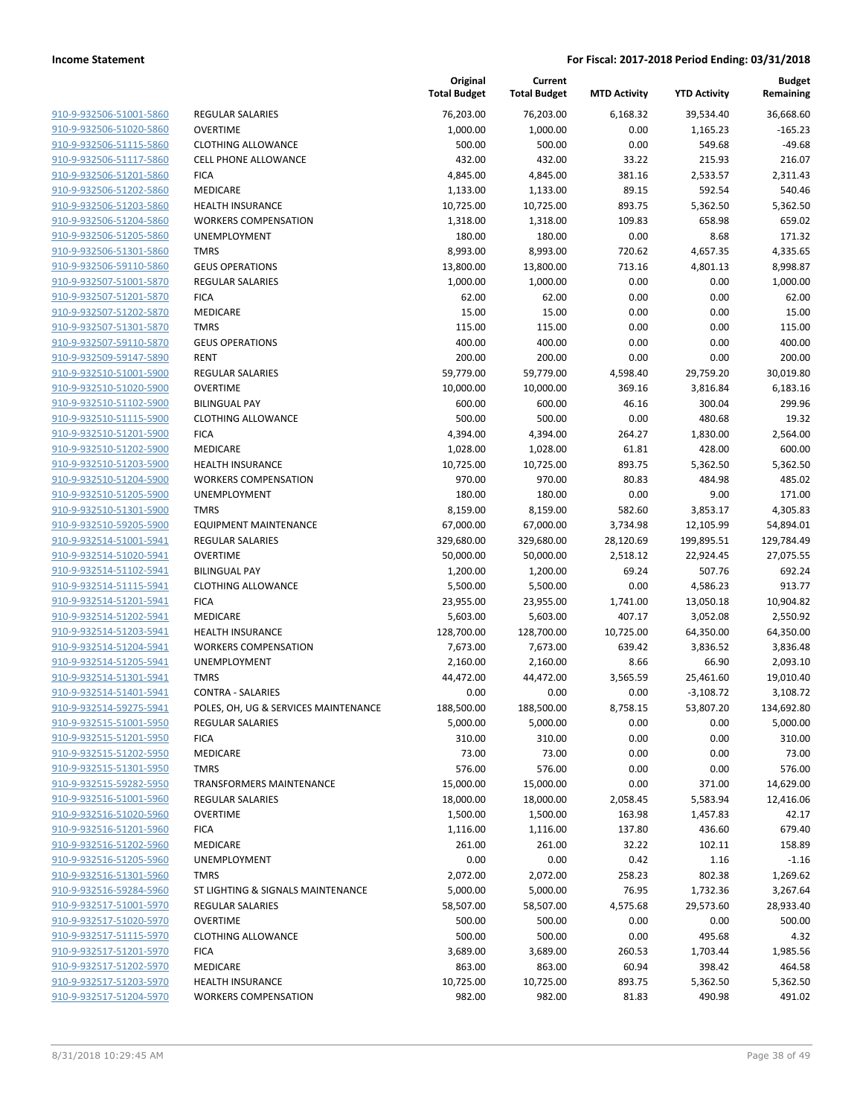|                         |                                      | Original<br><b>Total Budget</b> | Current<br><b>Total Budget</b> | <b>MTD Activity</b> | <b>YTD Activity</b> | <b>Budget</b><br>Remaining |
|-------------------------|--------------------------------------|---------------------------------|--------------------------------|---------------------|---------------------|----------------------------|
| 910-9-932506-51001-5860 | <b>REGULAR SALARIES</b>              | 76,203.00                       | 76,203.00                      | 6,168.32            | 39,534.40           | 36,668.60                  |
| 910-9-932506-51020-5860 | <b>OVERTIME</b>                      | 1,000.00                        | 1,000.00                       | 0.00                | 1,165.23            | $-165.23$                  |
| 910-9-932506-51115-5860 | <b>CLOTHING ALLOWANCE</b>            | 500.00                          | 500.00                         | 0.00                | 549.68              | $-49.68$                   |
| 910-9-932506-51117-5860 | CELL PHONE ALLOWANCE                 | 432.00                          | 432.00                         | 33.22               | 215.93              | 216.07                     |
| 910-9-932506-51201-5860 | <b>FICA</b>                          | 4,845.00                        | 4,845.00                       | 381.16              | 2,533.57            | 2,311.43                   |
| 910-9-932506-51202-5860 | MEDICARE                             | 1,133.00                        | 1,133.00                       | 89.15               | 592.54              | 540.46                     |
| 910-9-932506-51203-5860 | <b>HEALTH INSURANCE</b>              | 10,725.00                       | 10,725.00                      | 893.75              | 5,362.50            | 5,362.50                   |
| 910-9-932506-51204-5860 | <b>WORKERS COMPENSATION</b>          | 1,318.00                        | 1,318.00                       | 109.83              | 658.98              | 659.02                     |
| 910-9-932506-51205-5860 | UNEMPLOYMENT                         | 180.00                          | 180.00                         | 0.00                | 8.68                | 171.32                     |
| 910-9-932506-51301-5860 | <b>TMRS</b>                          | 8,993.00                        | 8,993.00                       | 720.62              | 4,657.35            | 4,335.65                   |
| 910-9-932506-59110-5860 | <b>GEUS OPERATIONS</b>               | 13,800.00                       | 13,800.00                      | 713.16              | 4,801.13            | 8,998.87                   |
| 910-9-932507-51001-5870 | <b>REGULAR SALARIES</b>              | 1,000.00                        | 1,000.00                       | 0.00                | 0.00                | 1,000.00                   |
| 910-9-932507-51201-5870 | <b>FICA</b>                          | 62.00                           | 62.00                          | 0.00                | 0.00                | 62.00                      |
| 910-9-932507-51202-5870 | MEDICARE                             | 15.00                           | 15.00                          | 0.00                | 0.00                | 15.00                      |
| 910-9-932507-51301-5870 | <b>TMRS</b>                          | 115.00                          | 115.00                         | 0.00                | 0.00                | 115.00                     |
| 910-9-932507-59110-5870 | <b>GEUS OPERATIONS</b>               | 400.00                          | 400.00                         | 0.00                | 0.00                | 400.00                     |
| 910-9-932509-59147-5890 | <b>RENT</b>                          | 200.00                          | 200.00                         | 0.00                | 0.00                | 200.00                     |
| 910-9-932510-51001-5900 | <b>REGULAR SALARIES</b>              | 59,779.00                       | 59,779.00                      | 4,598.40            | 29,759.20           | 30,019.80                  |
| 910-9-932510-51020-5900 | <b>OVERTIME</b>                      | 10,000.00                       | 10,000.00                      | 369.16              | 3,816.84            | 6,183.16                   |
| 910-9-932510-51102-5900 | <b>BILINGUAL PAY</b>                 | 600.00                          | 600.00                         | 46.16               | 300.04              | 299.96                     |
| 910-9-932510-51115-5900 | <b>CLOTHING ALLOWANCE</b>            | 500.00                          | 500.00                         | 0.00                | 480.68              | 19.32                      |
| 910-9-932510-51201-5900 | <b>FICA</b>                          | 4,394.00                        | 4,394.00                       | 264.27              | 1,830.00            | 2,564.00                   |
| 910-9-932510-51202-5900 | MEDICARE                             | 1,028.00                        | 1,028.00                       | 61.81               | 428.00              | 600.00                     |
| 910-9-932510-51203-5900 | <b>HEALTH INSURANCE</b>              | 10,725.00                       | 10,725.00                      | 893.75              | 5,362.50            | 5,362.50                   |
| 910-9-932510-51204-5900 | <b>WORKERS COMPENSATION</b>          | 970.00                          | 970.00                         | 80.83               | 484.98              | 485.02                     |
| 910-9-932510-51205-5900 | UNEMPLOYMENT                         | 180.00                          | 180.00                         | 0.00                | 9.00                | 171.00                     |
| 910-9-932510-51301-5900 | <b>TMRS</b>                          | 8,159.00                        | 8,159.00                       | 582.60              | 3,853.17            | 4,305.83                   |
| 910-9-932510-59205-5900 | <b>EQUIPMENT MAINTENANCE</b>         | 67,000.00                       | 67,000.00                      | 3,734.98            | 12,105.99           | 54,894.01                  |
| 910-9-932514-51001-5941 | <b>REGULAR SALARIES</b>              | 329,680.00                      | 329,680.00                     | 28,120.69           | 199,895.51          | 129,784.49                 |
| 910-9-932514-51020-5941 | <b>OVERTIME</b>                      | 50,000.00                       | 50,000.00                      | 2,518.12            | 22,924.45           | 27,075.55                  |
| 910-9-932514-51102-5941 | <b>BILINGUAL PAY</b>                 | 1,200.00                        | 1,200.00                       | 69.24               | 507.76              | 692.24                     |
| 910-9-932514-51115-5941 | <b>CLOTHING ALLOWANCE</b>            | 5,500.00                        | 5,500.00                       | 0.00                | 4,586.23            | 913.77                     |
| 910-9-932514-51201-5941 | <b>FICA</b>                          | 23,955.00                       | 23,955.00                      | 1,741.00            | 13,050.18           | 10,904.82                  |
| 910-9-932514-51202-5941 | MEDICARE                             | 5,603.00                        | 5,603.00                       | 407.17              | 3,052.08            | 2,550.92                   |
| 910-9-932514-51203-5941 | <b>HEALTH INSURANCE</b>              | 128,700.00                      | 128,700.00                     | 10,725.00           | 64,350.00           | 64,350.00                  |
| 910-9-932514-51204-5941 | <b>WORKERS COMPENSATION</b>          | 7,673.00                        | 7,673.00                       | 639.42              | 3,836.52            | 3,836.48                   |
| 910-9-932514-51205-5941 | <b>UNEMPLOYMENT</b>                  | 2,160.00                        | 2,160.00                       | 8.66                | 66.90               | 2,093.10                   |
| 910-9-932514-51301-5941 | <b>TMRS</b>                          | 44,472.00                       | 44,472.00                      | 3,565.59            | 25,461.60           | 19,010.40                  |
| 910-9-932514-51401-5941 | <b>CONTRA - SALARIES</b>             | 0.00                            | 0.00                           | 0.00                | $-3,108.72$         | 3,108.72                   |
| 910-9-932514-59275-5941 | POLES, OH, UG & SERVICES MAINTENANCE | 188,500.00                      | 188,500.00                     | 8,758.15            | 53,807.20           | 134,692.80                 |
| 910-9-932515-51001-5950 | REGULAR SALARIES                     | 5,000.00                        | 5,000.00                       | 0.00                | 0.00                | 5,000.00                   |
| 910-9-932515-51201-5950 | <b>FICA</b>                          | 310.00                          | 310.00                         | 0.00                | 0.00                | 310.00                     |
| 910-9-932515-51202-5950 | <b>MEDICARE</b>                      | 73.00                           | 73.00                          | 0.00                | 0.00                | 73.00                      |
| 910-9-932515-51301-5950 | <b>TMRS</b>                          | 576.00                          | 576.00                         | 0.00                | 0.00                | 576.00                     |
| 910-9-932515-59282-5950 | <b>TRANSFORMERS MAINTENANCE</b>      | 15,000.00                       | 15,000.00                      | 0.00                | 371.00              | 14,629.00                  |
| 910-9-932516-51001-5960 | <b>REGULAR SALARIES</b>              | 18,000.00                       | 18,000.00                      | 2,058.45            | 5,583.94            | 12,416.06                  |
| 910-9-932516-51020-5960 | <b>OVERTIME</b>                      | 1,500.00                        | 1,500.00                       | 163.98              | 1,457.83            | 42.17                      |
| 910-9-932516-51201-5960 | <b>FICA</b>                          | 1,116.00                        | 1,116.00                       | 137.80              | 436.60              | 679.40                     |
| 910-9-932516-51202-5960 | MEDICARE                             | 261.00                          | 261.00                         | 32.22               | 102.11              | 158.89                     |
| 910-9-932516-51205-5960 | <b>UNEMPLOYMENT</b>                  | 0.00                            | 0.00                           | 0.42                | 1.16                | $-1.16$                    |
| 910-9-932516-51301-5960 | <b>TMRS</b>                          | 2,072.00                        | 2,072.00                       | 258.23              | 802.38              | 1,269.62                   |
| 910-9-932516-59284-5960 | ST LIGHTING & SIGNALS MAINTENANCE    | 5,000.00                        | 5,000.00                       | 76.95               | 1,732.36            | 3,267.64                   |
| 910-9-932517-51001-5970 | <b>REGULAR SALARIES</b>              | 58,507.00                       | 58,507.00                      | 4,575.68            | 29,573.60           | 28,933.40                  |
| 910-9-932517-51020-5970 | <b>OVERTIME</b>                      | 500.00                          | 500.00                         | 0.00                | 0.00                | 500.00                     |
| 910-9-932517-51115-5970 | <b>CLOTHING ALLOWANCE</b>            | 500.00                          | 500.00                         | 0.00                | 495.68              | 4.32                       |
| 910-9-932517-51201-5970 | <b>FICA</b>                          | 3,689.00                        | 3,689.00                       | 260.53              | 1,703.44            | 1,985.56                   |
| 910-9-932517-51202-5970 | MEDICARE                             | 863.00                          | 863.00                         | 60.94               | 398.42              | 464.58                     |
| 910-9-932517-51203-5970 | <b>HEALTH INSURANCE</b>              | 10,725.00                       | 10,725.00                      | 893.75              | 5,362.50            | 5,362.50                   |
| 910-9-932517-51204-5970 | <b>WORKERS COMPENSATION</b>          | 982.00                          | 982.00                         | 81.83               | 490.98              | 491.02                     |
|                         |                                      |                                 |                                |                     |                     |                            |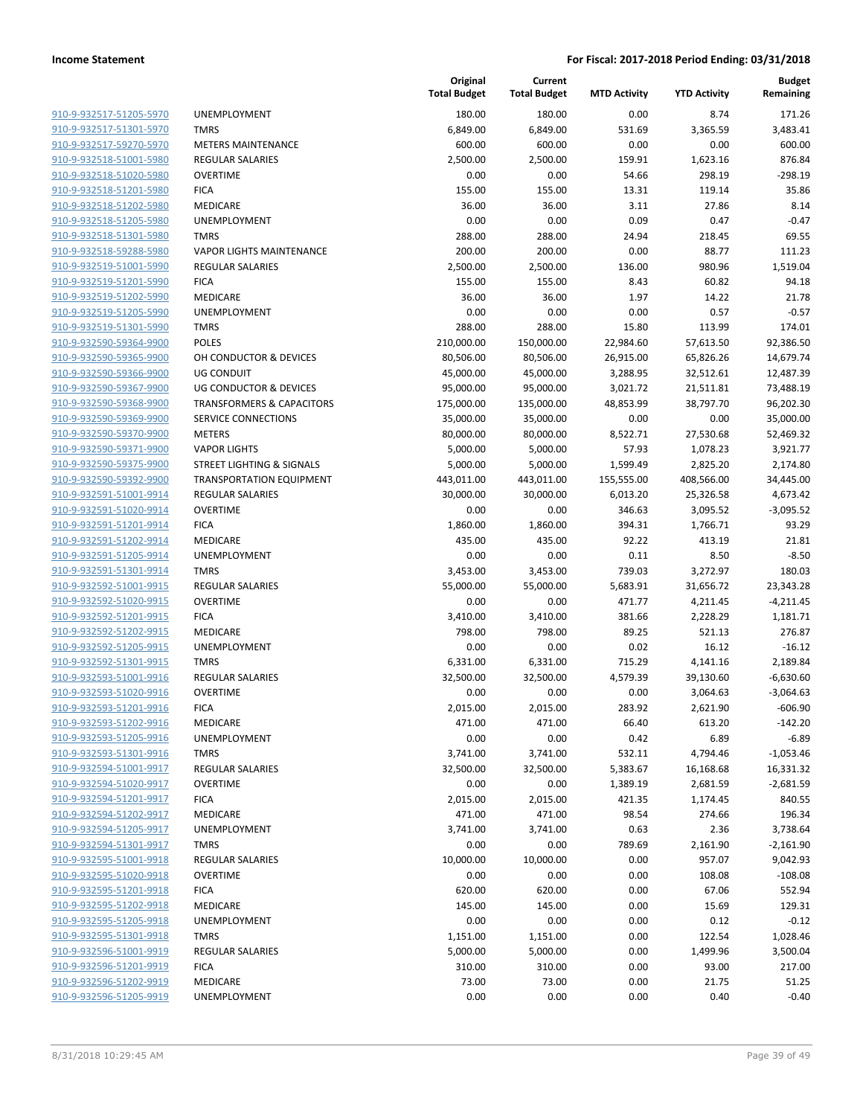| <u>910-9-932517-51205-5970</u>                            |
|-----------------------------------------------------------|
| 910-9-932517-51301-5970                                   |
| 910-9-932517-59270-5970                                   |
| 910-9-932518-51001-5980                                   |
| 910-9-932518-51020-5980                                   |
| 910-9-932518-51201-5980                                   |
| 910-9-932518-51202-5980                                   |
| 910-9-932518-51205-5980                                   |
| 910-9-932518-51301-5980                                   |
| 910-9-932518-59288-5980                                   |
| 910-9-932519-51001-5990                                   |
| 910-9-932519-51201-5990                                   |
| 910-9-932519-51202-5990                                   |
| 910-9-932519-51205-5990                                   |
| 910-9-932519-51301-5990                                   |
| 910-9-932590-59364-9900                                   |
| 910-9-932590-59365-9900                                   |
| <u>910-9-932590-59366-9900</u>                            |
| 910-9-932590-59367-9900                                   |
| 910-9-932590-59368-9900                                   |
| 910-9-932590-59369-9900                                   |
| 910-9-932590-59370-9900                                   |
| 910-9-932590-59371-9900                                   |
| 910-9-932590-59375-9900                                   |
| 910-9-932590-59392-9900                                   |
| 910-9-932591-51001-9914                                   |
| <u>910-9-932591-51020-9914</u>                            |
| <u>910-9-932591-51201-9914</u>                            |
| 910-9-932591-51202-9914                                   |
| 910-9-932591-51205-9914                                   |
| 910-9-932591-51301-9914                                   |
| 910-9-932592-51001-9915                                   |
| 910-9-932592-51020-9915                                   |
| 910-9-932592-51201 <sup>.</sup><br>-9915                  |
| 910-9-932592-51202-9915                                   |
| 910-9-932592-51205-9915                                   |
| 910-9-932592-51301-9915                                   |
| 910-9-932593-51001-9916                                   |
| 910-9-932593-51020-9916                                   |
| 910-9-932593-51201-9916                                   |
| 910-9-932593-51202-9916                                   |
| <u>910-9-932593-51205-9916</u>                            |
| <u>910-9-932593-51301-9916</u>                            |
| 910-9-932594-51001-9917                                   |
| 910-9-932594-51020-9917                                   |
| 910-9-932594-51201-9917                                   |
| 910-9-932594-51202-9917                                   |
| <u>910-9-932594-51205-9917</u>                            |
| <u>910-9-932594-51301-9917</u>                            |
|                                                           |
| 910-9-932595-51001-9918                                   |
| 910-9-932595-51020-9918                                   |
| 910-9-932595-51201-9918                                   |
| <u>910-9-932595-51202-9918</u>                            |
|                                                           |
| <u>910-9-932595-51205-9918</u>                            |
| 910-9-932595-51301-9918                                   |
| 910-9-932596-51001-9919                                   |
| <u>910-9-932596-51201-9919</u>                            |
| <u>910-9-932596-51202-9919</u><br>910-9-932596-51205-9919 |

|                         |                                      | Original<br><b>Total Budget</b> | Current<br><b>Total Budget</b> | <b>MTD Activity</b> | <b>YTD Activity</b> | <b>Budget</b><br>Remaining |
|-------------------------|--------------------------------------|---------------------------------|--------------------------------|---------------------|---------------------|----------------------------|
| 910-9-932517-51205-5970 | <b>UNEMPLOYMENT</b>                  | 180.00                          | 180.00                         | 0.00                | 8.74                | 171.26                     |
| 910-9-932517-51301-5970 | <b>TMRS</b>                          | 6,849.00                        | 6,849.00                       | 531.69              | 3,365.59            | 3,483.41                   |
| 910-9-932517-59270-5970 | <b>METERS MAINTENANCE</b>            | 600.00                          | 600.00                         | 0.00                | 0.00                | 600.00                     |
| 910-9-932518-51001-5980 | <b>REGULAR SALARIES</b>              | 2,500.00                        | 2,500.00                       | 159.91              | 1,623.16            | 876.84                     |
| 910-9-932518-51020-5980 | <b>OVERTIME</b>                      | 0.00                            | 0.00                           | 54.66               | 298.19              | $-298.19$                  |
| 910-9-932518-51201-5980 | <b>FICA</b>                          | 155.00                          | 155.00                         | 13.31               | 119.14              | 35.86                      |
| 910-9-932518-51202-5980 | MEDICARE                             | 36.00                           | 36.00                          | 3.11                | 27.86               | 8.14                       |
| 910-9-932518-51205-5980 | UNEMPLOYMENT                         | 0.00                            | 0.00                           | 0.09                | 0.47                | $-0.47$                    |
| 910-9-932518-51301-5980 | <b>TMRS</b>                          | 288.00                          | 288.00                         | 24.94               | 218.45              | 69.55                      |
| 910-9-932518-59288-5980 | <b>VAPOR LIGHTS MAINTENANCE</b>      | 200.00                          | 200.00                         | 0.00                | 88.77               | 111.23                     |
| 910-9-932519-51001-5990 | <b>REGULAR SALARIES</b>              | 2,500.00                        | 2,500.00                       | 136.00              | 980.96              | 1,519.04                   |
| 910-9-932519-51201-5990 | <b>FICA</b>                          | 155.00                          | 155.00                         | 8.43                | 60.82               | 94.18                      |
| 910-9-932519-51202-5990 | MEDICARE                             | 36.00                           | 36.00                          | 1.97                | 14.22               | 21.78                      |
| 910-9-932519-51205-5990 | UNEMPLOYMENT                         | 0.00                            | 0.00                           | 0.00                | 0.57                | $-0.57$                    |
| 910-9-932519-51301-5990 | <b>TMRS</b>                          | 288.00                          | 288.00                         | 15.80               | 113.99              | 174.01                     |
| 910-9-932590-59364-9900 | <b>POLES</b>                         | 210,000.00                      | 150,000.00                     | 22,984.60           | 57,613.50           | 92,386.50                  |
| 910-9-932590-59365-9900 | OH CONDUCTOR & DEVICES               | 80,506.00                       | 80,506.00                      | 26,915.00           | 65,826.26           | 14,679.74                  |
| 910-9-932590-59366-9900 | <b>UG CONDUIT</b>                    | 45,000.00                       | 45,000.00                      | 3,288.95            | 32,512.61           | 12,487.39                  |
| 910-9-932590-59367-9900 | <b>UG CONDUCTOR &amp; DEVICES</b>    | 95,000.00                       | 95,000.00                      | 3,021.72            | 21,511.81           | 73,488.19                  |
| 910-9-932590-59368-9900 | <b>TRANSFORMERS &amp; CAPACITORS</b> | 175,000.00                      | 135,000.00                     | 48,853.99           | 38,797.70           | 96,202.30                  |
| 910-9-932590-59369-9900 | SERVICE CONNECTIONS                  | 35,000.00                       | 35,000.00                      | 0.00                | 0.00                | 35,000.00                  |
| 910-9-932590-59370-9900 | <b>METERS</b>                        | 80,000.00                       | 80,000.00                      | 8,522.71            | 27,530.68           | 52,469.32                  |
| 910-9-932590-59371-9900 | <b>VAPOR LIGHTS</b>                  | 5,000.00                        | 5,000.00                       | 57.93               | 1,078.23            | 3,921.77                   |
| 910-9-932590-59375-9900 | <b>STREET LIGHTING &amp; SIGNALS</b> | 5,000.00                        | 5,000.00                       | 1,599.49            | 2,825.20            | 2,174.80                   |
| 910-9-932590-59392-9900 | <b>TRANSPORTATION EQUIPMENT</b>      | 443,011.00                      | 443,011.00                     | 155,555.00          | 408,566.00          | 34,445.00                  |
| 910-9-932591-51001-9914 | <b>REGULAR SALARIES</b>              | 30,000.00                       | 30,000.00                      | 6,013.20            | 25,326.58           | 4,673.42                   |
| 910-9-932591-51020-9914 | <b>OVERTIME</b>                      | 0.00                            | 0.00                           | 346.63              | 3,095.52            | $-3,095.52$                |
| 910-9-932591-51201-9914 | <b>FICA</b>                          | 1,860.00                        | 1,860.00                       | 394.31              | 1,766.71            | 93.29                      |
| 910-9-932591-51202-9914 | MEDICARE                             | 435.00                          | 435.00                         | 92.22               | 413.19              | 21.81                      |
| 910-9-932591-51205-9914 | UNEMPLOYMENT                         | 0.00                            | 0.00                           | 0.11                | 8.50                | $-8.50$                    |
| 910-9-932591-51301-9914 | <b>TMRS</b>                          | 3,453.00                        | 3,453.00                       | 739.03              | 3,272.97            | 180.03                     |
| 910-9-932592-51001-9915 | <b>REGULAR SALARIES</b>              | 55,000.00                       | 55,000.00                      | 5,683.91            | 31,656.72           | 23,343.28                  |
| 910-9-932592-51020-9915 | <b>OVERTIME</b>                      | 0.00                            | 0.00                           | 471.77              | 4,211.45            | $-4,211.45$                |
| 910-9-932592-51201-9915 | <b>FICA</b>                          | 3,410.00                        | 3,410.00                       | 381.66              | 2,228.29            | 1,181.71                   |
| 910-9-932592-51202-9915 | MEDICARE                             | 798.00                          | 798.00                         | 89.25               | 521.13              | 276.87                     |
| 910-9-932592-51205-9915 | UNEMPLOYMENT                         | 0.00                            | 0.00                           | 0.02                | 16.12               | $-16.12$                   |
| 910-9-932592-51301-9915 | <b>TMRS</b>                          | 6,331.00                        | 6,331.00                       | 715.29              | 4,141.16            | 2,189.84                   |
| 910-9-932593-51001-9916 | <b>REGULAR SALARIES</b>              | 32,500.00                       | 32,500.00                      | 4,579.39            | 39,130.60           | $-6,630.60$                |
| 910-9-932593-51020-9916 | <b>OVERTIME</b>                      | 0.00                            | 0.00                           | 0.00                | 3,064.63            | $-3,064.63$                |
| 910-9-932593-51201-9916 | <b>FICA</b>                          | 2,015.00                        | 2,015.00                       | 283.92              | 2,621.90            | -606.90                    |
| 910-9-932593-51202-9916 | MEDICARE                             | 471.00                          | 471.00                         | 66.40               | 613.20              | $-142.20$                  |
| 910-9-932593-51205-9916 | UNEMPLOYMENT                         | 0.00                            | 0.00                           | 0.42                | 6.89                | $-6.89$                    |
| 910-9-932593-51301-9916 | <b>TMRS</b>                          | 3,741.00                        | 3,741.00                       | 532.11              | 4,794.46            | $-1,053.46$                |
| 910-9-932594-51001-9917 | <b>REGULAR SALARIES</b>              | 32,500.00                       | 32,500.00                      | 5,383.67            | 16,168.68           | 16,331.32                  |
| 910-9-932594-51020-9917 | <b>OVERTIME</b>                      | 0.00                            | 0.00                           | 1,389.19            | 2,681.59            | $-2,681.59$                |
| 910-9-932594-51201-9917 | <b>FICA</b>                          | 2,015.00                        | 2,015.00                       | 421.35              | 1,174.45            | 840.55                     |
| 910-9-932594-51202-9917 | MEDICARE                             | 471.00                          | 471.00                         | 98.54               | 274.66              | 196.34                     |
| 910-9-932594-51205-9917 | UNEMPLOYMENT                         | 3,741.00                        | 3,741.00                       | 0.63                | 2.36                | 3,738.64                   |
| 910-9-932594-51301-9917 | <b>TMRS</b>                          | 0.00                            | 0.00                           | 789.69              | 2,161.90            | $-2,161.90$                |
| 910-9-932595-51001-9918 | <b>REGULAR SALARIES</b>              | 10,000.00                       | 10,000.00                      | 0.00                | 957.07              | 9,042.93                   |
| 910-9-932595-51020-9918 | <b>OVERTIME</b>                      | 0.00                            | 0.00                           | 0.00                | 108.08              | $-108.08$                  |
| 910-9-932595-51201-9918 | <b>FICA</b>                          | 620.00                          | 620.00                         | 0.00                | 67.06               | 552.94                     |
| 910-9-932595-51202-9918 | MEDICARE                             | 145.00                          | 145.00                         |                     |                     |                            |
| 910-9-932595-51205-9918 |                                      |                                 |                                | 0.00                | 15.69               | 129.31                     |
|                         | UNEMPLOYMENT                         | 0.00                            | 0.00                           | 0.00                | 0.12                | $-0.12$                    |
| 910-9-932595-51301-9918 | <b>TMRS</b>                          | 1,151.00                        | 1,151.00                       | 0.00                | 122.54              | 1,028.46                   |
| 910-9-932596-51001-9919 | <b>REGULAR SALARIES</b>              | 5,000.00                        | 5,000.00                       | 0.00                | 1,499.96            | 3,500.04                   |
| 910-9-932596-51201-9919 | <b>FICA</b>                          | 310.00                          | 310.00                         | 0.00                | 93.00               | 217.00                     |
| 910-9-932596-51202-9919 | MEDICARE                             | 73.00                           | 73.00                          | 0.00                | 21.75               | 51.25                      |
| 910-9-932596-51205-9919 | UNEMPLOYMENT                         | 0.00                            | 0.00                           | 0.00                | 0.40                | $-0.40$                    |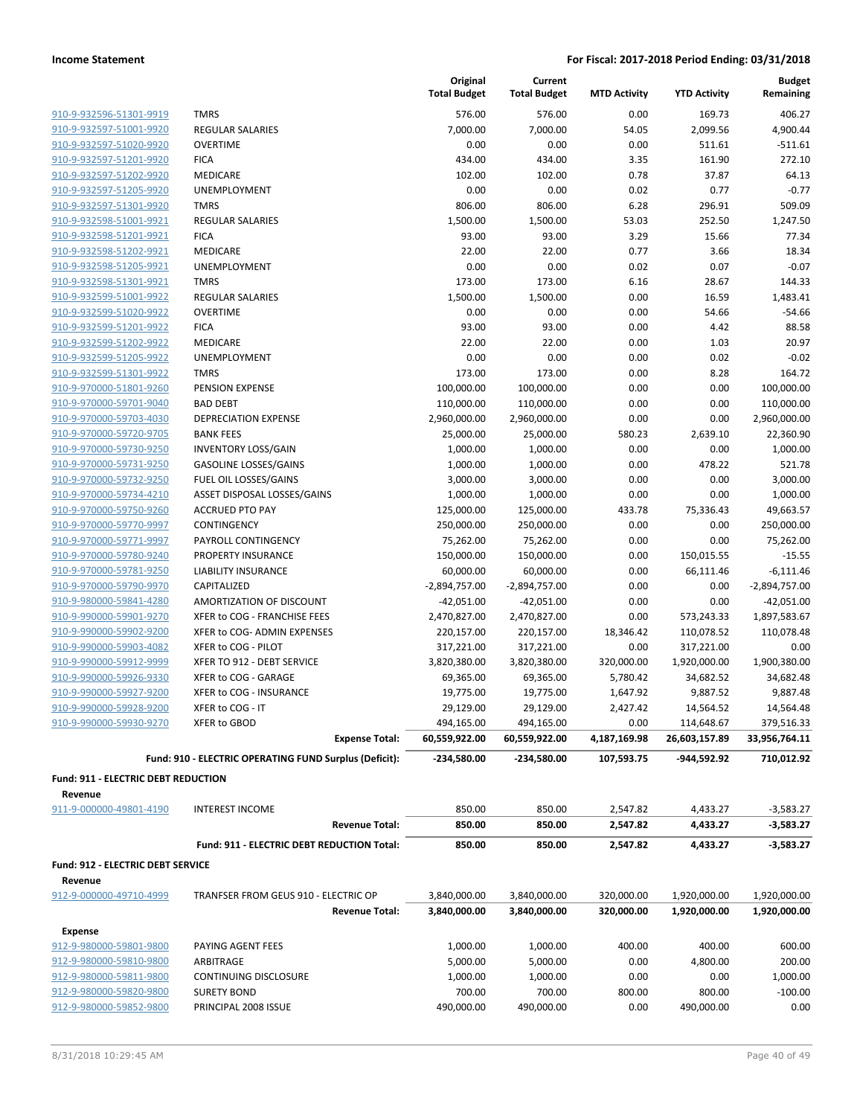| 910-9-932596-51301-9919 |
|-------------------------|
| 910-9-932597-51001-9920 |
| 910-9-932597-51020-9920 |
| 910-9-932597-51201-9920 |
| 910-9-932597-51202-9920 |
| 910-9-932597-51205-9920 |
| 910-9-932597-51301-9920 |
| 910-9-932598-51001-9921 |
| 910-9-932598-51201-9921 |
| 910-9-932598-51202-9921 |
| 910-9-932598-51205-9921 |
| 910-9-932598-51301-9921 |
| 910-9-932599-51001-9922 |
| 910-9-932599-51020-9922 |
| 910-9-932599-51201-9922 |
| 910-9-932599-51202-9922 |
| 910-9-932599-51205-9922 |
| 910-9-932599-51301-9922 |
| 910-9-970000-51801-9260 |
| 910-9-970000-59701-9040 |
| 910-9-970000-59703-4030 |
| 910-9-970000-59720-9705 |
| 910-9-970000-59730-9250 |
| 910-9-970000-59731-9250 |
| 910-9-970000-59732-9250 |
| 910-9-970000-59734-4210 |
| 910-9-970000-59750-9260 |
| 910-9-970000-59770-9997 |
| 910-9-970000-59771-9997 |
| 910-9-970000-59780-9240 |
| 910-9-970000-59781-9250 |
| 910-9-970000-59790-9970 |
| 910-9-980000-59841-4280 |
| 910-9-990000-59901-9270 |
| 910-9-990000-59902-9200 |
| 910-9-990000-59903-4082 |
| 910-9-990000-59912-9999 |
| 910-9-990000-59926-9330 |
| 910-9-990000-59927-9200 |
|                         |
| 910-9-990000-59928-9200 |
| 910-9-990000-59930-9270 |

|                                     |                                                               | Original<br><b>Total Budget</b> | Current<br><b>Total Budget</b> | <b>MTD Activity</b>      | <b>YTD Activity</b>          | <b>Budget</b><br>Remaining   |
|-------------------------------------|---------------------------------------------------------------|---------------------------------|--------------------------------|--------------------------|------------------------------|------------------------------|
| 910-9-932596-51301-9919             | <b>TMRS</b>                                                   | 576.00                          | 576.00                         | 0.00                     | 169.73                       | 406.27                       |
| 910-9-932597-51001-9920             | REGULAR SALARIES                                              | 7,000.00                        | 7,000.00                       | 54.05                    | 2,099.56                     | 4,900.44                     |
| 910-9-932597-51020-9920             | <b>OVERTIME</b>                                               | 0.00                            | 0.00                           | 0.00                     | 511.61                       | $-511.61$                    |
| 910-9-932597-51201-9920             | <b>FICA</b>                                                   | 434.00                          | 434.00                         | 3.35                     | 161.90                       | 272.10                       |
| 910-9-932597-51202-9920             | <b>MEDICARE</b>                                               | 102.00                          | 102.00                         | 0.78                     | 37.87                        | 64.13                        |
| 910-9-932597-51205-9920             | <b>UNEMPLOYMENT</b>                                           | 0.00                            | 0.00                           | 0.02                     | 0.77                         | $-0.77$                      |
| 910-9-932597-51301-9920             | <b>TMRS</b>                                                   | 806.00                          | 806.00                         | 6.28                     | 296.91                       | 509.09                       |
| 910-9-932598-51001-9921             | <b>REGULAR SALARIES</b>                                       | 1,500.00                        | 1,500.00                       | 53.03                    | 252.50                       | 1,247.50                     |
| 910-9-932598-51201-9921             | <b>FICA</b>                                                   | 93.00                           | 93.00                          | 3.29                     | 15.66                        | 77.34                        |
| 910-9-932598-51202-9921             | MEDICARE                                                      | 22.00                           | 22.00                          | 0.77                     | 3.66                         | 18.34                        |
| 910-9-932598-51205-9921             | <b>UNEMPLOYMENT</b>                                           | 0.00                            | 0.00                           | 0.02                     | 0.07                         | $-0.07$                      |
| 910-9-932598-51301-9921             | <b>TMRS</b>                                                   | 173.00                          | 173.00                         | 6.16                     | 28.67                        | 144.33                       |
| 910-9-932599-51001-9922             | <b>REGULAR SALARIES</b>                                       | 1,500.00                        | 1,500.00                       | 0.00                     | 16.59                        | 1,483.41                     |
| 910-9-932599-51020-9922             | <b>OVERTIME</b>                                               | 0.00                            | 0.00                           | 0.00                     | 54.66                        | $-54.66$                     |
| 910-9-932599-51201-9922             | <b>FICA</b>                                                   | 93.00                           | 93.00                          | 0.00                     | 4.42                         | 88.58                        |
| 910-9-932599-51202-9922             | MEDICARE                                                      | 22.00                           | 22.00                          | 0.00                     | 1.03                         | 20.97                        |
| 910-9-932599-51205-9922             | <b>UNEMPLOYMENT</b>                                           | 0.00                            | 0.00                           | 0.00                     | 0.02                         | $-0.02$                      |
| 910-9-932599-51301-9922             | <b>TMRS</b>                                                   | 173.00                          | 173.00                         | 0.00                     | 8.28                         | 164.72                       |
| 910-9-970000-51801-9260             | PENSION EXPENSE                                               | 100,000.00                      | 100,000.00                     | 0.00                     | 0.00                         | 100,000.00                   |
| 910-9-970000-59701-9040             | <b>BAD DEBT</b>                                               | 110,000.00                      | 110,000.00                     | 0.00                     | 0.00                         | 110,000.00                   |
| 910-9-970000-59703-4030             | <b>DEPRECIATION EXPENSE</b>                                   | 2,960,000.00                    | 2,960,000.00                   | 0.00                     | 0.00                         | 2,960,000.00                 |
| 910-9-970000-59720-9705             | <b>BANK FEES</b>                                              | 25,000.00                       | 25,000.00                      | 580.23                   | 2,639.10                     | 22,360.90                    |
| 910-9-970000-59730-9250             | <b>INVENTORY LOSS/GAIN</b>                                    | 1,000.00                        | 1,000.00                       | 0.00                     | 0.00                         | 1,000.00                     |
| 910-9-970000-59731-9250             | <b>GASOLINE LOSSES/GAINS</b>                                  | 1,000.00                        | 1,000.00                       | 0.00                     | 478.22                       | 521.78                       |
| 910-9-970000-59732-9250             | FUEL OIL LOSSES/GAINS                                         | 3,000.00                        | 3,000.00                       | 0.00                     | 0.00                         | 3,000.00                     |
| 910-9-970000-59734-4210             | ASSET DISPOSAL LOSSES/GAINS                                   | 1,000.00                        | 1,000.00                       | 0.00                     | 0.00                         | 1,000.00                     |
| 910-9-970000-59750-9260             | <b>ACCRUED PTO PAY</b>                                        | 125,000.00                      | 125,000.00                     | 433.78                   | 75,336.43                    | 49,663.57                    |
| 910-9-970000-59770-9997             | CONTINGENCY                                                   | 250,000.00                      | 250,000.00                     | 0.00                     | 0.00                         | 250,000.00                   |
| 910-9-970000-59771-9997             | PAYROLL CONTINGENCY                                           | 75,262.00                       | 75,262.00                      | 0.00                     | 0.00                         | 75,262.00                    |
| 910-9-970000-59780-9240             | PROPERTY INSURANCE                                            | 150,000.00                      | 150,000.00                     | 0.00                     | 150,015.55                   | $-15.55$                     |
| 910-9-970000-59781-9250             | LIABILITY INSURANCE                                           | 60,000.00                       | 60,000.00                      | 0.00                     | 66,111.46                    | $-6,111.46$                  |
| 910-9-970000-59790-9970             | CAPITALIZED                                                   | -2,894,757.00                   | $-2,894,757.00$                | 0.00                     | 0.00                         | $-2,894,757.00$              |
| 910-9-980000-59841-4280             | AMORTIZATION OF DISCOUNT                                      | $-42,051.00$                    | $-42,051.00$                   | 0.00                     | 0.00                         | $-42,051.00$                 |
| 910-9-990000-59901-9270             | XFER to COG - FRANCHISE FEES                                  | 2,470,827.00                    | 2,470,827.00                   | 0.00                     | 573,243.33                   | 1,897,583.67                 |
| 910-9-990000-59902-9200             | XFER to COG- ADMIN EXPENSES                                   | 220,157.00                      | 220,157.00                     | 18,346.42                | 110,078.52                   | 110,078.48                   |
| 910-9-990000-59903-4082             | XFER to COG - PILOT                                           | 317,221.00                      | 317,221.00                     | 0.00                     | 317,221.00                   | 0.00                         |
| 910-9-990000-59912-9999             | XFER TO 912 - DEBT SERVICE                                    | 3,820,380.00                    | 3,820,380.00                   | 320,000.00               | 1,920,000.00                 | 1,900,380.00                 |
| 910-9-990000-59926-9330             | XFER to COG - GARAGE                                          | 69,365.00                       | 69,365.00                      | 5,780.42                 | 34,682.52                    | 34,682.48                    |
| 910-9-990000-59927-9200             | XFER to COG - INSURANCE                                       | 19,775.00                       | 19,775.00                      | 1,647.92                 | 9,887.52                     | 9,887.48                     |
| 910-9-990000-59928-9200             | XFER to COG - IT                                              | 29,129.00                       | 29,129.00                      | 2,427.42                 | 14,564.52                    | 14,564.48                    |
| 910-9-990000-59930-9270             | XFER to GBOD                                                  | 494,165.00                      | 494,165.00                     | 0.00                     | 114,648.67                   | 379,516.33                   |
|                                     | <b>Expense Total:</b>                                         | 60,559,922.00                   | 60,559,922.00                  | 4,187,169.98             | 26,603,157.89                | 33,956,764.11                |
|                                     | Fund: 910 - ELECTRIC OPERATING FUND Surplus (Deficit):        | -234,580.00                     | -234,580.00                    | 107,593.75               | -944,592.92                  | 710,012.92                   |
| Fund: 911 - ELECTRIC DEBT REDUCTION |                                                               |                                 |                                |                          |                              |                              |
| Revenue                             |                                                               |                                 |                                |                          |                              |                              |
| 911-9-000000-49801-4190             | <b>INTEREST INCOME</b>                                        | 850.00                          | 850.00                         | 2,547.82                 | 4,433.27                     | $-3,583.27$                  |
|                                     | <b>Revenue Total:</b>                                         | 850.00                          | 850.00                         | 2,547.82                 | 4,433.27                     | $-3,583.27$                  |
|                                     | Fund: 911 - ELECTRIC DEBT REDUCTION Total:                    | 850.00                          | 850.00                         | 2,547.82                 | 4,433.27                     | $-3,583.27$                  |
| Fund: 912 - ELECTRIC DEBT SERVICE   |                                                               |                                 |                                |                          |                              |                              |
| Revenue                             |                                                               |                                 |                                |                          |                              |                              |
| 912-9-000000-49710-4999             | TRANFSER FROM GEUS 910 - ELECTRIC OP<br><b>Revenue Total:</b> | 3,840,000.00<br>3,840,000.00    | 3,840,000.00<br>3,840,000.00   | 320,000.00<br>320,000.00 | 1,920,000.00<br>1,920,000.00 | 1,920,000.00<br>1,920,000.00 |
|                                     |                                                               |                                 |                                |                          |                              |                              |
| <b>Expense</b>                      |                                                               |                                 |                                |                          |                              |                              |
| 912-9-980000-59801-9800             | PAYING AGENT FEES                                             | 1,000.00                        | 1,000.00                       | 400.00                   | 400.00                       | 600.00                       |
| 912-9-980000-59810-9800             | ARBITRAGE                                                     | 5,000.00                        | 5,000.00                       | 0.00                     | 4,800.00                     | 200.00                       |
| 912-9-980000-59811-9800             | CONTINUING DISCLOSURE                                         | 1,000.00                        | 1,000.00                       | 0.00                     | 0.00                         | 1,000.00                     |
| 912-9-980000-59820-9800             | <b>SURETY BOND</b>                                            | 700.00                          | 700.00                         | 800.00                   | 800.00                       | $-100.00$                    |
| 912-9-980000-59852-9800             | PRINCIPAL 2008 ISSUE                                          | 490,000.00                      | 490,000.00                     | 0.00                     | 490,000.00                   | 0.00                         |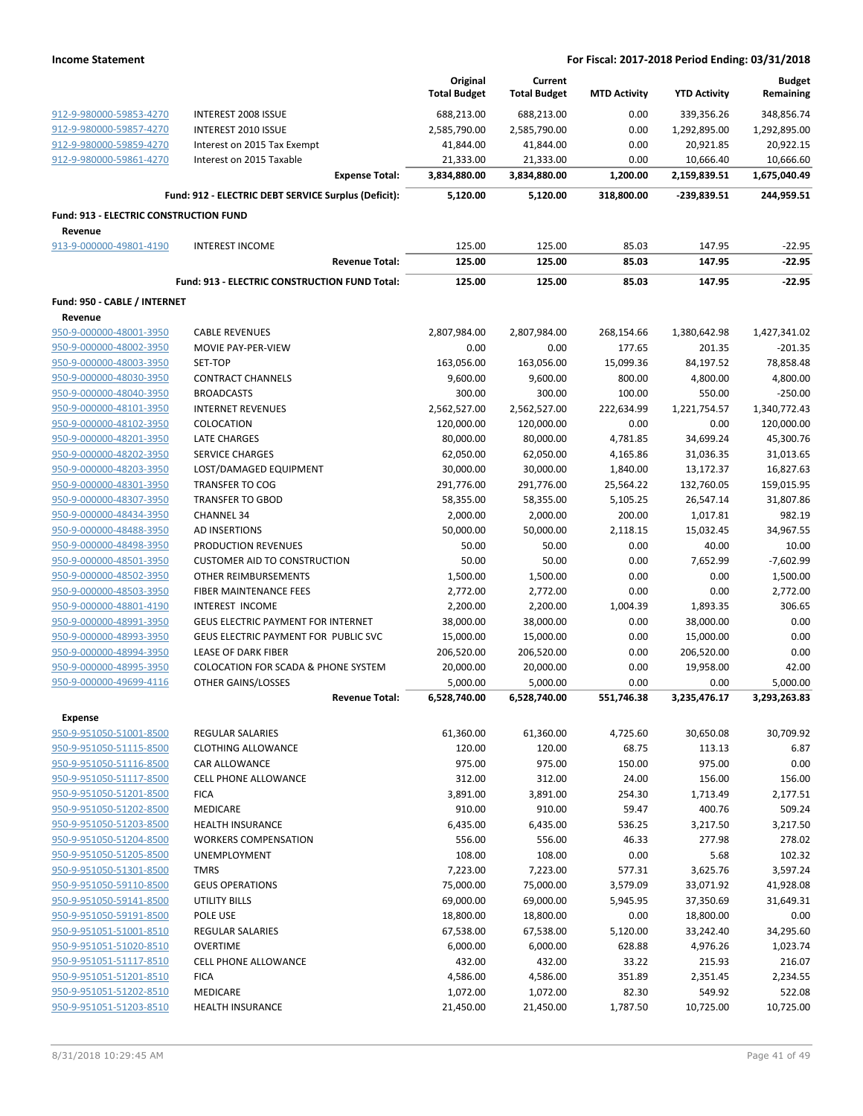|                                               |                                                      | Original<br><b>Total Budget</b> | Current<br><b>Total Budget</b> | <b>MTD Activity</b> | <b>YTD Activity</b> | <b>Budget</b><br>Remaining |
|-----------------------------------------------|------------------------------------------------------|---------------------------------|--------------------------------|---------------------|---------------------|----------------------------|
| 912-9-980000-59853-4270                       | <b>INTEREST 2008 ISSUE</b>                           | 688,213.00                      | 688,213.00                     | 0.00                | 339,356.26          | 348,856.74                 |
| 912-9-980000-59857-4270                       | <b>INTEREST 2010 ISSUE</b>                           | 2,585,790.00                    | 2,585,790.00                   | 0.00                | 1,292,895.00        | 1,292,895.00               |
| 912-9-980000-59859-4270                       | Interest on 2015 Tax Exempt                          | 41,844.00                       | 41,844.00                      | 0.00                | 20,921.85           | 20,922.15                  |
| 912-9-980000-59861-4270                       | Interest on 2015 Taxable                             | 21,333.00                       | 21,333.00                      | 0.00                | 10,666.40           | 10,666.60                  |
|                                               | <b>Expense Total:</b>                                | 3,834,880.00                    | 3,834,880.00                   | 1,200.00            | 2,159,839.51        | 1,675,040.49               |
|                                               | Fund: 912 - ELECTRIC DEBT SERVICE Surplus (Deficit): | 5,120.00                        | 5,120.00                       | 318,800.00          | $-239,839.51$       | 244,959.51                 |
| <b>Fund: 913 - ELECTRIC CONSTRUCTION FUND</b> |                                                      |                                 |                                |                     |                     |                            |
| Revenue                                       |                                                      |                                 |                                |                     |                     |                            |
| 913-9-000000-49801-4190                       | <b>INTEREST INCOME</b>                               | 125.00                          | 125.00                         | 85.03               | 147.95              | $-22.95$                   |
|                                               | <b>Revenue Total:</b>                                | 125.00                          | 125.00                         | 85.03               | 147.95              | $-22.95$                   |
|                                               | Fund: 913 - ELECTRIC CONSTRUCTION FUND Total:        | 125.00                          | 125.00                         | 85.03               | 147.95              | $-22.95$                   |
| Fund: 950 - CABLE / INTERNET                  |                                                      |                                 |                                |                     |                     |                            |
| Revenue                                       |                                                      |                                 |                                |                     |                     |                            |
| 950-9-000000-48001-3950                       | <b>CABLE REVENUES</b>                                | 2,807,984.00                    | 2,807,984.00                   | 268,154.66          | 1,380,642.98        | 1,427,341.02               |
| 950-9-000000-48002-3950                       | MOVIE PAY-PER-VIEW                                   | 0.00                            | 0.00                           | 177.65              | 201.35              | $-201.35$                  |
| 950-9-000000-48003-3950                       | SET-TOP                                              | 163,056.00                      | 163,056.00                     | 15,099.36           | 84,197.52           | 78,858.48                  |
| 950-9-000000-48030-3950                       | <b>CONTRACT CHANNELS</b>                             | 9,600.00                        | 9,600.00                       | 800.00              | 4,800.00            | 4,800.00                   |
| 950-9-000000-48040-3950                       | <b>BROADCASTS</b>                                    | 300.00                          | 300.00                         | 100.00              | 550.00              | $-250.00$                  |
| 950-9-000000-48101-3950                       | <b>INTERNET REVENUES</b>                             | 2,562,527.00                    | 2,562,527.00                   | 222,634.99          | 1,221,754.57        | 1,340,772.43               |
| 950-9-000000-48102-3950                       | COLOCATION                                           | 120,000.00                      | 120,000.00                     | 0.00                | 0.00                | 120,000.00                 |
| 950-9-000000-48201-3950                       | <b>LATE CHARGES</b>                                  | 80,000.00                       | 80,000.00                      | 4,781.85            | 34,699.24           | 45,300.76                  |
| 950-9-000000-48202-3950                       | <b>SERVICE CHARGES</b>                               | 62,050.00                       | 62,050.00                      | 4,165.86            | 31,036.35           | 31,013.65                  |
| 950-9-000000-48203-3950                       | LOST/DAMAGED EQUIPMENT                               | 30,000.00                       | 30,000.00                      | 1,840.00            | 13,172.37           | 16,827.63                  |
| 950-9-000000-48301-3950                       | <b>TRANSFER TO COG</b>                               | 291,776.00                      | 291,776.00                     | 25,564.22           | 132,760.05          | 159,015.95                 |
| 950-9-000000-48307-3950                       | <b>TRANSFER TO GBOD</b>                              | 58,355.00                       | 58,355.00                      | 5,105.25            | 26,547.14           | 31,807.86                  |
| 950-9-000000-48434-3950                       | <b>CHANNEL 34</b>                                    | 2,000.00                        | 2,000.00                       | 200.00              | 1,017.81            | 982.19                     |
| 950-9-000000-48488-3950                       | <b>AD INSERTIONS</b>                                 | 50,000.00                       | 50,000.00                      | 2,118.15            | 15,032.45           | 34,967.55                  |
| 950-9-000000-48498-3950                       | PRODUCTION REVENUES                                  | 50.00                           | 50.00                          | 0.00                | 40.00               | 10.00                      |
| 950-9-000000-48501-3950                       | <b>CUSTOMER AID TO CONSTRUCTION</b>                  | 50.00                           | 50.00                          | 0.00                | 7,652.99            | $-7,602.99$                |
| 950-9-000000-48502-3950                       | OTHER REIMBURSEMENTS                                 | 1,500.00                        | 1,500.00                       | 0.00                | 0.00                | 1,500.00                   |
| 950-9-000000-48503-3950                       | FIBER MAINTENANCE FEES                               | 2,772.00                        | 2,772.00                       | 0.00                | 0.00                | 2,772.00                   |
| 950-9-000000-48801-4190                       | <b>INTEREST INCOME</b>                               | 2,200.00                        | 2,200.00                       | 1,004.39            | 1,893.35            | 306.65                     |
| 950-9-000000-48991-3950                       | <b>GEUS ELECTRIC PAYMENT FOR INTERNET</b>            | 38,000.00                       | 38,000.00                      | 0.00                | 38,000.00           | 0.00                       |
| 950-9-000000-48993-3950                       | GEUS ELECTRIC PAYMENT FOR PUBLIC SVC                 | 15,000.00                       | 15,000.00                      | 0.00                | 15,000.00           | 0.00                       |
| 950-9-000000-48994-3950                       | <b>LEASE OF DARK FIBER</b>                           | 206,520.00                      | 206,520.00                     | 0.00                | 206,520.00          | 0.00                       |
| 950-9-000000-48995-3950                       | <b>COLOCATION FOR SCADA &amp; PHONE SYSTEM</b>       | 20,000.00                       | 20,000.00                      | 0.00                | 19,958.00           | 42.00                      |
| 950-9-000000-49699-4116                       | OTHER GAINS/LOSSES                                   | 5,000.00                        | 5,000.00                       | 0.00                | 0.00                | 5,000.00                   |
|                                               | <b>Revenue Total:</b>                                | 6,528,740.00                    | 6,528,740.00                   | 551,746.38          | 3,235,476.17        | 3,293,263.83               |
| <b>Expense</b>                                |                                                      |                                 |                                |                     |                     |                            |
| 950-9-951050-51001-8500                       | REGULAR SALARIES                                     | 61,360.00                       | 61,360.00                      | 4,725.60            | 30,650.08           | 30,709.92                  |
| 950-9-951050-51115-8500                       | <b>CLOTHING ALLOWANCE</b>                            | 120.00                          | 120.00                         | 68.75               | 113.13              | 6.87                       |
| 950-9-951050-51116-8500                       | <b>CAR ALLOWANCE</b>                                 | 975.00                          | 975.00                         | 150.00              | 975.00              | 0.00                       |
| 950-9-951050-51117-8500                       | <b>CELL PHONE ALLOWANCE</b>                          | 312.00                          | 312.00                         | 24.00               | 156.00              | 156.00                     |
| 950-9-951050-51201-8500                       | <b>FICA</b>                                          | 3,891.00                        | 3,891.00                       | 254.30              | 1,713.49            | 2,177.51                   |
| 950-9-951050-51202-8500                       | MEDICARE                                             | 910.00                          | 910.00                         | 59.47               | 400.76              | 509.24                     |
| 950-9-951050-51203-8500                       | <b>HEALTH INSURANCE</b>                              | 6,435.00                        | 6,435.00                       | 536.25              | 3,217.50            | 3,217.50                   |
| 950-9-951050-51204-8500                       | <b>WORKERS COMPENSATION</b>                          | 556.00                          | 556.00                         | 46.33               | 277.98              | 278.02                     |
| 950-9-951050-51205-8500                       | UNEMPLOYMENT                                         | 108.00                          | 108.00                         | 0.00                | 5.68                | 102.32                     |
| 950-9-951050-51301-8500                       | <b>TMRS</b>                                          | 7,223.00                        | 7,223.00                       | 577.31              | 3,625.76            | 3,597.24                   |
| 950-9-951050-59110-8500                       | <b>GEUS OPERATIONS</b>                               | 75,000.00                       | 75,000.00                      | 3,579.09            | 33,071.92           | 41,928.08                  |
| 950-9-951050-59141-8500                       | UTILITY BILLS                                        | 69,000.00                       | 69,000.00                      | 5,945.95            | 37,350.69           | 31,649.31                  |
| 950-9-951050-59191-8500                       | POLE USE                                             | 18,800.00                       | 18,800.00                      | 0.00                | 18,800.00           | 0.00                       |
|                                               |                                                      |                                 |                                |                     |                     |                            |
| 950-9-951051-51001-8510                       | REGULAR SALARIES                                     | 67,538.00                       | 67,538.00                      | 5,120.00            | 33,242.40           | 34,295.60                  |
| 950-9-951051-51020-8510                       | <b>OVERTIME</b>                                      | 6,000.00                        | 6,000.00                       | 628.88              | 4,976.26            | 1,023.74                   |
| 950-9-951051-51117-8510                       | CELL PHONE ALLOWANCE                                 | 432.00                          | 432.00                         | 33.22               | 215.93              | 216.07                     |
| 950-9-951051-51201-8510                       | <b>FICA</b>                                          | 4,586.00                        | 4,586.00                       | 351.89              | 2,351.45            | 2,234.55                   |
| 950-9-951051-51202-8510                       | MEDICARE                                             | 1,072.00                        | 1,072.00                       | 82.30               | 549.92              | 522.08                     |
| 950-9-951051-51203-8510                       | <b>HEALTH INSURANCE</b>                              | 21,450.00                       | 21,450.00                      | 1,787.50            | 10,725.00           | 10,725.00                  |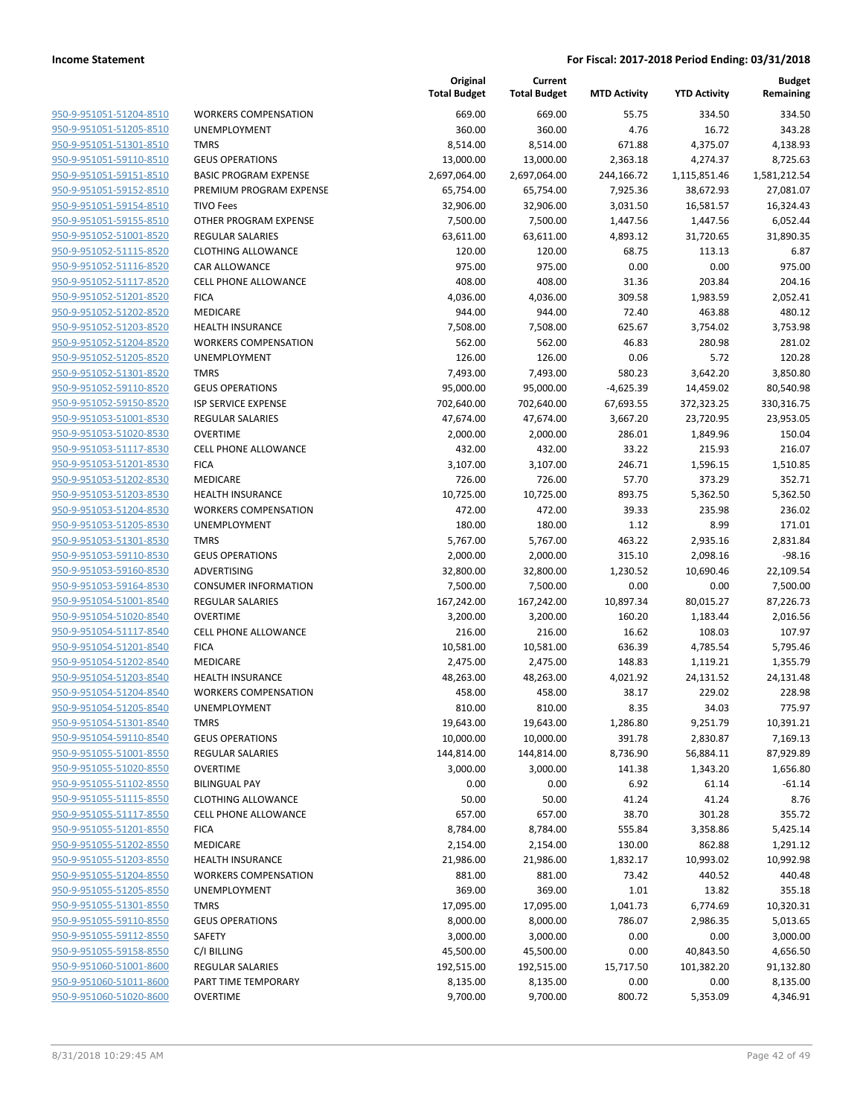|                                                    |                              | Original<br><b>Total Budget</b> | Current<br><b>Total Budget</b> | <b>MTD Activity</b> | <b>YTD Activity</b> | <b>Budget</b><br>Remaining |
|----------------------------------------------------|------------------------------|---------------------------------|--------------------------------|---------------------|---------------------|----------------------------|
| 950-9-951051-51204-8510                            | <b>WORKERS COMPENSATION</b>  | 669.00                          | 669.00                         | 55.75               | 334.50              | 334.50                     |
| 950-9-951051-51205-8510                            | UNEMPLOYMENT                 | 360.00                          | 360.00                         | 4.76                | 16.72               | 343.28                     |
| 950-9-951051-51301-8510                            | <b>TMRS</b>                  | 8,514.00                        | 8,514.00                       | 671.88              | 4,375.07            | 4,138.93                   |
| 950-9-951051-59110-8510                            | <b>GEUS OPERATIONS</b>       | 13,000.00                       | 13,000.00                      | 2,363.18            | 4,274.37            | 8,725.63                   |
| 950-9-951051-59151-8510                            | <b>BASIC PROGRAM EXPENSE</b> | 2,697,064.00                    | 2,697,064.00                   | 244,166.72          | 1,115,851.46        | 1,581,212.54               |
| 950-9-951051-59152-8510                            | PREMIUM PROGRAM EXPENSE      | 65,754.00                       | 65,754.00                      | 7,925.36            | 38,672.93           | 27,081.07                  |
| 950-9-951051-59154-8510                            | <b>TIVO Fees</b>             | 32,906.00                       | 32,906.00                      | 3,031.50            | 16,581.57           | 16,324.43                  |
| 950-9-951051-59155-8510                            | OTHER PROGRAM EXPENSE        | 7,500.00                        | 7,500.00                       | 1,447.56            | 1,447.56            | 6,052.44                   |
| 950-9-951052-51001-8520                            | <b>REGULAR SALARIES</b>      | 63,611.00                       | 63,611.00                      | 4,893.12            | 31,720.65           | 31,890.35                  |
| 950-9-951052-51115-8520                            | <b>CLOTHING ALLOWANCE</b>    | 120.00                          | 120.00                         | 68.75               | 113.13              | 6.87                       |
| 950-9-951052-51116-8520                            | CAR ALLOWANCE                | 975.00                          | 975.00                         | 0.00                | 0.00                | 975.00                     |
| 950-9-951052-51117-8520                            | CELL PHONE ALLOWANCE         | 408.00                          | 408.00                         | 31.36               | 203.84              | 204.16                     |
| 950-9-951052-51201-8520                            | <b>FICA</b>                  | 4,036.00                        | 4,036.00                       | 309.58              | 1,983.59            | 2,052.41                   |
| 950-9-951052-51202-8520                            | MEDICARE                     | 944.00                          | 944.00                         | 72.40               | 463.88              | 480.12                     |
| 950-9-951052-51203-8520                            | <b>HEALTH INSURANCE</b>      | 7,508.00                        | 7,508.00                       | 625.67              | 3,754.02            | 3,753.98                   |
| 950-9-951052-51204-8520                            | <b>WORKERS COMPENSATION</b>  | 562.00                          | 562.00                         | 46.83               | 280.98              | 281.02                     |
| 950-9-951052-51205-8520                            | UNEMPLOYMENT                 | 126.00                          | 126.00                         | 0.06                | 5.72                | 120.28                     |
| 950-9-951052-51301-8520                            | <b>TMRS</b>                  | 7,493.00                        | 7,493.00                       | 580.23              | 3,642.20            | 3,850.80                   |
| 950-9-951052-59110-8520                            | <b>GEUS OPERATIONS</b>       | 95,000.00                       | 95,000.00                      | $-4,625.39$         | 14,459.02           | 80,540.98                  |
| 950-9-951052-59150-8520                            | <b>ISP SERVICE EXPENSE</b>   | 702,640.00                      | 702,640.00                     | 67,693.55           | 372,323.25          | 330,316.75                 |
| 950-9-951053-51001-8530                            | <b>REGULAR SALARIES</b>      | 47,674.00                       | 47,674.00                      | 3,667.20            | 23,720.95           | 23,953.05                  |
| 950-9-951053-51020-8530                            | <b>OVERTIME</b>              | 2,000.00                        | 2,000.00                       | 286.01              | 1,849.96            | 150.04                     |
| 950-9-951053-51117-8530                            | <b>CELL PHONE ALLOWANCE</b>  | 432.00                          | 432.00                         | 33.22               | 215.93              | 216.07                     |
| 950-9-951053-51201-8530                            | <b>FICA</b>                  | 3,107.00<br>726.00              | 3,107.00                       | 246.71              | 1,596.15            | 1,510.85                   |
| 950-9-951053-51202-8530                            | MEDICARE                     |                                 | 726.00                         | 57.70               | 373.29              | 352.71                     |
| 950-9-951053-51203-8530                            | <b>HEALTH INSURANCE</b>      | 10,725.00                       | 10,725.00                      | 893.75              | 5,362.50            | 5,362.50                   |
| 950-9-951053-51204-8530                            | <b>WORKERS COMPENSATION</b>  | 472.00                          | 472.00                         | 39.33               | 235.98              | 236.02                     |
| 950-9-951053-51205-8530<br>950-9-951053-51301-8530 | UNEMPLOYMENT<br><b>TMRS</b>  | 180.00<br>5,767.00              | 180.00<br>5,767.00             | 1.12<br>463.22      | 8.99<br>2,935.16    | 171.01<br>2,831.84         |
| 950-9-951053-59110-8530                            | <b>GEUS OPERATIONS</b>       | 2,000.00                        | 2,000.00                       | 315.10              | 2,098.16            | $-98.16$                   |
| 950-9-951053-59160-8530                            | ADVERTISING                  | 32,800.00                       | 32,800.00                      | 1,230.52            | 10,690.46           | 22,109.54                  |
| 950-9-951053-59164-8530                            | <b>CONSUMER INFORMATION</b>  | 7,500.00                        | 7,500.00                       | 0.00                | 0.00                | 7,500.00                   |
| 950-9-951054-51001-8540                            | REGULAR SALARIES             | 167,242.00                      | 167,242.00                     | 10,897.34           | 80,015.27           | 87,226.73                  |
| 950-9-951054-51020-8540                            | <b>OVERTIME</b>              | 3,200.00                        | 3,200.00                       | 160.20              | 1,183.44            | 2,016.56                   |
| 950-9-951054-51117-8540                            | <b>CELL PHONE ALLOWANCE</b>  | 216.00                          | 216.00                         | 16.62               | 108.03              | 107.97                     |
| 950-9-951054-51201-8540                            | <b>FICA</b>                  | 10,581.00                       | 10,581.00                      | 636.39              | 4,785.54            | 5,795.46                   |
| 950-9-951054-51202-8540                            | MEDICARE                     | 2,475.00                        | 2,475.00                       | 148.83              | 1,119.21            | 1,355.79                   |
| 950-9-951054-51203-8540                            | <b>HEALTH INSURANCE</b>      | 48,263.00                       | 48,263.00                      | 4,021.92            | 24,131.52           | 24,131.48                  |
| 950-9-951054-51204-8540                            | <b>WORKERS COMPENSATION</b>  | 458.00                          | 458.00                         | 38.17               | 229.02              | 228.98                     |
| 950-9-951054-51205-8540                            | UNEMPLOYMENT                 | 810.00                          | 810.00                         | 8.35                | 34.03               | 775.97                     |
| 950-9-951054-51301-8540                            | <b>TMRS</b>                  | 19,643.00                       | 19,643.00                      | 1,286.80            | 9,251.79            | 10,391.21                  |
| 950-9-951054-59110-8540                            | <b>GEUS OPERATIONS</b>       | 10,000.00                       | 10,000.00                      | 391.78              | 2,830.87            | 7,169.13                   |
| 950-9-951055-51001-8550                            | REGULAR SALARIES             | 144,814.00                      | 144,814.00                     | 8,736.90            | 56,884.11           | 87,929.89                  |
| 950-9-951055-51020-8550                            | <b>OVERTIME</b>              | 3,000.00                        | 3,000.00                       | 141.38              | 1,343.20            | 1,656.80                   |
| 950-9-951055-51102-8550                            | <b>BILINGUAL PAY</b>         | 0.00                            | 0.00                           | 6.92                | 61.14               | $-61.14$                   |
| 950-9-951055-51115-8550                            | <b>CLOTHING ALLOWANCE</b>    | 50.00                           | 50.00                          | 41.24               | 41.24               | 8.76                       |
| 950-9-951055-51117-8550                            | <b>CELL PHONE ALLOWANCE</b>  | 657.00                          | 657.00                         | 38.70               | 301.28              | 355.72                     |
| 950-9-951055-51201-8550                            | <b>FICA</b>                  | 8,784.00                        | 8,784.00                       | 555.84              | 3,358.86            | 5,425.14                   |
| 950-9-951055-51202-8550                            | <b>MEDICARE</b>              | 2,154.00                        | 2,154.00                       | 130.00              | 862.88              | 1,291.12                   |
| 950-9-951055-51203-8550                            | <b>HEALTH INSURANCE</b>      | 21,986.00                       | 21,986.00                      | 1,832.17            | 10,993.02           | 10,992.98                  |
| 950-9-951055-51204-8550                            | <b>WORKERS COMPENSATION</b>  | 881.00                          | 881.00                         | 73.42               | 440.52              | 440.48                     |
| 950-9-951055-51205-8550                            | <b>UNEMPLOYMENT</b>          | 369.00                          | 369.00                         | 1.01                | 13.82               | 355.18                     |
| 950-9-951055-51301-8550                            | <b>TMRS</b>                  | 17,095.00                       | 17,095.00                      | 1,041.73            | 6,774.69            | 10,320.31                  |
| 950-9-951055-59110-8550                            | <b>GEUS OPERATIONS</b>       | 8,000.00                        | 8,000.00                       | 786.07              | 2,986.35            | 5,013.65                   |
| 950-9-951055-59112-8550                            | SAFETY                       | 3,000.00                        | 3,000.00                       | 0.00                | 0.00                | 3,000.00                   |
| 950-9-951055-59158-8550                            | C/I BILLING                  | 45,500.00                       | 45,500.00                      | 0.00                | 40,843.50           | 4,656.50                   |
| 950-9-951060-51001-8600                            | REGULAR SALARIES             | 192,515.00                      | 192,515.00                     | 15,717.50           | 101,382.20          | 91,132.80                  |
| 950-9-951060-51011-8600                            | PART TIME TEMPORARY          | 8,135.00                        | 8,135.00                       | 0.00                | 0.00                | 8,135.00                   |
| 950-9-951060-51020-8600                            | <b>OVERTIME</b>              | 9,700.00                        | 9,700.00                       | 800.72              | 5,353.09            | 4,346.91                   |
|                                                    |                              |                                 |                                |                     |                     |                            |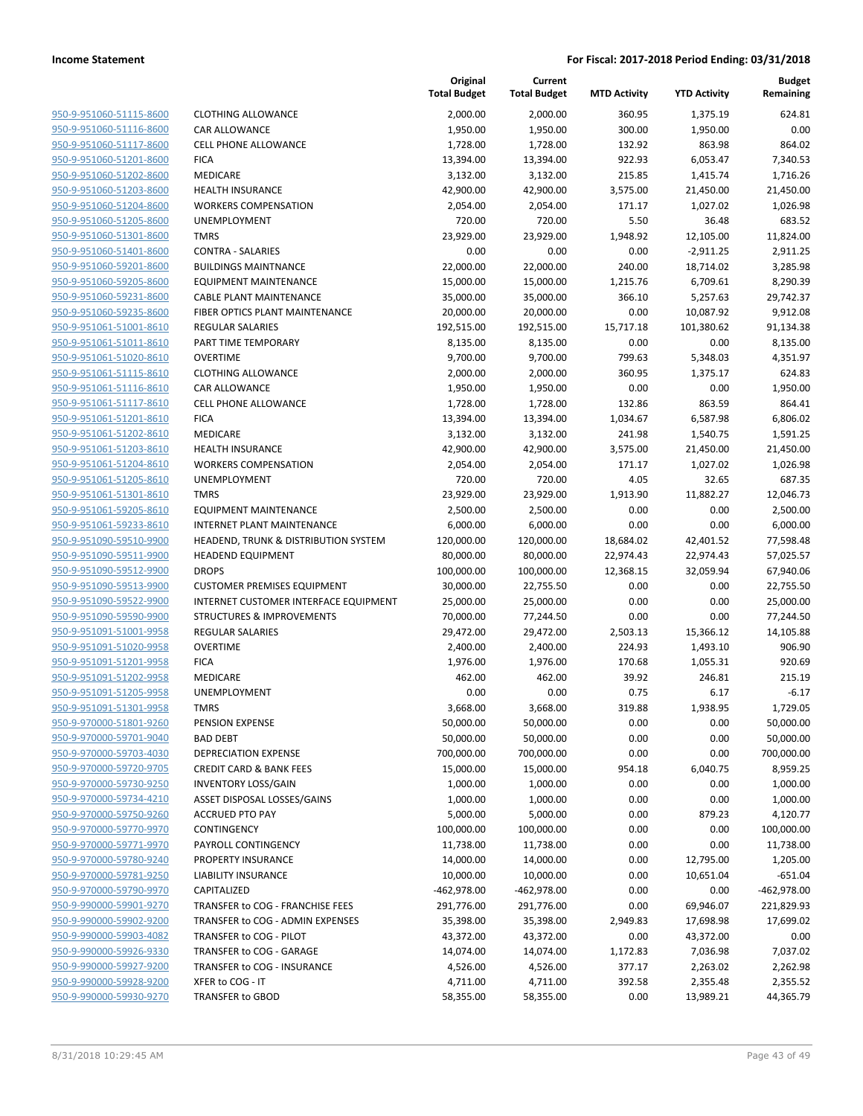| 950-9-951060-51115-8600        |
|--------------------------------|
| 950-9-951060-51116-8600        |
| 950-9-951060-51117-8600        |
| 950-9-951060-51201-8600        |
| <u>950-9-951060-51202-8600</u> |
| 950-9-951060-51203-8600        |
| 950-9-951060-51204-8600        |
|                                |
| 950-9-951060-51205-8600        |
| 950-9-951060-51301-8600        |
| 950-9-951060-51401-8600        |
| 950-9-951060-59201-8600        |
| 950-9-951060-59205-8600        |
| 950-9-951060-59231-8600        |
| 950-9-951060-59235-8600        |
| <u>950-9-951061-51001-8610</u> |
| 950-9-951061-51011-8610        |
| 950-9-951061-51020-8610        |
| 950-9-951061-51115-8610        |
| 950-9-951061-51116-8610        |
| 950-9-951061-51117-8610        |
| 950-9-951061-51201-8610        |
| 950-9-951061-51202-8610        |
| 950-9-951061-51203-8610        |
| 950-9-951061-51204-8610        |
| <u>950-9-951061-51205-8610</u> |
| 950-9-951061-51301-8610        |
| 950-9-951061-59205-8610        |
| 950-9-951061-59233-8610        |
| 950-9-951090-59510-9900        |
| 950-9-951090-59511-9900        |
| 950-9-951090-59512-9900        |
| 950-9-951090-59513-9900        |
| 950-9-951090-59522-9900        |
|                                |
| 950-9-951090-59590-9900        |
| 950-9-951091-51001-9958        |
| 950-9-951091-51020-9958        |
| 950-9-951091-51201-9958        |
| 950-9-951091-51202-9958        |
| 950-9-951091-51205-9958        |
| <u>950-9-951091-51301-9958</u> |
| 950-9-970000-51801-9260        |
| 950-9-970000-59701-9040        |
| 950-9-970000-59703-4030        |
| 950-9-970000-59720-9705        |
| <u>950-9-970000-59730-9250</u> |
| 950-9-970000-59734-4210        |
| 950-9-970000-59750-9260        |
| 950-9-970000-59770-9970        |
| 950-9-970000-59771-9970        |
| <u>950-9-970000-59780-9240</u> |
| 950-9-970000-59781-9250        |
| 950-9-970000-59790-9970        |
| 950-9-990000-59901-9270        |
| 950-9-990000-59902-9200        |
| <u>950-9-990000-59903-4082</u> |
| 950-9-990000-59926-9330        |
| 950-9-990000-59927-9200        |
| 950-9-990000-59928-9200        |
| 950-9-990000-59930-9270        |
|                                |

|                                                    |                                            | Original<br><b>Total Budget</b> | Current<br><b>Total Budget</b> | <b>MTD Activity</b> | <b>YTD Activity</b> | <b>Budget</b><br>Remaining |
|----------------------------------------------------|--------------------------------------------|---------------------------------|--------------------------------|---------------------|---------------------|----------------------------|
| 950-9-951060-51115-8600                            | <b>CLOTHING ALLOWANCE</b>                  | 2,000.00                        | 2,000.00                       | 360.95              | 1,375.19            | 624.81                     |
| 950-9-951060-51116-8600                            | <b>CAR ALLOWANCE</b>                       | 1,950.00                        | 1,950.00                       | 300.00              | 1,950.00            | 0.00                       |
| 950-9-951060-51117-8600                            | <b>CELL PHONE ALLOWANCE</b>                | 1,728.00                        | 1,728.00                       | 132.92              | 863.98              | 864.02                     |
| 950-9-951060-51201-8600                            | <b>FICA</b>                                | 13,394.00                       | 13,394.00                      | 922.93              | 6,053.47            | 7,340.53                   |
| 950-9-951060-51202-8600                            | <b>MEDICARE</b>                            | 3,132.00                        | 3,132.00                       | 215.85              | 1,415.74            | 1,716.26                   |
| 950-9-951060-51203-8600                            | <b>HEALTH INSURANCE</b>                    | 42,900.00                       | 42,900.00                      | 3,575.00            | 21,450.00           | 21,450.00                  |
| 950-9-951060-51204-8600                            | <b>WORKERS COMPENSATION</b>                | 2,054.00                        | 2,054.00                       | 171.17              | 1,027.02            | 1,026.98                   |
| 950-9-951060-51205-8600                            | <b>UNEMPLOYMENT</b>                        | 720.00                          | 720.00                         | 5.50                | 36.48               | 683.52                     |
| 950-9-951060-51301-8600                            | <b>TMRS</b>                                | 23,929.00                       | 23,929.00                      | 1,948.92            | 12,105.00           | 11,824.00                  |
| 950-9-951060-51401-8600                            | <b>CONTRA - SALARIES</b>                   | 0.00                            | 0.00                           | 0.00                | $-2,911.25$         | 2,911.25                   |
| 950-9-951060-59201-8600                            | <b>BUILDINGS MAINTNANCE</b>                | 22,000.00                       | 22,000.00                      | 240.00              | 18,714.02           | 3,285.98                   |
| 950-9-951060-59205-8600                            | <b>EQUIPMENT MAINTENANCE</b>               | 15,000.00                       | 15,000.00                      | 1,215.76            | 6,709.61            | 8,290.39                   |
| 950-9-951060-59231-8600                            | <b>CABLE PLANT MAINTENANCE</b>             | 35,000.00                       | 35,000.00                      | 366.10              | 5,257.63            | 29,742.37                  |
| 950-9-951060-59235-8600                            | FIBER OPTICS PLANT MAINTENANCE             | 20,000.00                       | 20,000.00                      | 0.00                | 10,087.92           | 9,912.08                   |
| 950-9-951061-51001-8610                            | <b>REGULAR SALARIES</b>                    | 192,515.00                      | 192,515.00                     | 15,717.18           | 101,380.62          | 91,134.38                  |
| 950-9-951061-51011-8610                            | PART TIME TEMPORARY                        | 8,135.00                        | 8,135.00                       | 0.00                | 0.00                | 8,135.00                   |
| 950-9-951061-51020-8610                            | <b>OVERTIME</b>                            | 9,700.00                        | 9,700.00                       | 799.63              | 5,348.03            | 4,351.97                   |
| 950-9-951061-51115-8610                            | <b>CLOTHING ALLOWANCE</b>                  | 2,000.00                        | 2,000.00                       | 360.95              | 1,375.17            | 624.83                     |
| 950-9-951061-51116-8610                            | <b>CAR ALLOWANCE</b>                       | 1,950.00                        | 1,950.00                       | 0.00                | 0.00                | 1,950.00                   |
| 950-9-951061-51117-8610                            | CELL PHONE ALLOWANCE                       | 1,728.00                        | 1,728.00                       | 132.86              | 863.59              | 864.41                     |
| 950-9-951061-51201-8610                            | <b>FICA</b>                                | 13,394.00                       | 13,394.00                      | 1,034.67            | 6,587.98            | 6,806.02                   |
| 950-9-951061-51202-8610                            | MEDICARE                                   | 3,132.00                        | 3,132.00                       | 241.98              | 1,540.75            | 1,591.25                   |
| 950-9-951061-51203-8610                            | <b>HEALTH INSURANCE</b>                    | 42,900.00                       | 42,900.00                      | 3,575.00            | 21,450.00           | 21,450.00                  |
| 950-9-951061-51204-8610                            | <b>WORKERS COMPENSATION</b>                | 2,054.00                        | 2,054.00                       | 171.17              | 1,027.02            | 1,026.98                   |
| 950-9-951061-51205-8610                            | UNEMPLOYMENT                               | 720.00                          | 720.00                         | 4.05                | 32.65               | 687.35                     |
| 950-9-951061-51301-8610                            | <b>TMRS</b>                                | 23,929.00                       | 23,929.00                      | 1,913.90            | 11,882.27           | 12,046.73                  |
| 950-9-951061-59205-8610                            | <b>EQUIPMENT MAINTENANCE</b>               | 2,500.00                        | 2,500.00                       | 0.00                | 0.00                | 2,500.00                   |
| 950-9-951061-59233-8610                            | <b>INTERNET PLANT MAINTENANCE</b>          | 6,000.00                        | 6,000.00                       | 0.00                | 0.00                | 6,000.00                   |
| 950-9-951090-59510-9900                            | HEADEND, TRUNK & DISTRIBUTION SYSTEM       | 120,000.00                      | 120,000.00                     | 18,684.02           | 42,401.52           | 77,598.48                  |
| 950-9-951090-59511-9900                            | <b>HEADEND EQUIPMENT</b>                   | 80,000.00                       | 80,000.00                      | 22,974.43           | 22,974.43           | 57,025.57                  |
| 950-9-951090-59512-9900                            | <b>DROPS</b>                               | 100,000.00                      | 100,000.00                     | 12,368.15           | 32,059.94           | 67,940.06                  |
| 950-9-951090-59513-9900                            | <b>CUSTOMER PREMISES EQUIPMENT</b>         | 30,000.00                       | 22,755.50                      | 0.00                | 0.00                | 22,755.50                  |
| 950-9-951090-59522-9900<br>950-9-951090-59590-9900 | INTERNET CUSTOMER INTERFACE EQUIPMENT      | 25,000.00                       | 25,000.00                      | 0.00                | 0.00                | 25,000.00                  |
| 950-9-951091-51001-9958                            | <b>STRUCTURES &amp; IMPROVEMENTS</b>       | 70,000.00                       | 77,244.50                      | 0.00                | 0.00<br>15,366.12   | 77,244.50<br>14,105.88     |
| 950-9-951091-51020-9958                            | <b>REGULAR SALARIES</b><br><b>OVERTIME</b> | 29,472.00<br>2,400.00           | 29,472.00<br>2,400.00          | 2,503.13<br>224.93  | 1,493.10            | 906.90                     |
| 950-9-951091-51201-9958                            | <b>FICA</b>                                | 1,976.00                        | 1,976.00                       | 170.68              | 1,055.31            | 920.69                     |
| 950-9-951091-51202-9958                            | <b>MEDICARE</b>                            | 462.00                          | 462.00                         | 39.92               | 246.81              | 215.19                     |
| 950-9-951091-51205-9958                            | UNEMPLOYMENT                               | 0.00                            | 0.00                           | 0.75                | 6.17                | $-6.17$                    |
| 950-9-951091-51301-9958                            | TMRS                                       | 3,668.00                        | 3,668.00                       | 319.88              | 1,938.95            | 1,729.05                   |
| 950-9-970000-51801-9260                            | PENSION EXPENSE                            | 50,000.00                       | 50,000.00                      | 0.00                | 0.00                | 50,000.00                  |
| 950-9-970000-59701-9040                            | <b>BAD DEBT</b>                            | 50,000.00                       | 50,000.00                      | 0.00                | 0.00                | 50,000.00                  |
| 950-9-970000-59703-4030                            | DEPRECIATION EXPENSE                       | 700,000.00                      | 700,000.00                     | 0.00                | 0.00                | 700,000.00                 |
| 950-9-970000-59720-9705                            | <b>CREDIT CARD &amp; BANK FEES</b>         | 15,000.00                       | 15,000.00                      | 954.18              | 6,040.75            | 8,959.25                   |
| 950-9-970000-59730-9250                            | <b>INVENTORY LOSS/GAIN</b>                 | 1,000.00                        | 1,000.00                       | 0.00                | 0.00                | 1,000.00                   |
| 950-9-970000-59734-4210                            | ASSET DISPOSAL LOSSES/GAINS                | 1,000.00                        | 1,000.00                       | 0.00                | 0.00                | 1,000.00                   |
| 950-9-970000-59750-9260                            | <b>ACCRUED PTO PAY</b>                     | 5,000.00                        | 5,000.00                       | 0.00                | 879.23              | 4,120.77                   |
| 950-9-970000-59770-9970                            | CONTINGENCY                                | 100,000.00                      | 100,000.00                     | 0.00                | 0.00                | 100,000.00                 |
| 950-9-970000-59771-9970                            | PAYROLL CONTINGENCY                        | 11,738.00                       | 11,738.00                      | 0.00                | 0.00                | 11,738.00                  |
| 950-9-970000-59780-9240                            | PROPERTY INSURANCE                         | 14,000.00                       | 14,000.00                      | 0.00                | 12,795.00           | 1,205.00                   |
| 950-9-970000-59781-9250                            | LIABILITY INSURANCE                        | 10,000.00                       | 10,000.00                      | 0.00                | 10,651.04           | $-651.04$                  |
| 950-9-970000-59790-9970                            | CAPITALIZED                                | -462,978.00                     | -462,978.00                    | 0.00                | 0.00                | $-462,978.00$              |
| 950-9-990000-59901-9270                            | TRANSFER to COG - FRANCHISE FEES           | 291,776.00                      | 291,776.00                     | 0.00                | 69,946.07           | 221,829.93                 |
| 950-9-990000-59902-9200                            | TRANSFER to COG - ADMIN EXPENSES           | 35,398.00                       | 35,398.00                      | 2,949.83            | 17,698.98           | 17,699.02                  |
| 950-9-990000-59903-4082                            | TRANSFER to COG - PILOT                    | 43,372.00                       | 43,372.00                      | 0.00                | 43,372.00           | 0.00                       |
| 950-9-990000-59926-9330                            | TRANSFER to COG - GARAGE                   | 14,074.00                       | 14,074.00                      | 1,172.83            | 7,036.98            | 7,037.02                   |
| 950-9-990000-59927-9200                            | TRANSFER to COG - INSURANCE                | 4,526.00                        | 4,526.00                       | 377.17              | 2,263.02            | 2,262.98                   |
| 950-9-990000-59928-9200                            | XFER to COG - IT                           | 4,711.00                        | 4,711.00                       | 392.58              | 2,355.48            | 2,355.52                   |
| 950-9-990000-59930-9270                            | TRANSFER to GBOD                           | 58,355.00                       | 58,355.00                      | 0.00                | 13,989.21           | 44,365.79                  |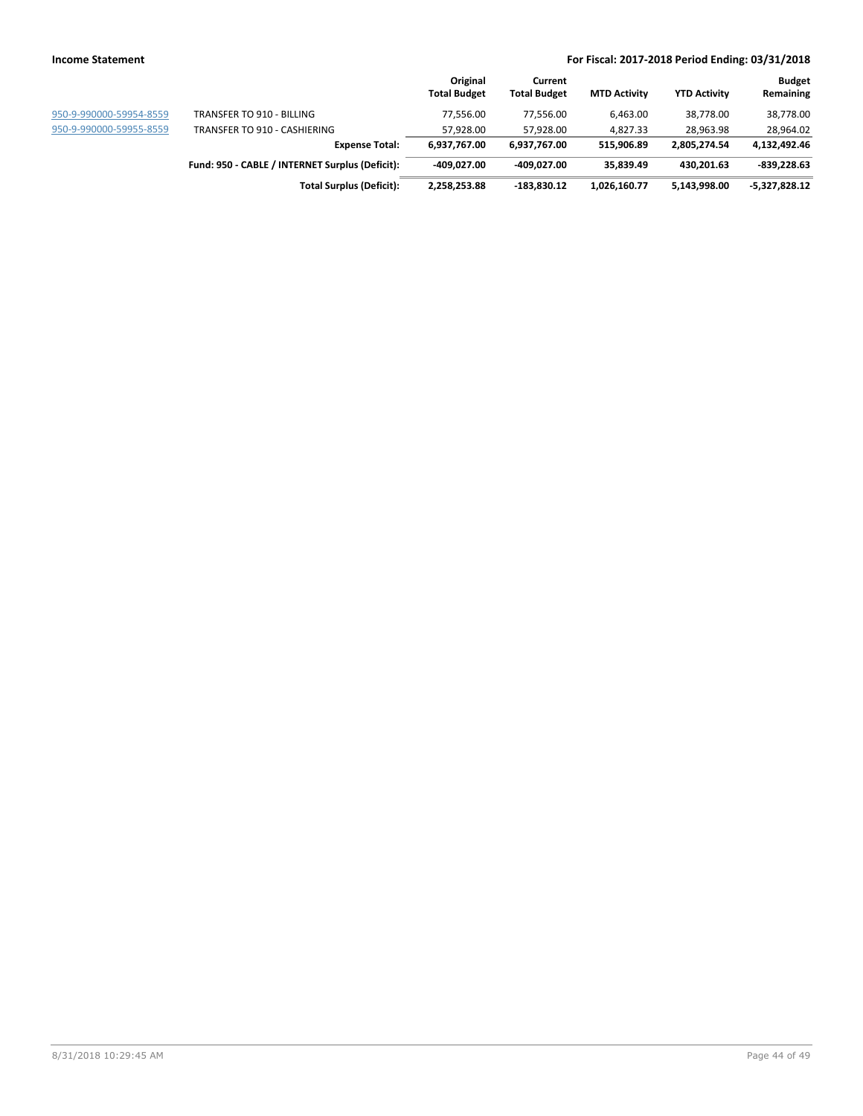|                         |                                                 | Original<br><b>Total Budget</b> | Current<br><b>Total Budget</b> | <b>MTD Activity</b> | <b>YTD Activity</b> | <b>Budget</b><br>Remaining |
|-------------------------|-------------------------------------------------|---------------------------------|--------------------------------|---------------------|---------------------|----------------------------|
| 950-9-990000-59954-8559 | TRANSFER TO 910 - BILLING                       | 77.556.00                       | 77.556.00                      | 6.463.00            | 38.778.00           | 38,778.00                  |
| 950-9-990000-59955-8559 | TRANSFER TO 910 - CASHIERING                    | 57.928.00                       | 57.928.00                      | 4.827.33            | 28.963.98           | 28,964.02                  |
|                         | <b>Expense Total:</b>                           | 6,937,767.00                    | 6,937,767.00                   | 515,906.89          | 2,805,274.54        | 4,132,492.46               |
|                         | Fund: 950 - CABLE / INTERNET Surplus (Deficit): | -409.027.00                     | -409.027.00                    | 35.839.49           | 430.201.63          | $-839,228.63$              |
|                         | <b>Total Surplus (Deficit):</b>                 | 2,258,253.88                    | $-183,830.12$                  | 1,026,160.77        | 5,143,998.00        | -5,327,828.12              |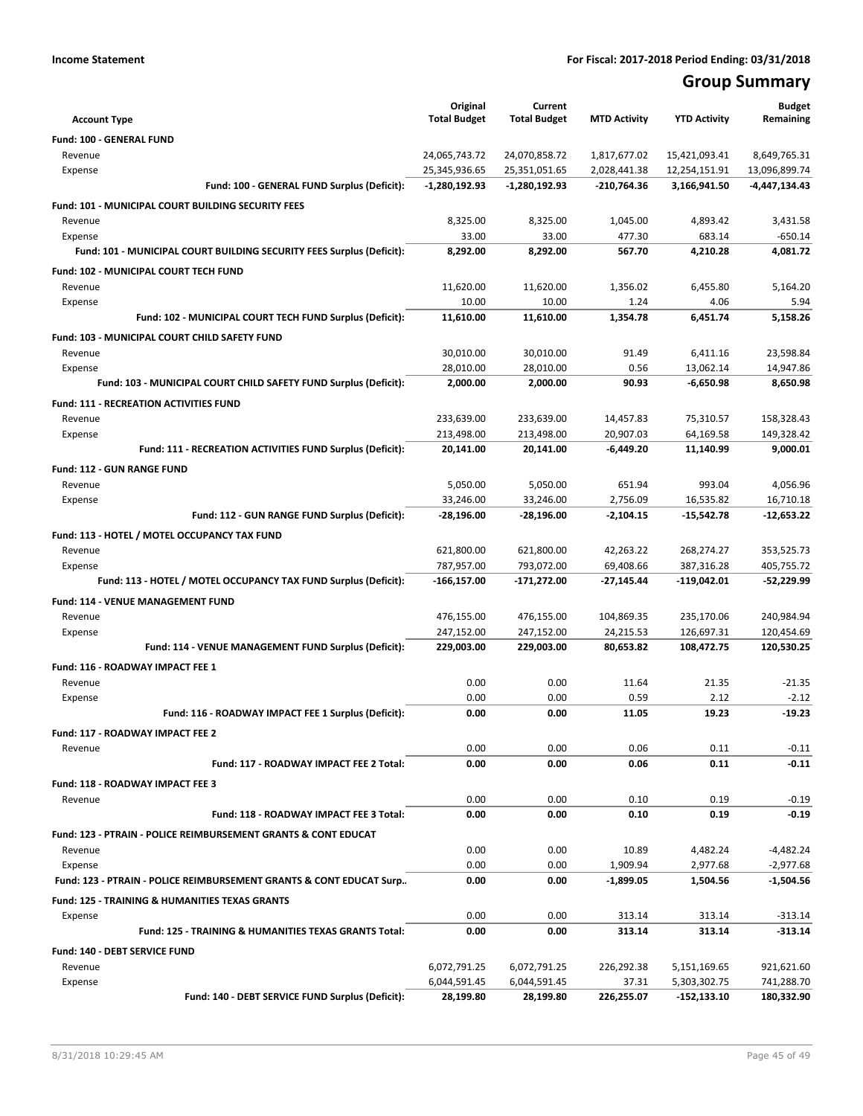## **Group Summary**

| <b>Account Type</b>                                                              | Original<br><b>Total Budget</b> | Current<br><b>Total Budget</b> | <b>MTD Activity</b> | <b>YTD Activity</b> | <b>Budget</b><br>Remaining |
|----------------------------------------------------------------------------------|---------------------------------|--------------------------------|---------------------|---------------------|----------------------------|
| <b>Fund: 100 - GENERAL FUND</b>                                                  |                                 |                                |                     |                     |                            |
| Revenue                                                                          | 24,065,743.72                   | 24,070,858.72                  | 1,817,677.02        | 15,421,093.41       | 8,649,765.31               |
| Expense                                                                          | 25,345,936.65                   | 25,351,051.65                  | 2,028,441.38        | 12,254,151.91       | 13,096,899.74              |
| Fund: 100 - GENERAL FUND Surplus (Deficit):                                      | $-1,280,192.93$                 | $-1,280,192.93$                | $-210,764.36$       | 3,166,941.50        | -4,447,134.43              |
|                                                                                  |                                 |                                |                     |                     |                            |
| Fund: 101 - MUNICIPAL COURT BUILDING SECURITY FEES                               |                                 |                                |                     |                     |                            |
| Revenue                                                                          | 8,325.00<br>33.00               | 8,325.00<br>33.00              | 1,045.00<br>477.30  | 4,893.42<br>683.14  | 3,431.58<br>$-650.14$      |
| Expense<br>Fund: 101 - MUNICIPAL COURT BUILDING SECURITY FEES Surplus (Deficit): | 8,292.00                        | 8,292.00                       | 567.70              | 4,210.28            | 4,081.72                   |
|                                                                                  |                                 |                                |                     |                     |                            |
| Fund: 102 - MUNICIPAL COURT TECH FUND                                            |                                 |                                |                     |                     |                            |
| Revenue                                                                          | 11,620.00                       | 11,620.00                      | 1,356.02            | 6,455.80            | 5,164.20                   |
| Expense<br>Fund: 102 - MUNICIPAL COURT TECH FUND Surplus (Deficit):              | 10.00<br>11,610.00              | 10.00                          | 1.24<br>1,354.78    | 4.06<br>6,451.74    | 5.94<br>5,158.26           |
|                                                                                  |                                 | 11,610.00                      |                     |                     |                            |
| Fund: 103 - MUNICIPAL COURT CHILD SAFETY FUND                                    |                                 |                                |                     |                     |                            |
| Revenue                                                                          | 30,010.00                       | 30,010.00                      | 91.49               | 6,411.16            | 23,598.84                  |
| Expense                                                                          | 28,010.00                       | 28,010.00                      | 0.56                | 13.062.14           | 14,947.86                  |
| Fund: 103 - MUNICIPAL COURT CHILD SAFETY FUND Surplus (Deficit):                 | 2,000.00                        | 2,000.00                       | 90.93               | $-6,650.98$         | 8,650.98                   |
| <b>Fund: 111 - RECREATION ACTIVITIES FUND</b>                                    |                                 |                                |                     |                     |                            |
| Revenue                                                                          | 233,639.00                      | 233,639.00                     | 14,457.83           | 75,310.57           | 158,328.43                 |
| Expense                                                                          | 213,498.00                      | 213,498.00                     | 20,907.03           | 64,169.58           | 149,328.42                 |
| Fund: 111 - RECREATION ACTIVITIES FUND Surplus (Deficit):                        | 20,141.00                       | 20,141.00                      | $-6,449.20$         | 11,140.99           | 9,000.01                   |
| <b>Fund: 112 - GUN RANGE FUND</b>                                                |                                 |                                |                     |                     |                            |
| Revenue                                                                          | 5,050.00                        | 5,050.00                       | 651.94              | 993.04              | 4,056.96                   |
| Expense                                                                          | 33,246.00                       | 33,246.00                      | 2,756.09            | 16,535.82           | 16,710.18                  |
| Fund: 112 - GUN RANGE FUND Surplus (Deficit):                                    | $-28,196.00$                    | -28,196.00                     | $-2,104.15$         | -15,542.78          | $-12,653.22$               |
| Fund: 113 - HOTEL / MOTEL OCCUPANCY TAX FUND                                     |                                 |                                |                     |                     |                            |
| Revenue                                                                          | 621,800.00                      | 621,800.00                     | 42,263.22           | 268,274.27          | 353,525.73                 |
| Expense                                                                          | 787,957.00                      | 793,072.00                     | 69,408.66           | 387,316.28          | 405,755.72                 |
| Fund: 113 - HOTEL / MOTEL OCCUPANCY TAX FUND Surplus (Deficit):                  | -166,157.00                     | -171,272.00                    | -27,145.44          | -119,042.01         | -52,229.99                 |
| Fund: 114 - VENUE MANAGEMENT FUND                                                |                                 |                                |                     |                     |                            |
| Revenue                                                                          | 476,155.00                      | 476,155.00                     | 104,869.35          | 235,170.06          | 240,984.94                 |
| Expense                                                                          | 247,152.00                      | 247,152.00                     | 24,215.53           | 126,697.31          | 120,454.69                 |
| Fund: 114 - VENUE MANAGEMENT FUND Surplus (Deficit):                             | 229,003.00                      | 229,003.00                     | 80,653.82           | 108,472.75          | 120,530.25                 |
| Fund: 116 - ROADWAY IMPACT FEE 1                                                 |                                 |                                |                     |                     |                            |
| Revenue                                                                          | 0.00                            | 0.00                           | 11.64               | 21.35               | $-21.35$                   |
| Expense                                                                          | 0.00                            | 0.00                           | 0.59                | 2.12                | $-2.12$                    |
| Fund: 116 - ROADWAY IMPACT FEE 1 Surplus (Deficit):                              | 0.00                            | 0.00                           | 11.05               | 19.23               | $-19.23$                   |
|                                                                                  |                                 |                                |                     |                     |                            |
| Fund: 117 - ROADWAY IMPACT FEE 2<br>Revenue                                      | 0.00                            | 0.00                           | 0.06                | 0.11                | $-0.11$                    |
| Fund: 117 - ROADWAY IMPACT FEE 2 Total:                                          | 0.00                            | 0.00                           | 0.06                | 0.11                | $-0.11$                    |
|                                                                                  |                                 |                                |                     |                     |                            |
| Fund: 118 - ROADWAY IMPACT FEE 3                                                 |                                 |                                |                     |                     |                            |
| Revenue                                                                          | 0.00                            | 0.00                           | 0.10                | 0.19                | $-0.19$                    |
| Fund: 118 - ROADWAY IMPACT FEE 3 Total:                                          | 0.00                            | 0.00                           | 0.10                | 0.19                | $-0.19$                    |
| <b>Fund: 123 - PTRAIN - POLICE REIMBURSEMENT GRANTS &amp; CONT EDUCAT</b>        |                                 |                                |                     |                     |                            |
| Revenue                                                                          | 0.00                            | 0.00                           | 10.89               | 4,482.24            | $-4,482.24$                |
| Expense                                                                          | 0.00                            | 0.00                           | 1,909.94            | 2,977.68            | $-2,977.68$                |
| Fund: 123 - PTRAIN - POLICE REIMBURSEMENT GRANTS & CONT EDUCAT Surp              | 0.00                            | 0.00                           | $-1,899.05$         | 1,504.56            | $-1,504.56$                |
| <b>Fund: 125 - TRAINING &amp; HUMANITIES TEXAS GRANTS</b>                        |                                 |                                |                     |                     |                            |
| Expense                                                                          | 0.00                            | 0.00                           | 313.14              | 313.14              | $-313.14$                  |
| Fund: 125 - TRAINING & HUMANITIES TEXAS GRANTS Total:                            | 0.00                            | 0.00                           | 313.14              | 313.14              | $-313.14$                  |
| Fund: 140 - DEBT SERVICE FUND                                                    |                                 |                                |                     |                     |                            |
| Revenue                                                                          | 6,072,791.25                    | 6,072,791.25                   | 226,292.38          | 5,151,169.65        | 921,621.60                 |
| Expense                                                                          | 6,044,591.45                    | 6,044,591.45                   | 37.31               | 5,303,302.75        | 741,288.70                 |
| Fund: 140 - DEBT SERVICE FUND Surplus (Deficit):                                 | 28,199.80                       | 28,199.80                      | 226,255.07          | $-152,133.10$       | 180,332.90                 |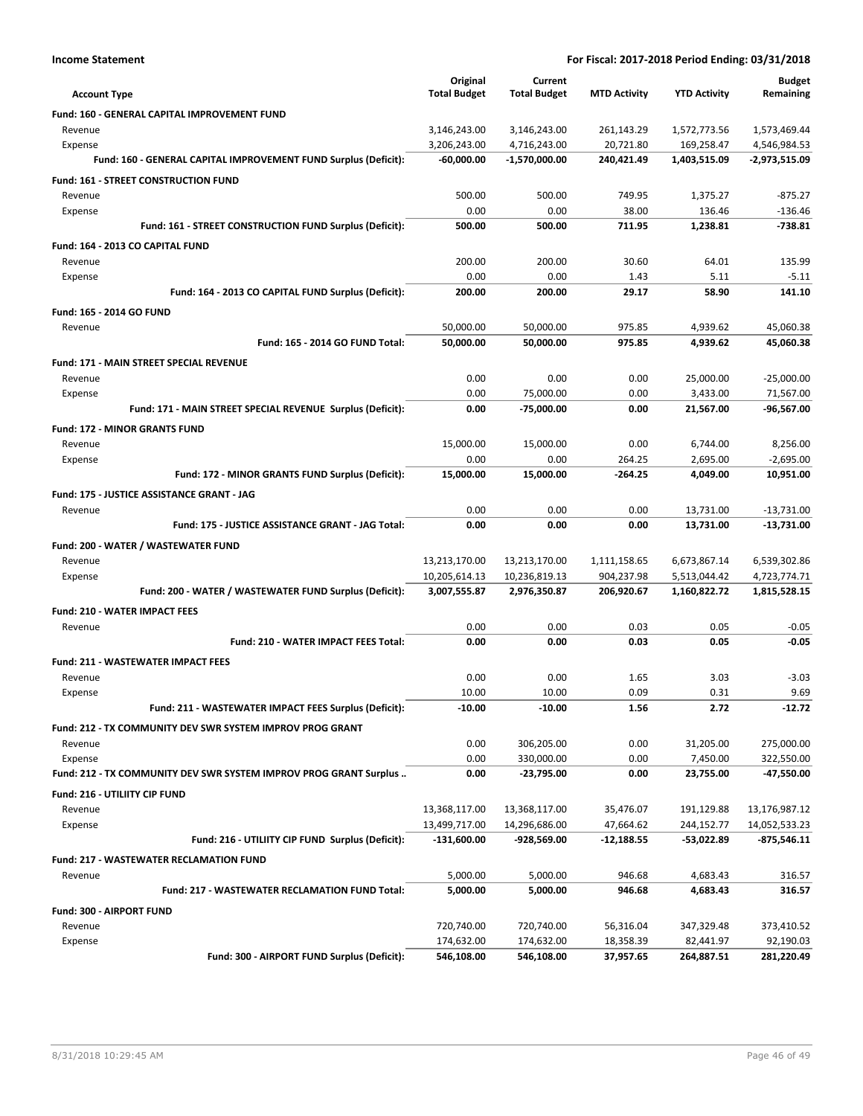| <b>Income Statement</b>                                           | For Fiscal: 2017-2018 Period Ending: 03/31/2018 |                              |                         |                            |                              |
|-------------------------------------------------------------------|-------------------------------------------------|------------------------------|-------------------------|----------------------------|------------------------------|
|                                                                   | Original                                        | Current                      | <b>MTD Activity</b>     | <b>YTD Activity</b>        | <b>Budget</b>                |
| <b>Account Type</b>                                               | <b>Total Budget</b>                             | <b>Total Budget</b>          |                         |                            | Remaining                    |
| Fund: 160 - GENERAL CAPITAL IMPROVEMENT FUND                      |                                                 |                              |                         |                            |                              |
| Revenue<br>Expense                                                | 3,146,243.00<br>3,206,243.00                    | 3,146,243.00<br>4,716,243.00 | 261,143.29<br>20,721.80 | 1,572,773.56<br>169,258.47 | 1,573,469.44<br>4,546,984.53 |
| Fund: 160 - GENERAL CAPITAL IMPROVEMENT FUND Surplus (Deficit):   | -60,000.00                                      | -1,570,000.00                | 240,421.49              | 1,403,515.09               | -2,973,515.09                |
| Fund: 161 - STREET CONSTRUCTION FUND                              |                                                 |                              |                         |                            |                              |
| Revenue                                                           | 500.00                                          | 500.00                       | 749.95                  | 1,375.27                   | $-875.27$                    |
| Expense                                                           | 0.00                                            | 0.00                         | 38.00                   | 136.46                     | $-136.46$                    |
| Fund: 161 - STREET CONSTRUCTION FUND Surplus (Deficit):           | 500.00                                          | 500.00                       | 711.95                  | 1,238.81                   | $-738.81$                    |
| Fund: 164 - 2013 CO CAPITAL FUND                                  |                                                 |                              |                         |                            |                              |
| Revenue                                                           | 200.00                                          | 200.00                       | 30.60                   | 64.01                      | 135.99                       |
| Expense                                                           | 0.00                                            | 0.00                         | 1.43                    | 5.11                       | $-5.11$                      |
| Fund: 164 - 2013 CO CAPITAL FUND Surplus (Deficit):               | 200.00                                          | 200.00                       | 29.17                   | 58.90                      | 141.10                       |
| Fund: 165 - 2014 GO FUND                                          |                                                 |                              |                         |                            |                              |
| Revenue                                                           | 50.000.00                                       | 50,000.00                    | 975.85                  | 4,939.62                   | 45,060.38                    |
| Fund: 165 - 2014 GO FUND Total:                                   | 50,000.00                                       | 50,000.00                    | 975.85                  | 4,939.62                   | 45,060.38                    |
| <b>Fund: 171 - MAIN STREET SPECIAL REVENUE</b>                    |                                                 |                              |                         |                            |                              |
| Revenue                                                           | 0.00                                            | 0.00                         | 0.00                    | 25,000.00                  | $-25,000.00$                 |
| Expense                                                           | 0.00                                            | 75,000.00                    | 0.00                    | 3,433.00                   | 71,567.00                    |
| Fund: 171 - MAIN STREET SPECIAL REVENUE Surplus (Deficit):        | 0.00                                            | -75,000.00                   | 0.00                    | 21,567.00                  | -96,567.00                   |
| <b>Fund: 172 - MINOR GRANTS FUND</b>                              |                                                 |                              |                         |                            |                              |
| Revenue                                                           | 15,000.00                                       | 15,000.00                    | 0.00                    | 6,744.00                   | 8,256.00                     |
| Expense                                                           | 0.00                                            | 0.00                         | 264.25                  | 2,695.00                   | $-2,695.00$                  |
| Fund: 172 - MINOR GRANTS FUND Surplus (Deficit):                  | 15,000.00                                       | 15,000.00                    | -264.25                 | 4,049.00                   | 10,951.00                    |
| Fund: 175 - JUSTICE ASSISTANCE GRANT - JAG                        |                                                 |                              |                         |                            |                              |
| Revenue                                                           | 0.00                                            | 0.00                         | 0.00                    | 13,731.00                  | $-13,731.00$                 |
| Fund: 175 - JUSTICE ASSISTANCE GRANT - JAG Total:                 | 0.00                                            | 0.00                         | 0.00                    | 13,731.00                  | -13,731.00                   |
| Fund: 200 - WATER / WASTEWATER FUND                               |                                                 |                              |                         |                            |                              |
| Revenue                                                           | 13,213,170.00                                   | 13,213,170.00                | 1,111,158.65            | 6,673,867.14               | 6,539,302.86                 |
| Expense                                                           | 10,205,614.13                                   | 10,236,819.13                | 904,237.98              | 5,513,044.42               | 4,723,774.71                 |
| Fund: 200 - WATER / WASTEWATER FUND Surplus (Deficit):            | 3,007,555.87                                    | 2,976,350.87                 | 206,920.67              | 1,160,822.72               | 1,815,528.15                 |
| <b>Fund: 210 - WATER IMPACT FEES</b>                              |                                                 |                              |                         |                            |                              |
| Revenue                                                           | 0.00                                            | 0.00                         | 0.03                    | 0.05                       | $-0.05$                      |
| Fund: 210 - WATER IMPACT FEES Total:                              | 0.00                                            | 0.00                         | 0.03                    | 0.05                       | -0.05                        |
| <b>Fund: 211 - WASTEWATER IMPACT FEES</b>                         |                                                 |                              |                         |                            |                              |
| Revenue                                                           | 0.00                                            | 0.00                         | 1.65                    | 3.03                       | $-3.03$                      |
| Expense<br>Fund: 211 - WASTEWATER IMPACT FEES Surplus (Deficit):  | 10.00<br>$-10.00$                               | 10.00<br>-10.00              | 0.09<br>1.56            | 0.31<br>2.72               | 9.69<br>$-12.72$             |
|                                                                   |                                                 |                              |                         |                            |                              |
| Fund: 212 - TX COMMUNITY DEV SWR SYSTEM IMPROV PROG GRANT         |                                                 |                              |                         |                            |                              |
| Revenue<br>Expense                                                | 0.00<br>0.00                                    | 306,205.00<br>330,000.00     | 0.00<br>0.00            | 31,205.00<br>7,450.00      | 275,000.00<br>322,550.00     |
| Fund: 212 - TX COMMUNITY DEV SWR SYSTEM IMPROV PROG GRANT Surplus | 0.00                                            | -23,795.00                   | 0.00                    | 23,755.00                  | -47,550.00                   |
|                                                                   |                                                 |                              |                         |                            |                              |
| Fund: 216 - UTILIITY CIP FUND<br>Revenue                          | 13,368,117.00                                   | 13,368,117.00                | 35,476.07               | 191,129.88                 | 13,176,987.12                |
| Expense                                                           | 13,499,717.00                                   | 14,296,686.00                | 47,664.62               | 244,152.77                 | 14,052,533.23                |
| Fund: 216 - UTILIITY CIP FUND Surplus (Deficit):                  | $-131,600.00$                                   | -928,569.00                  | $-12,188.55$            | $-53,022.89$               | $-875,546.11$                |
| <b>Fund: 217 - WASTEWATER RECLAMATION FUND</b>                    |                                                 |                              |                         |                            |                              |
| Revenue                                                           | 5,000.00                                        | 5,000.00                     | 946.68                  | 4,683.43                   | 316.57                       |
| Fund: 217 - WASTEWATER RECLAMATION FUND Total:                    | 5,000.00                                        | 5,000.00                     | 946.68                  | 4,683.43                   | 316.57                       |
| Fund: 300 - AIRPORT FUND                                          |                                                 |                              |                         |                            |                              |
| Revenue                                                           | 720,740.00                                      | 720,740.00                   | 56,316.04               | 347,329.48                 | 373,410.52                   |
| Expense                                                           | 174,632.00                                      | 174,632.00                   | 18,358.39               | 82,441.97                  | 92,190.03                    |
| Fund: 300 - AIRPORT FUND Surplus (Deficit):                       | 546,108.00                                      | 546,108.00                   | 37,957.65               | 264,887.51                 | 281,220.49                   |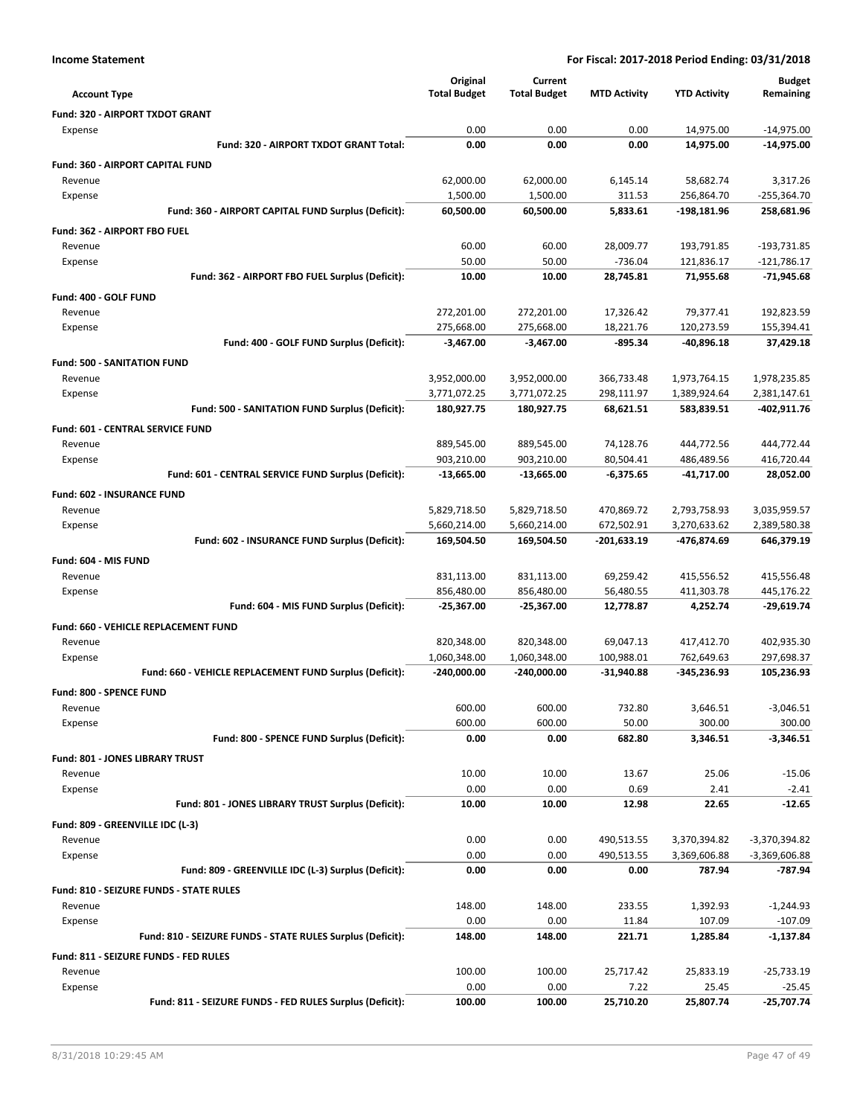|                                                                       | Original                 | Current                  |                        |                         | <b>Budget</b>                 |
|-----------------------------------------------------------------------|--------------------------|--------------------------|------------------------|-------------------------|-------------------------------|
| <b>Account Type</b>                                                   | <b>Total Budget</b>      | <b>Total Budget</b>      | <b>MTD Activity</b>    | <b>YTD Activity</b>     | Remaining                     |
| Fund: 320 - AIRPORT TXDOT GRANT                                       |                          |                          |                        |                         |                               |
| Expense                                                               | 0.00                     | 0.00                     | 0.00                   | 14,975.00               | $-14,975.00$                  |
| Fund: 320 - AIRPORT TXDOT GRANT Total:                                | 0.00                     | 0.00                     | 0.00                   | 14,975.00               | -14,975.00                    |
| <b>Fund: 360 - AIRPORT CAPITAL FUND</b>                               |                          |                          |                        |                         |                               |
| Revenue                                                               | 62,000.00                | 62,000.00                | 6,145.14               | 58,682.74               | 3,317.26                      |
| Expense<br>Fund: 360 - AIRPORT CAPITAL FUND Surplus (Deficit):        | 1,500.00                 | 1,500.00                 | 311.53                 | 256,864.70              | $-255,364.70$                 |
|                                                                       | 60,500.00                | 60,500.00                | 5,833.61               | -198,181.96             | 258,681.96                    |
| Fund: 362 - AIRPORT FBO FUEL                                          |                          |                          |                        |                         |                               |
| Revenue                                                               | 60.00                    | 60.00                    | 28,009.77              | 193,791.85              | -193,731.85                   |
| Expense<br>Fund: 362 - AIRPORT FBO FUEL Surplus (Deficit):            | 50.00<br>10.00           | 50.00<br>10.00           | $-736.04$<br>28,745.81 | 121,836.17<br>71,955.68 | $-121,786.17$<br>$-71,945.68$ |
|                                                                       |                          |                          |                        |                         |                               |
| Fund: 400 - GOLF FUND                                                 |                          |                          |                        |                         |                               |
| Revenue<br>Expense                                                    | 272,201.00<br>275,668.00 | 272,201.00<br>275,668.00 | 17,326.42<br>18,221.76 | 79,377.41<br>120,273.59 | 192,823.59<br>155,394.41      |
| Fund: 400 - GOLF FUND Surplus (Deficit):                              | $-3,467.00$              | $-3,467.00$              | $-895.34$              | -40,896.18              | 37,429.18                     |
| <b>Fund: 500 - SANITATION FUND</b>                                    |                          |                          |                        |                         |                               |
| Revenue                                                               | 3,952,000.00             | 3,952,000.00             | 366,733.48             | 1,973,764.15            | 1,978,235.85                  |
| Expense                                                               | 3,771,072.25             | 3,771,072.25             | 298,111.97             | 1,389,924.64            | 2,381,147.61                  |
| Fund: 500 - SANITATION FUND Surplus (Deficit):                        | 180,927.75               | 180,927.75               | 68,621.51              | 583,839.51              | -402,911.76                   |
| <b>Fund: 601 - CENTRAL SERVICE FUND</b>                               |                          |                          |                        |                         |                               |
| Revenue                                                               | 889,545.00               | 889,545.00               | 74,128.76              | 444,772.56              | 444,772.44                    |
| Expense                                                               | 903,210.00               | 903,210.00               | 80,504.41              | 486,489.56              | 416,720.44                    |
| Fund: 601 - CENTRAL SERVICE FUND Surplus (Deficit):                   | $-13,665.00$             | $-13,665.00$             | $-6,375.65$            | -41,717.00              | 28,052.00                     |
| Fund: 602 - INSURANCE FUND                                            |                          |                          |                        |                         |                               |
| Revenue                                                               | 5,829,718.50             | 5,829,718.50             | 470,869.72             | 2,793,758.93            | 3,035,959.57                  |
| Expense                                                               | 5,660,214.00             | 5,660,214.00             | 672,502.91             | 3,270,633.62            | 2,389,580.38                  |
| Fund: 602 - INSURANCE FUND Surplus (Deficit):                         | 169,504.50               | 169,504.50               | -201,633.19            | -476,874.69             | 646,379.19                    |
| Fund: 604 - MIS FUND                                                  |                          |                          |                        |                         |                               |
| Revenue                                                               | 831,113.00               | 831,113.00               | 69,259.42              | 415,556.52              | 415,556.48                    |
| Expense                                                               | 856,480.00               | 856,480.00               | 56,480.55              | 411,303.78              | 445,176.22                    |
| Fund: 604 - MIS FUND Surplus (Deficit):                               | $-25,367.00$             | $-25,367.00$             | 12,778.87              | 4,252.74                | -29,619.74                    |
| Fund: 660 - VEHICLE REPLACEMENT FUND                                  |                          |                          |                        |                         |                               |
| Revenue                                                               | 820,348.00               | 820,348.00               | 69,047.13              | 417,412.70              | 402,935.30                    |
| Expense                                                               | 1,060,348.00             | 1,060,348.00             | 100,988.01             | 762,649.63              | 297,698.37                    |
| Fund: 660 - VEHICLE REPLACEMENT FUND Surplus (Deficit):               | $-240,000.00$            | $-240,000.00$            | $-31,940.88$           | -345,236.93             | 105,236.93                    |
| Fund: 800 - SPENCE FUND                                               |                          |                          |                        |                         |                               |
| Revenue                                                               | 600.00                   | 600.00                   | 732.80                 | 3,646.51                | -3,046.51                     |
| Expense                                                               | 600.00                   | 600.00                   | 50.00                  | 300.00                  | 300.00                        |
| Fund: 800 - SPENCE FUND Surplus (Deficit):                            | 0.00                     | 0.00                     | 682.80                 | 3,346.51                | $-3,346.51$                   |
| <b>Fund: 801 - JONES LIBRARY TRUST</b>                                |                          |                          |                        |                         |                               |
| Revenue                                                               | 10.00                    | 10.00                    | 13.67                  | 25.06                   | $-15.06$                      |
| Expense                                                               | 0.00                     | 0.00                     | 0.69                   | 2.41                    | $-2.41$                       |
| Fund: 801 - JONES LIBRARY TRUST Surplus (Deficit):                    | 10.00                    | 10.00                    | 12.98                  | 22.65                   | $-12.65$                      |
| Fund: 809 - GREENVILLE IDC (L-3)                                      |                          |                          |                        |                         |                               |
| Revenue                                                               | 0.00                     | 0.00                     | 490,513.55             | 3,370,394.82            | -3,370,394.82                 |
| Expense                                                               | 0.00                     | 0.00                     | 490,513.55             | 3,369,606.88            | $-3,369,606.88$               |
| Fund: 809 - GREENVILLE IDC (L-3) Surplus (Deficit):                   | 0.00                     | 0.00                     | 0.00                   | 787.94                  | -787.94                       |
| Fund: 810 - SEIZURE FUNDS - STATE RULES                               |                          |                          |                        |                         |                               |
| Revenue                                                               | 148.00<br>0.00           | 148.00<br>0.00           | 233.55                 | 1,392.93<br>107.09      | $-1,244.93$                   |
| Expense<br>Fund: 810 - SEIZURE FUNDS - STATE RULES Surplus (Deficit): | 148.00                   | 148.00                   | 11.84<br>221.71        | 1,285.84                | $-107.09$<br>-1,137.84        |
|                                                                       |                          |                          |                        |                         |                               |
| Fund: 811 - SEIZURE FUNDS - FED RULES<br>Revenue                      | 100.00                   | 100.00                   | 25,717.42              | 25,833.19               | $-25,733.19$                  |
| Expense                                                               | 0.00                     | 0.00                     | 7.22                   | 25.45                   | $-25.45$                      |
| Fund: 811 - SEIZURE FUNDS - FED RULES Surplus (Deficit):              | 100.00                   | 100.00                   | 25,710.20              | 25,807.74               | $-25,707.74$                  |
|                                                                       |                          |                          |                        |                         |                               |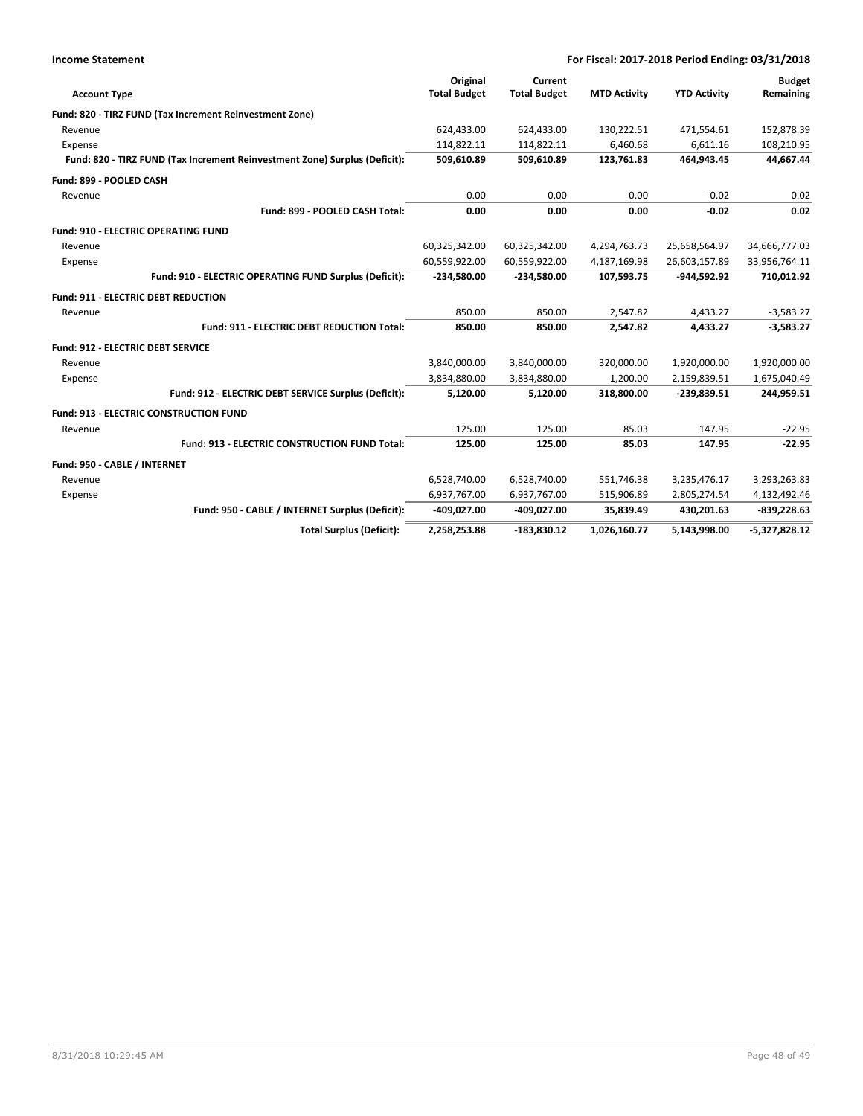| <b>Income Statement</b>                                                    | For Fiscal: 2017-2018 Period Ending: 03/31/2018 |                                |                     |                     |                            |
|----------------------------------------------------------------------------|-------------------------------------------------|--------------------------------|---------------------|---------------------|----------------------------|
| <b>Account Type</b>                                                        | Original<br><b>Total Budget</b>                 | Current<br><b>Total Budget</b> | <b>MTD Activity</b> | <b>YTD Activity</b> | <b>Budget</b><br>Remaining |
| Fund: 820 - TIRZ FUND (Tax Increment Reinvestment Zone)                    |                                                 |                                |                     |                     |                            |
| Revenue                                                                    | 624,433.00                                      | 624,433.00                     | 130,222.51          | 471,554.61          | 152,878.39                 |
| Expense                                                                    | 114,822.11                                      | 114,822.11                     | 6,460.68            | 6,611.16            | 108,210.95                 |
| Fund: 820 - TIRZ FUND (Tax Increment Reinvestment Zone) Surplus (Deficit): | 509,610.89                                      | 509,610.89                     | 123,761.83          | 464,943.45          | 44,667.44                  |
| Fund: 899 - POOLED CASH                                                    |                                                 |                                |                     |                     |                            |
| Revenue                                                                    | 0.00                                            | 0.00                           | 0.00                | $-0.02$             | 0.02                       |
| Fund: 899 - POOLED CASH Total:                                             | 0.00                                            | 0.00                           | 0.00                | $-0.02$             | 0.02                       |
| <b>Fund: 910 - ELECTRIC OPERATING FUND</b>                                 |                                                 |                                |                     |                     |                            |
| Revenue                                                                    | 60,325,342.00                                   | 60,325,342.00                  | 4,294,763.73        | 25,658,564.97       | 34,666,777.03              |
| Expense                                                                    | 60,559,922.00                                   | 60,559,922.00                  | 4,187,169.98        | 26,603,157.89       | 33,956,764.11              |
| Fund: 910 - ELECTRIC OPERATING FUND Surplus (Deficit):                     | $-234,580.00$                                   | $-234,580.00$                  | 107,593.75          | -944,592.92         | 710,012.92                 |
| <b>Fund: 911 - ELECTRIC DEBT REDUCTION</b>                                 |                                                 |                                |                     |                     |                            |
| Revenue                                                                    | 850.00                                          | 850.00                         | 2.547.82            | 4,433.27            | $-3,583.27$                |
| Fund: 911 - ELECTRIC DEBT REDUCTION Total:                                 | 850.00                                          | 850.00                         | 2,547.82            | 4,433.27            | $-3,583.27$                |
| <b>Fund: 912 - ELECTRIC DEBT SERVICE</b>                                   |                                                 |                                |                     |                     |                            |
| Revenue                                                                    | 3,840,000.00                                    | 3,840,000.00                   | 320,000.00          | 1,920,000.00        | 1,920,000.00               |
| Expense                                                                    | 3,834,880.00                                    | 3,834,880.00                   | 1,200.00            | 2,159,839.51        | 1,675,040.49               |
| Fund: 912 - ELECTRIC DEBT SERVICE Surplus (Deficit):                       | 5,120.00                                        | 5,120.00                       | 318,800.00          | $-239,839.51$       | 244,959.51                 |
| Fund: 913 - ELECTRIC CONSTRUCTION FUND                                     |                                                 |                                |                     |                     |                            |
| Revenue                                                                    | 125.00                                          | 125.00                         | 85.03               | 147.95              | $-22.95$                   |
| Fund: 913 - ELECTRIC CONSTRUCTION FUND Total:                              | 125.00                                          | 125.00                         | 85.03               | 147.95              | $-22.95$                   |
| Fund: 950 - CABLE / INTERNET                                               |                                                 |                                |                     |                     |                            |
| Revenue                                                                    | 6,528,740.00                                    | 6,528,740.00                   | 551,746.38          | 3,235,476.17        | 3,293,263.83               |
| Expense                                                                    | 6,937,767.00                                    | 6,937,767.00                   | 515,906.89          | 2,805,274.54        | 4,132,492.46               |
| Fund: 950 - CABLE / INTERNET Surplus (Deficit):                            | -409,027.00                                     | -409,027.00                    | 35,839.49           | 430,201.63          | $-839,228.63$              |
| <b>Total Surplus (Deficit):</b>                                            | 2,258,253.88                                    | $-183,830.12$                  | 1,026,160.77        | 5,143,998.00        | $-5,327,828.12$            |